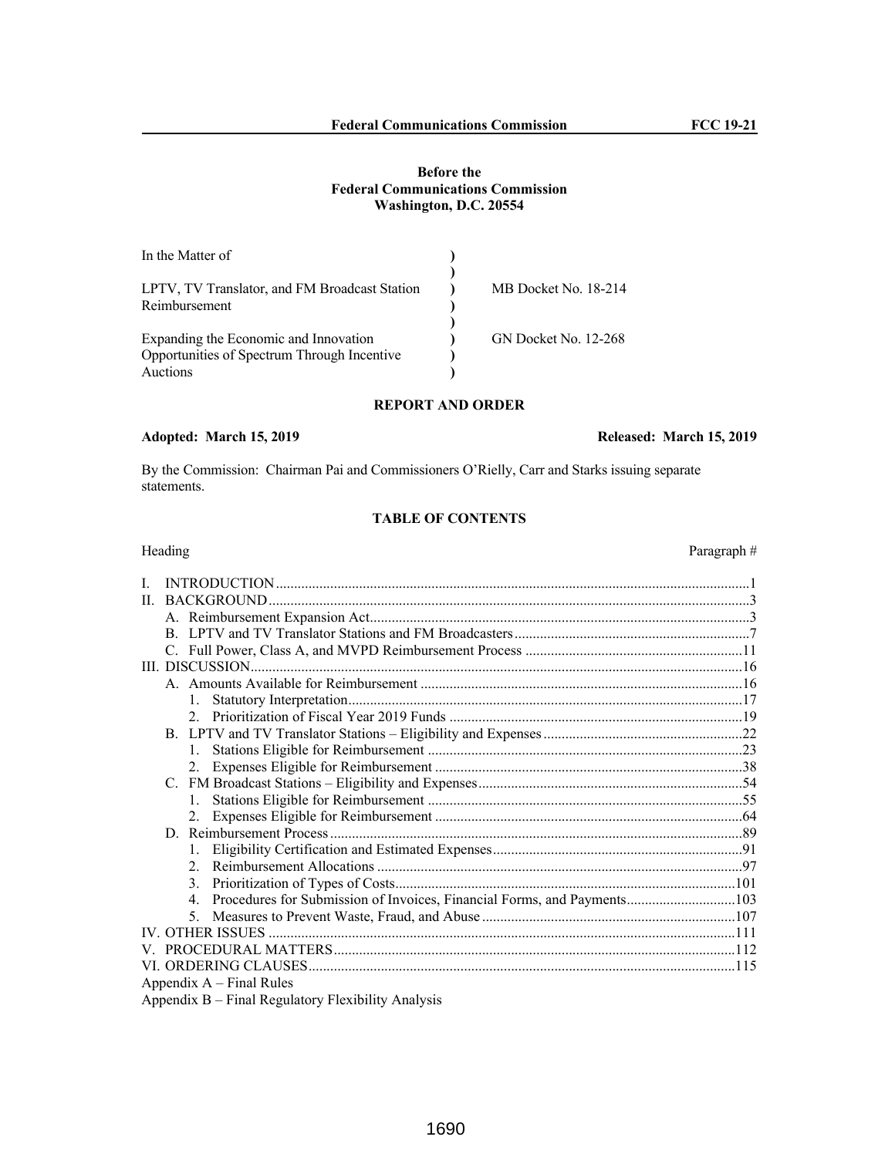# **Before the Federal Communications Commission Washington, D.C. 20554**

| In the Matter of                              |                      |
|-----------------------------------------------|----------------------|
| LPTV, TV Translator, and FM Broadcast Station | MB Docket No. 18-214 |
| Reimbursement                                 |                      |
| Expanding the Economic and Innovation         | GN Docket No. 12-268 |
| Opportunities of Spectrum Through Incentive   |                      |
| Auctions                                      |                      |

# **REPORT AND ORDER**

# **Adopted: March 15, 2019 Released: March 15, 2019**

By the Commission: Chairman Pai and Commissioners O'Rielly, Carr and Starks issuing separate statements.

# **TABLE OF CONTENTS**

| Heading                                                                                   | Paragraph# |
|-------------------------------------------------------------------------------------------|------------|
| L                                                                                         |            |
| $\Pi$                                                                                     |            |
|                                                                                           |            |
|                                                                                           |            |
|                                                                                           |            |
|                                                                                           |            |
|                                                                                           |            |
|                                                                                           |            |
|                                                                                           |            |
|                                                                                           |            |
|                                                                                           |            |
| 2.                                                                                        |            |
|                                                                                           |            |
|                                                                                           |            |
| 2.                                                                                        |            |
|                                                                                           |            |
|                                                                                           |            |
| $\mathfrak{D}$                                                                            |            |
| 3.                                                                                        |            |
| Procedures for Submission of Invoices, Financial Forms, and Payments103<br>$\overline{4}$ |            |
|                                                                                           |            |
|                                                                                           |            |
|                                                                                           |            |
|                                                                                           |            |
| Appendix $A$ – Final Rules                                                                |            |
| Appendix B – Final Regulatory Flexibility Analysis                                        |            |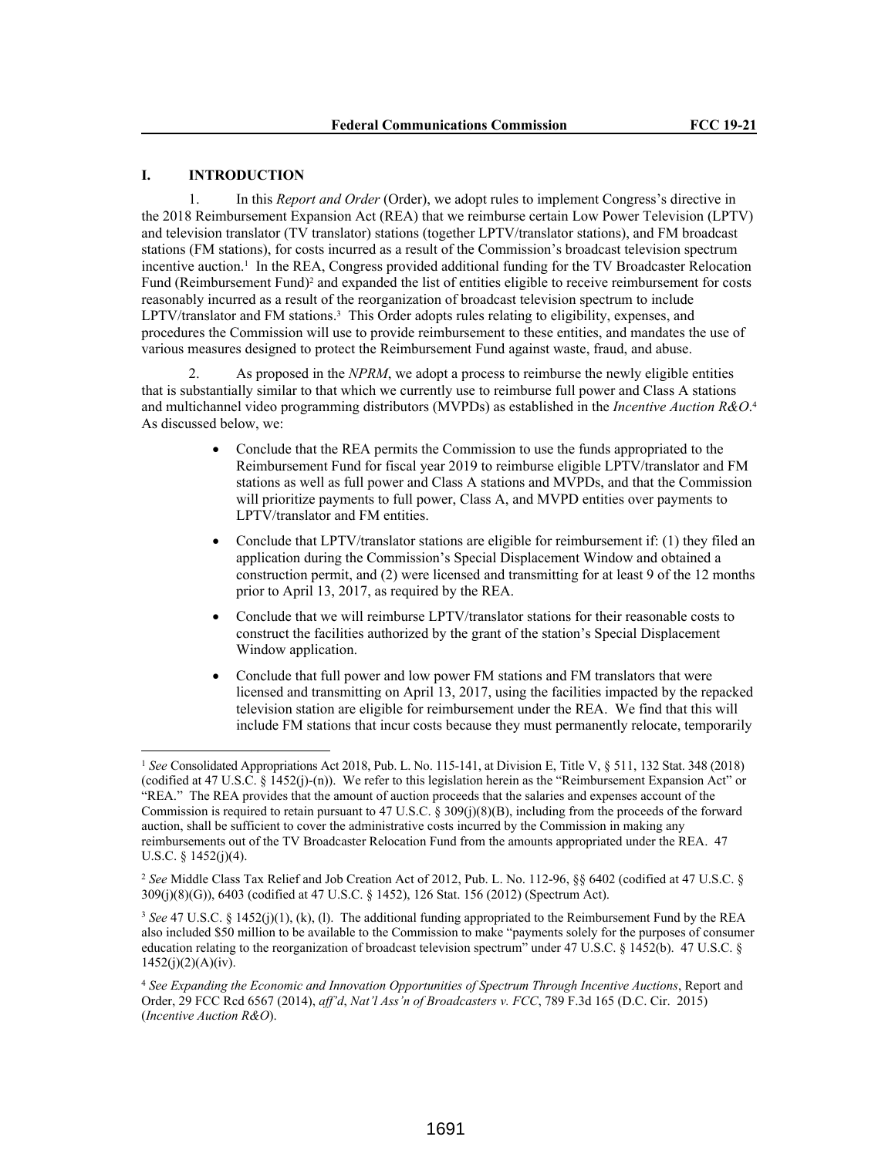# **I. INTRODUCTION**

1. In this *Report and Order* (Order), we adopt rules to implement Congress's directive in the 2018 Reimbursement Expansion Act (REA) that we reimburse certain Low Power Television (LPTV) and television translator (TV translator) stations (together LPTV/translator stations), and FM broadcast stations (FM stations), for costs incurred as a result of the Commission's broadcast television spectrum incentive auction.<sup>1</sup> In the REA, Congress provided additional funding for the TV Broadcaster Relocation Fund (Reimbursement Fund)<sup>2</sup> and expanded the list of entities eligible to receive reimbursement for costs reasonably incurred as a result of the reorganization of broadcast television spectrum to include LPTV/translator and FM stations.<sup>3</sup> This Order adopts rules relating to eligibility, expenses, and procedures the Commission will use to provide reimbursement to these entities, and mandates the use of various measures designed to protect the Reimbursement Fund against waste, fraud, and abuse.

2. As proposed in the *NPRM*, we adopt a process to reimburse the newly eligible entities that is substantially similar to that which we currently use to reimburse full power and Class A stations and multichannel video programming distributors (MVPDs) as established in the *Incentive Auction R&O*. 4 As discussed below, we:

- Conclude that the REA permits the Commission to use the funds appropriated to the Reimbursement Fund for fiscal year 2019 to reimburse eligible LPTV/translator and FM stations as well as full power and Class A stations and MVPDs, and that the Commission will prioritize payments to full power, Class A, and MVPD entities over payments to LPTV/translator and FM entities.
- Conclude that LPTV/translator stations are eligible for reimbursement if: (1) they filed an application during the Commission's Special Displacement Window and obtained a construction permit, and (2) were licensed and transmitting for at least 9 of the 12 months prior to April 13, 2017, as required by the REA.
- Conclude that we will reimburse LPTV/translator stations for their reasonable costs to construct the facilities authorized by the grant of the station's Special Displacement Window application.
- Conclude that full power and low power FM stations and FM translators that were licensed and transmitting on April 13, 2017, using the facilities impacted by the repacked television station are eligible for reimbursement under the REA. We find that this will include FM stations that incur costs because they must permanently relocate, temporarily

<sup>1</sup> *See* Consolidated Appropriations Act 2018, Pub. L. No. 115-141, at Division E, Title V, § 511, 132 Stat. 348 (2018) (codified at 47 U.S.C. § 1452(j)-(n)). We refer to this legislation herein as the "Reimbursement Expansion Act" or "REA." The REA provides that the amount of auction proceeds that the salaries and expenses account of the Commission is required to retain pursuant to 47 U.S.C. § 309(j)(8)(B), including from the proceeds of the forward auction, shall be sufficient to cover the administrative costs incurred by the Commission in making any reimbursements out of the TV Broadcaster Relocation Fund from the amounts appropriated under the REA. 47 U.S.C. §  $1452(j)(4)$ .

<sup>2</sup> *See* Middle Class Tax Relief and Job Creation Act of 2012, Pub. L. No. 112-96, §§ 6402 (codified at 47 U.S.C. § 309(j)(8)(G)), 6403 (codified at 47 U.S.C. § 1452), 126 Stat. 156 (2012) (Spectrum Act).

<sup>&</sup>lt;sup>3</sup> See 47 U.S.C. § 1452(j)(1), (k), (l). The additional funding appropriated to the Reimbursement Fund by the REA also included \$50 million to be available to the Commission to make "payments solely for the purposes of consumer education relating to the reorganization of broadcast television spectrum" under 47 U.S.C. § 1452(b). 47 U.S.C. §  $1452(j)(2)(A)(iv)$ .

<sup>4</sup> *See Expanding the Economic and Innovation Opportunities of Spectrum Through Incentive Auctions*, Report and Order, 29 FCC Rcd 6567 (2014), *aff'd*, *Nat'l Ass'n of Broadcasters v. FCC*, 789 F.3d 165 (D.C. Cir. 2015) (*Incentive Auction R&O*).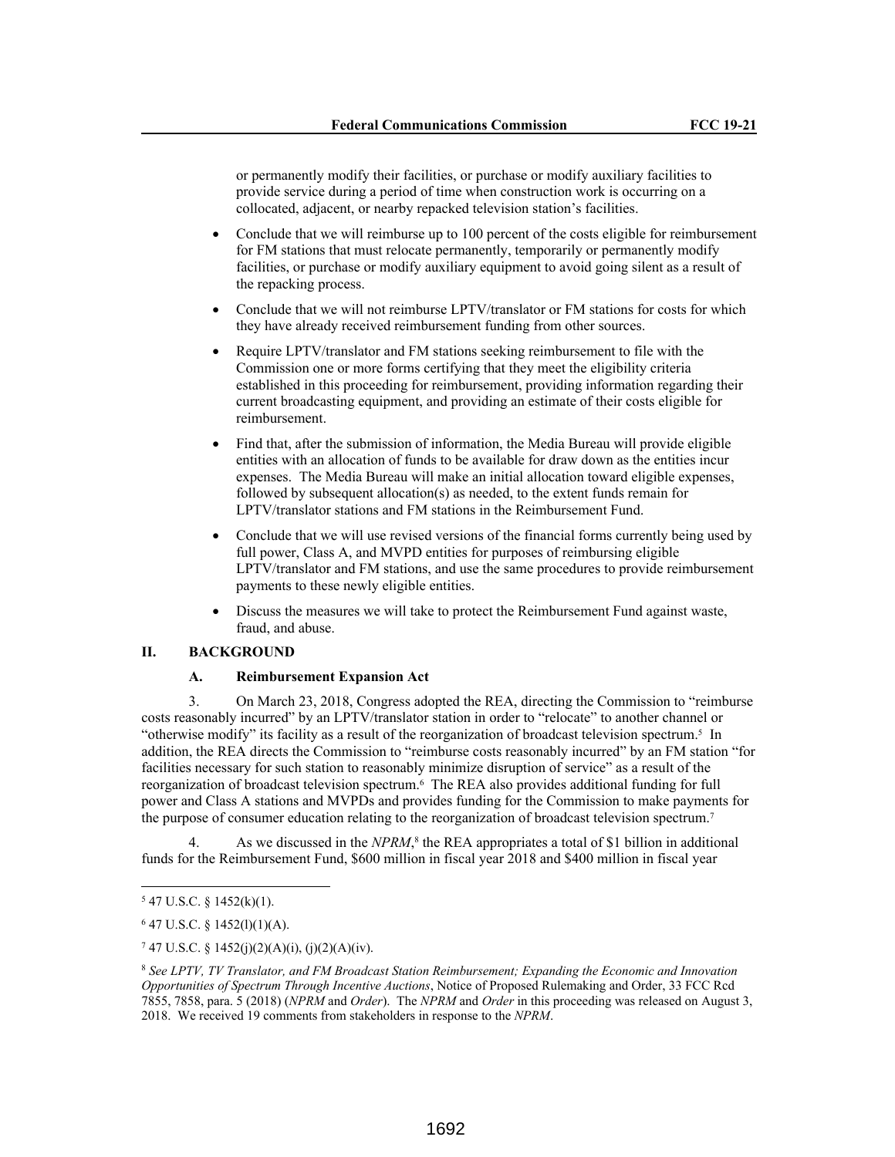or permanently modify their facilities, or purchase or modify auxiliary facilities to provide service during a period of time when construction work is occurring on a collocated, adjacent, or nearby repacked television station's facilities.

- Conclude that we will reimburse up to 100 percent of the costs eligible for reimbursement for FM stations that must relocate permanently, temporarily or permanently modify facilities, or purchase or modify auxiliary equipment to avoid going silent as a result of the repacking process.
- Conclude that we will not reimburse LPTV/translator or FM stations for costs for which they have already received reimbursement funding from other sources.
- Require LPTV/translator and FM stations seeking reimbursement to file with the Commission one or more forms certifying that they meet the eligibility criteria established in this proceeding for reimbursement, providing information regarding their current broadcasting equipment, and providing an estimate of their costs eligible for reimbursement.
- Find that, after the submission of information, the Media Bureau will provide eligible entities with an allocation of funds to be available for draw down as the entities incur expenses. The Media Bureau will make an initial allocation toward eligible expenses, followed by subsequent allocation(s) as needed, to the extent funds remain for LPTV/translator stations and FM stations in the Reimbursement Fund.
- Conclude that we will use revised versions of the financial forms currently being used by full power, Class A, and MVPD entities for purposes of reimbursing eligible LPTV/translator and FM stations, and use the same procedures to provide reimbursement payments to these newly eligible entities.
- Discuss the measures we will take to protect the Reimbursement Fund against waste, fraud, and abuse.

# **II. BACKGROUND**

## **A. Reimbursement Expansion Act**

3. On March 23, 2018, Congress adopted the REA, directing the Commission to "reimburse costs reasonably incurred" by an LPTV/translator station in order to "relocate" to another channel or "otherwise modify" its facility as a result of the reorganization of broadcast television spectrum.<sup>5</sup> In addition, the REA directs the Commission to "reimburse costs reasonably incurred" by an FM station "for facilities necessary for such station to reasonably minimize disruption of service" as a result of the reorganization of broadcast television spectrum.<sup>6</sup> The REA also provides additional funding for full power and Class A stations and MVPDs and provides funding for the Commission to make payments for the purpose of consumer education relating to the reorganization of broadcast television spectrum.<sup>7</sup>

4. As we discussed in the *NPRM*,<sup>8</sup> the REA appropriates a total of \$1 billion in additional funds for the Reimbursement Fund, \$600 million in fiscal year 2018 and \$400 million in fiscal year

 $547$  U.S.C. § 1452(k)(1).

 $6$  47 U.S.C. § 1452(1)(1)(A).

<sup>7</sup> 47 U.S.C. § 1452(j)(2)(A)(i), (j)(2)(A)(iv).

<sup>8</sup> *See LPTV, TV Translator, and FM Broadcast Station Reimbursement; Expanding the Economic and Innovation Opportunities of Spectrum Through Incentive Auctions*, Notice of Proposed Rulemaking and Order, 33 FCC Rcd 7855, 7858, para. 5 (2018) (*NPRM* and *Order*). The *NPRM* and *Order* in this proceeding was released on August 3, 2018. We received 19 comments from stakeholders in response to the *NPRM*.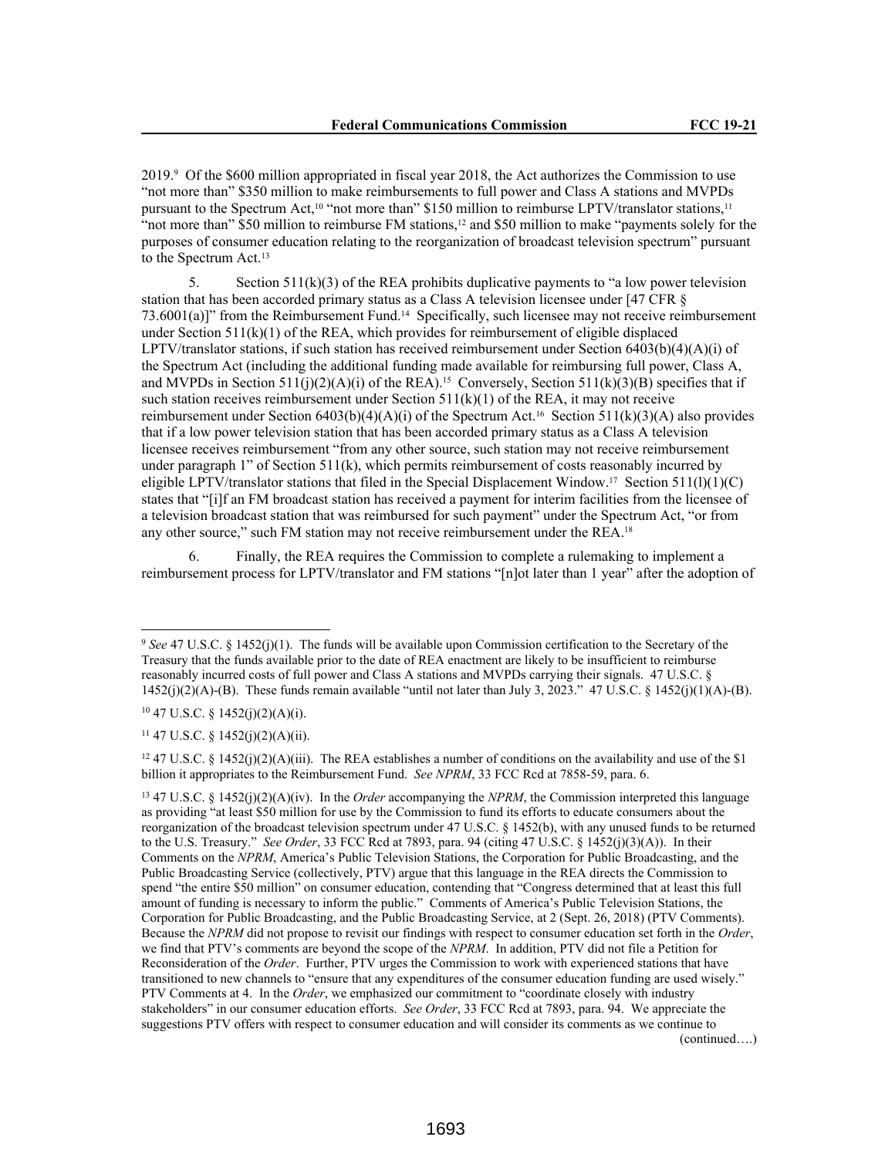2019.<sup>9</sup> Of the \$600 million appropriated in fiscal year 2018, the Act authorizes the Commission to use "not more than" \$350 million to make reimbursements to full power and Class A stations and MVPDs pursuant to the Spectrum Act,<sup>10</sup> "not more than" \$150 million to reimburse LPTV/translator stations,<sup>11</sup> "not more than" \$50 million to reimburse FM stations,<sup>12</sup> and \$50 million to make "payments solely for the purposes of consumer education relating to the reorganization of broadcast television spectrum" pursuant to the Spectrum Act.<sup>13</sup>

5. Section  $511(k)(3)$  of the REA prohibits duplicative payments to "a low power television station that has been accorded primary status as a Class A television licensee under [47 CFR § 73.6001(a)]" from the Reimbursement Fund.14 Specifically, such licensee may not receive reimbursement under Section  $511(k)(1)$  of the REA, which provides for reimbursement of eligible displaced LPTV/translator stations, if such station has received reimbursement under Section  $6403(b)(4)(A)(i)$  of the Spectrum Act (including the additional funding made available for reimbursing full power, Class A, and MVPDs in Section  $511(i)(2)(A)(i)$  of the REA).<sup>15</sup> Conversely, Section  $511(k)(3)(B)$  specifies that if such station receives reimbursement under Section  $511(k)(1)$  of the REA, it may not receive reimbursement under Section 6403(b)(4)(A)(i) of the Spectrum Act.<sup>16</sup> Section 511(k)(3)(A) also provides that if a low power television station that has been accorded primary status as a Class A television licensee receives reimbursement "from any other source, such station may not receive reimbursement under paragraph  $1$ " of Section 511(k), which permits reimbursement of costs reasonably incurred by eligible LPTV/translator stations that filed in the Special Displacement Window.17 Section 511(l)(1)(C) states that "[i]f an FM broadcast station has received a payment for interim facilities from the licensee of a television broadcast station that was reimbursed for such payment" under the Spectrum Act, "or from any other source," such FM station may not receive reimbursement under the REA.<sup>18</sup>

6. Finally, the REA requires the Commission to complete a rulemaking to implement a reimbursement process for LPTV/translator and FM stations "[n]ot later than 1 year" after the adoption of

<sup>12</sup> 47 U.S.C. § 1452(j)(2)(A)(iii). The REA establishes a number of conditions on the availability and use of the \$1 billion it appropriates to the Reimbursement Fund. *See NPRM*, 33 FCC Rcd at 7858-59, para. 6.

<sup>13</sup> 47 U.S.C. § 1452(j)(2)(A)(iv). In the *Order* accompanying the *NPRM*, the Commission interpreted this language as providing "at least \$50 million for use by the Commission to fund its efforts to educate consumers about the reorganization of the broadcast television spectrum under 47 U.S.C. § 1452(b), with any unused funds to be returned to the U.S. Treasury." *See Order*, 33 FCC Rcd at 7893, para. 94 (citing 47 U.S.C. § 1452(j)(3)(A)). In their Comments on the *NPRM*, America's Public Television Stations, the Corporation for Public Broadcasting, and the Public Broadcasting Service (collectively, PTV) argue that this language in the REA directs the Commission to spend "the entire \$50 million" on consumer education, contending that "Congress determined that at least this full amount of funding is necessary to inform the public." Comments of America's Public Television Stations, the Corporation for Public Broadcasting, and the Public Broadcasting Service, at 2 (Sept. 26, 2018) (PTV Comments). Because the *NPRM* did not propose to revisit our findings with respect to consumer education set forth in the *Order*, we find that PTV's comments are beyond the scope of the *NPRM*. In addition, PTV did not file a Petition for Reconsideration of the *Order*. Further, PTV urges the Commission to work with experienced stations that have transitioned to new channels to "ensure that any expenditures of the consumer education funding are used wisely." PTV Comments at 4. In the *Order*, we emphasized our commitment to "coordinate closely with industry stakeholders" in our consumer education efforts. *See Order*, 33 FCC Rcd at 7893, para. 94. We appreciate the suggestions PTV offers with respect to consumer education and will consider its comments as we continue to (continued….)

<sup>9</sup> *See* 47 U.S.C. § 1452(j)(1). The funds will be available upon Commission certification to the Secretary of the Treasury that the funds available prior to the date of REA enactment are likely to be insufficient to reimburse reasonably incurred costs of full power and Class A stations and MVPDs carrying their signals. 47 U.S.C. §  $1452(j)(2)(A)$ -(B). These funds remain available "until not later than July 3, 2023." 47 U.S.C. § 1452(j)(1)(A)-(B).

 $10$  47 U.S.C. § 1452(j)(2)(A)(i).

 $11$  47 U.S.C. § 1452(j)(2)(A)(ii).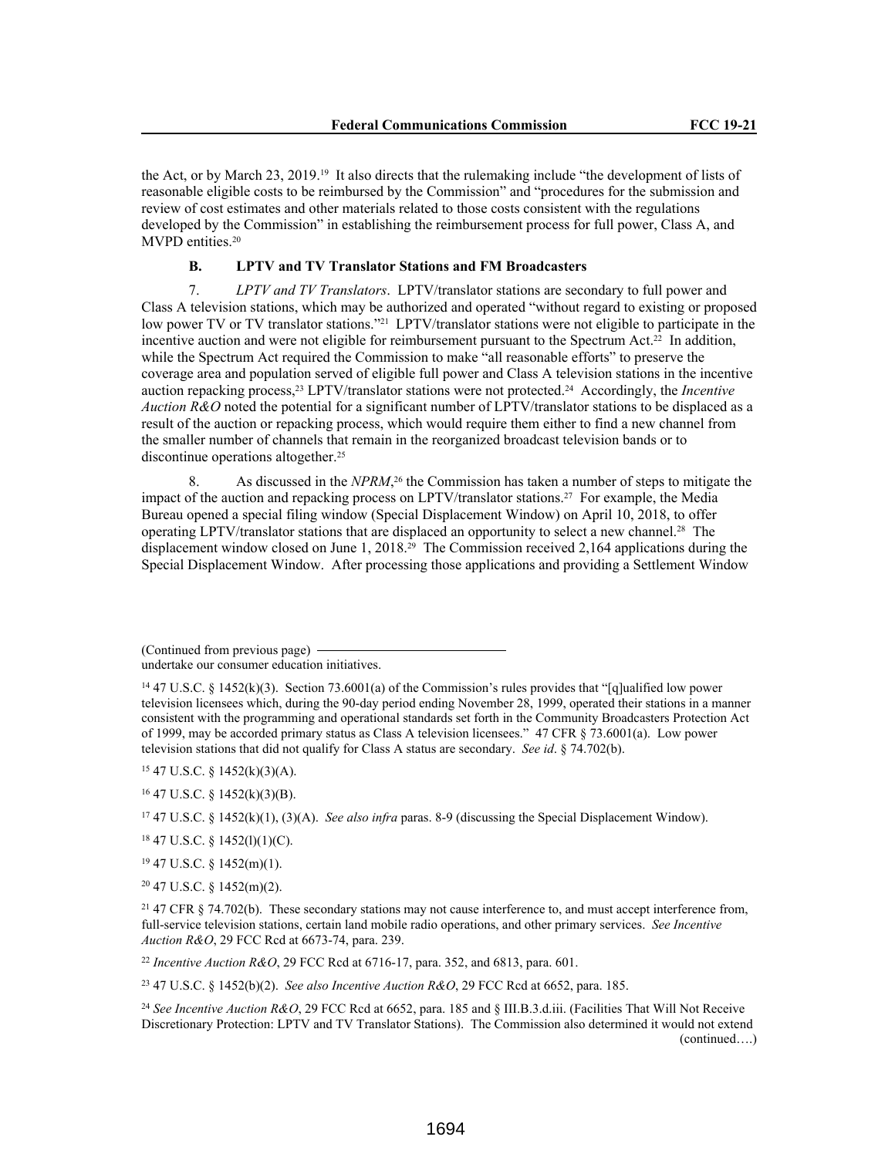the Act, or by March 23, 2019.19 It also directs that the rulemaking include "the development of lists of reasonable eligible costs to be reimbursed by the Commission" and "procedures for the submission and review of cost estimates and other materials related to those costs consistent with the regulations developed by the Commission" in establishing the reimbursement process for full power, Class A, and MVPD entities.<sup>20</sup>

### **B. LPTV and TV Translator Stations and FM Broadcasters**

7. *LPTV and TV Translators*. LPTV/translator stations are secondary to full power and Class A television stations, which may be authorized and operated "without regard to existing or proposed low power TV or TV translator stations."<sup>21</sup> LPTV/translator stations were not eligible to participate in the incentive auction and were not eligible for reimbursement pursuant to the Spectrum Act.<sup>22</sup> In addition, while the Spectrum Act required the Commission to make "all reasonable efforts" to preserve the coverage area and population served of eligible full power and Class A television stations in the incentive auction repacking process,23 LPTV/translator stations were not protected.24 Accordingly, the *Incentive Auction R&O* noted the potential for a significant number of LPTV/translator stations to be displaced as a result of the auction or repacking process, which would require them either to find a new channel from the smaller number of channels that remain in the reorganized broadcast television bands or to discontinue operations altogether.<sup>25</sup>

8. As discussed in the *NPRM*, <sup>26</sup> the Commission has taken a number of steps to mitigate the impact of the auction and repacking process on LPTV/translator stations.27 For example, the Media Bureau opened a special filing window (Special Displacement Window) on April 10, 2018, to offer operating LPTV/translator stations that are displaced an opportunity to select a new channel.28 The displacement window closed on June 1, 2018.<sup>29</sup> The Commission received 2,164 applications during the Special Displacement Window. After processing those applications and providing a Settlement Window

(Continued from previous page) undertake our consumer education initiatives.

<sup>15</sup> 47 U.S.C. § 1452(k)(3)(A).

<sup>16</sup> 47 U.S.C. § 1452(k)(3)(B).

<sup>17</sup> 47 U.S.C. § 1452(k)(1), (3)(A). *See also infra* paras. 8-9 (discussing the Special Displacement Window).

<sup>18</sup> 47 U.S.C. § 1452(l)(1)(C).

<sup>19</sup> 47 U.S.C. § 1452(m)(1).

<sup>20</sup> 47 U.S.C. § 1452(m)(2).

<sup>21</sup> 47 CFR § 74.702(b). These secondary stations may not cause interference to, and must accept interference from, full-service television stations, certain land mobile radio operations, and other primary services. *See Incentive Auction R&O*, 29 FCC Rcd at 6673-74, para. 239.

<sup>22</sup> *Incentive Auction R&O*, 29 FCC Rcd at 6716-17, para. 352, and 6813, para. 601.

<sup>23</sup> 47 U.S.C. § 1452(b)(2). *See also Incentive Auction R&O*, 29 FCC Rcd at 6652, para. 185.

<sup>24</sup> *See Incentive Auction R&O*, 29 FCC Rcd at 6652, para. 185 and § III.B.3.d.iii. (Facilities That Will Not Receive Discretionary Protection: LPTV and TV Translator Stations). The Commission also determined it would not extend (continued….)

<sup>&</sup>lt;sup>14</sup> 47 U.S.C. § 1452(k)(3). Section 73.6001(a) of the Commission's rules provides that "[q]ualified low power television licensees which, during the 90-day period ending November 28, 1999, operated their stations in a manner consistent with the programming and operational standards set forth in the Community Broadcasters Protection Act of 1999, may be accorded primary status as Class A television licensees." 47 CFR § 73.6001(a). Low power television stations that did not qualify for Class A status are secondary. *See id*. § 74.702(b).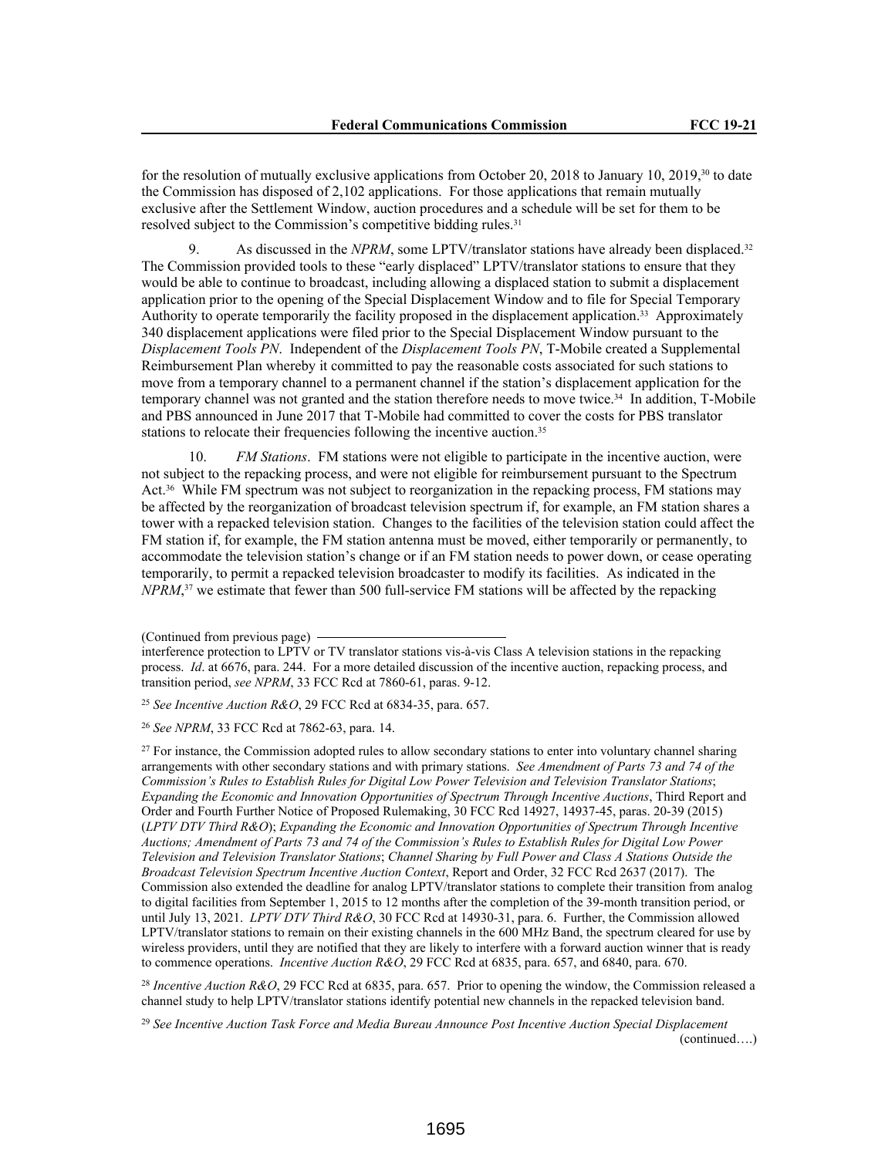for the resolution of mutually exclusive applications from October 20, 2018 to January 10, 2019,<sup>30</sup> to date the Commission has disposed of 2,102 applications. For those applications that remain mutually exclusive after the Settlement Window, auction procedures and a schedule will be set for them to be resolved subject to the Commission's competitive bidding rules.<sup>31</sup>

9. As discussed in the *NPRM*, some LPTV/translator stations have already been displaced.<sup>32</sup> The Commission provided tools to these "early displaced" LPTV/translator stations to ensure that they would be able to continue to broadcast, including allowing a displaced station to submit a displacement application prior to the opening of the Special Displacement Window and to file for Special Temporary Authority to operate temporarily the facility proposed in the displacement application.33 Approximately 340 displacement applications were filed prior to the Special Displacement Window pursuant to the *Displacement Tools PN*. Independent of the *Displacement Tools PN*, T-Mobile created a Supplemental Reimbursement Plan whereby it committed to pay the reasonable costs associated for such stations to move from a temporary channel to a permanent channel if the station's displacement application for the temporary channel was not granted and the station therefore needs to move twice.34 In addition, T-Mobile and PBS announced in June 2017 that T-Mobile had committed to cover the costs for PBS translator stations to relocate their frequencies following the incentive auction.<sup>35</sup>

10. *FM Stations*. FM stations were not eligible to participate in the incentive auction, were not subject to the repacking process, and were not eligible for reimbursement pursuant to the Spectrum Act.36 While FM spectrum was not subject to reorganization in the repacking process, FM stations may be affected by the reorganization of broadcast television spectrum if, for example, an FM station shares a tower with a repacked television station. Changes to the facilities of the television station could affect the FM station if, for example, the FM station antenna must be moved, either temporarily or permanently, to accommodate the television station's change or if an FM station needs to power down, or cease operating temporarily, to permit a repacked television broadcaster to modify its facilities. As indicated in the *NPRM*,<sup>37</sup> we estimate that fewer than 500 full-service FM stations will be affected by the repacking

<sup>25</sup> *See Incentive Auction R&O*, 29 FCC Rcd at 6834-35, para. 657.

<sup>26</sup> *See NPRM*, 33 FCC Rcd at 7862-63, para. 14.

<sup>27</sup> For instance, the Commission adopted rules to allow secondary stations to enter into voluntary channel sharing arrangements with other secondary stations and with primary stations. *See Amendment of Parts 73 and 74 of the Commission's Rules to Establish Rules for Digital Low Power Television and Television Translator Stations*; *Expanding the Economic and Innovation Opportunities of Spectrum Through Incentive Auctions*, Third Report and Order and Fourth Further Notice of Proposed Rulemaking, 30 FCC Rcd 14927, 14937-45, paras. 20-39 (2015) (*LPTV DTV Third R&O*); *Expanding the Economic and Innovation Opportunities of Spectrum Through Incentive Auctions; Amendment of Parts 73 and 74 of the Commission's Rules to Establish Rules for Digital Low Power Television and Television Translator Stations*; *Channel Sharing by Full Power and Class A Stations Outside the Broadcast Television Spectrum Incentive Auction Context*, Report and Order, 32 FCC Rcd 2637 (2017). The Commission also extended the deadline for analog LPTV/translator stations to complete their transition from analog to digital facilities from September 1, 2015 to 12 months after the completion of the 39-month transition period, or until July 13, 2021. *LPTV DTV Third R&O*, 30 FCC Rcd at 14930-31, para. 6. Further, the Commission allowed LPTV/translator stations to remain on their existing channels in the 600 MHz Band, the spectrum cleared for use by wireless providers, until they are notified that they are likely to interfere with a forward auction winner that is ready to commence operations. *Incentive Auction R&O*, 29 FCC Rcd at 6835, para. 657, and 6840, para. 670.

<sup>28</sup> Incentive Auction R&O, 29 FCC Rcd at 6835, para. 657. Prior to opening the window, the Commission released a channel study to help LPTV/translator stations identify potential new channels in the repacked television band.

<sup>29</sup> *See Incentive Auction Task Force and Media Bureau Announce Post Incentive Auction Special Displacement*  (continued….)

<sup>(</sup>Continued from previous page)

interference protection to LPTV or TV translator stations vis-à-vis Class A television stations in the repacking process. *Id*. at 6676, para. 244. For a more detailed discussion of the incentive auction, repacking process, and transition period, *see NPRM*, 33 FCC Rcd at 7860-61, paras. 9-12.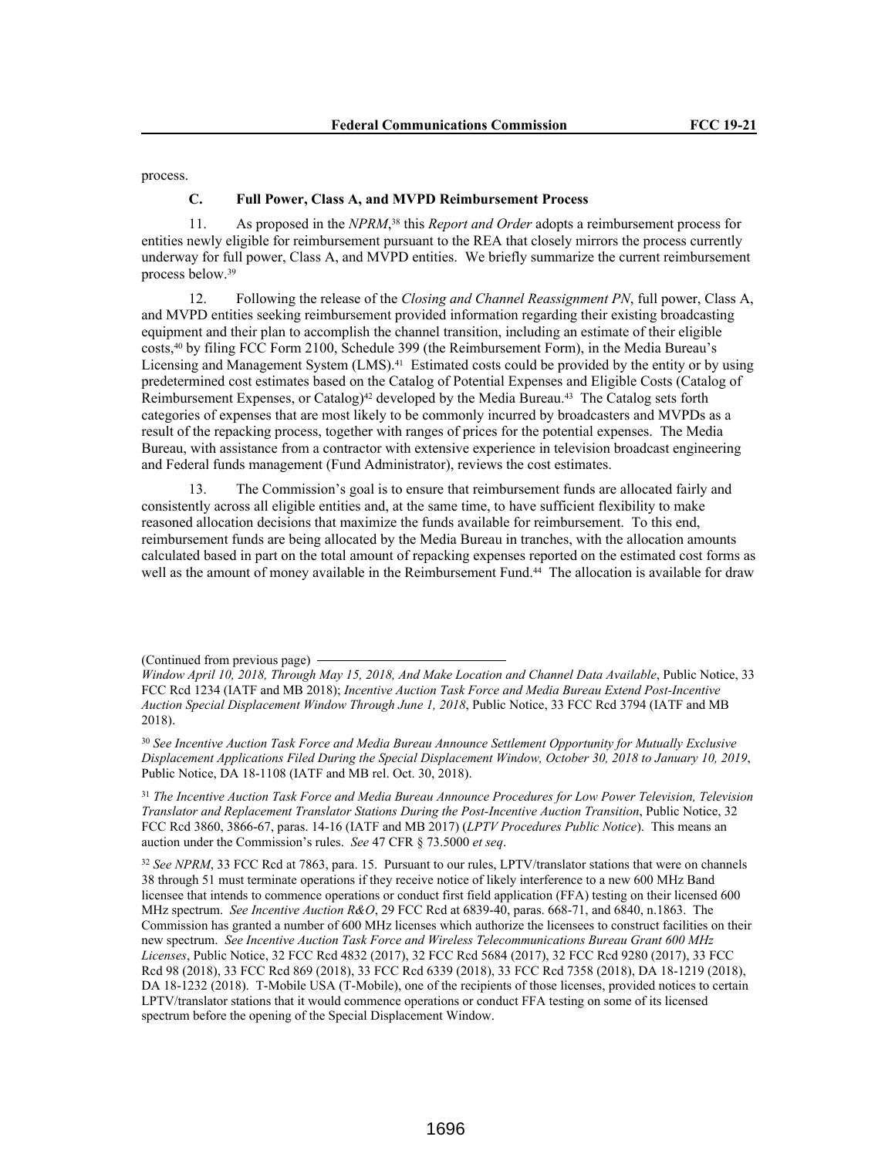process.

#### **C. Full Power, Class A, and MVPD Reimbursement Process**

11. As proposed in the *NPRM*, <sup>38</sup> this *Report and Order* adopts a reimbursement process for entities newly eligible for reimbursement pursuant to the REA that closely mirrors the process currently underway for full power, Class A, and MVPD entities. We briefly summarize the current reimbursement process below.<sup>39</sup>

12. Following the release of the *Closing and Channel Reassignment PN*, full power, Class A, and MVPD entities seeking reimbursement provided information regarding their existing broadcasting equipment and their plan to accomplish the channel transition, including an estimate of their eligible costs,40 by filing FCC Form 2100, Schedule 399 (the Reimbursement Form), in the Media Bureau's Licensing and Management System (LMS).<sup>41</sup> Estimated costs could be provided by the entity or by using predetermined cost estimates based on the Catalog of Potential Expenses and Eligible Costs (Catalog of Reimbursement Expenses, or Catalog)<sup>42</sup> developed by the Media Bureau.<sup>43</sup> The Catalog sets forth categories of expenses that are most likely to be commonly incurred by broadcasters and MVPDs as a result of the repacking process, together with ranges of prices for the potential expenses. The Media Bureau, with assistance from a contractor with extensive experience in television broadcast engineering and Federal funds management (Fund Administrator), reviews the cost estimates.

13. The Commission's goal is to ensure that reimbursement funds are allocated fairly and consistently across all eligible entities and, at the same time, to have sufficient flexibility to make reasoned allocation decisions that maximize the funds available for reimbursement. To this end, reimbursement funds are being allocated by the Media Bureau in tranches, with the allocation amounts calculated based in part on the total amount of repacking expenses reported on the estimated cost forms as well as the amount of money available in the Reimbursement Fund.<sup>44</sup> The allocation is available for draw

<sup>30</sup> *See Incentive Auction Task Force and Media Bureau Announce Settlement Opportunity for Mutually Exclusive Displacement Applications Filed During the Special Displacement Window, October 30, 2018 to January 10, 2019*, Public Notice, DA 18-1108 (IATF and MB rel. Oct. 30, 2018).

<sup>31</sup> *The Incentive Auction Task Force and Media Bureau Announce Procedures for Low Power Television, Television Translator and Replacement Translator Stations During the Post-Incentive Auction Transition*, Public Notice, 32 FCC Rcd 3860, 3866-67, paras. 14-16 (IATF and MB 2017) (*LPTV Procedures Public Notice*). This means an auction under the Commission's rules. *See* 47 CFR § 73.5000 *et seq*.

<sup>32</sup> See NPRM, 33 FCC Rcd at 7863, para. 15. Pursuant to our rules, LPTV/translator stations that were on channels 38 through 51 must terminate operations if they receive notice of likely interference to a new 600 MHz Band licensee that intends to commence operations or conduct first field application (FFA) testing on their licensed 600 MHz spectrum. *See Incentive Auction R&O*, 29 FCC Rcd at 6839-40, paras. 668-71, and 6840, n.1863. The Commission has granted a number of 600 MHz licenses which authorize the licensees to construct facilities on their new spectrum. *See Incentive Auction Task Force and Wireless Telecommunications Bureau Grant 600 MHz Licenses*, Public Notice, 32 FCC Rcd 4832 (2017), 32 FCC Rcd 5684 (2017), 32 FCC Rcd 9280 (2017), 33 FCC Rcd 98 (2018), 33 FCC Rcd 869 (2018), 33 FCC Rcd 6339 (2018), 33 FCC Rcd 7358 (2018), DA 18-1219 (2018), DA 18-1232 (2018). T-Mobile USA (T-Mobile), one of the recipients of those licenses, provided notices to certain LPTV/translator stations that it would commence operations or conduct FFA testing on some of its licensed spectrum before the opening of the Special Displacement Window.

<sup>(</sup>Continued from previous page)

*Window April 10, 2018, Through May 15, 2018, And Make Location and Channel Data Available*, Public Notice, 33 FCC Rcd 1234 (IATF and MB 2018); *Incentive Auction Task Force and Media Bureau Extend Post-Incentive Auction Special Displacement Window Through June 1, 2018*, Public Notice, 33 FCC Rcd 3794 (IATF and MB 2018).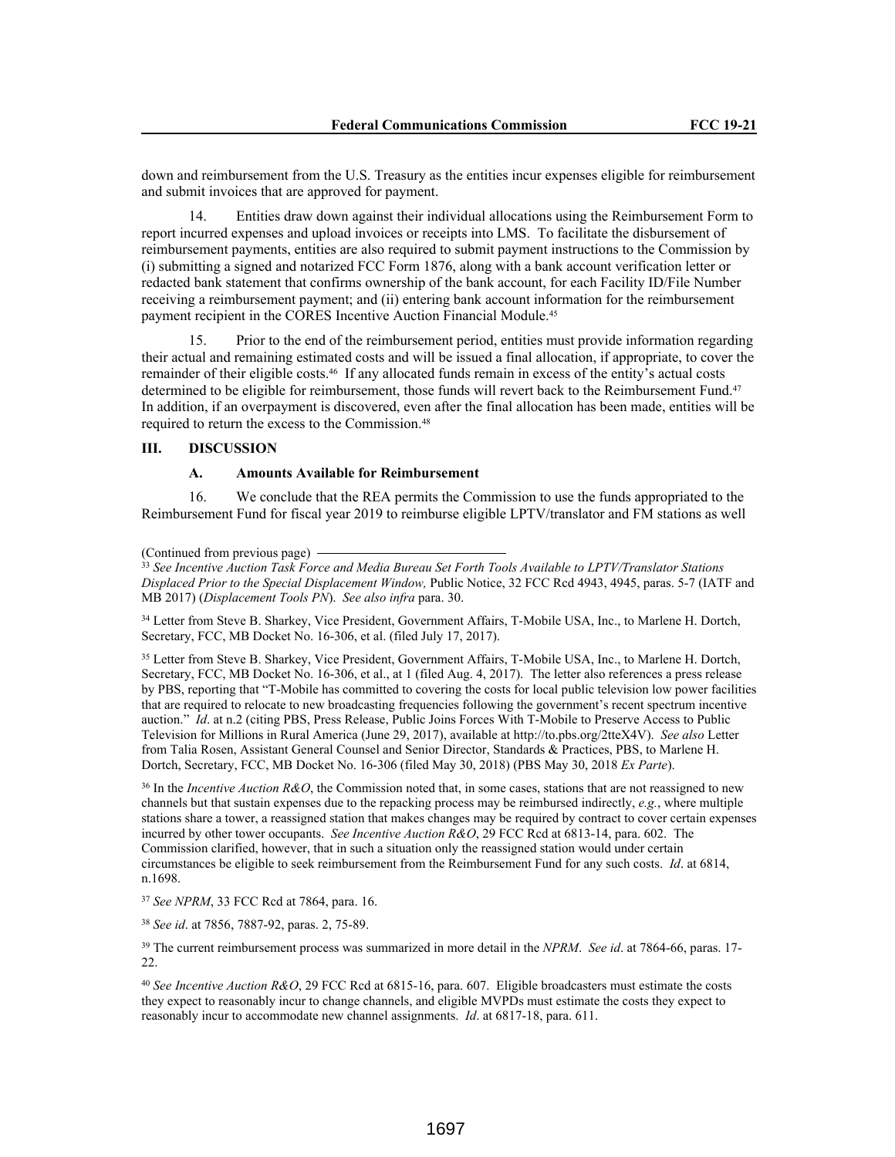down and reimbursement from the U.S. Treasury as the entities incur expenses eligible for reimbursement and submit invoices that are approved for payment.

14. Entities draw down against their individual allocations using the Reimbursement Form to report incurred expenses and upload invoices or receipts into LMS. To facilitate the disbursement of reimbursement payments, entities are also required to submit payment instructions to the Commission by (i) submitting a signed and notarized FCC Form 1876, along with a bank account verification letter or redacted bank statement that confirms ownership of the bank account, for each Facility ID/File Number receiving a reimbursement payment; and (ii) entering bank account information for the reimbursement payment recipient in the CORES Incentive Auction Financial Module.<sup>45</sup>

15. Prior to the end of the reimbursement period, entities must provide information regarding their actual and remaining estimated costs and will be issued a final allocation, if appropriate, to cover the remainder of their eligible costs.46 If any allocated funds remain in excess of the entity's actual costs determined to be eligible for reimbursement, those funds will revert back to the Reimbursement Fund.<sup>47</sup> In addition, if an overpayment is discovered, even after the final allocation has been made, entities will be required to return the excess to the Commission.<sup>48</sup>

### **III. DISCUSSION**

#### **A. Amounts Available for Reimbursement**

16. We conclude that the REA permits the Commission to use the funds appropriated to the Reimbursement Fund for fiscal year 2019 to reimburse eligible LPTV/translator and FM stations as well

(Continued from previous page)

<sup>33</sup> *See Incentive Auction Task Force and Media Bureau Set Forth Tools Available to LPTV/Translator Stations Displaced Prior to the Special Displacement Window,* Public Notice, 32 FCC Rcd 4943, 4945, paras. 5-7 (IATF and MB 2017) (*Displacement Tools PN*). *See also infra* para. 30.

<sup>34</sup> Letter from Steve B. Sharkey, Vice President, Government Affairs, T-Mobile USA, Inc., to Marlene H. Dortch, Secretary, FCC, MB Docket No. 16-306, et al. (filed July 17, 2017).

<sup>35</sup> Letter from Steve B. Sharkey, Vice President, Government Affairs, T-Mobile USA, Inc., to Marlene H. Dortch, Secretary, FCC, MB Docket No. 16-306, et al., at 1 (filed Aug. 4, 2017). The letter also references a press release by PBS, reporting that "T-Mobile has committed to covering the costs for local public television low power facilities that are required to relocate to new broadcasting frequencies following the government's recent spectrum incentive auction." *Id*. at n.2 (citing PBS, Press Release, Public Joins Forces With T-Mobile to Preserve Access to Public Television for Millions in Rural America (June 29, 2017), available at http://to.pbs.org/2tteX4V). *See also* Letter from Talia Rosen, Assistant General Counsel and Senior Director, Standards & Practices, PBS, to Marlene H. Dortch, Secretary, FCC, MB Docket No. 16-306 (filed May 30, 2018) (PBS May 30, 2018 *Ex Parte*).

<sup>36</sup> In the *Incentive Auction R&O*, the Commission noted that, in some cases, stations that are not reassigned to new channels but that sustain expenses due to the repacking process may be reimbursed indirectly, *e.g.*, where multiple stations share a tower, a reassigned station that makes changes may be required by contract to cover certain expenses incurred by other tower occupants. *See Incentive Auction R&O*, 29 FCC Rcd at 6813-14, para. 602. The Commission clarified, however, that in such a situation only the reassigned station would under certain circumstances be eligible to seek reimbursement from the Reimbursement Fund for any such costs. *Id*. at 6814, n.1698.

<sup>37</sup> *See NPRM*, 33 FCC Rcd at 7864, para. 16.

<sup>38</sup> *See id*. at 7856, 7887-92, paras. 2, 75-89.

<sup>39</sup> The current reimbursement process was summarized in more detail in the *NPRM*. *See id*. at 7864-66, paras. 17- 22.

<sup>40</sup> *See Incentive Auction R&O*, 29 FCC Rcd at 6815-16, para. 607. Eligible broadcasters must estimate the costs they expect to reasonably incur to change channels, and eligible MVPDs must estimate the costs they expect to reasonably incur to accommodate new channel assignments. *Id*. at 6817-18, para. 611.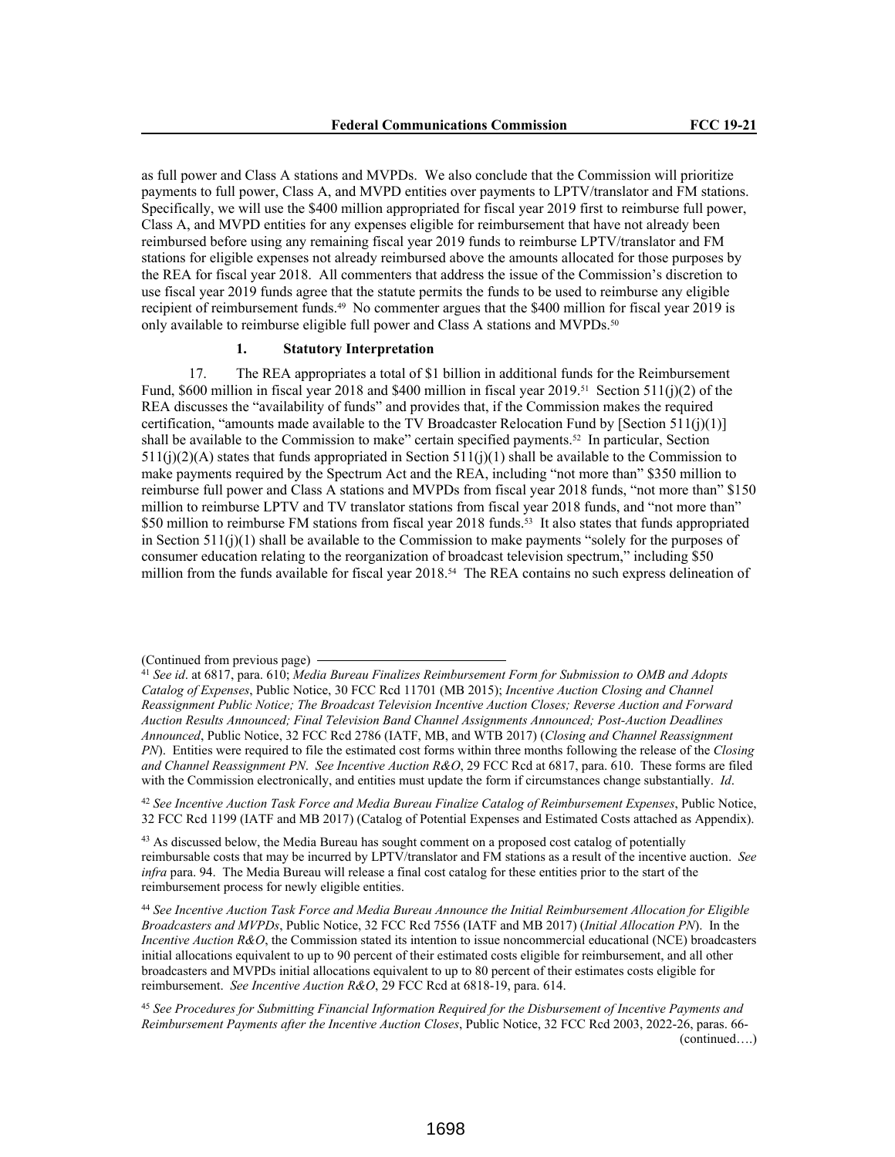as full power and Class A stations and MVPDs. We also conclude that the Commission will prioritize payments to full power, Class A, and MVPD entities over payments to LPTV/translator and FM stations. Specifically, we will use the \$400 million appropriated for fiscal year 2019 first to reimburse full power, Class A, and MVPD entities for any expenses eligible for reimbursement that have not already been reimbursed before using any remaining fiscal year 2019 funds to reimburse LPTV/translator and FM stations for eligible expenses not already reimbursed above the amounts allocated for those purposes by the REA for fiscal year 2018. All commenters that address the issue of the Commission's discretion to use fiscal year 2019 funds agree that the statute permits the funds to be used to reimburse any eligible recipient of reimbursement funds.49 No commenter argues that the \$400 million for fiscal year 2019 is only available to reimburse eligible full power and Class A stations and MVPDs.<sup>50</sup>

### **1. Statutory Interpretation**

17. The REA appropriates a total of \$1 billion in additional funds for the Reimbursement Fund, \$600 million in fiscal year 2018 and \$400 million in fiscal year 2019.<sup>51</sup> Section 511(j)(2) of the REA discusses the "availability of funds" and provides that, if the Commission makes the required certification, "amounts made available to the TV Broadcaster Relocation Fund by [Section 511(j)(1)] shall be available to the Commission to make" certain specified payments.52 In particular, Section  $511(j)(2)(A)$  states that funds appropriated in Section  $511(j)(1)$  shall be available to the Commission to make payments required by the Spectrum Act and the REA, including "not more than" \$350 million to reimburse full power and Class A stations and MVPDs from fiscal year 2018 funds, "not more than" \$150 million to reimburse LPTV and TV translator stations from fiscal year 2018 funds, and "not more than" \$50 million to reimburse FM stations from fiscal year 2018 funds.<sup>53</sup> It also states that funds appropriated in Section 511(j)(1) shall be available to the Commission to make payments "solely for the purposes of consumer education relating to the reorganization of broadcast television spectrum," including \$50 million from the funds available for fiscal year 2018.<sup>54</sup> The REA contains no such express delineation of

<sup>42</sup> *See Incentive Auction Task Force and Media Bureau Finalize Catalog of Reimbursement Expenses*, Public Notice, 32 FCC Rcd 1199 (IATF and MB 2017) (Catalog of Potential Expenses and Estimated Costs attached as Appendix).

<sup>43</sup> As discussed below, the Media Bureau has sought comment on a proposed cost catalog of potentially reimbursable costs that may be incurred by LPTV/translator and FM stations as a result of the incentive auction. *See infra* para. 94. The Media Bureau will release a final cost catalog for these entities prior to the start of the reimbursement process for newly eligible entities.

<sup>44</sup> *See Incentive Auction Task Force and Media Bureau Announce the Initial Reimbursement Allocation for Eligible Broadcasters and MVPDs*, Public Notice, 32 FCC Rcd 7556 (IATF and MB 2017) (*Initial Allocation PN*). In the *Incentive Auction R&O*, the Commission stated its intention to issue noncommercial educational (NCE) broadcasters initial allocations equivalent to up to 90 percent of their estimated costs eligible for reimbursement, and all other broadcasters and MVPDs initial allocations equivalent to up to 80 percent of their estimates costs eligible for reimbursement. *See Incentive Auction R&O*, 29 FCC Rcd at 6818-19, para. 614.

<sup>(</sup>Continued from previous page)

<sup>41</sup> *See id*. at 6817, para. 610; *Media Bureau Finalizes Reimbursement Form for Submission to OMB and Adopts Catalog of Expenses*, Public Notice, 30 FCC Rcd 11701 (MB 2015); *Incentive Auction Closing and Channel Reassignment Public Notice; The Broadcast Television Incentive Auction Closes; Reverse Auction and Forward Auction Results Announced; Final Television Band Channel Assignments Announced; Post-Auction Deadlines Announced*, Public Notice, 32 FCC Rcd 2786 (IATF, MB, and WTB 2017) (*Closing and Channel Reassignment PN*). Entities were required to file the estimated cost forms within three months following the release of the *Closing and Channel Reassignment PN*. *See Incentive Auction R&O*, 29 FCC Rcd at 6817, para. 610. These forms are filed with the Commission electronically, and entities must update the form if circumstances change substantially. *Id.* 

<sup>45</sup> *See Procedures for Submitting Financial Information Required for the Disbursement of Incentive Payments and Reimbursement Payments after the Incentive Auction Closes*, Public Notice, 32 FCC Rcd 2003, 2022-26, paras. 66- (continued….)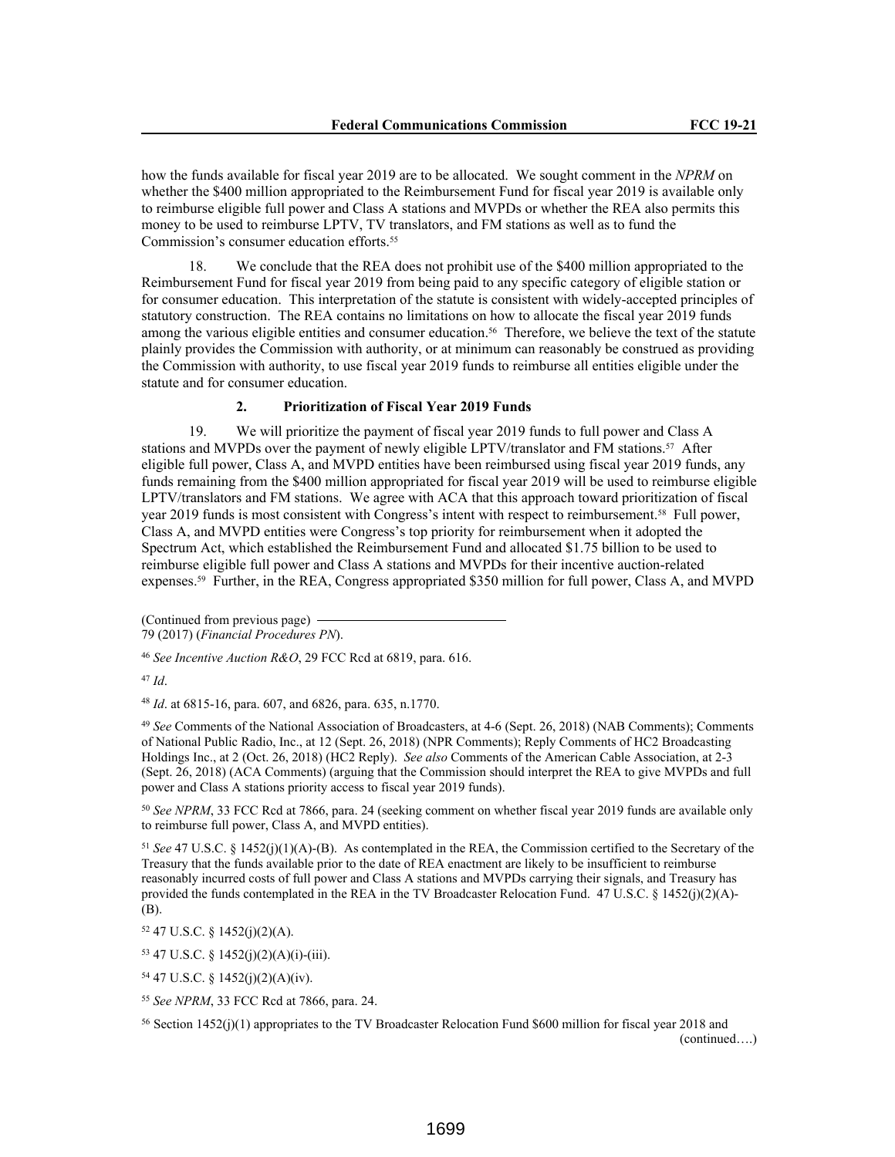how the funds available for fiscal year 2019 are to be allocated. We sought comment in the *NPRM* on whether the \$400 million appropriated to the Reimbursement Fund for fiscal year 2019 is available only to reimburse eligible full power and Class A stations and MVPDs or whether the REA also permits this money to be used to reimburse LPTV, TV translators, and FM stations as well as to fund the Commission's consumer education efforts.<sup>55</sup>

18. We conclude that the REA does not prohibit use of the \$400 million appropriated to the Reimbursement Fund for fiscal year 2019 from being paid to any specific category of eligible station or for consumer education. This interpretation of the statute is consistent with widely-accepted principles of statutory construction. The REA contains no limitations on how to allocate the fiscal year 2019 funds among the various eligible entities and consumer education.<sup>56</sup> Therefore, we believe the text of the statute plainly provides the Commission with authority, or at minimum can reasonably be construed as providing the Commission with authority, to use fiscal year 2019 funds to reimburse all entities eligible under the statute and for consumer education.

### **2. Prioritization of Fiscal Year 2019 Funds**

19. We will prioritize the payment of fiscal year 2019 funds to full power and Class A stations and MVPDs over the payment of newly eligible LPTV/translator and FM stations.57 After eligible full power, Class A, and MVPD entities have been reimbursed using fiscal year 2019 funds, any funds remaining from the \$400 million appropriated for fiscal year 2019 will be used to reimburse eligible LPTV/translators and FM stations. We agree with ACA that this approach toward prioritization of fiscal year 2019 funds is most consistent with Congress's intent with respect to reimbursement.58 Full power, Class A, and MVPD entities were Congress's top priority for reimbursement when it adopted the Spectrum Act, which established the Reimbursement Fund and allocated \$1.75 billion to be used to reimburse eligible full power and Class A stations and MVPDs for their incentive auction-related expenses.59 Further, in the REA, Congress appropriated \$350 million for full power, Class A, and MVPD

(Continued from previous page) 79 (2017) (*Financial Procedures PN*).

<sup>46</sup> *See Incentive Auction R&O*, 29 FCC Rcd at 6819, para. 616.

<sup>47</sup> *Id*.

<sup>48</sup> *Id*. at 6815-16, para. 607, and 6826, para. 635, n.1770.

<sup>49</sup> *See* Comments of the National Association of Broadcasters, at 4-6 (Sept. 26, 2018) (NAB Comments); Comments of National Public Radio, Inc., at 12 (Sept. 26, 2018) (NPR Comments); Reply Comments of HC2 Broadcasting Holdings Inc., at 2 (Oct. 26, 2018) (HC2 Reply). *See also* Comments of the American Cable Association, at 2-3 (Sept. 26, 2018) (ACA Comments) (arguing that the Commission should interpret the REA to give MVPDs and full power and Class A stations priority access to fiscal year 2019 funds).

<sup>50</sup> *See NPRM*, 33 FCC Rcd at 7866, para. 24 (seeking comment on whether fiscal year 2019 funds are available only to reimburse full power, Class A, and MVPD entities).

<sup>51</sup> *See* 47 U.S.C. § 1452(j)(1)(A)-(B). As contemplated in the REA, the Commission certified to the Secretary of the Treasury that the funds available prior to the date of REA enactment are likely to be insufficient to reimburse reasonably incurred costs of full power and Class A stations and MVPDs carrying their signals, and Treasury has provided the funds contemplated in the REA in the TV Broadcaster Relocation Fund. 47 U.S.C. § 1452(j)(2)(A)- (B).

<sup>52</sup> 47 U.S.C. § 1452(j)(2)(A).

<sup>53</sup> 47 U.S.C. § 1452(j)(2)(A)(i)-(iii).

<sup>54</sup> 47 U.S.C. § 1452(j)(2)(A)(iv).

<sup>55</sup> *See NPRM*, 33 FCC Rcd at 7866, para. 24.

<sup>56</sup> Section 1452(j)(1) appropriates to the TV Broadcaster Relocation Fund \$600 million for fiscal year 2018 and (continued….)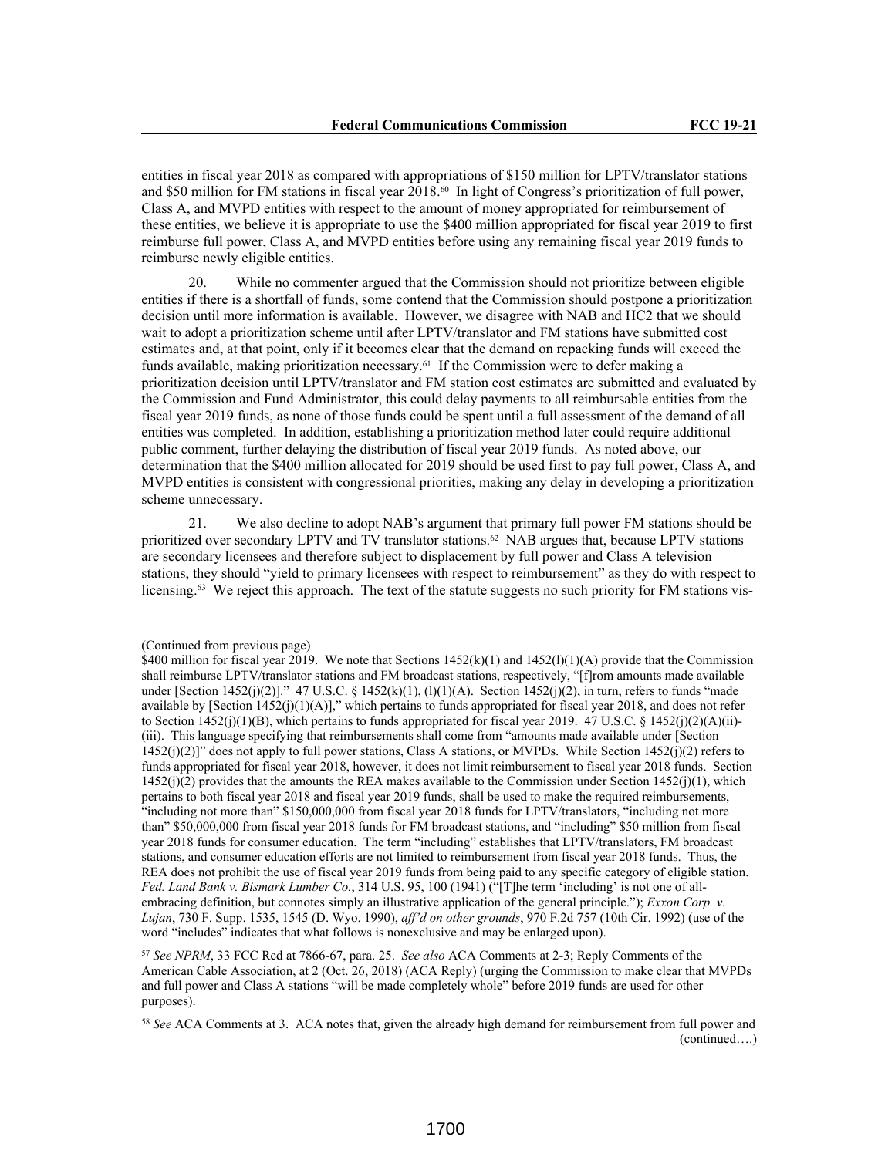entities in fiscal year 2018 as compared with appropriations of \$150 million for LPTV/translator stations and \$50 million for FM stations in fiscal year 2018.60 In light of Congress's prioritization of full power, Class A, and MVPD entities with respect to the amount of money appropriated for reimbursement of these entities, we believe it is appropriate to use the \$400 million appropriated for fiscal year 2019 to first reimburse full power, Class A, and MVPD entities before using any remaining fiscal year 2019 funds to reimburse newly eligible entities.

20. While no commenter argued that the Commission should not prioritize between eligible entities if there is a shortfall of funds, some contend that the Commission should postpone a prioritization decision until more information is available. However, we disagree with NAB and HC2 that we should wait to adopt a prioritization scheme until after LPTV/translator and FM stations have submitted cost estimates and, at that point, only if it becomes clear that the demand on repacking funds will exceed the funds available, making prioritization necessary.<sup>61</sup> If the Commission were to defer making a prioritization decision until LPTV/translator and FM station cost estimates are submitted and evaluated by the Commission and Fund Administrator, this could delay payments to all reimbursable entities from the fiscal year 2019 funds, as none of those funds could be spent until a full assessment of the demand of all entities was completed. In addition, establishing a prioritization method later could require additional public comment, further delaying the distribution of fiscal year 2019 funds. As noted above, our determination that the \$400 million allocated for 2019 should be used first to pay full power, Class A, and MVPD entities is consistent with congressional priorities, making any delay in developing a prioritization scheme unnecessary.

21. We also decline to adopt NAB's argument that primary full power FM stations should be prioritized over secondary LPTV and TV translator stations.<sup>62</sup> NAB argues that, because LPTV stations are secondary licensees and therefore subject to displacement by full power and Class A television stations, they should "yield to primary licensees with respect to reimbursement" as they do with respect to licensing.63 We reject this approach. The text of the statute suggests no such priority for FM stations vis-

<sup>57</sup> *See NPRM*, 33 FCC Rcd at 7866-67, para. 25. *See also* ACA Comments at 2-3; Reply Comments of the American Cable Association, at 2 (Oct. 26, 2018) (ACA Reply) (urging the Commission to make clear that MVPDs and full power and Class A stations "will be made completely whole" before 2019 funds are used for other purposes).

<sup>(</sup>Continued from previous page)

<sup>\$400</sup> million for fiscal year 2019. We note that Sections  $1452(k)(1)$  and  $1452(l)(1)(A)$  provide that the Commission shall reimburse LPTV/translator stations and FM broadcast stations, respectively, "[f]rom amounts made available under [Section 1452(j)(2)]." 47 U.S.C. § 1452(k)(1), (l)(1)(A). Section 1452(j)(2), in turn, refers to funds "made available by [Section 1452(j)(1)(A)]," which pertains to funds appropriated for fiscal year 2018, and does not refer to Section 1452(j)(1)(B), which pertains to funds appropriated for fiscal year 2019. 47 U.S.C. § 1452(j)(2)(A)(ii)-(iii). This language specifying that reimbursements shall come from "amounts made available under [Section  $1452(j)(2)$ " does not apply to full power stations, Class A stations, or MVPDs. While Section  $1452(j)(2)$  refers to funds appropriated for fiscal year 2018, however, it does not limit reimbursement to fiscal year 2018 funds. Section  $1452(j)(2)$  provides that the amounts the REA makes available to the Commission under Section  $1452(j)(1)$ , which pertains to both fiscal year 2018 and fiscal year 2019 funds, shall be used to make the required reimbursements, "including not more than" \$150,000,000 from fiscal year 2018 funds for LPTV/translators, "including not more than" \$50,000,000 from fiscal year 2018 funds for FM broadcast stations, and "including" \$50 million from fiscal year 2018 funds for consumer education. The term "including" establishes that LPTV/translators, FM broadcast stations, and consumer education efforts are not limited to reimbursement from fiscal year 2018 funds. Thus, the REA does not prohibit the use of fiscal year 2019 funds from being paid to any specific category of eligible station. *Fed. Land Bank v. Bismark Lumber Co.*, 314 U.S. 95, 100 (1941) ("[T]he term 'including' is not one of allembracing definition, but connotes simply an illustrative application of the general principle."); *Exxon Corp. v. Lujan*, 730 F. Supp. 1535, 1545 (D. Wyo. 1990), *aff'd on other grounds*, 970 F.2d 757 (10th Cir. 1992) (use of the word "includes" indicates that what follows is nonexclusive and may be enlarged upon).

<sup>58</sup> *See* ACA Comments at 3. ACA notes that, given the already high demand for reimbursement from full power and (continued….)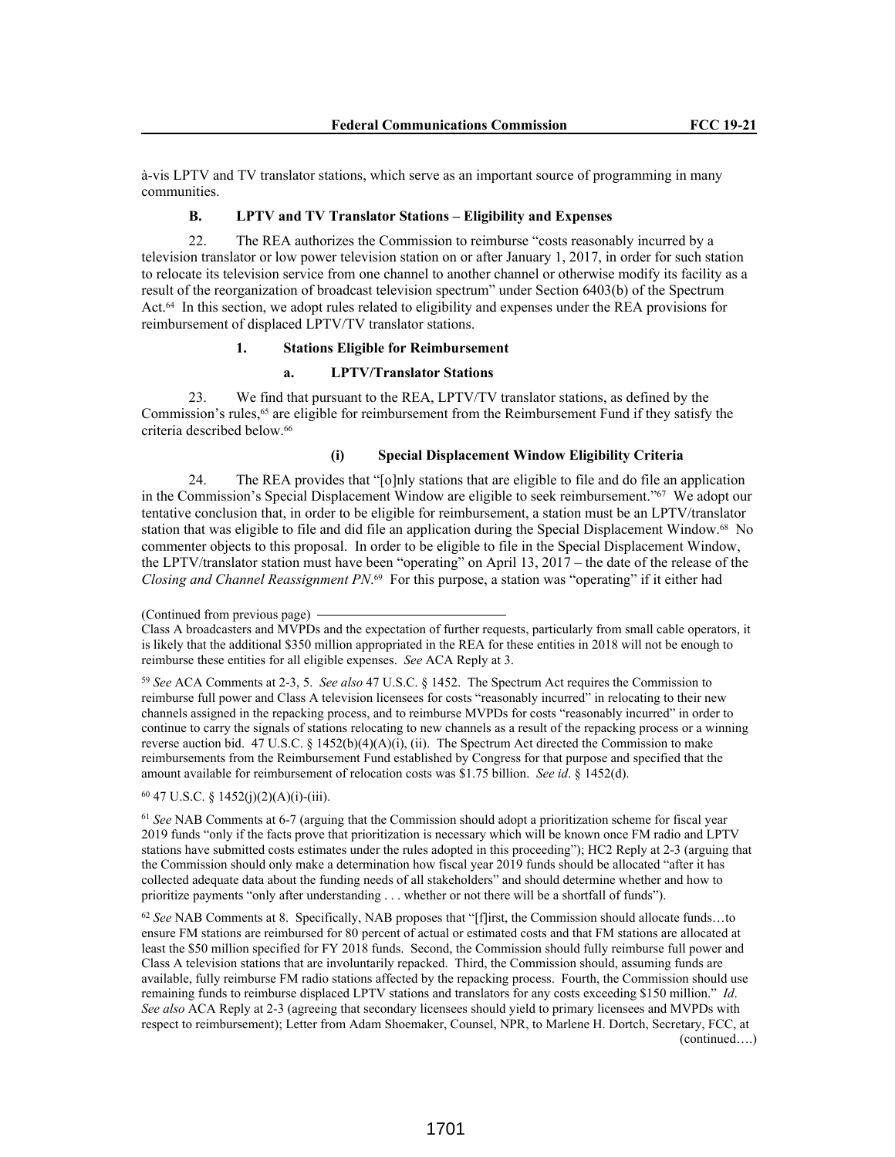à-vis LPTV and TV translator stations, which serve as an important source of programming in many communities.

# **B. LPTV and TV Translator Stations – Eligibility and Expenses**

22. The REA authorizes the Commission to reimburse "costs reasonably incurred by a television translator or low power television station on or after January 1, 2017, in order for such station to relocate its television service from one channel to another channel or otherwise modify its facility as a result of the reorganization of broadcast television spectrum" under Section 6403(b) of the Spectrum Act.64 In this section, we adopt rules related to eligibility and expenses under the REA provisions for reimbursement of displaced LPTV/TV translator stations.

### **1. Stations Eligible for Reimbursement**

#### **a. LPTV/Translator Stations**

23. We find that pursuant to the REA, LPTV/TV translator stations, as defined by the Commission's rules,<sup>65</sup> are eligible for reimbursement from the Reimbursement Fund if they satisfy the criteria described below.<sup>66</sup>

## **(i) Special Displacement Window Eligibility Criteria**

24. The REA provides that "[o]nly stations that are eligible to file and do file an application in the Commission's Special Displacement Window are eligible to seek reimbursement."<sup>67</sup> We adopt our tentative conclusion that, in order to be eligible for reimbursement, a station must be an LPTV/translator station that was eligible to file and did file an application during the Special Displacement Window.<sup>68</sup> No commenter objects to this proposal. In order to be eligible to file in the Special Displacement Window, the LPTV/translator station must have been "operating" on April 13, 2017 – the date of the release of the *Closing and Channel Reassignment PN*. <sup>69</sup> For this purpose, a station was "operating" if it either had

<sup>59</sup> *See* ACA Comments at 2-3, 5. *See also* 47 U.S.C. § 1452. The Spectrum Act requires the Commission to reimburse full power and Class A television licensees for costs "reasonably incurred" in relocating to their new channels assigned in the repacking process, and to reimburse MVPDs for costs "reasonably incurred" in order to continue to carry the signals of stations relocating to new channels as a result of the repacking process or a winning reverse auction bid. 47 U.S.C. § 1452(b)(4)(A)(i), (ii). The Spectrum Act directed the Commission to make reimbursements from the Reimbursement Fund established by Congress for that purpose and specified that the amount available for reimbursement of relocation costs was \$1.75 billion. *See id*. § 1452(d).

# <sup>60</sup> 47 U.S.C. § 1452(j)(2)(A)(i)-(iii).

<sup>61</sup> *See* NAB Comments at 6-7 (arguing that the Commission should adopt a prioritization scheme for fiscal year 2019 funds "only if the facts prove that prioritization is necessary which will be known once FM radio and LPTV stations have submitted costs estimates under the rules adopted in this proceeding"); HC2 Reply at 2-3 (arguing that the Commission should only make a determination how fiscal year 2019 funds should be allocated "after it has collected adequate data about the funding needs of all stakeholders" and should determine whether and how to prioritize payments "only after understanding . . . whether or not there will be a shortfall of funds").

<sup>62</sup> *See* NAB Comments at 8. Specifically, NAB proposes that "[f]irst, the Commission should allocate funds…to ensure FM stations are reimbursed for 80 percent of actual or estimated costs and that FM stations are allocated at least the \$50 million specified for FY 2018 funds. Second, the Commission should fully reimburse full power and Class A television stations that are involuntarily repacked. Third, the Commission should, assuming funds are available, fully reimburse FM radio stations affected by the repacking process. Fourth, the Commission should use remaining funds to reimburse displaced LPTV stations and translators for any costs exceeding \$150 million." *Id*. *See also* ACA Reply at 2-3 (agreeing that secondary licensees should yield to primary licensees and MVPDs with respect to reimbursement); Letter from Adam Shoemaker, Counsel, NPR, to Marlene H. Dortch, Secretary, FCC, at (continued….)

<sup>(</sup>Continued from previous page)

Class A broadcasters and MVPDs and the expectation of further requests, particularly from small cable operators, it is likely that the additional \$350 million appropriated in the REA for these entities in 2018 will not be enough to reimburse these entities for all eligible expenses. *See* ACA Reply at 3.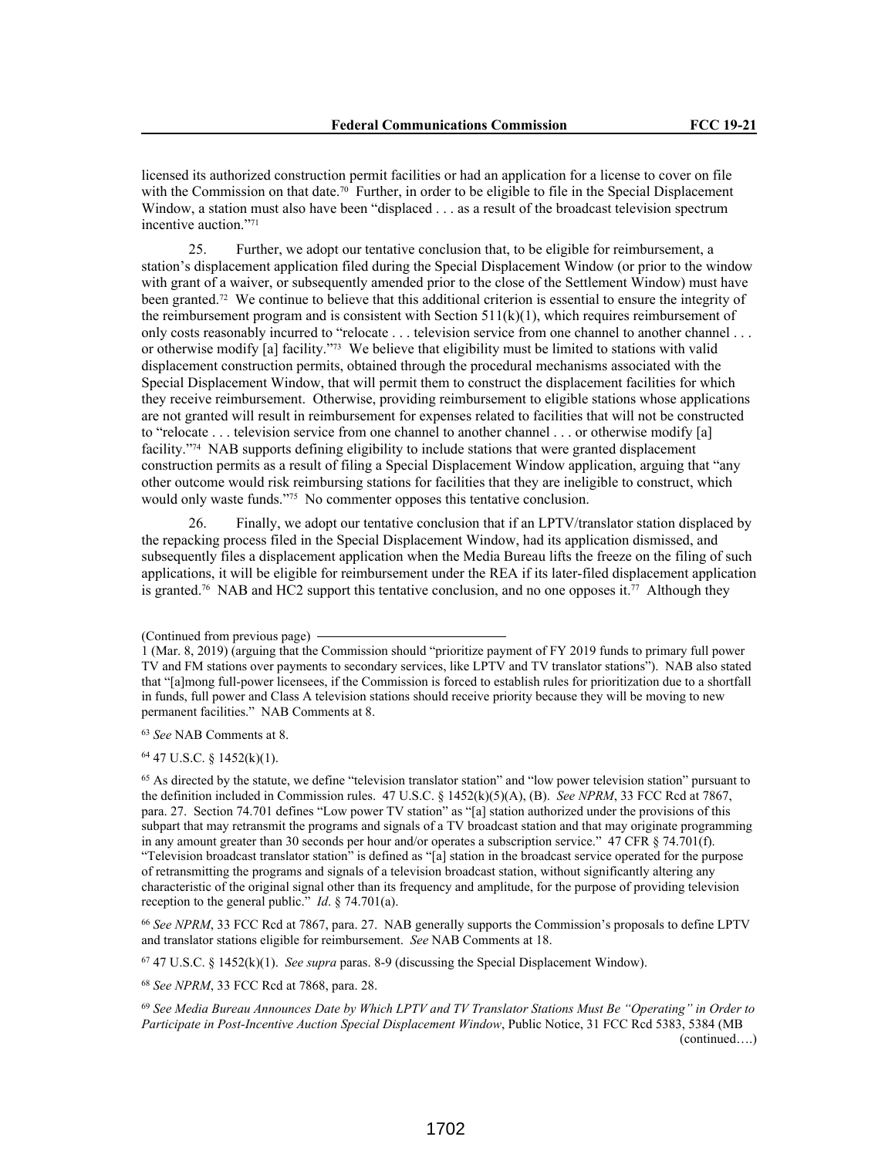licensed its authorized construction permit facilities or had an application for a license to cover on file with the Commission on that date.<sup>70</sup> Further, in order to be eligible to file in the Special Displacement Window, a station must also have been "displaced . . . as a result of the broadcast television spectrum incentive auction."<sup>71</sup>

25. Further, we adopt our tentative conclusion that, to be eligible for reimbursement, a station's displacement application filed during the Special Displacement Window (or prior to the window with grant of a waiver, or subsequently amended prior to the close of the Settlement Window) must have been granted.72 We continue to believe that this additional criterion is essential to ensure the integrity of the reimbursement program and is consistent with Section  $511(k)(1)$ , which requires reimbursement of only costs reasonably incurred to "relocate . . . television service from one channel to another channel . . . or otherwise modify [a] facility."73 We believe that eligibility must be limited to stations with valid displacement construction permits, obtained through the procedural mechanisms associated with the Special Displacement Window, that will permit them to construct the displacement facilities for which they receive reimbursement. Otherwise, providing reimbursement to eligible stations whose applications are not granted will result in reimbursement for expenses related to facilities that will not be constructed to "relocate . . . television service from one channel to another channel . . . or otherwise modify [a] facility."74 NAB supports defining eligibility to include stations that were granted displacement construction permits as a result of filing a Special Displacement Window application, arguing that "any other outcome would risk reimbursing stations for facilities that they are ineligible to construct, which would only waste funds."75 No commenter opposes this tentative conclusion.

26. Finally, we adopt our tentative conclusion that if an LPTV/translator station displaced by the repacking process filed in the Special Displacement Window, had its application dismissed, and subsequently files a displacement application when the Media Bureau lifts the freeze on the filing of such applications, it will be eligible for reimbursement under the REA if its later-filed displacement application is granted.<sup>76</sup> NAB and HC2 support this tentative conclusion, and no one opposes it.<sup>77</sup> Although they

<sup>64</sup> 47 U.S.C. § 1452(k)(1).

<sup>65</sup> As directed by the statute, we define "television translator station" and "low power television station" pursuant to the definition included in Commission rules. 47 U.S.C. § 1452(k)(5)(A), (B). *See NPRM*, 33 FCC Rcd at 7867, para. 27. Section 74.701 defines "Low power TV station" as "[a] station authorized under the provisions of this subpart that may retransmit the programs and signals of a TV broadcast station and that may originate programming in any amount greater than 30 seconds per hour and/or operates a subscription service." 47 CFR § 74.701(f). "Television broadcast translator station" is defined as "[a] station in the broadcast service operated for the purpose of retransmitting the programs and signals of a television broadcast station, without significantly altering any characteristic of the original signal other than its frequency and amplitude, for the purpose of providing television reception to the general public." *Id*. § 74.701(a).

<sup>66</sup> *See NPRM*, 33 FCC Rcd at 7867, para. 27. NAB generally supports the Commission's proposals to define LPTV and translator stations eligible for reimbursement. *See* NAB Comments at 18.

<sup>67</sup> 47 U.S.C. § 1452(k)(1). *See supra* paras. 8-9 (discussing the Special Displacement Window).

<sup>68</sup> *See NPRM*, 33 FCC Rcd at 7868, para. 28.

<sup>69</sup> *See Media Bureau Announces Date by Which LPTV and TV Translator Stations Must Be "Operating" in Order to Participate in Post-Incentive Auction Special Displacement Window*, Public Notice, 31 FCC Rcd 5383, 5384 (MB (continued….)

<sup>(</sup>Continued from previous page)

<sup>1 (</sup>Mar. 8, 2019) (arguing that the Commission should "prioritize payment of FY 2019 funds to primary full power TV and FM stations over payments to secondary services, like LPTV and TV translator stations"). NAB also stated that "[a]mong full-power licensees, if the Commission is forced to establish rules for prioritization due to a shortfall in funds, full power and Class A television stations should receive priority because they will be moving to new permanent facilities." NAB Comments at 8.

<sup>63</sup> *See* NAB Comments at 8.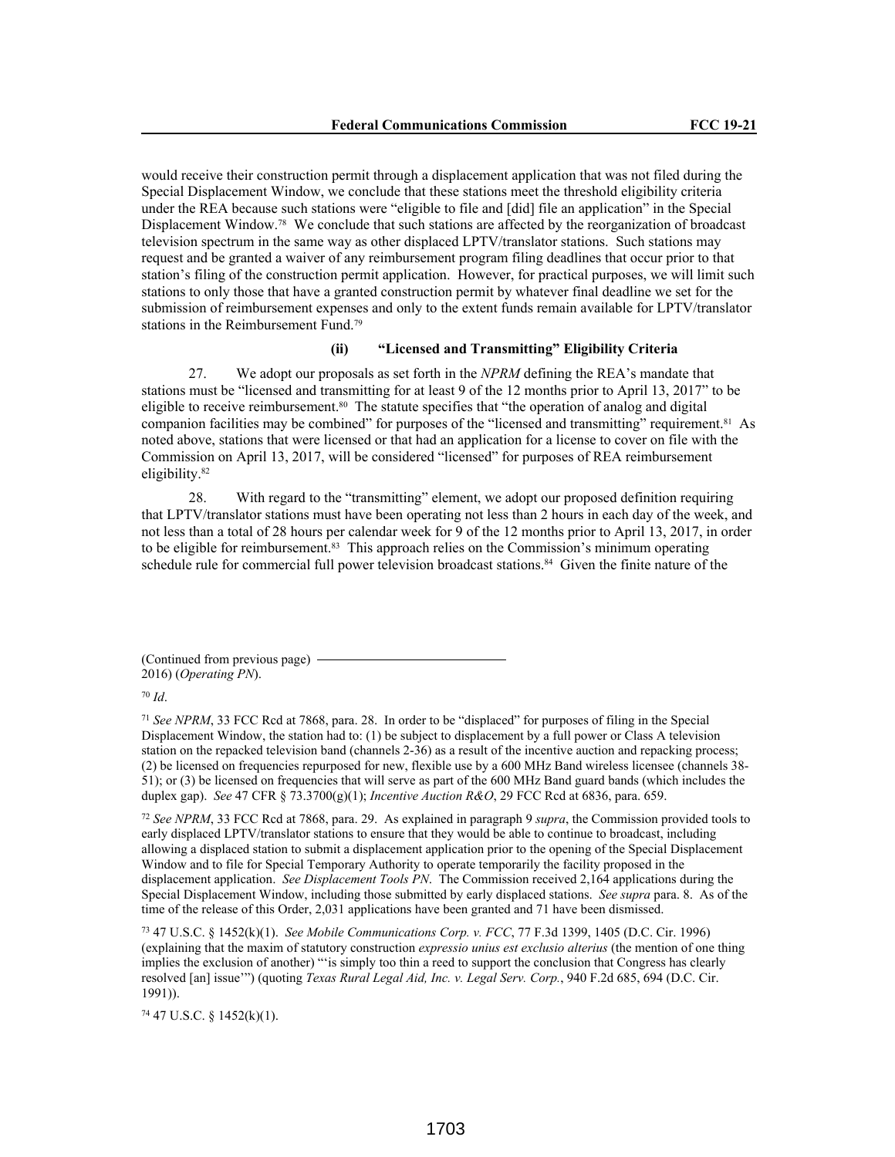would receive their construction permit through a displacement application that was not filed during the Special Displacement Window, we conclude that these stations meet the threshold eligibility criteria under the REA because such stations were "eligible to file and [did] file an application" in the Special Displacement Window.78 We conclude that such stations are affected by the reorganization of broadcast television spectrum in the same way as other displaced LPTV/translator stations. Such stations may request and be granted a waiver of any reimbursement program filing deadlines that occur prior to that station's filing of the construction permit application. However, for practical purposes, we will limit such stations to only those that have a granted construction permit by whatever final deadline we set for the submission of reimbursement expenses and only to the extent funds remain available for LPTV/translator stations in the Reimbursement Fund.<sup>79</sup>

# **(ii) "Licensed and Transmitting" Eligibility Criteria**

27. We adopt our proposals as set forth in the *NPRM* defining the REA's mandate that stations must be "licensed and transmitting for at least 9 of the 12 months prior to April 13, 2017" to be eligible to receive reimbursement.80 The statute specifies that "the operation of analog and digital companion facilities may be combined" for purposes of the "licensed and transmitting" requirement.81 As noted above, stations that were licensed or that had an application for a license to cover on file with the Commission on April 13, 2017, will be considered "licensed" for purposes of REA reimbursement eligibility.<sup>82</sup>

28. With regard to the "transmitting" element, we adopt our proposed definition requiring that LPTV/translator stations must have been operating not less than 2 hours in each day of the week, and not less than a total of 28 hours per calendar week for 9 of the 12 months prior to April 13, 2017, in order to be eligible for reimbursement.<sup>83</sup> This approach relies on the Commission's minimum operating schedule rule for commercial full power television broadcast stations.<sup>84</sup> Given the finite nature of the

(Continued from previous page) 2016) (*Operating PN*).

<sup>70</sup> *Id*.

<sup>71</sup> *See NPRM*, 33 FCC Rcd at 7868, para. 28. In order to be "displaced" for purposes of filing in the Special Displacement Window, the station had to: (1) be subject to displacement by a full power or Class A television station on the repacked television band (channels 2-36) as a result of the incentive auction and repacking process; (2) be licensed on frequencies repurposed for new, flexible use by a 600 MHz Band wireless licensee (channels 38- 51); or (3) be licensed on frequencies that will serve as part of the 600 MHz Band guard bands (which includes the duplex gap). *See* 47 CFR § 73.3700(g)(1); *Incentive Auction R&O*, 29 FCC Rcd at 6836, para. 659.

<sup>72</sup> *See NPRM*, 33 FCC Rcd at 7868, para. 29. As explained in paragraph 9 *supra*, the Commission provided tools to early displaced LPTV/translator stations to ensure that they would be able to continue to broadcast, including allowing a displaced station to submit a displacement application prior to the opening of the Special Displacement Window and to file for Special Temporary Authority to operate temporarily the facility proposed in the displacement application. *See Displacement Tools PN*. The Commission received 2,164 applications during the Special Displacement Window, including those submitted by early displaced stations. *See supra* para. 8. As of the time of the release of this Order, 2,031 applications have been granted and 71 have been dismissed.

<sup>73</sup> 47 U.S.C. § 1452(k)(1). *See Mobile Communications Corp. v. FCC*, 77 F.3d 1399, 1405 (D.C. Cir. 1996) (explaining that the maxim of statutory construction *expressio unius est exclusio alterius* (the mention of one thing implies the exclusion of another) "'is simply too thin a reed to support the conclusion that Congress has clearly resolved [an] issue'") (quoting *Texas Rural Legal Aid, Inc. v. Legal Serv. Corp.*, 940 F.2d 685, 694 (D.C. Cir. 1991)).

<sup>74</sup> 47 U.S.C. § 1452(k)(1).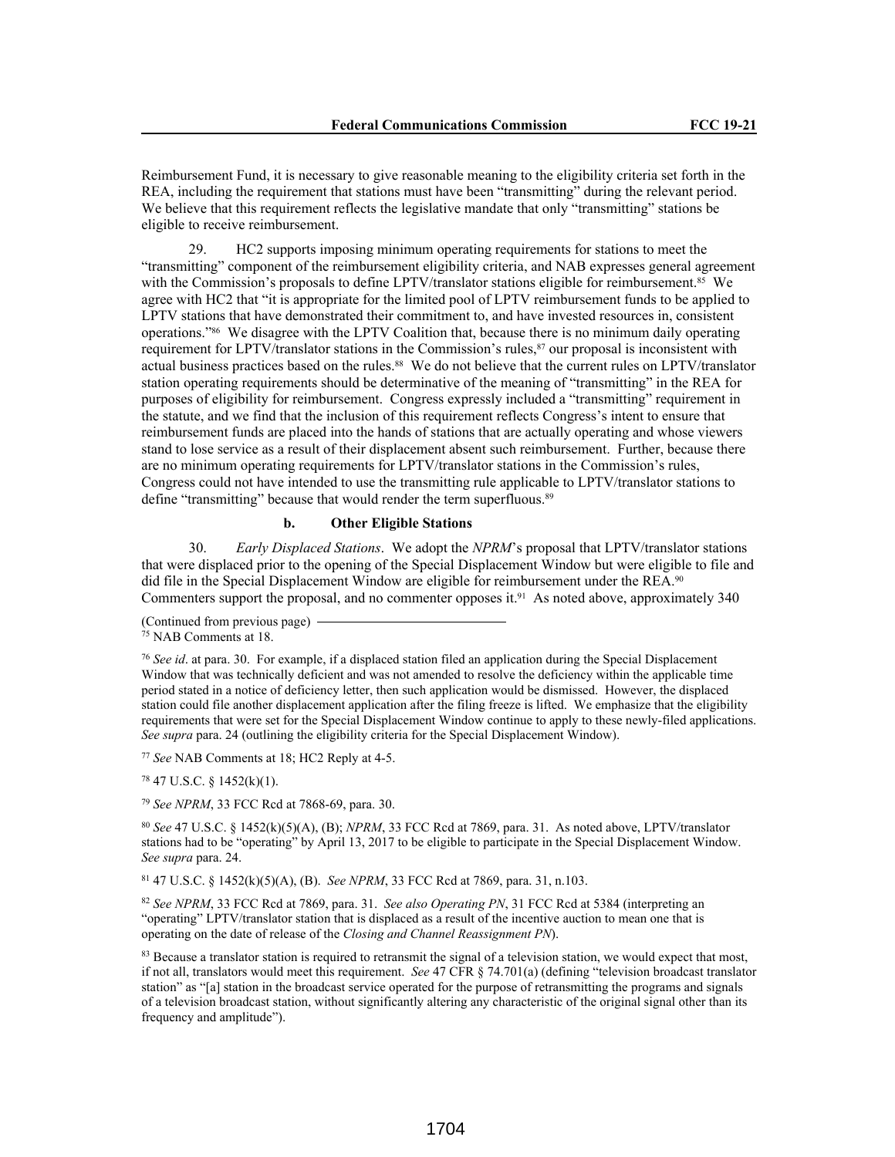Reimbursement Fund, it is necessary to give reasonable meaning to the eligibility criteria set forth in the REA, including the requirement that stations must have been "transmitting" during the relevant period. We believe that this requirement reflects the legislative mandate that only "transmitting" stations be eligible to receive reimbursement.

29. HC2 supports imposing minimum operating requirements for stations to meet the "transmitting" component of the reimbursement eligibility criteria, and NAB expresses general agreement with the Commission's proposals to define LPTV/translator stations eligible for reimbursement.<sup>85</sup> We agree with HC2 that "it is appropriate for the limited pool of LPTV reimbursement funds to be applied to LPTV stations that have demonstrated their commitment to, and have invested resources in, consistent operations."86 We disagree with the LPTV Coalition that, because there is no minimum daily operating requirement for LPTV/translator stations in the Commission's rules,<sup>87</sup> our proposal is inconsistent with actual business practices based on the rules.88 We do not believe that the current rules on LPTV/translator station operating requirements should be determinative of the meaning of "transmitting" in the REA for purposes of eligibility for reimbursement. Congress expressly included a "transmitting" requirement in the statute, and we find that the inclusion of this requirement reflects Congress's intent to ensure that reimbursement funds are placed into the hands of stations that are actually operating and whose viewers stand to lose service as a result of their displacement absent such reimbursement. Further, because there are no minimum operating requirements for LPTV/translator stations in the Commission's rules, Congress could not have intended to use the transmitting rule applicable to LPTV/translator stations to define "transmitting" because that would render the term superfluous.<sup>89</sup>

### **b. Other Eligible Stations**

30. *Early Displaced Stations*. We adopt the *NPRM*'s proposal that LPTV/translator stations that were displaced prior to the opening of the Special Displacement Window but were eligible to file and did file in the Special Displacement Window are eligible for reimbursement under the REA.<sup>90</sup> Commenters support the proposal, and no commenter opposes it.91 As noted above, approximately 340

(Continued from previous page)

<sup>77</sup> *See* NAB Comments at 18; HC2 Reply at 4-5.

<sup>78</sup> 47 U.S.C. § 1452(k)(1).

<sup>79</sup> *See NPRM*, 33 FCC Rcd at 7868-69, para. 30.

<sup>80</sup> *See* 47 U.S.C. § 1452(k)(5)(A), (B); *NPRM*, 33 FCC Rcd at 7869, para. 31. As noted above, LPTV/translator stations had to be "operating" by April 13, 2017 to be eligible to participate in the Special Displacement Window. *See supra* para. 24.

<sup>81</sup> 47 U.S.C. § 1452(k)(5)(A), (B). *See NPRM*, 33 FCC Rcd at 7869, para. 31, n.103.

<sup>82</sup> *See NPRM*, 33 FCC Rcd at 7869, para. 31. *See also Operating PN*, 31 FCC Rcd at 5384 (interpreting an "operating" LPTV/translator station that is displaced as a result of the incentive auction to mean one that is operating on the date of release of the *Closing and Channel Reassignment PN*).

<sup>83</sup> Because a translator station is required to retransmit the signal of a television station, we would expect that most, if not all, translators would meet this requirement. *See* 47 CFR § 74.701(a) (defining "television broadcast translator station" as "[a] station in the broadcast service operated for the purpose of retransmitting the programs and signals of a television broadcast station, without significantly altering any characteristic of the original signal other than its frequency and amplitude").

<sup>75</sup> NAB Comments at 18.

<sup>76</sup> *See id*. at para. 30. For example, if a displaced station filed an application during the Special Displacement Window that was technically deficient and was not amended to resolve the deficiency within the applicable time period stated in a notice of deficiency letter, then such application would be dismissed. However, the displaced station could file another displacement application after the filing freeze is lifted. We emphasize that the eligibility requirements that were set for the Special Displacement Window continue to apply to these newly-filed applications. *See supra* para. 24 (outlining the eligibility criteria for the Special Displacement Window).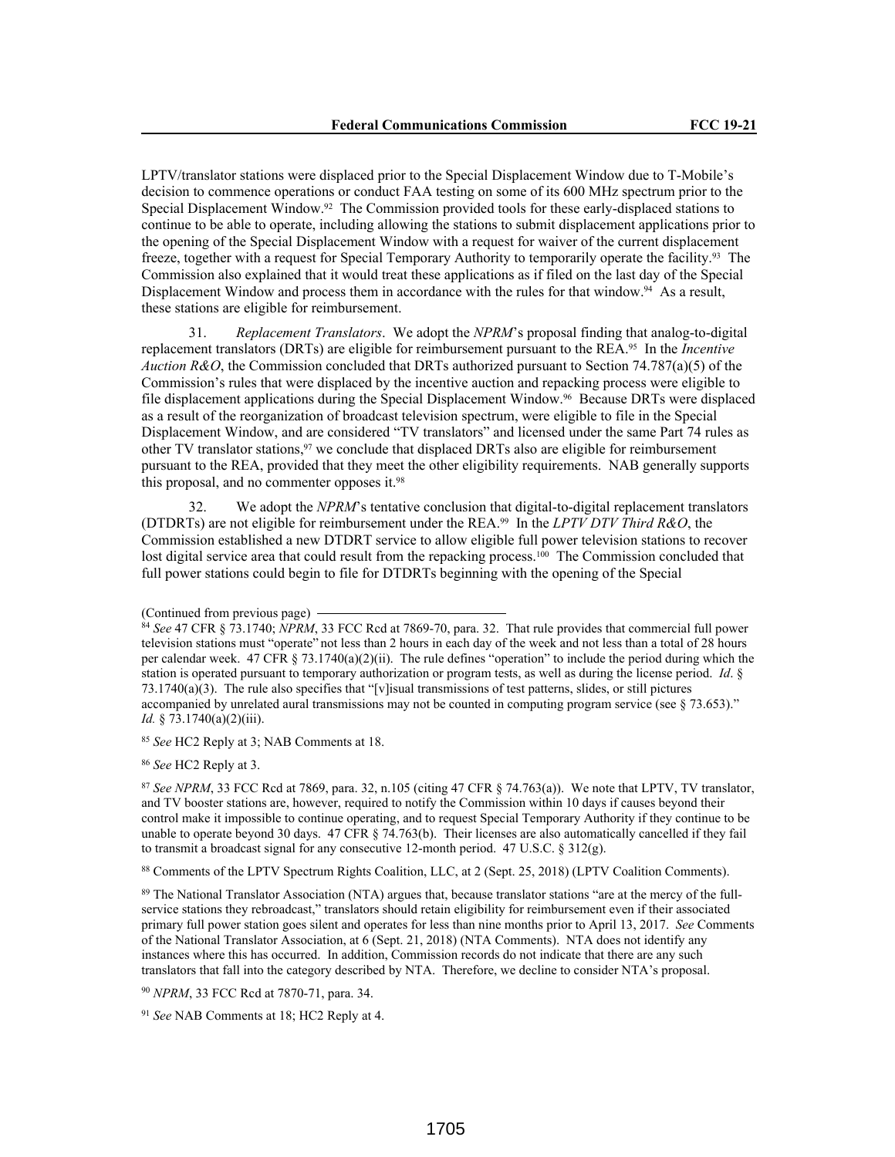LPTV/translator stations were displaced prior to the Special Displacement Window due to T-Mobile's decision to commence operations or conduct FAA testing on some of its 600 MHz spectrum prior to the Special Displacement Window.92 The Commission provided tools for these early-displaced stations to continue to be able to operate, including allowing the stations to submit displacement applications prior to the opening of the Special Displacement Window with a request for waiver of the current displacement freeze, together with a request for Special Temporary Authority to temporarily operate the facility.93 The Commission also explained that it would treat these applications as if filed on the last day of the Special Displacement Window and process them in accordance with the rules for that window.<sup>94</sup> As a result, these stations are eligible for reimbursement.

31. *Replacement Translators*. We adopt the *NPRM*'s proposal finding that analog-to-digital replacement translators (DRTs) are eligible for reimbursement pursuant to the REA.95 In the *Incentive Auction R&O*, the Commission concluded that DRTs authorized pursuant to Section 74.787(a)(5) of the Commission's rules that were displaced by the incentive auction and repacking process were eligible to file displacement applications during the Special Displacement Window.96 Because DRTs were displaced as a result of the reorganization of broadcast television spectrum, were eligible to file in the Special Displacement Window, and are considered "TV translators" and licensed under the same Part 74 rules as other TV translator stations, $97$  we conclude that displaced DRTs also are eligible for reimbursement pursuant to the REA, provided that they meet the other eligibility requirements. NAB generally supports this proposal, and no commenter opposes it.<sup>98</sup>

32. We adopt the *NPRM*'s tentative conclusion that digital-to-digital replacement translators (DTDRTs) are not eligible for reimbursement under the REA.99 In the *LPTV DTV Third R&O*, the Commission established a new DTDRT service to allow eligible full power television stations to recover lost digital service area that could result from the repacking process.<sup>100</sup> The Commission concluded that full power stations could begin to file for DTDRTs beginning with the opening of the Special

<sup>85</sup> *See* HC2 Reply at 3; NAB Comments at 18.

<sup>86</sup> *See* HC2 Reply at 3.

87 See NPRM, 33 FCC Rcd at 7869, para. 32, n.105 (citing 47 CFR § 74.763(a)). We note that LPTV, TV translator, and TV booster stations are, however, required to notify the Commission within 10 days if causes beyond their control make it impossible to continue operating, and to request Special Temporary Authority if they continue to be unable to operate beyond 30 days. 47 CFR § 74.763(b). Their licenses are also automatically cancelled if they fail to transmit a broadcast signal for any consecutive 12-month period. 47 U.S.C. § 312(g).

<sup>88</sup> Comments of the LPTV Spectrum Rights Coalition, LLC, at 2 (Sept. 25, 2018) (LPTV Coalition Comments).

89 The National Translator Association (NTA) argues that, because translator stations "are at the mercy of the fullservice stations they rebroadcast," translators should retain eligibility for reimbursement even if their associated primary full power station goes silent and operates for less than nine months prior to April 13, 2017. *See* Comments of the National Translator Association, at 6 (Sept. 21, 2018) (NTA Comments). NTA does not identify any instances where this has occurred. In addition, Commission records do not indicate that there are any such translators that fall into the category described by NTA. Therefore, we decline to consider NTA's proposal.

<sup>90</sup> *NPRM*, 33 FCC Rcd at 7870-71, para. 34.

<sup>91</sup> *See* NAB Comments at 18; HC2 Reply at 4.

<sup>(</sup>Continued from previous page)

<sup>84</sup> *See* 47 CFR § 73.1740; *NPRM*, 33 FCC Rcd at 7869-70, para. 32. That rule provides that commercial full power television stations must "operate" not less than 2 hours in each day of the week and not less than a total of 28 hours per calendar week. 47 CFR § 73.1740(a)(2)(ii). The rule defines "operation" to include the period during which the station is operated pursuant to temporary authorization or program tests, as well as during the license period. *Id*. § 73.1740(a)(3). The rule also specifies that "[v]isual transmissions of test patterns, slides, or still pictures accompanied by unrelated aural transmissions may not be counted in computing program service (see § 73.653)." *Id.* § 73.1740(a)(2)(iii).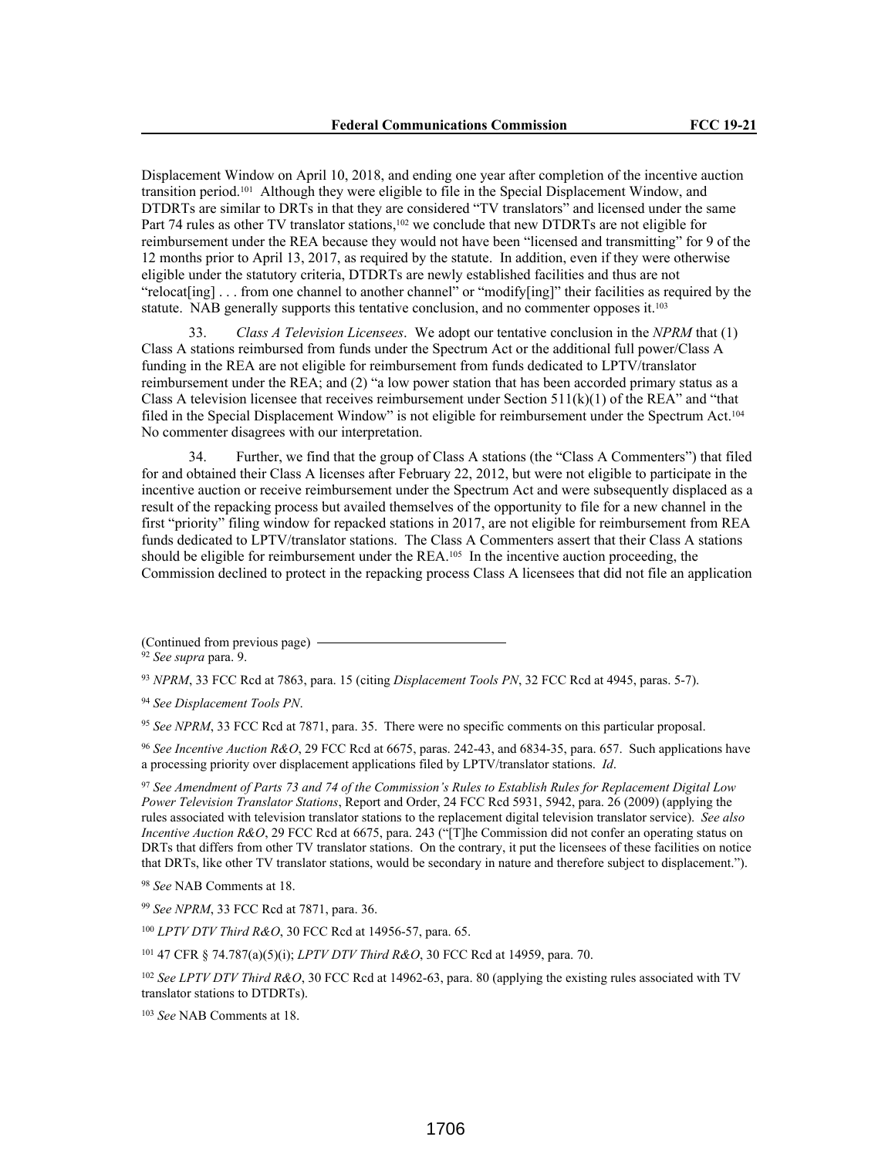Displacement Window on April 10, 2018, and ending one year after completion of the incentive auction transition period.101 Although they were eligible to file in the Special Displacement Window, and DTDRTs are similar to DRTs in that they are considered "TV translators" and licensed under the same Part 74 rules as other TV translator stations,<sup>102</sup> we conclude that new DTDRTs are not eligible for reimbursement under the REA because they would not have been "licensed and transmitting" for 9 of the 12 months prior to April 13, 2017, as required by the statute. In addition, even if they were otherwise eligible under the statutory criteria, DTDRTs are newly established facilities and thus are not "relocat[ing]  $\ldots$  from one channel to another channel" or "modify[ing]" their facilities as required by the statute. NAB generally supports this tentative conclusion, and no commenter opposes it.<sup>103</sup>

33. *Class A Television Licensees*. We adopt our tentative conclusion in the *NPRM* that (1) Class A stations reimbursed from funds under the Spectrum Act or the additional full power/Class A funding in the REA are not eligible for reimbursement from funds dedicated to LPTV/translator reimbursement under the REA; and (2) "a low power station that has been accorded primary status as a Class A television licensee that receives reimbursement under Section  $511(k)(1)$  of the REA" and "that filed in the Special Displacement Window" is not eligible for reimbursement under the Spectrum Act.<sup>104</sup> No commenter disagrees with our interpretation.

34. Further, we find that the group of Class A stations (the "Class A Commenters") that filed for and obtained their Class A licenses after February 22, 2012, but were not eligible to participate in the incentive auction or receive reimbursement under the Spectrum Act and were subsequently displaced as a result of the repacking process but availed themselves of the opportunity to file for a new channel in the first "priority" filing window for repacked stations in 2017, are not eligible for reimbursement from REA funds dedicated to LPTV/translator stations. The Class A Commenters assert that their Class A stations should be eligible for reimbursement under the  $REA$ .<sup>105</sup> In the incentive auction proceeding, the Commission declined to protect in the repacking process Class A licensees that did not file an application

<sup>93</sup> *NPRM*, 33 FCC Rcd at 7863, para. 15 (citing *Displacement Tools PN*, 32 FCC Rcd at 4945, paras. 5-7).

<sup>94</sup> *See Displacement Tools PN*.

<sup>95</sup> *See NPRM*, 33 FCC Rcd at 7871, para. 35. There were no specific comments on this particular proposal.

<sup>96</sup> *See Incentive Auction R&O*, 29 FCC Rcd at 6675, paras. 242-43, and 6834-35, para. 657. Such applications have a processing priority over displacement applications filed by LPTV/translator stations. *Id*.

<sup>97</sup> *See Amendment of Parts 73 and 74 of the Commission's Rules to Establish Rules for Replacement Digital Low Power Television Translator Stations*, Report and Order, 24 FCC Rcd 5931, 5942, para. 26 (2009) (applying the rules associated with television translator stations to the replacement digital television translator service). *See also Incentive Auction R&O*, 29 FCC Rcd at 6675, para. 243 ("[T]he Commission did not confer an operating status on DRTs that differs from other TV translator stations. On the contrary, it put the licensees of these facilities on notice that DRTs, like other TV translator stations, would be secondary in nature and therefore subject to displacement.").

<sup>98</sup> *See* NAB Comments at 18.

<sup>99</sup> *See NPRM*, 33 FCC Rcd at 7871, para. 36.

<sup>100</sup> *LPTV DTV Third R&O*, 30 FCC Rcd at 14956-57, para. 65.

<sup>101</sup> 47 CFR § 74.787(a)(5)(i); *LPTV DTV Third R&O*, 30 FCC Rcd at 14959, para. 70.

<sup>102</sup> *See LPTV DTV Third R&O*, 30 FCC Rcd at 14962-63, para. 80 (applying the existing rules associated with TV translator stations to DTDRTs).

<sup>103</sup> *See* NAB Comments at 18.

<sup>(</sup>Continued from previous page)

<sup>92</sup> *See supra* para. 9.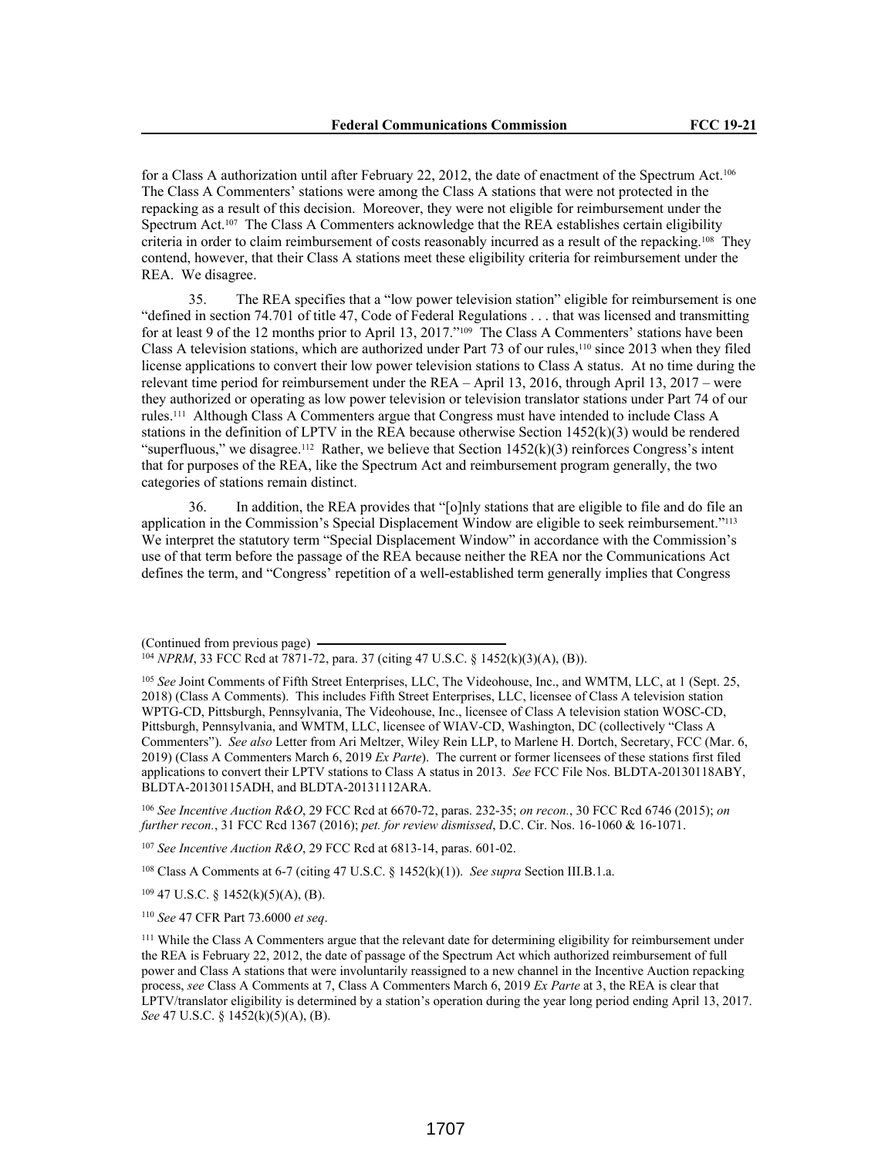for a Class A authorization until after February 22, 2012, the date of enactment of the Spectrum Act.<sup>106</sup> The Class A Commenters' stations were among the Class A stations that were not protected in the repacking as a result of this decision. Moreover, they were not eligible for reimbursement under the Spectrum Act.107 The Class A Commenters acknowledge that the REA establishes certain eligibility criteria in order to claim reimbursement of costs reasonably incurred as a result of the repacking.<sup>108</sup> They contend, however, that their Class A stations meet these eligibility criteria for reimbursement under the REA. We disagree.

35. The REA specifies that a "low power television station" eligible for reimbursement is one "defined in section 74.701 of title 47, Code of Federal Regulations . . . that was licensed and transmitting for at least 9 of the 12 months prior to April 13, 2017."<sup>109</sup> The Class A Commenters' stations have been Class A television stations, which are authorized under Part 73 of our rules,<sup>110</sup> since 2013 when they filed license applications to convert their low power television stations to Class A status. At no time during the relevant time period for reimbursement under the REA – April 13, 2016, through April 13, 2017 – were they authorized or operating as low power television or television translator stations under Part 74 of our rules.111 Although Class A Commenters argue that Congress must have intended to include Class A stations in the definition of LPTV in the REA because otherwise Section 1452(k)(3) would be rendered "superfluous," we disagree.<sup>112</sup> Rather, we believe that Section  $1452(k)(3)$  reinforces Congress's intent that for purposes of the REA, like the Spectrum Act and reimbursement program generally, the two categories of stations remain distinct.

36. In addition, the REA provides that "[o]nly stations that are eligible to file and do file an application in the Commission's Special Displacement Window are eligible to seek reimbursement."<sup>113</sup> We interpret the statutory term "Special Displacement Window" in accordance with the Commission's use of that term before the passage of the REA because neither the REA nor the Communications Act defines the term, and "Congress' repetition of a well-established term generally implies that Congress

<sup>106</sup> *See Incentive Auction R&O*, 29 FCC Rcd at 6670-72, paras. 232-35; *on recon.*, 30 FCC Rcd 6746 (2015); *on further recon.*, 31 FCC Rcd 1367 (2016); *pet. for review dismissed*, D.C. Cir. Nos. 16-1060 & 16-1071.

<sup>107</sup> *See Incentive Auction R&O*, 29 FCC Rcd at 6813-14, paras. 601-02.

<sup>108</sup> Class A Comments at 6-7 (citing 47 U.S.C. § 1452(k)(1)). *See supra* Section III.B.1.a.

 $109$  47 U.S.C. § 1452(k)(5)(A), (B).

<sup>110</sup> *See* 47 CFR Part 73.6000 *et seq*.

<sup>(</sup>Continued from previous page)

<sup>104</sup> *NPRM*, 33 FCC Rcd at 7871-72, para. 37 (citing 47 U.S.C. § 1452(k)(3)(A), (B)).

<sup>105</sup> *See* Joint Comments of Fifth Street Enterprises, LLC, The Videohouse, Inc., and WMTM, LLC, at 1 (Sept. 25, 2018) (Class A Comments). This includes Fifth Street Enterprises, LLC, licensee of Class A television station WPTG-CD, Pittsburgh, Pennsylvania, The Videohouse, Inc., licensee of Class A television station WOSC-CD, Pittsburgh, Pennsylvania, and WMTM, LLC, licensee of WIAV-CD, Washington, DC (collectively "Class A Commenters"). *See also* Letter from Ari Meltzer, Wiley Rein LLP, to Marlene H. Dortch, Secretary, FCC (Mar. 6, 2019) (Class A Commenters March 6, 2019 *Ex Parte*). The current or former licensees of these stations first filed applications to convert their LPTV stations to Class A status in 2013. *See* FCC File Nos. BLDTA-20130118ABY, BLDTA-20130115ADH, and BLDTA-20131112ARA.

<sup>&</sup>lt;sup>111</sup> While the Class A Commenters argue that the relevant date for determining eligibility for reimbursement under the REA is February 22, 2012, the date of passage of the Spectrum Act which authorized reimbursement of full power and Class A stations that were involuntarily reassigned to a new channel in the Incentive Auction repacking process, *see* Class A Comments at 7, Class A Commenters March 6, 2019 *Ex Parte* at 3, the REA is clear that LPTV/translator eligibility is determined by a station's operation during the year long period ending April 13, 2017. *See* 47 U.S.C. § 1452(k)(5)(A), (B).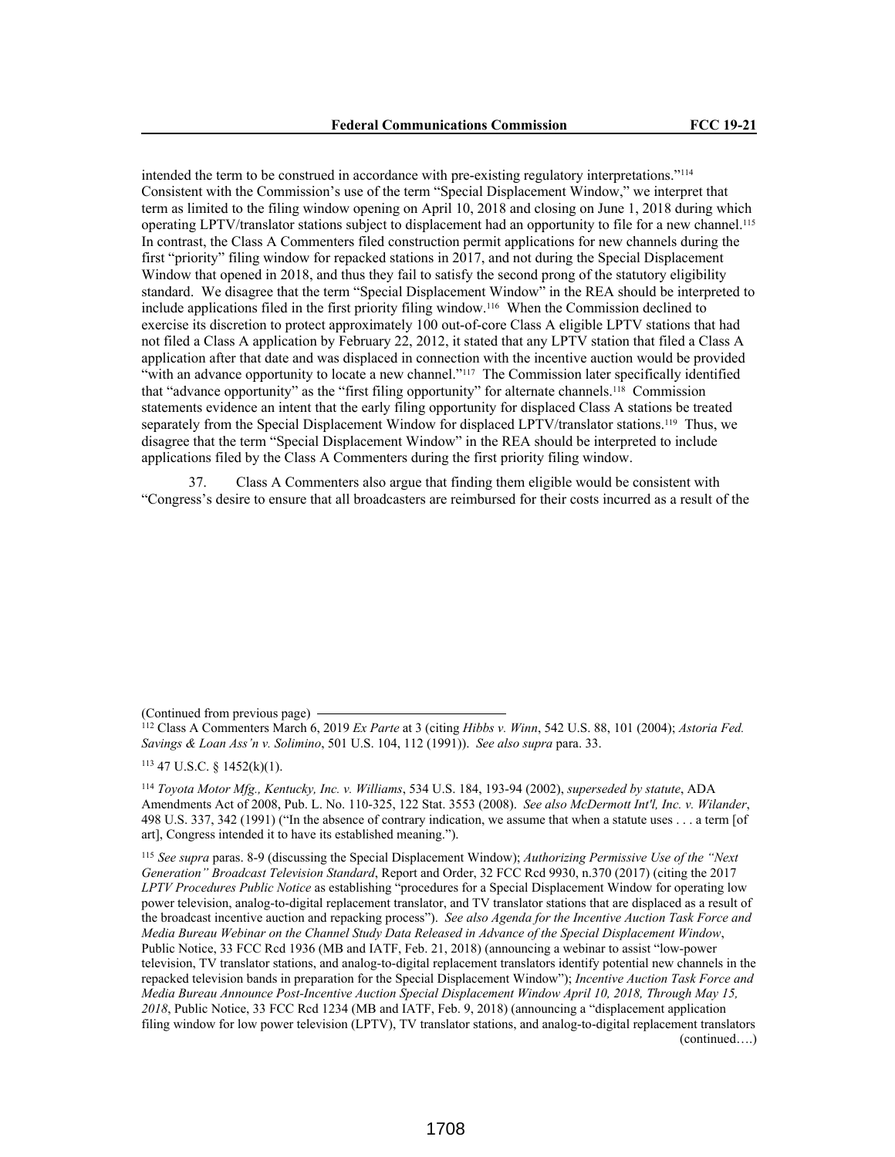intended the term to be construed in accordance with pre-existing regulatory interpretations."<sup>114</sup> Consistent with the Commission's use of the term "Special Displacement Window," we interpret that term as limited to the filing window opening on April 10, 2018 and closing on June 1, 2018 during which operating LPTV/translator stations subject to displacement had an opportunity to file for a new channel.<sup>115</sup> In contrast, the Class A Commenters filed construction permit applications for new channels during the first "priority" filing window for repacked stations in 2017, and not during the Special Displacement Window that opened in 2018, and thus they fail to satisfy the second prong of the statutory eligibility standard. We disagree that the term "Special Displacement Window" in the REA should be interpreted to include applications filed in the first priority filing window.116 When the Commission declined to exercise its discretion to protect approximately 100 out-of-core Class A eligible LPTV stations that had not filed a Class A application by February 22, 2012, it stated that any LPTV station that filed a Class A application after that date and was displaced in connection with the incentive auction would be provided "with an advance opportunity to locate a new channel."117 The Commission later specifically identified that "advance opportunity" as the "first filing opportunity" for alternate channels.118 Commission statements evidence an intent that the early filing opportunity for displaced Class A stations be treated separately from the Special Displacement Window for displaced LPTV/translator stations.<sup>119</sup> Thus, we disagree that the term "Special Displacement Window" in the REA should be interpreted to include applications filed by the Class A Commenters during the first priority filing window.

37. Class A Commenters also argue that finding them eligible would be consistent with "Congress's desire to ensure that all broadcasters are reimbursed for their costs incurred as a result of the

(Continued from previous page)

 $113$  47 U.S.C. § 1452(k)(1).

<sup>114</sup> *Toyota Motor Mfg., Kentucky, Inc. v. Williams*, 534 U.S. 184, 193-94 (2002), *superseded by statute*, ADA Amendments Act of 2008, Pub. L. No. 110-325, 122 Stat. 3553 (2008). *See also McDermott Int'l, Inc. v. Wilander*, 498 U.S. 337, 342 (1991) ("In the absence of contrary indication, we assume that when a statute uses . . . a term [of art], Congress intended it to have its established meaning.").

<sup>115</sup> *See supra* paras. 8-9 (discussing the Special Displacement Window); *Authorizing Permissive Use of the "Next Generation" Broadcast Television Standard*, Report and Order, 32 FCC Rcd 9930, n.370 (2017) (citing the 2017 *LPTV Procedures Public Notice* as establishing "procedures for a Special Displacement Window for operating low power television, analog-to-digital replacement translator, and TV translator stations that are displaced as a result of the broadcast incentive auction and repacking process"). *See also Agenda for the Incentive Auction Task Force and Media Bureau Webinar on the Channel Study Data Released in Advance of the Special Displacement Window*, Public Notice, 33 FCC Rcd 1936 (MB and IATF, Feb. 21, 2018) (announcing a webinar to assist "low-power television, TV translator stations, and analog-to-digital replacement translators identify potential new channels in the repacked television bands in preparation for the Special Displacement Window"); *Incentive Auction Task Force and Media Bureau Announce Post-Incentive Auction Special Displacement Window April 10, 2018, Through May 15, 2018*, Public Notice, 33 FCC Rcd 1234 (MB and IATF, Feb. 9, 2018) (announcing a "displacement application filing window for low power television (LPTV), TV translator stations, and analog-to-digital replacement translators (continued….)

<sup>112</sup> Class A Commenters March 6, 2019 *Ex Parte* at 3 (citing *Hibbs v. Winn*, 542 U.S. 88, 101 (2004); *Astoria Fed. Savings & Loan Ass'n v. Solimino*, 501 U.S. 104, 112 (1991)). *See also supra* para. 33.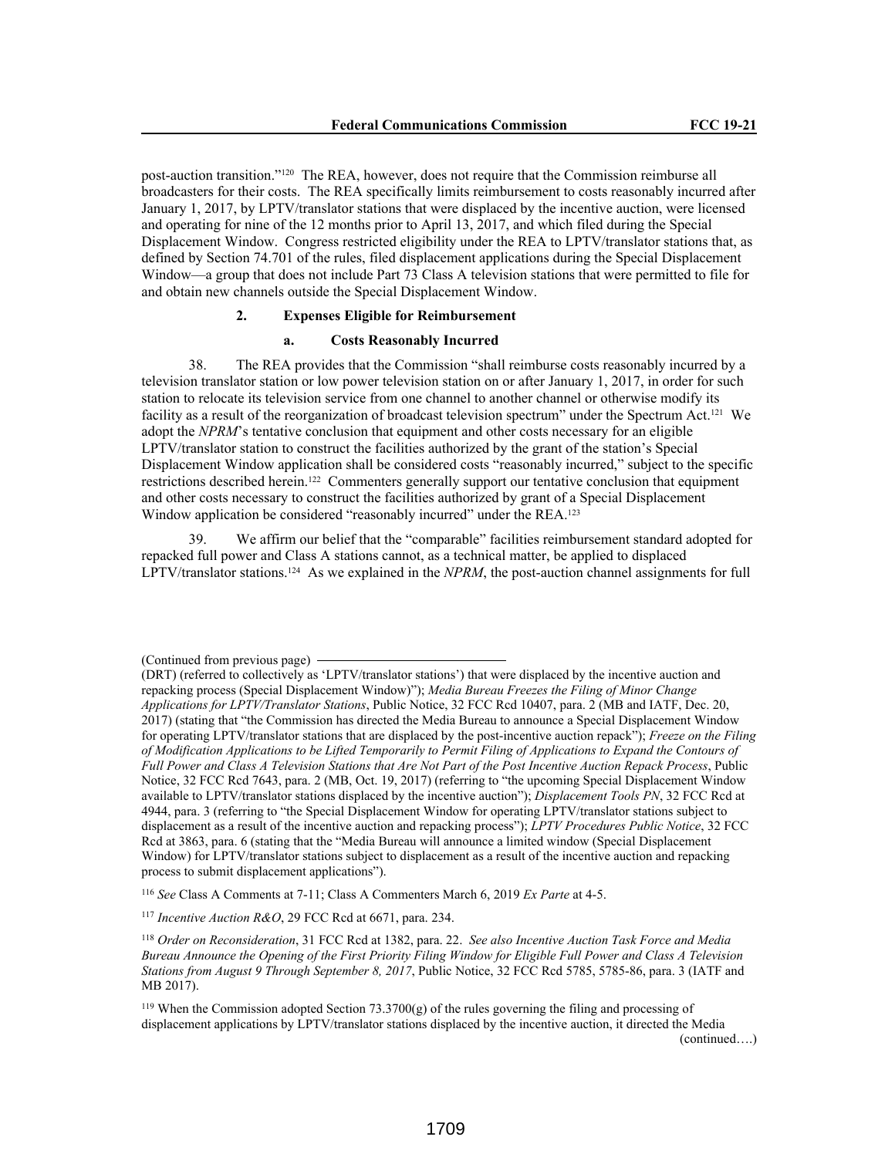post-auction transition."120 The REA, however, does not require that the Commission reimburse all broadcasters for their costs. The REA specifically limits reimbursement to costs reasonably incurred after January 1, 2017, by LPTV/translator stations that were displaced by the incentive auction, were licensed and operating for nine of the 12 months prior to April 13, 2017, and which filed during the Special Displacement Window. Congress restricted eligibility under the REA to LPTV/translator stations that, as defined by Section 74.701 of the rules, filed displacement applications during the Special Displacement Window—a group that does not include Part 73 Class A television stations that were permitted to file for and obtain new channels outside the Special Displacement Window.

### **2. Expenses Eligible for Reimbursement**

#### **a. Costs Reasonably Incurred**

38. The REA provides that the Commission "shall reimburse costs reasonably incurred by a television translator station or low power television station on or after January 1, 2017, in order for such station to relocate its television service from one channel to another channel or otherwise modify its facility as a result of the reorganization of broadcast television spectrum" under the Spectrum Act.<sup>121</sup> We adopt the *NPRM*'s tentative conclusion that equipment and other costs necessary for an eligible LPTV/translator station to construct the facilities authorized by the grant of the station's Special Displacement Window application shall be considered costs "reasonably incurred," subject to the specific restrictions described herein.122 Commenters generally support our tentative conclusion that equipment and other costs necessary to construct the facilities authorized by grant of a Special Displacement Window application be considered "reasonably incurred" under the REA.<sup>123</sup>

39. We affirm our belief that the "comparable" facilities reimbursement standard adopted for repacked full power and Class A stations cannot, as a technical matter, be applied to displaced LPTV/translator stations.124 As we explained in the *NPRM*, the post-auction channel assignments for full

<sup>116</sup> *See* Class A Comments at 7-11; Class A Commenters March 6, 2019 *Ex Parte* at 4-5.

<sup>117</sup> *Incentive Auction R&O*, 29 FCC Rcd at 6671, para. 234.

<sup>(</sup>Continued from previous page)

<sup>(</sup>DRT) (referred to collectively as 'LPTV/translator stations') that were displaced by the incentive auction and repacking process (Special Displacement Window)"); *Media Bureau Freezes the Filing of Minor Change Applications for LPTV/Translator Stations*, Public Notice, 32 FCC Rcd 10407, para. 2 (MB and IATF, Dec. 20, 2017) (stating that "the Commission has directed the Media Bureau to announce a Special Displacement Window for operating LPTV/translator stations that are displaced by the post-incentive auction repack"); *Freeze on the Filing of Modification Applications to be Lifted Temporarily to Permit Filing of Applications to Expand the Contours of Full Power and Class A Television Stations that Are Not Part of the Post Incentive Auction Repack Process*, Public Notice, 32 FCC Rcd 7643, para. 2 (MB, Oct. 19, 2017) (referring to "the upcoming Special Displacement Window available to LPTV/translator stations displaced by the incentive auction"); *Displacement Tools PN*, 32 FCC Rcd at 4944, para. 3 (referring to "the Special Displacement Window for operating LPTV/translator stations subject to displacement as a result of the incentive auction and repacking process"); *LPTV Procedures Public Notice*, 32 FCC Rcd at 3863, para. 6 (stating that the "Media Bureau will announce a limited window (Special Displacement Window) for LPTV/translator stations subject to displacement as a result of the incentive auction and repacking process to submit displacement applications").

<sup>118</sup> *Order on Reconsideration*, 31 FCC Rcd at 1382, para. 22. *See also Incentive Auction Task Force and Media Bureau Announce the Opening of the First Priority Filing Window for Eligible Full Power and Class A Television Stations from August 9 Through September 8, 2017*, Public Notice, 32 FCC Rcd 5785, 5785-86, para. 3 (IATF and MB 2017).

<sup>&</sup>lt;sup>119</sup> When the Commission adopted Section 73.3700 $(g)$  of the rules governing the filing and processing of displacement applications by LPTV/translator stations displaced by the incentive auction, it directed the Media (continued….)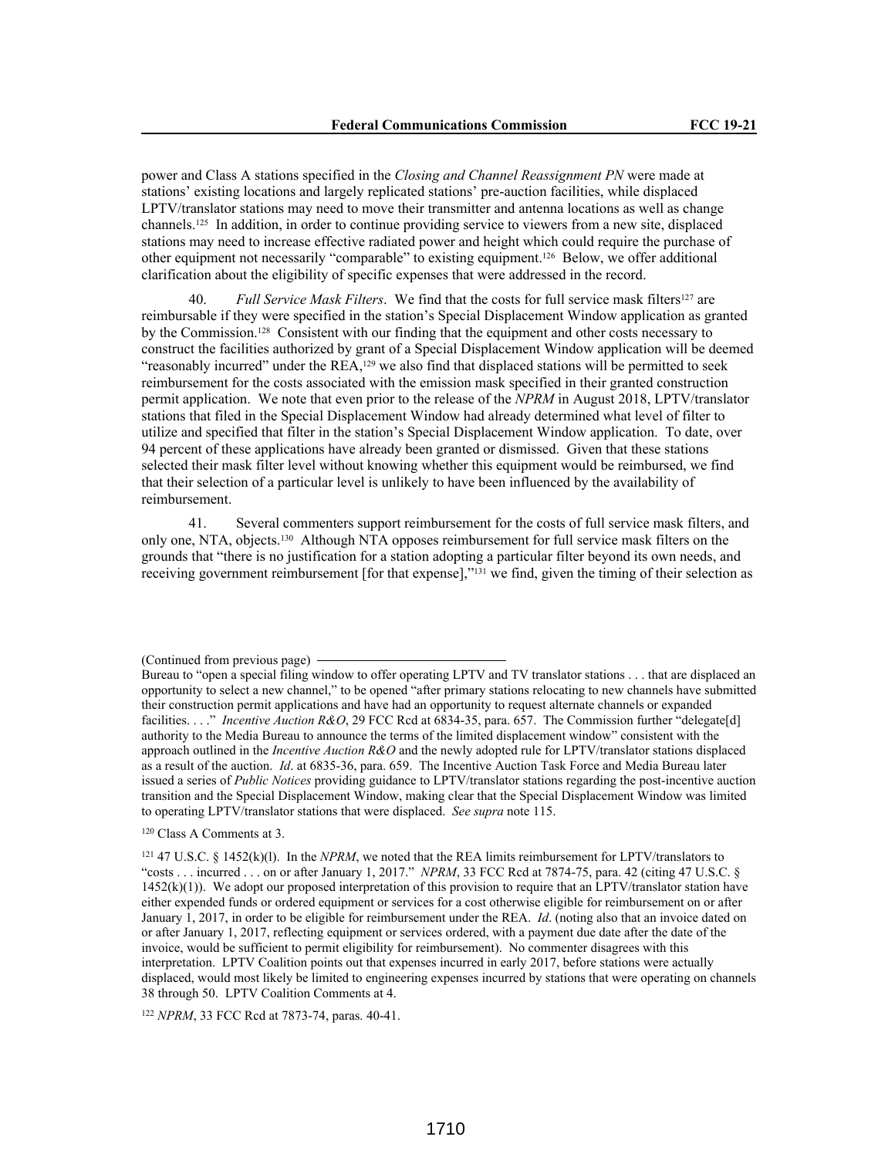power and Class A stations specified in the *Closing and Channel Reassignment PN* were made at stations' existing locations and largely replicated stations' pre-auction facilities, while displaced LPTV/translator stations may need to move their transmitter and antenna locations as well as change channels.125 In addition, in order to continue providing service to viewers from a new site, displaced stations may need to increase effective radiated power and height which could require the purchase of other equipment not necessarily "comparable" to existing equipment.126 Below, we offer additional clarification about the eligibility of specific expenses that were addressed in the record.

Full Service Mask Filters. We find that the costs for full service mask filters<sup>127</sup> are reimbursable if they were specified in the station's Special Displacement Window application as granted by the Commission.128 Consistent with our finding that the equipment and other costs necessary to construct the facilities authorized by grant of a Special Displacement Window application will be deemed "reasonably incurred" under the  $REA<sub>129</sub>$  we also find that displaced stations will be permitted to seek reimbursement for the costs associated with the emission mask specified in their granted construction permit application. We note that even prior to the release of the *NPRM* in August 2018, LPTV/translator stations that filed in the Special Displacement Window had already determined what level of filter to utilize and specified that filter in the station's Special Displacement Window application. To date, over 94 percent of these applications have already been granted or dismissed. Given that these stations selected their mask filter level without knowing whether this equipment would be reimbursed, we find that their selection of a particular level is unlikely to have been influenced by the availability of reimbursement.

41. Several commenters support reimbursement for the costs of full service mask filters, and only one, NTA, objects.130 Although NTA opposes reimbursement for full service mask filters on the grounds that "there is no justification for a station adopting a particular filter beyond its own needs, and receiving government reimbursement [for that expense],"131 we find, given the timing of their selection as

<sup>120</sup> Class A Comments at 3.

<sup>122</sup> *NPRM*, 33 FCC Rcd at 7873-74, paras. 40-41.

<sup>(</sup>Continued from previous page)

Bureau to "open a special filing window to offer operating LPTV and TV translator stations . . . that are displaced an opportunity to select a new channel," to be opened "after primary stations relocating to new channels have submitted their construction permit applications and have had an opportunity to request alternate channels or expanded facilities. . . ." *Incentive Auction R&O*, 29 FCC Rcd at 6834-35, para. 657. The Commission further "delegate[d] authority to the Media Bureau to announce the terms of the limited displacement window" consistent with the approach outlined in the *Incentive Auction R&O* and the newly adopted rule for LPTV/translator stations displaced as a result of the auction. *Id*. at 6835-36, para. 659. The Incentive Auction Task Force and Media Bureau later issued a series of *Public Notices* providing guidance to LPTV/translator stations regarding the post-incentive auction transition and the Special Displacement Window, making clear that the Special Displacement Window was limited to operating LPTV/translator stations that were displaced. *See supra* note 115.

<sup>121</sup> 47 U.S.C. § 1452(k)(l). In the *NPRM*, we noted that the REA limits reimbursement for LPTV/translators to "costs . . . incurred . . . on or after January 1, 2017." *NPRM*, 33 FCC Rcd at 7874-75, para. 42 (citing 47 U.S.C. § 1452(k)(1)). We adopt our proposed interpretation of this provision to require that an LPTV/translator station have either expended funds or ordered equipment or services for a cost otherwise eligible for reimbursement on or after January 1, 2017, in order to be eligible for reimbursement under the REA. *Id*. (noting also that an invoice dated on or after January 1, 2017, reflecting equipment or services ordered, with a payment due date after the date of the invoice, would be sufficient to permit eligibility for reimbursement). No commenter disagrees with this interpretation. LPTV Coalition points out that expenses incurred in early 2017, before stations were actually displaced, would most likely be limited to engineering expenses incurred by stations that were operating on channels 38 through 50. LPTV Coalition Comments at 4.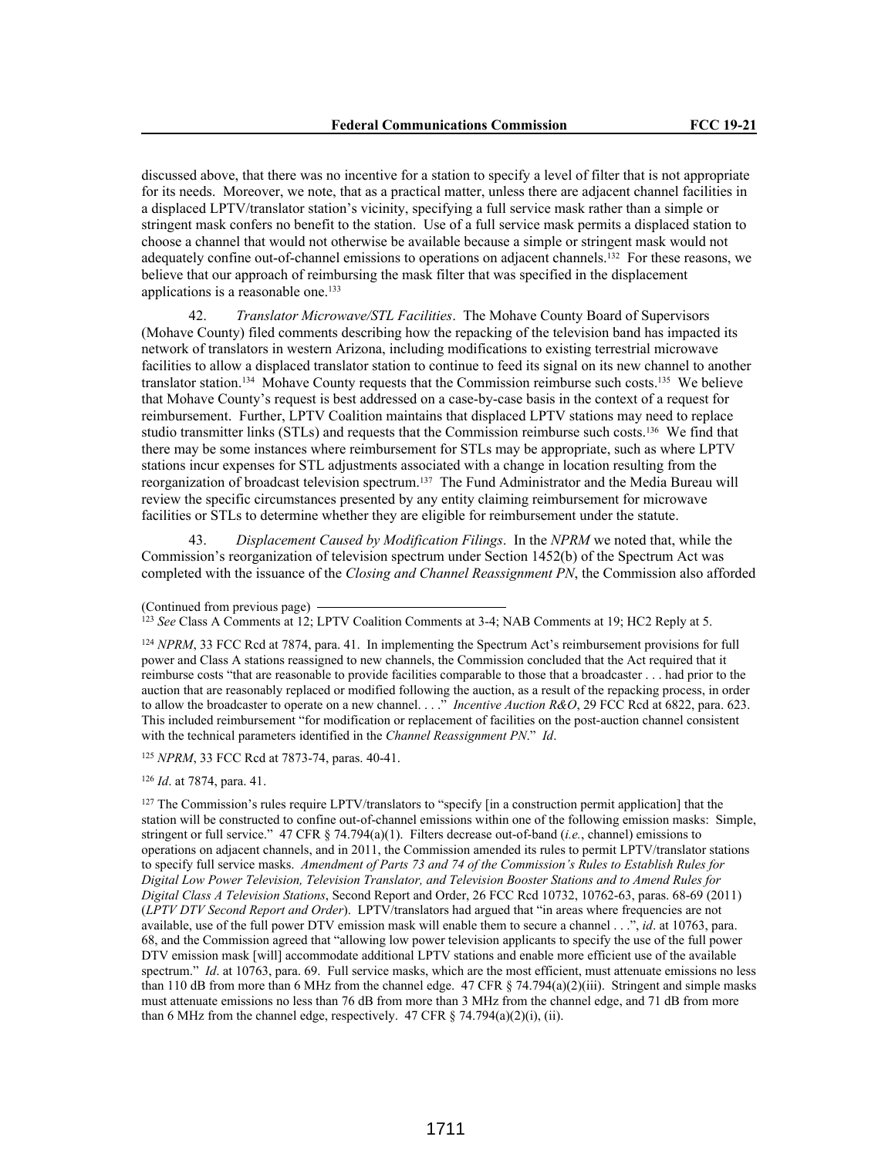discussed above, that there was no incentive for a station to specify a level of filter that is not appropriate for its needs. Moreover, we note, that as a practical matter, unless there are adjacent channel facilities in a displaced LPTV/translator station's vicinity, specifying a full service mask rather than a simple or stringent mask confers no benefit to the station. Use of a full service mask permits a displaced station to choose a channel that would not otherwise be available because a simple or stringent mask would not adequately confine out-of-channel emissions to operations on adjacent channels.132 For these reasons, we believe that our approach of reimbursing the mask filter that was specified in the displacement applications is a reasonable one.<sup>133</sup>

42. *Translator Microwave/STL Facilities*. The Mohave County Board of Supervisors (Mohave County) filed comments describing how the repacking of the television band has impacted its network of translators in western Arizona, including modifications to existing terrestrial microwave facilities to allow a displaced translator station to continue to feed its signal on its new channel to another translator station.134 Mohave County requests that the Commission reimburse such costs.135 We believe that Mohave County's request is best addressed on a case-by-case basis in the context of a request for reimbursement. Further, LPTV Coalition maintains that displaced LPTV stations may need to replace studio transmitter links (STLs) and requests that the Commission reimburse such costs.136 We find that there may be some instances where reimbursement for STLs may be appropriate, such as where LPTV stations incur expenses for STL adjustments associated with a change in location resulting from the reorganization of broadcast television spectrum.137 The Fund Administrator and the Media Bureau will review the specific circumstances presented by any entity claiming reimbursement for microwave facilities or STLs to determine whether they are eligible for reimbursement under the statute.

43. *Displacement Caused by Modification Filings*. In the *NPRM* we noted that, while the Commission's reorganization of television spectrum under Section 1452(b) of the Spectrum Act was completed with the issuance of the *Closing and Channel Reassignment PN*, the Commission also afforded

<sup>125</sup> *NPRM*, 33 FCC Rcd at 7873-74, paras. 40-41.

<sup>126</sup> *Id*. at 7874, para. 41.

<sup>127</sup> The Commission's rules require LPTV/translators to "specify [in a construction permit application] that the station will be constructed to confine out-of-channel emissions within one of the following emission masks: Simple, stringent or full service." 47 CFR § 74.794(a)(1). Filters decrease out-of-band (*i.e.*, channel) emissions to operations on adjacent channels, and in 2011, the Commission amended its rules to permit LPTV/translator stations to specify full service masks. *Amendment of Parts 73 and 74 of the Commission's Rules to Establish Rules for Digital Low Power Television, Television Translator, and Television Booster Stations and to Amend Rules for Digital Class A Television Stations*, Second Report and Order, 26 FCC Rcd 10732, 10762-63, paras. 68-69 (2011) (*LPTV DTV Second Report and Order*). LPTV/translators had argued that "in areas where frequencies are not available, use of the full power DTV emission mask will enable them to secure a channel . . .", *id*. at 10763, para. 68, and the Commission agreed that "allowing low power television applicants to specify the use of the full power DTV emission mask [will] accommodate additional LPTV stations and enable more efficient use of the available spectrum." *Id*. at 10763, para. 69. Full service masks, which are the most efficient, must attenuate emissions no less than 110 dB from more than 6 MHz from the channel edge. 47 CFR § 74.794(a)(2)(iii). Stringent and simple masks must attenuate emissions no less than 76 dB from more than 3 MHz from the channel edge, and 71 dB from more than 6 MHz from the channel edge, respectively. 47 CFR  $\S$  74.794(a)(2)(i), (ii).

<sup>(</sup>Continued from previous page)

<sup>123</sup> *See* Class A Comments at 12; LPTV Coalition Comments at 3-4; NAB Comments at 19; HC2 Reply at 5.

<sup>124</sup> *NPRM*, 33 FCC Rcd at 7874, para. 41. In implementing the Spectrum Act's reimbursement provisions for full power and Class A stations reassigned to new channels, the Commission concluded that the Act required that it reimburse costs "that are reasonable to provide facilities comparable to those that a broadcaster . . . had prior to the auction that are reasonably replaced or modified following the auction, as a result of the repacking process, in order to allow the broadcaster to operate on a new channel. . . ." *Incentive Auction R&O*, 29 FCC Rcd at 6822, para. 623. This included reimbursement "for modification or replacement of facilities on the post-auction channel consistent with the technical parameters identified in the *Channel Reassignment PN*." *Id*.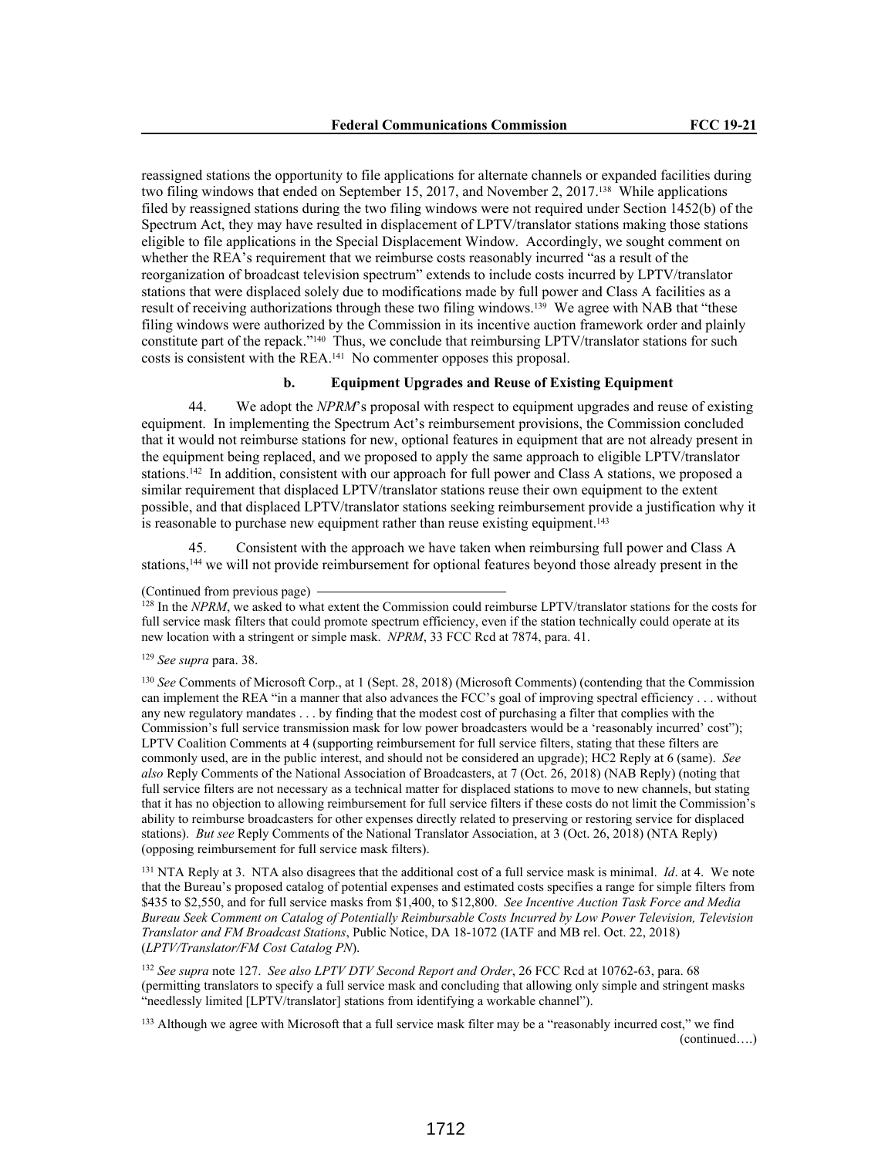reassigned stations the opportunity to file applications for alternate channels or expanded facilities during two filing windows that ended on September 15, 2017, and November 2, 2017.138 While applications filed by reassigned stations during the two filing windows were not required under Section 1452(b) of the Spectrum Act, they may have resulted in displacement of LPTV/translator stations making those stations eligible to file applications in the Special Displacement Window. Accordingly, we sought comment on whether the REA's requirement that we reimburse costs reasonably incurred "as a result of the reorganization of broadcast television spectrum" extends to include costs incurred by LPTV/translator stations that were displaced solely due to modifications made by full power and Class A facilities as a result of receiving authorizations through these two filing windows.139 We agree with NAB that "these filing windows were authorized by the Commission in its incentive auction framework order and plainly constitute part of the repack."<sup>140</sup> Thus, we conclude that reimbursing LPTV/translator stations for such costs is consistent with the REA.141 No commenter opposes this proposal.

## **b. Equipment Upgrades and Reuse of Existing Equipment**

44. We adopt the *NPRM*'s proposal with respect to equipment upgrades and reuse of existing equipment. In implementing the Spectrum Act's reimbursement provisions, the Commission concluded that it would not reimburse stations for new, optional features in equipment that are not already present in the equipment being replaced, and we proposed to apply the same approach to eligible LPTV/translator stations.142 In addition, consistent with our approach for full power and Class A stations, we proposed a similar requirement that displaced LPTV/translator stations reuse their own equipment to the extent possible, and that displaced LPTV/translator stations seeking reimbursement provide a justification why it is reasonable to purchase new equipment rather than reuse existing equipment.<sup>143</sup>

Consistent with the approach we have taken when reimbursing full power and Class A stations,144 we will not provide reimbursement for optional features beyond those already present in the

<sup>128</sup> In the *NPRM*, we asked to what extent the Commission could reimburse LPTV/translator stations for the costs for full service mask filters that could promote spectrum efficiency, even if the station technically could operate at its new location with a stringent or simple mask. *NPRM*, 33 FCC Rcd at 7874, para. 41.

<sup>130</sup> *See* Comments of Microsoft Corp., at 1 (Sept. 28, 2018) (Microsoft Comments) (contending that the Commission can implement the REA "in a manner that also advances the FCC's goal of improving spectral efficiency . . . without any new regulatory mandates . . . by finding that the modest cost of purchasing a filter that complies with the Commission's full service transmission mask for low power broadcasters would be a 'reasonably incurred' cost"); LPTV Coalition Comments at 4 (supporting reimbursement for full service filters, stating that these filters are commonly used, are in the public interest, and should not be considered an upgrade); HC2 Reply at 6 (same). *See also* Reply Comments of the National Association of Broadcasters, at 7 (Oct. 26, 2018) (NAB Reply) (noting that full service filters are not necessary as a technical matter for displaced stations to move to new channels, but stating that it has no objection to allowing reimbursement for full service filters if these costs do not limit the Commission's ability to reimburse broadcasters for other expenses directly related to preserving or restoring service for displaced stations). *But see* Reply Comments of the National Translator Association, at 3 (Oct. 26, 2018) (NTA Reply) (opposing reimbursement for full service mask filters).

<sup>131</sup> NTA Reply at 3. NTA also disagrees that the additional cost of a full service mask is minimal. *Id*. at 4. We note that the Bureau's proposed catalog of potential expenses and estimated costs specifies a range for simple filters from \$435 to \$2,550, and for full service masks from \$1,400, to \$12,800. *See Incentive Auction Task Force and Media Bureau Seek Comment on Catalog of Potentially Reimbursable Costs Incurred by Low Power Television, Television Translator and FM Broadcast Stations*, Public Notice, DA 18-1072 (IATF and MB rel. Oct. 22, 2018) (*LPTV/Translator/FM Cost Catalog PN*).

<sup>132</sup> *See supra* note 127. *See also LPTV DTV Second Report and Order*, 26 FCC Rcd at 10762-63, para. 68 (permitting translators to specify a full service mask and concluding that allowing only simple and stringent masks "needlessly limited [LPTV/translator] stations from identifying a workable channel").

<sup>133</sup> Although we agree with Microsoft that a full service mask filter may be a "reasonably incurred cost," we find (continued….)

<sup>(</sup>Continued from previous page)

<sup>129</sup> *See supra* para. 38.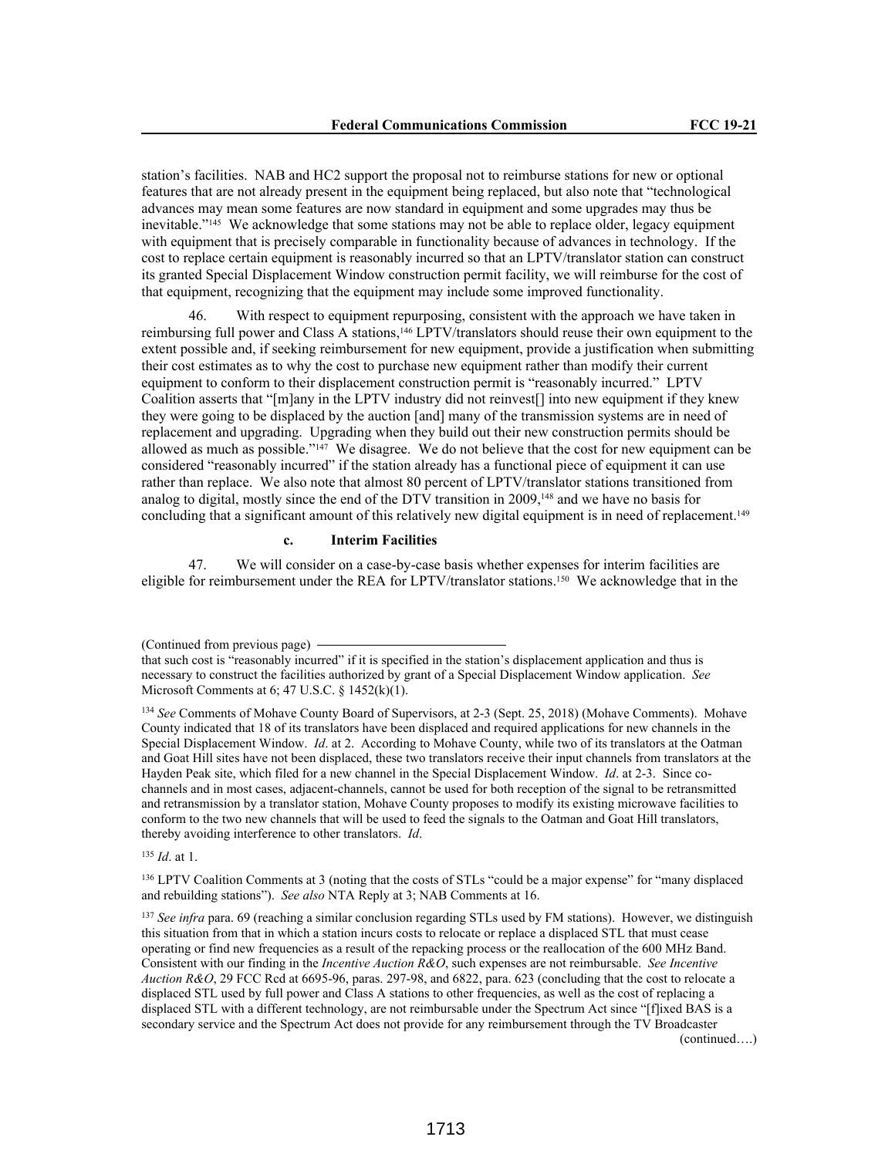station's facilities. NAB and HC2 support the proposal not to reimburse stations for new or optional features that are not already present in the equipment being replaced, but also note that "technological advances may mean some features are now standard in equipment and some upgrades may thus be inevitable."145 We acknowledge that some stations may not be able to replace older, legacy equipment with equipment that is precisely comparable in functionality because of advances in technology. If the cost to replace certain equipment is reasonably incurred so that an LPTV/translator station can construct its granted Special Displacement Window construction permit facility, we will reimburse for the cost of that equipment, recognizing that the equipment may include some improved functionality.

46. With respect to equipment repurposing, consistent with the approach we have taken in reimbursing full power and Class A stations,146 LPTV/translators should reuse their own equipment to the extent possible and, if seeking reimbursement for new equipment, provide a justification when submitting their cost estimates as to why the cost to purchase new equipment rather than modify their current equipment to conform to their displacement construction permit is "reasonably incurred." LPTV Coalition asserts that "[m]any in the LPTV industry did not reinvest[] into new equipment if they knew they were going to be displaced by the auction [and] many of the transmission systems are in need of replacement and upgrading. Upgrading when they build out their new construction permits should be allowed as much as possible."147 We disagree. We do not believe that the cost for new equipment can be considered "reasonably incurred" if the station already has a functional piece of equipment it can use rather than replace. We also note that almost 80 percent of LPTV/translator stations transitioned from analog to digital, mostly since the end of the DTV transition in 2009,<sup>148</sup> and we have no basis for concluding that a significant amount of this relatively new digital equipment is in need of replacement.<sup>149</sup>

### **c. Interim Facilities**

47. We will consider on a case-by-case basis whether expenses for interim facilities are eligible for reimbursement under the REA for LPTV/translator stations.<sup>150</sup> We acknowledge that in the

<sup>135</sup> *Id*. at 1.

<sup>136</sup> LPTV Coalition Comments at 3 (noting that the costs of STLs "could be a major expense" for "many displaced and rebuilding stations"). *See also* NTA Reply at 3; NAB Comments at 16.

<sup>137</sup> *See infra* para. 69 (reaching a similar conclusion regarding STLs used by FM stations). However, we distinguish this situation from that in which a station incurs costs to relocate or replace a displaced STL that must cease operating or find new frequencies as a result of the repacking process or the reallocation of the 600 MHz Band. Consistent with our finding in the *Incentive Auction R&O*, such expenses are not reimbursable. *See Incentive Auction R&O*, 29 FCC Rcd at 6695-96, paras. 297-98, and 6822, para. 623 (concluding that the cost to relocate a displaced STL used by full power and Class A stations to other frequencies, as well as the cost of replacing a displaced STL with a different technology, are not reimbursable under the Spectrum Act since "[f]ixed BAS is a secondary service and the Spectrum Act does not provide for any reimbursement through the TV Broadcaster (continued….)

<sup>(</sup>Continued from previous page)

that such cost is "reasonably incurred" if it is specified in the station's displacement application and thus is necessary to construct the facilities authorized by grant of a Special Displacement Window application. *See* Microsoft Comments at 6; 47 U.S.C. § 1452(k)(1).

<sup>134</sup> *See* Comments of Mohave County Board of Supervisors, at 2-3 (Sept. 25, 2018) (Mohave Comments). Mohave County indicated that 18 of its translators have been displaced and required applications for new channels in the Special Displacement Window. *Id*. at 2. According to Mohave County, while two of its translators at the Oatman and Goat Hill sites have not been displaced, these two translators receive their input channels from translators at the Hayden Peak site, which filed for a new channel in the Special Displacement Window. *Id*. at 2-3. Since cochannels and in most cases, adjacent-channels, cannot be used for both reception of the signal to be retransmitted and retransmission by a translator station, Mohave County proposes to modify its existing microwave facilities to conform to the two new channels that will be used to feed the signals to the Oatman and Goat Hill translators, thereby avoiding interference to other translators. *Id*.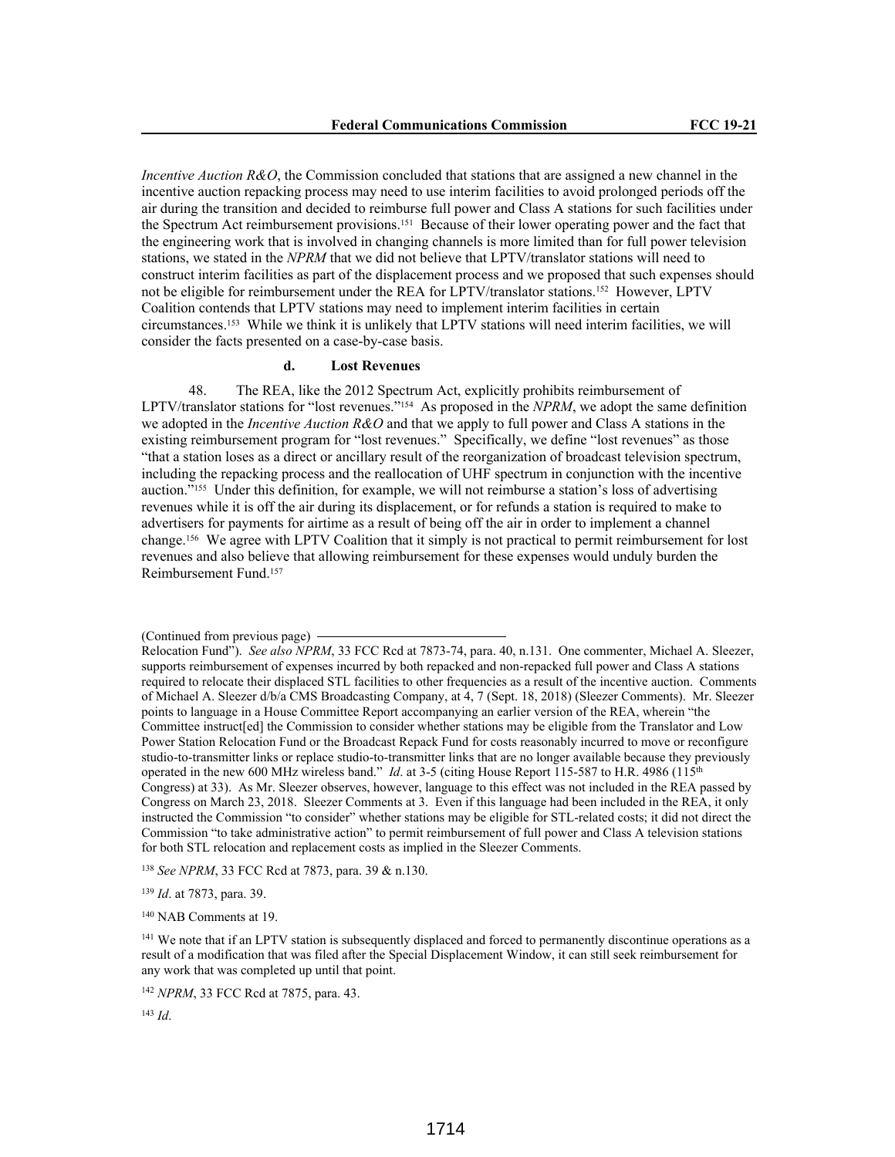*Incentive Auction R&O*, the Commission concluded that stations that are assigned a new channel in the incentive auction repacking process may need to use interim facilities to avoid prolonged periods off the air during the transition and decided to reimburse full power and Class A stations for such facilities under the Spectrum Act reimbursement provisions.151 Because of their lower operating power and the fact that the engineering work that is involved in changing channels is more limited than for full power television stations, we stated in the *NPRM* that we did not believe that LPTV/translator stations will need to construct interim facilities as part of the displacement process and we proposed that such expenses should not be eligible for reimbursement under the REA for LPTV/translator stations.152 However, LPTV Coalition contends that LPTV stations may need to implement interim facilities in certain circumstances.153 While we think it is unlikely that LPTV stations will need interim facilities, we will consider the facts presented on a case-by-case basis.

## **d. Lost Revenues**

48. The REA, like the 2012 Spectrum Act, explicitly prohibits reimbursement of LPTV/translator stations for "lost revenues."154 As proposed in the *NPRM*, we adopt the same definition we adopted in the *Incentive Auction R&O* and that we apply to full power and Class A stations in the existing reimbursement program for "lost revenues." Specifically, we define "lost revenues" as those "that a station loses as a direct or ancillary result of the reorganization of broadcast television spectrum, including the repacking process and the reallocation of UHF spectrum in conjunction with the incentive auction."155 Under this definition, for example, we will not reimburse a station's loss of advertising revenues while it is off the air during its displacement, or for refunds a station is required to make to advertisers for payments for airtime as a result of being off the air in order to implement a channel change.156 We agree with LPTV Coalition that it simply is not practical to permit reimbursement for lost revenues and also believe that allowing reimbursement for these expenses would unduly burden the Reimbursement Fund.<sup>157</sup>

<sup>138</sup> *See NPRM*, 33 FCC Rcd at 7873, para. 39 & n.130.

<sup>139</sup> *Id*. at 7873, para. 39.

<sup>140</sup> NAB Comments at 19.

<sup>(</sup>Continued from previous page)

Relocation Fund"). *See also NPRM*, 33 FCC Rcd at 7873-74, para. 40, n.131. One commenter, Michael A. Sleezer, supports reimbursement of expenses incurred by both repacked and non-repacked full power and Class A stations required to relocate their displaced STL facilities to other frequencies as a result of the incentive auction. Comments of Michael A. Sleezer d/b/a CMS Broadcasting Company, at 4, 7 (Sept. 18, 2018) (Sleezer Comments). Mr. Sleezer points to language in a House Committee Report accompanying an earlier version of the REA, wherein "the Committee instruct[ed] the Commission to consider whether stations may be eligible from the Translator and Low Power Station Relocation Fund or the Broadcast Repack Fund for costs reasonably incurred to move or reconfigure studio-to-transmitter links or replace studio-to-transmitter links that are no longer available because they previously operated in the new 600 MHz wireless band." *Id.* at 3-5 (citing House Report 115-587 to H.R. 4986 (115<sup>th</sup>) Congress) at 33). As Mr. Sleezer observes, however, language to this effect was not included in the REA passed by Congress on March 23, 2018. Sleezer Comments at 3. Even if this language had been included in the REA, it only instructed the Commission "to consider" whether stations may be eligible for STL-related costs; it did not direct the Commission "to take administrative action" to permit reimbursement of full power and Class A television stations for both STL relocation and replacement costs as implied in the Sleezer Comments.

<sup>&</sup>lt;sup>141</sup> We note that if an LPTV station is subsequently displaced and forced to permanently discontinue operations as a result of a modification that was filed after the Special Displacement Window, it can still seek reimbursement for any work that was completed up until that point.

<sup>142</sup> *NPRM*, 33 FCC Rcd at 7875, para. 43.

<sup>143</sup> *Id*.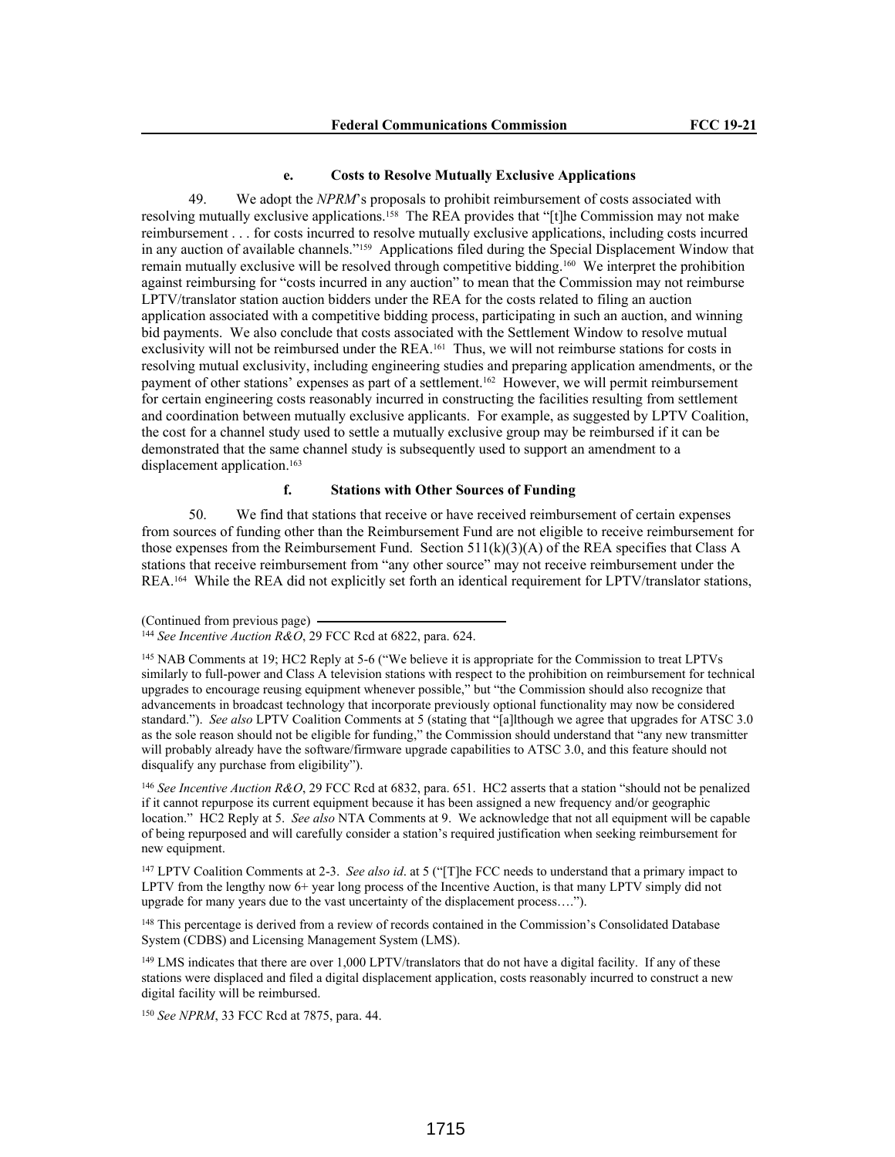#### **e. Costs to Resolve Mutually Exclusive Applications**

49. We adopt the *NPRM*'s proposals to prohibit reimbursement of costs associated with resolving mutually exclusive applications.<sup>158</sup> The REA provides that "[t]he Commission may not make reimbursement . . . for costs incurred to resolve mutually exclusive applications, including costs incurred in any auction of available channels."159 Applications filed during the Special Displacement Window that remain mutually exclusive will be resolved through competitive bidding.160 We interpret the prohibition against reimbursing for "costs incurred in any auction" to mean that the Commission may not reimburse LPTV/translator station auction bidders under the REA for the costs related to filing an auction application associated with a competitive bidding process, participating in such an auction, and winning bid payments. We also conclude that costs associated with the Settlement Window to resolve mutual exclusivity will not be reimbursed under the REA.161 Thus, we will not reimburse stations for costs in resolving mutual exclusivity, including engineering studies and preparing application amendments, or the payment of other stations' expenses as part of a settlement.162 However, we will permit reimbursement for certain engineering costs reasonably incurred in constructing the facilities resulting from settlement and coordination between mutually exclusive applicants. For example, as suggested by LPTV Coalition, the cost for a channel study used to settle a mutually exclusive group may be reimbursed if it can be demonstrated that the same channel study is subsequently used to support an amendment to a displacement application.<sup>163</sup>

# **f. Stations with Other Sources of Funding**

50. We find that stations that receive or have received reimbursement of certain expenses from sources of funding other than the Reimbursement Fund are not eligible to receive reimbursement for those expenses from the Reimbursement Fund. Section  $511(k)(3)(A)$  of the REA specifies that Class A stations that receive reimbursement from "any other source" may not receive reimbursement under the REA.164 While the REA did not explicitly set forth an identical requirement for LPTV/translator stations,

<sup>146</sup> *See Incentive Auction R&O*, 29 FCC Rcd at 6832, para. 651. HC2 asserts that a station "should not be penalized if it cannot repurpose its current equipment because it has been assigned a new frequency and/or geographic location." HC2 Reply at 5. *See also* NTA Comments at 9. We acknowledge that not all equipment will be capable of being repurposed and will carefully consider a station's required justification when seeking reimbursement for new equipment.

<sup>147</sup> LPTV Coalition Comments at 2-3. *See also id.* at 5 ("The FCC needs to understand that a primary impact to LPTV from the lengthy now 6+ year long process of the Incentive Auction, is that many LPTV simply did not upgrade for many years due to the vast uncertainty of the displacement process….").

<sup>148</sup> This percentage is derived from a review of records contained in the Commission's Consolidated Database System (CDBS) and Licensing Management System (LMS).

<sup>149</sup> LMS indicates that there are over 1,000 LPTV/translators that do not have a digital facility. If any of these stations were displaced and filed a digital displacement application, costs reasonably incurred to construct a new digital facility will be reimbursed.

<sup>150</sup> *See NPRM*, 33 FCC Rcd at 7875, para. 44.

<sup>(</sup>Continued from previous page)

<sup>144</sup> *See Incentive Auction R&O*, 29 FCC Rcd at 6822, para. 624.

<sup>145</sup> NAB Comments at 19; HC2 Reply at 5-6 ("We believe it is appropriate for the Commission to treat LPTVs similarly to full-power and Class A television stations with respect to the prohibition on reimbursement for technical upgrades to encourage reusing equipment whenever possible," but "the Commission should also recognize that advancements in broadcast technology that incorporate previously optional functionality may now be considered standard."). *See also* LPTV Coalition Comments at 5 (stating that "[a]lthough we agree that upgrades for ATSC 3.0 as the sole reason should not be eligible for funding," the Commission should understand that "any new transmitter will probably already have the software/firmware upgrade capabilities to ATSC 3.0, and this feature should not disqualify any purchase from eligibility").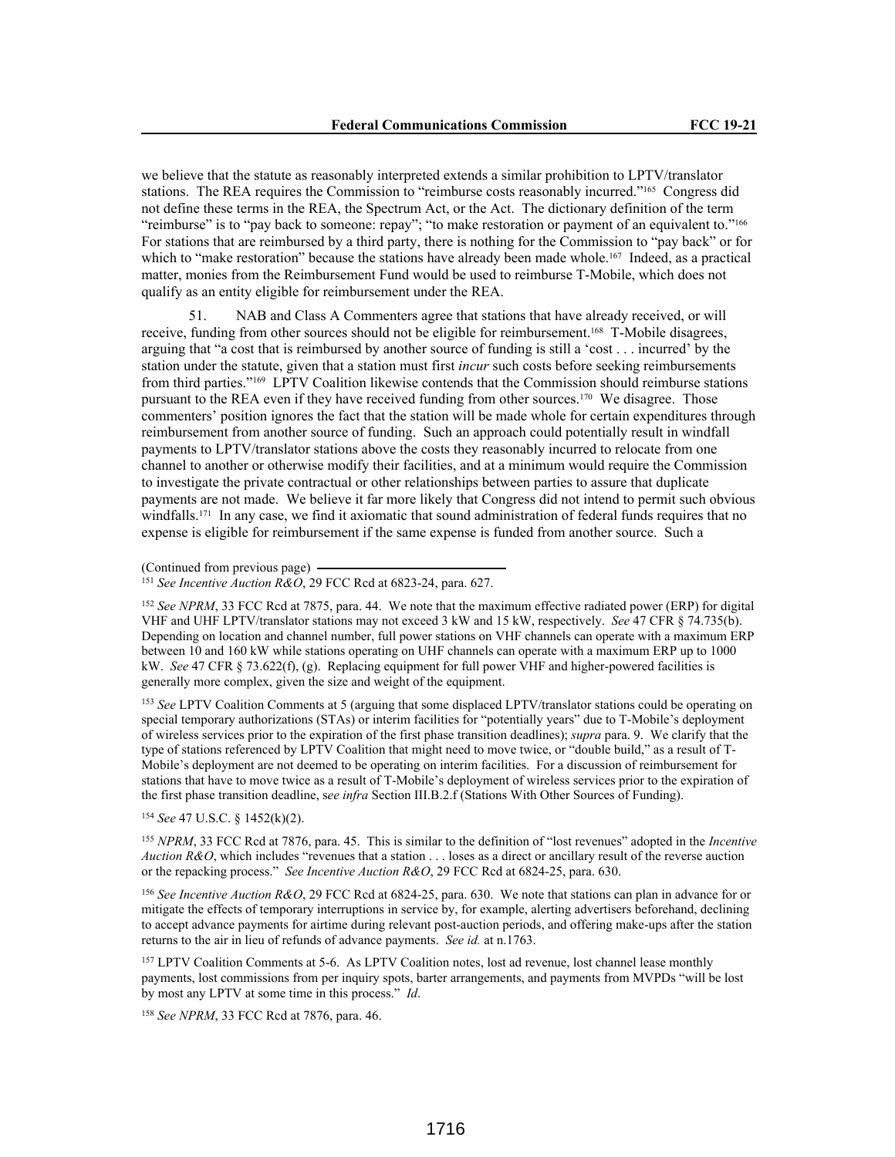we believe that the statute as reasonably interpreted extends a similar prohibition to LPTV/translator stations. The REA requires the Commission to "reimburse costs reasonably incurred."165 Congress did not define these terms in the REA, the Spectrum Act, or the Act. The dictionary definition of the term "reimburse" is to "pay back to someone: repay"; "to make restoration or payment of an equivalent to."<sup>166</sup> For stations that are reimbursed by a third party, there is nothing for the Commission to "pay back" or for which to "make restoration" because the stations have already been made whole.<sup>167</sup> Indeed, as a practical matter, monies from the Reimbursement Fund would be used to reimburse T-Mobile, which does not qualify as an entity eligible for reimbursement under the REA.

51. NAB and Class A Commenters agree that stations that have already received, or will receive, funding from other sources should not be eligible for reimbursement.168 T-Mobile disagrees, arguing that "a cost that is reimbursed by another source of funding is still a 'cost . . . incurred' by the station under the statute, given that a station must first *incur* such costs before seeking reimbursements from third parties."169 LPTV Coalition likewise contends that the Commission should reimburse stations pursuant to the REA even if they have received funding from other sources.170 We disagree. Those commenters' position ignores the fact that the station will be made whole for certain expenditures through reimbursement from another source of funding. Such an approach could potentially result in windfall payments to LPTV/translator stations above the costs they reasonably incurred to relocate from one channel to another or otherwise modify their facilities, and at a minimum would require the Commission to investigate the private contractual or other relationships between parties to assure that duplicate payments are not made. We believe it far more likely that Congress did not intend to permit such obvious windfalls.<sup>171</sup> In any case, we find it axiomatic that sound administration of federal funds requires that no expense is eligible for reimbursement if the same expense is funded from another source. Such a

(Continued from previous page)

<sup>151</sup> *See Incentive Auction R&O*, 29 FCC Rcd at 6823-24, para. 627.

<sup>152</sup> *See NPRM*, 33 FCC Rcd at 7875, para. 44. We note that the maximum effective radiated power (ERP) for digital VHF and UHF LPTV/translator stations may not exceed 3 kW and 15 kW, respectively. *See* 47 CFR § 74.735(b). Depending on location and channel number, full power stations on VHF channels can operate with a maximum ERP between 10 and 160 kW while stations operating on UHF channels can operate with a maximum ERP up to 1000 kW. *See* 47 CFR § 73.622(f), (g). Replacing equipment for full power VHF and higher-powered facilities is generally more complex, given the size and weight of the equipment.

<sup>153</sup> *See* LPTV Coalition Comments at 5 (arguing that some displaced LPTV/translator stations could be operating on special temporary authorizations (STAs) or interim facilities for "potentially years" due to T-Mobile's deployment of wireless services prior to the expiration of the first phase transition deadlines); *supra* para. 9. We clarify that the type of stations referenced by LPTV Coalition that might need to move twice, or "double build," as a result of T-Mobile's deployment are not deemed to be operating on interim facilities. For a discussion of reimbursement for stations that have to move twice as a result of T-Mobile's deployment of wireless services prior to the expiration of the first phase transition deadline, s*ee infra* Section III.B.2.f (Stations With Other Sources of Funding).

<sup>154</sup> *See* 47 U.S.C. § 1452(k)(2).

<sup>155</sup> *NPRM*, 33 FCC Rcd at 7876, para. 45. This is similar to the definition of "lost revenues" adopted in the *Incentive Auction R&O*, which includes "revenues that a station . . . loses as a direct or ancillary result of the reverse auction or the repacking process." *See Incentive Auction R&O*, 29 FCC Rcd at 6824-25, para. 630.

<sup>156</sup> *See Incentive Auction R&O*, 29 FCC Rcd at 6824-25, para. 630. We note that stations can plan in advance for or mitigate the effects of temporary interruptions in service by, for example, alerting advertisers beforehand, declining to accept advance payments for airtime during relevant post-auction periods, and offering make-ups after the station returns to the air in lieu of refunds of advance payments. *See id.* at n.1763.

<sup>157</sup> LPTV Coalition Comments at 5-6. As LPTV Coalition notes, lost ad revenue, lost channel lease monthly payments, lost commissions from per inquiry spots, barter arrangements, and payments from MVPDs "will be lost by most any LPTV at some time in this process." *Id*.

<sup>158</sup> *See NPRM*, 33 FCC Rcd at 7876, para. 46.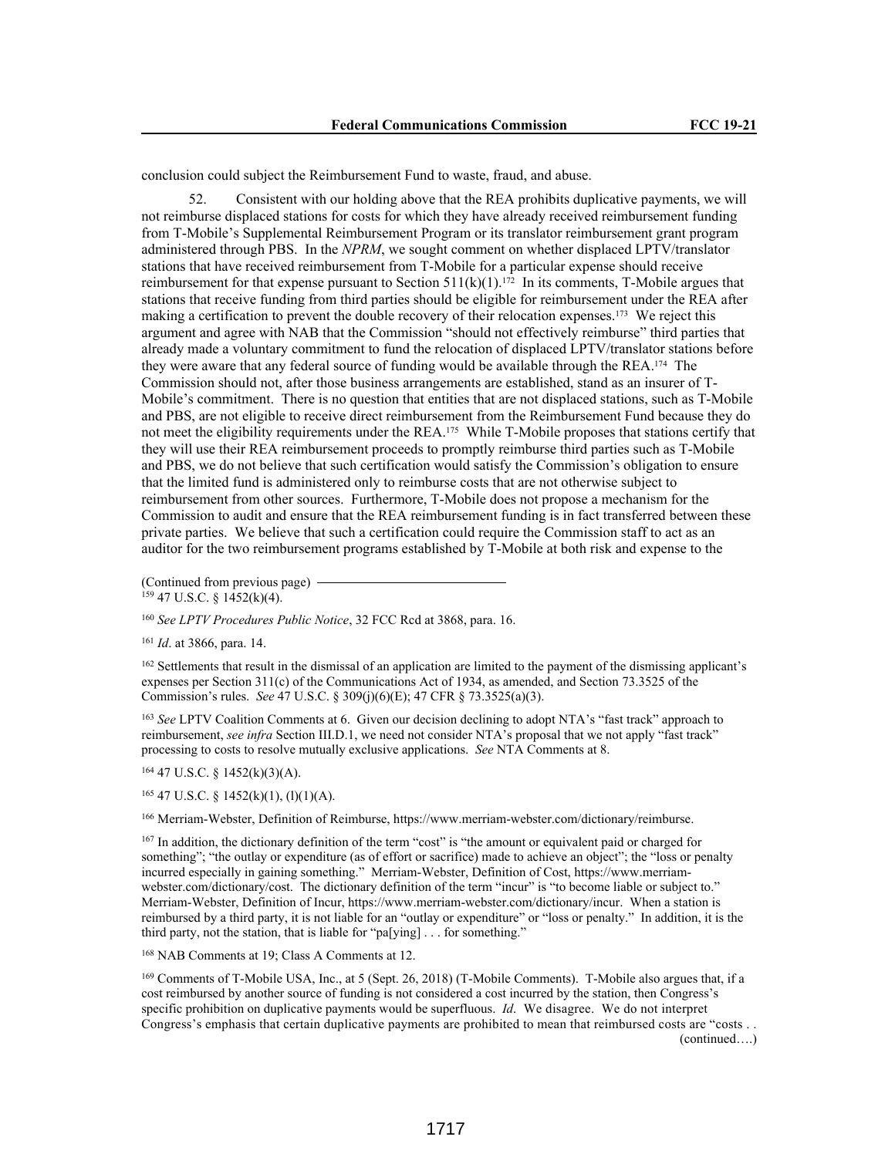conclusion could subject the Reimbursement Fund to waste, fraud, and abuse.

52. Consistent with our holding above that the REA prohibits duplicative payments, we will not reimburse displaced stations for costs for which they have already received reimbursement funding from T-Mobile's Supplemental Reimbursement Program or its translator reimbursement grant program administered through PBS. In the *NPRM*, we sought comment on whether displaced LPTV/translator stations that have received reimbursement from T-Mobile for a particular expense should receive reimbursement for that expense pursuant to Section  $511(k)(1)$ .<sup>172</sup> In its comments, T-Mobile argues that stations that receive funding from third parties should be eligible for reimbursement under the REA after making a certification to prevent the double recovery of their relocation expenses.173 We reject this argument and agree with NAB that the Commission "should not effectively reimburse" third parties that already made a voluntary commitment to fund the relocation of displaced LPTV/translator stations before they were aware that any federal source of funding would be available through the REA.174 The Commission should not, after those business arrangements are established, stand as an insurer of T-Mobile's commitment. There is no question that entities that are not displaced stations, such as T-Mobile and PBS, are not eligible to receive direct reimbursement from the Reimbursement Fund because they do not meet the eligibility requirements under the REA.175 While T-Mobile proposes that stations certify that they will use their REA reimbursement proceeds to promptly reimburse third parties such as T-Mobile and PBS, we do not believe that such certification would satisfy the Commission's obligation to ensure that the limited fund is administered only to reimburse costs that are not otherwise subject to reimbursement from other sources. Furthermore, T-Mobile does not propose a mechanism for the Commission to audit and ensure that the REA reimbursement funding is in fact transferred between these private parties. We believe that such a certification could require the Commission staff to act as an auditor for the two reimbursement programs established by T-Mobile at both risk and expense to the

(Continued from previous page)  $159$  47 U.S.C. § 1452(k)(4).

<sup>160</sup> *See LPTV Procedures Public Notice*, 32 FCC Rcd at 3868, para. 16.

<sup>161</sup> *Id*. at 3866, para. 14.

<sup>162</sup> Settlements that result in the dismissal of an application are limited to the payment of the dismissing applicant's expenses per Section 311(c) of the Communications Act of 1934, as amended, and Section 73.3525 of the Commission's rules. *See* 47 U.S.C. § 309(j)(6)(E); 47 CFR § 73.3525(a)(3).

<sup>163</sup> *See* LPTV Coalition Comments at 6. Given our decision declining to adopt NTA's "fast track" approach to reimbursement, *see infra* Section III.D.1, we need not consider NTA's proposal that we not apply "fast track" processing to costs to resolve mutually exclusive applications. *See* NTA Comments at 8.

<sup>164</sup> 47 U.S.C. § 1452(k)(3)(A).

 $165$  47 U.S.C. § 1452(k)(1), (l)(1)(A).

<sup>166</sup> Merriam-Webster, Definition of Reimburse, https://www.merriam-webster.com/dictionary/reimburse.

<sup>167</sup> In addition, the dictionary definition of the term "cost" is "the amount or equivalent paid or charged for something"; "the outlay or expenditure (as of effort or sacrifice) made to achieve an object"; the "loss or penalty incurred especially in gaining something." Merriam-Webster, Definition of Cost, https://www.merriamwebster.com/dictionary/cost. The dictionary definition of the term "incur" is "to become liable or subject to." Merriam-Webster, Definition of Incur, https://www.merriam-webster.com/dictionary/incur. When a station is reimbursed by a third party, it is not liable for an "outlay or expenditure" or "loss or penalty." In addition, it is the third party, not the station, that is liable for "pa[ying] . . . for something."

<sup>168</sup> NAB Comments at 19; Class A Comments at 12.

<sup>169</sup> Comments of T-Mobile USA, Inc., at 5 (Sept. 26, 2018) (T-Mobile Comments). T-Mobile also argues that, if a cost reimbursed by another source of funding is not considered a cost incurred by the station, then Congress's specific prohibition on duplicative payments would be superfluous. *Id*. We disagree. We do not interpret Congress's emphasis that certain duplicative payments are prohibited to mean that reimbursed costs are "costs . . (continued….)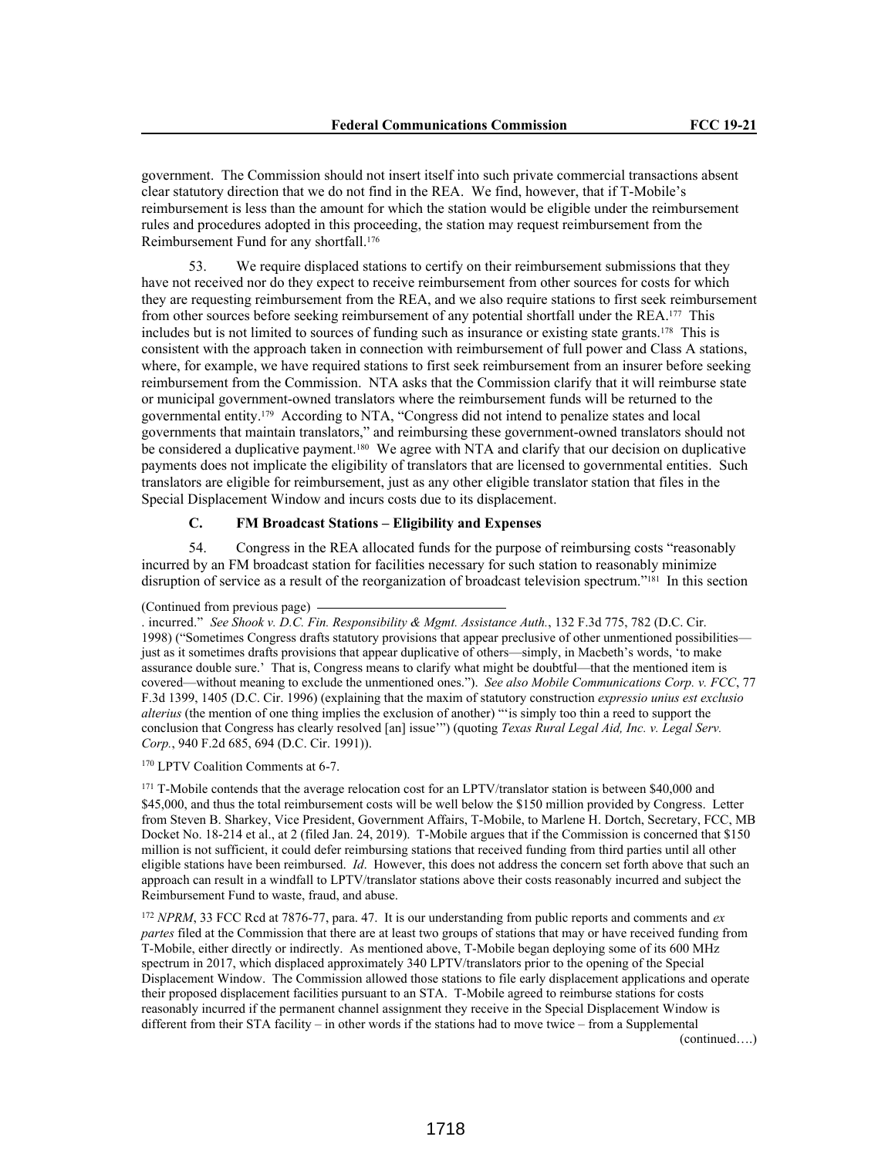government. The Commission should not insert itself into such private commercial transactions absent clear statutory direction that we do not find in the REA. We find, however, that if T-Mobile's reimbursement is less than the amount for which the station would be eligible under the reimbursement rules and procedures adopted in this proceeding, the station may request reimbursement from the Reimbursement Fund for any shortfall.<sup>176</sup>

53. We require displaced stations to certify on their reimbursement submissions that they have not received nor do they expect to receive reimbursement from other sources for costs for which they are requesting reimbursement from the REA, and we also require stations to first seek reimbursement from other sources before seeking reimbursement of any potential shortfall under the REA.177 This includes but is not limited to sources of funding such as insurance or existing state grants.178 This is consistent with the approach taken in connection with reimbursement of full power and Class A stations, where, for example, we have required stations to first seek reimbursement from an insurer before seeking reimbursement from the Commission. NTA asks that the Commission clarify that it will reimburse state or municipal government-owned translators where the reimbursement funds will be returned to the governmental entity.179 According to NTA, "Congress did not intend to penalize states and local governments that maintain translators," and reimbursing these government-owned translators should not be considered a duplicative payment.<sup>180</sup> We agree with NTA and clarify that our decision on duplicative payments does not implicate the eligibility of translators that are licensed to governmental entities. Such translators are eligible for reimbursement, just as any other eligible translator station that files in the Special Displacement Window and incurs costs due to its displacement.

## **C. FM Broadcast Stations – Eligibility and Expenses**

54. Congress in the REA allocated funds for the purpose of reimbursing costs "reasonably incurred by an FM broadcast station for facilities necessary for such station to reasonably minimize disruption of service as a result of the reorganization of broadcast television spectrum."<sup>181</sup> In this section

<sup>170</sup> LPTV Coalition Comments at 6-7.

<sup>171</sup> T-Mobile contends that the average relocation cost for an LPTV/translator station is between \$40,000 and \$45,000, and thus the total reimbursement costs will be well below the \$150 million provided by Congress. Letter from Steven B. Sharkey, Vice President, Government Affairs, T-Mobile, to Marlene H. Dortch, Secretary, FCC, MB Docket No. 18-214 et al., at 2 (filed Jan. 24, 2019). T-Mobile argues that if the Commission is concerned that \$150 million is not sufficient, it could defer reimbursing stations that received funding from third parties until all other eligible stations have been reimbursed. *Id*. However, this does not address the concern set forth above that such an approach can result in a windfall to LPTV/translator stations above their costs reasonably incurred and subject the Reimbursement Fund to waste, fraud, and abuse.

<sup>172</sup> *NPRM*, 33 FCC Rcd at 7876-77, para. 47. It is our understanding from public reports and comments and *ex partes* filed at the Commission that there are at least two groups of stations that may or have received funding from T-Mobile, either directly or indirectly. As mentioned above, T-Mobile began deploying some of its 600 MHz spectrum in 2017, which displaced approximately 340 LPTV/translators prior to the opening of the Special Displacement Window. The Commission allowed those stations to file early displacement applications and operate their proposed displacement facilities pursuant to an STA. T-Mobile agreed to reimburse stations for costs reasonably incurred if the permanent channel assignment they receive in the Special Displacement Window is different from their STA facility – in other words if the stations had to move twice – from a Supplemental

(continued….)

<sup>(</sup>Continued from previous page)

<sup>.</sup> incurred." *See Shook v. D.C. Fin. Responsibility & Mgmt. Assistance Auth.*, 132 F.3d 775, 782 (D.C. Cir. 1998) ("Sometimes Congress drafts statutory provisions that appear preclusive of other unmentioned possibilities just as it sometimes drafts provisions that appear duplicative of others—simply, in Macbeth's words, 'to make assurance double sure.' That is, Congress means to clarify what might be doubtful—that the mentioned item is covered—without meaning to exclude the unmentioned ones."). *See also Mobile Communications Corp. v. FCC*, 77 F.3d 1399, 1405 (D.C. Cir. 1996) (explaining that the maxim of statutory construction *expressio unius est exclusio alterius* (the mention of one thing implies the exclusion of another) "'is simply too thin a reed to support the conclusion that Congress has clearly resolved [an] issue'") (quoting *Texas Rural Legal Aid, Inc. v. Legal Serv. Corp.*, 940 F.2d 685, 694 (D.C. Cir. 1991)).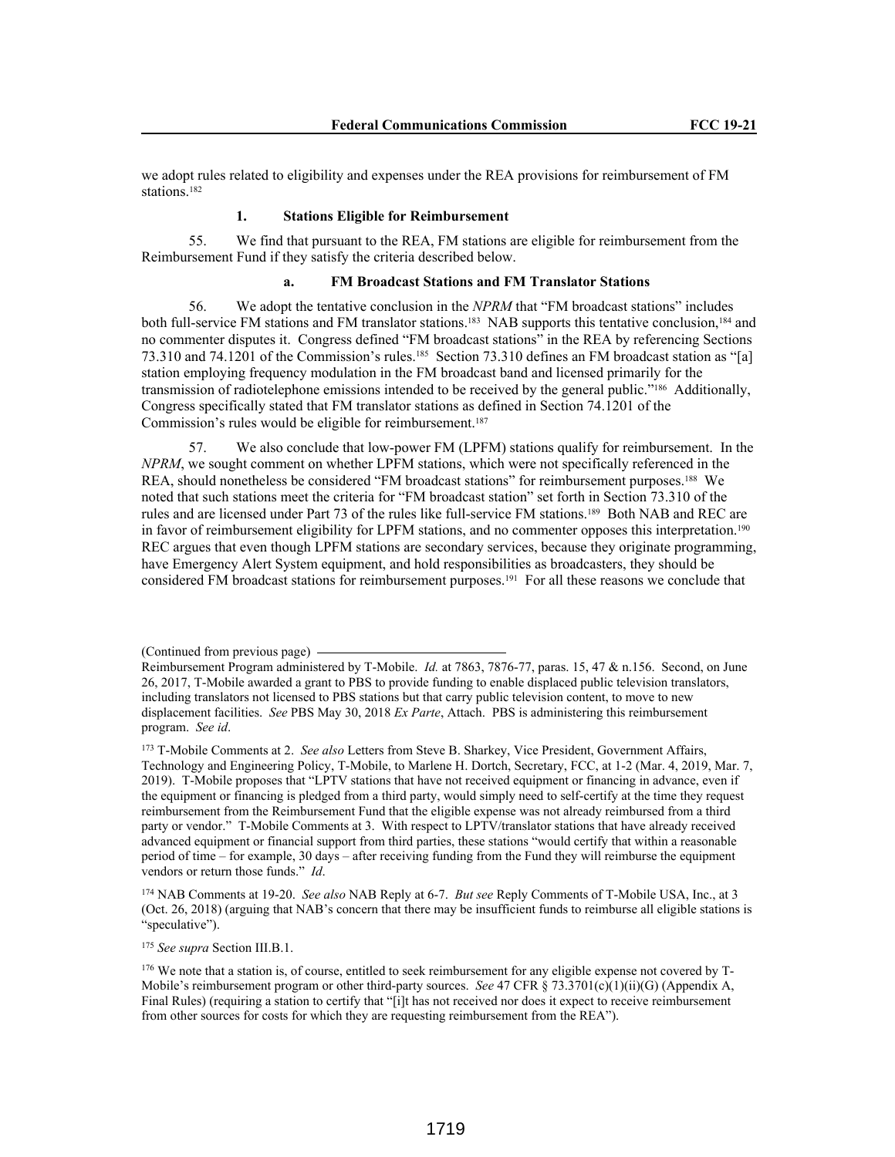we adopt rules related to eligibility and expenses under the REA provisions for reimbursement of FM stations.<sup>182</sup>

## **1. Stations Eligible for Reimbursement**

55. We find that pursuant to the REA, FM stations are eligible for reimbursement from the Reimbursement Fund if they satisfy the criteria described below.

# **a. FM Broadcast Stations and FM Translator Stations**

56. We adopt the tentative conclusion in the *NPRM* that "FM broadcast stations" includes both full-service FM stations and FM translator stations.183 NAB supports this tentative conclusion,184 and no commenter disputes it. Congress defined "FM broadcast stations" in the REA by referencing Sections 73.310 and 74.1201 of the Commission's rules.185 Section 73.310 defines an FM broadcast station as "[a] station employing frequency modulation in the FM broadcast band and licensed primarily for the transmission of radiotelephone emissions intended to be received by the general public."186 Additionally, Congress specifically stated that FM translator stations as defined in Section 74.1201 of the Commission's rules would be eligible for reimbursement.<sup>187</sup>

57. We also conclude that low-power FM (LPFM) stations qualify for reimbursement. In the *NPRM*, we sought comment on whether LPFM stations, which were not specifically referenced in the REA, should nonetheless be considered "FM broadcast stations" for reimbursement purposes.188 We noted that such stations meet the criteria for "FM broadcast station" set forth in Section 73.310 of the rules and are licensed under Part 73 of the rules like full-service FM stations.189 Both NAB and REC are in favor of reimbursement eligibility for LPFM stations, and no commenter opposes this interpretation.<sup>190</sup> REC argues that even though LPFM stations are secondary services, because they originate programming, have Emergency Alert System equipment, and hold responsibilities as broadcasters, they should be considered FM broadcast stations for reimbursement purposes.191 For all these reasons we conclude that

<sup>174</sup> NAB Comments at 19-20. *See also* NAB Reply at 6-7. *But see* Reply Comments of T-Mobile USA, Inc., at 3 (Oct. 26, 2018) (arguing that NAB's concern that there may be insufficient funds to reimburse all eligible stations is "speculative").

<sup>175</sup> *See supra* Section III.B.1.

<sup>(</sup>Continued from previous page)

Reimbursement Program administered by T-Mobile. *Id.* at 7863, 7876-77, paras. 15, 47 & n.156. Second, on June 26, 2017, T-Mobile awarded a grant to PBS to provide funding to enable displaced public television translators, including translators not licensed to PBS stations but that carry public television content, to move to new displacement facilities. *See* PBS May 30, 2018 *Ex Parte*, Attach. PBS is administering this reimbursement program. *See id*.

<sup>173</sup> T-Mobile Comments at 2. *See also* Letters from Steve B. Sharkey, Vice President, Government Affairs, Technology and Engineering Policy, T-Mobile, to Marlene H. Dortch, Secretary, FCC, at 1-2 (Mar. 4, 2019, Mar. 7, 2019). T-Mobile proposes that "LPTV stations that have not received equipment or financing in advance, even if the equipment or financing is pledged from a third party, would simply need to self-certify at the time they request reimbursement from the Reimbursement Fund that the eligible expense was not already reimbursed from a third party or vendor." T-Mobile Comments at 3. With respect to LPTV/translator stations that have already received advanced equipment or financial support from third parties, these stations "would certify that within a reasonable period of time – for example, 30 days – after receiving funding from the Fund they will reimburse the equipment vendors or return those funds." *Id*.

<sup>176</sup> We note that a station is, of course, entitled to seek reimbursement for any eligible expense not covered by T-Mobile's reimbursement program or other third-party sources. *See* 47 CFR § 73.3701(c)(1)(ii)(G) (Appendix A, Final Rules) (requiring a station to certify that "[i]t has not received nor does it expect to receive reimbursement from other sources for costs for which they are requesting reimbursement from the REA").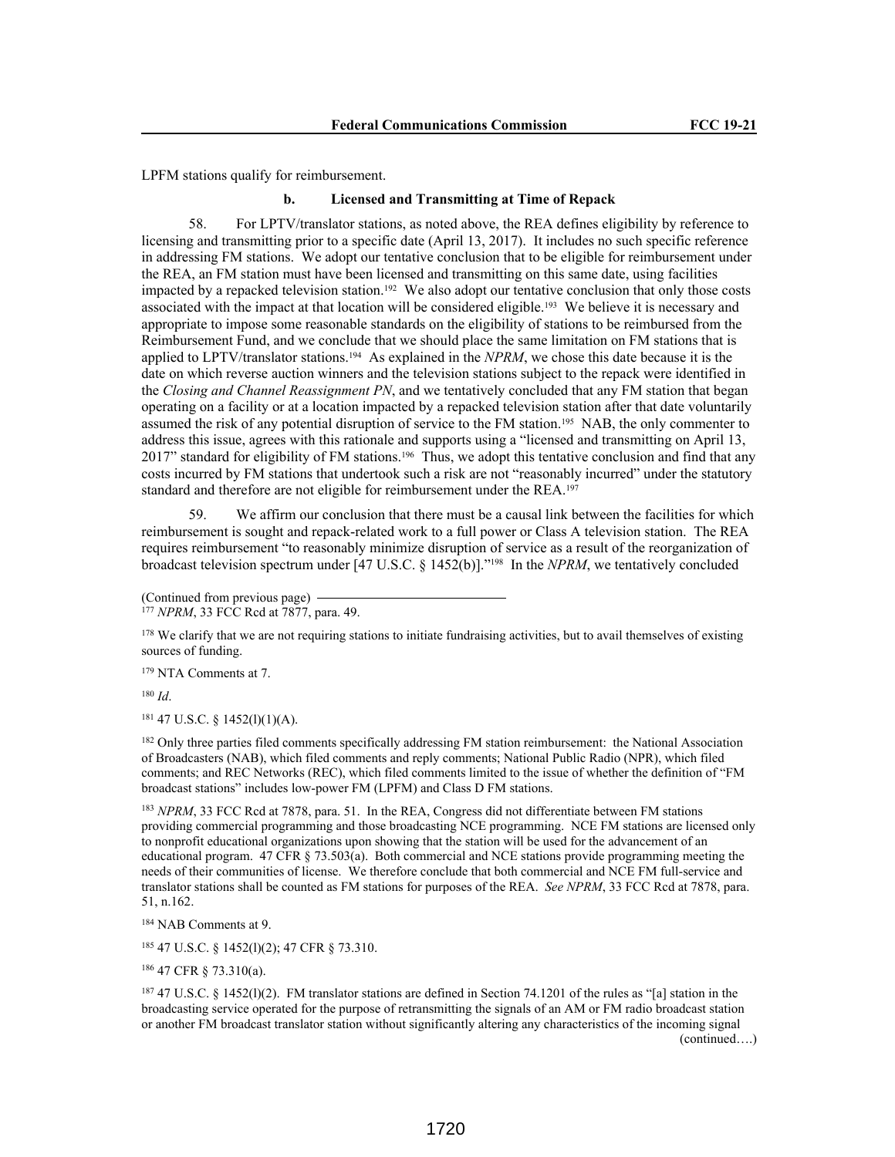LPFM stations qualify for reimbursement.

#### **b. Licensed and Transmitting at Time of Repack**

58. For LPTV/translator stations, as noted above, the REA defines eligibility by reference to licensing and transmitting prior to a specific date (April 13, 2017). It includes no such specific reference in addressing FM stations. We adopt our tentative conclusion that to be eligible for reimbursement under the REA, an FM station must have been licensed and transmitting on this same date, using facilities impacted by a repacked television station.192 We also adopt our tentative conclusion that only those costs associated with the impact at that location will be considered eligible.193 We believe it is necessary and appropriate to impose some reasonable standards on the eligibility of stations to be reimbursed from the Reimbursement Fund, and we conclude that we should place the same limitation on FM stations that is applied to LPTV/translator stations.194 As explained in the *NPRM*, we chose this date because it is the date on which reverse auction winners and the television stations subject to the repack were identified in the *Closing and Channel Reassignment PN*, and we tentatively concluded that any FM station that began operating on a facility or at a location impacted by a repacked television station after that date voluntarily assumed the risk of any potential disruption of service to the FM station.195 NAB, the only commenter to address this issue, agrees with this rationale and supports using a "licensed and transmitting on April 13, 2017" standard for eligibility of FM stations.196 Thus, we adopt this tentative conclusion and find that any costs incurred by FM stations that undertook such a risk are not "reasonably incurred" under the statutory standard and therefore are not eligible for reimbursement under the REA.<sup>197</sup>

We affirm our conclusion that there must be a causal link between the facilities for which reimbursement is sought and repack-related work to a full power or Class A television station. The REA requires reimbursement "to reasonably minimize disruption of service as a result of the reorganization of broadcast television spectrum under [47 U.S.C. § 1452(b)]."198 In the *NPRM*, we tentatively concluded

<sup>179</sup> NTA Comments at 7.

<sup>180</sup> *Id*.

<sup>181</sup> 47 U.S.C. § 1452(l)(1)(A).

<sup>182</sup> Only three parties filed comments specifically addressing FM station reimbursement: the National Association of Broadcasters (NAB), which filed comments and reply comments; National Public Radio (NPR), which filed comments; and REC Networks (REC), which filed comments limited to the issue of whether the definition of "FM broadcast stations" includes low-power FM (LPFM) and Class D FM stations.

<sup>183</sup> *NPRM*, 33 FCC Rcd at 7878, para. 51. In the REA, Congress did not differentiate between FM stations providing commercial programming and those broadcasting NCE programming. NCE FM stations are licensed only to nonprofit educational organizations upon showing that the station will be used for the advancement of an educational program. 47 CFR § 73.503(a). Both commercial and NCE stations provide programming meeting the needs of their communities of license. We therefore conclude that both commercial and NCE FM full-service and translator stations shall be counted as FM stations for purposes of the REA. *See NPRM*, 33 FCC Rcd at 7878, para. 51, n.162.

<sup>184</sup> NAB Comments at 9.

<sup>185</sup> 47 U.S.C. § 1452(l)(2); 47 CFR § 73.310.

<sup>186</sup> 47 CFR § 73.310(a).

<sup>187</sup> 47 U.S.C. § 1452(l)(2). FM translator stations are defined in Section 74.1201 of the rules as "[a] station in the broadcasting service operated for the purpose of retransmitting the signals of an AM or FM radio broadcast station or another FM broadcast translator station without significantly altering any characteristics of the incoming signal (continued….)

<sup>(</sup>Continued from previous page)

<sup>177</sup> *NPRM*, 33 FCC Rcd at 7877, para. 49.

<sup>&</sup>lt;sup>178</sup> We clarify that we are not requiring stations to initiate fundraising activities, but to avail themselves of existing sources of funding.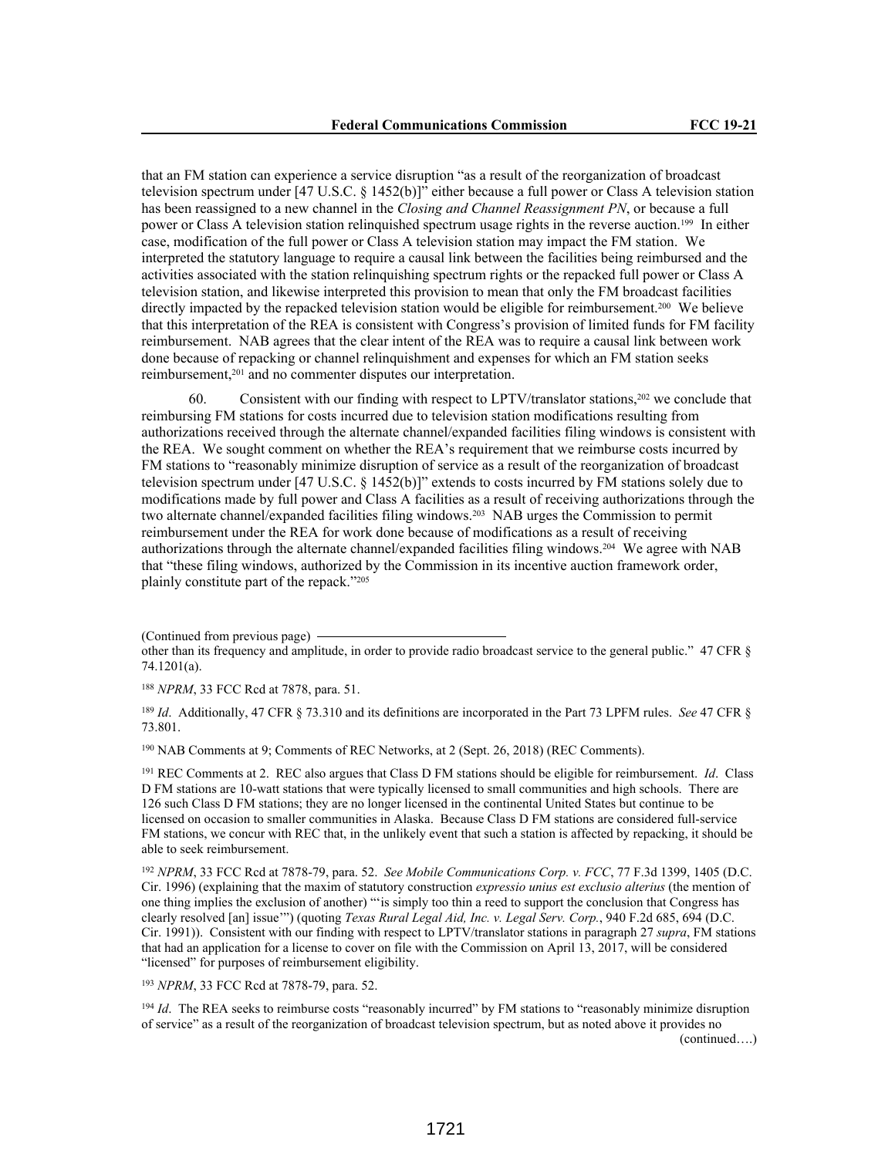that an FM station can experience a service disruption "as a result of the reorganization of broadcast television spectrum under [47 U.S.C. § 1452(b)]" either because a full power or Class A television station has been reassigned to a new channel in the *Closing and Channel Reassignment PN*, or because a full power or Class A television station relinquished spectrum usage rights in the reverse auction.199 In either case, modification of the full power or Class A television station may impact the FM station. We interpreted the statutory language to require a causal link between the facilities being reimbursed and the activities associated with the station relinquishing spectrum rights or the repacked full power or Class A television station, and likewise interpreted this provision to mean that only the FM broadcast facilities directly impacted by the repacked television station would be eligible for reimbursement.200 We believe that this interpretation of the REA is consistent with Congress's provision of limited funds for FM facility reimbursement. NAB agrees that the clear intent of the REA was to require a causal link between work done because of repacking or channel relinquishment and expenses for which an FM station seeks reimbursement,201 and no commenter disputes our interpretation.

60. Consistent with our finding with respect to LPTV/translator stations,202 we conclude that reimbursing FM stations for costs incurred due to television station modifications resulting from authorizations received through the alternate channel/expanded facilities filing windows is consistent with the REA. We sought comment on whether the REA's requirement that we reimburse costs incurred by FM stations to "reasonably minimize disruption of service as a result of the reorganization of broadcast television spectrum under [47 U.S.C. § 1452(b)]" extends to costs incurred by FM stations solely due to modifications made by full power and Class A facilities as a result of receiving authorizations through the two alternate channel/expanded facilities filing windows.203 NAB urges the Commission to permit reimbursement under the REA for work done because of modifications as a result of receiving authorizations through the alternate channel/expanded facilities filing windows.204 We agree with NAB that "these filing windows, authorized by the Commission in its incentive auction framework order, plainly constitute part of the repack."<sup>205</sup>

<sup>188</sup> *NPRM*, 33 FCC Rcd at 7878, para. 51.

<sup>189</sup> *Id*. Additionally, 47 CFR § 73.310 and its definitions are incorporated in the Part 73 LPFM rules. *See* 47 CFR § 73.801.

<sup>190</sup> NAB Comments at 9; Comments of REC Networks, at 2 (Sept. 26, 2018) (REC Comments).

<sup>191</sup> REC Comments at 2. REC also argues that Class D FM stations should be eligible for reimbursement. *Id*. Class D FM stations are 10-watt stations that were typically licensed to small communities and high schools. There are 126 such Class D FM stations; they are no longer licensed in the continental United States but continue to be licensed on occasion to smaller communities in Alaska. Because Class D FM stations are considered full-service FM stations, we concur with REC that, in the unlikely event that such a station is affected by repacking, it should be able to seek reimbursement.

<sup>192</sup> *NPRM*, 33 FCC Rcd at 7878-79, para. 52. *See Mobile Communications Corp. v. FCC*, 77 F.3d 1399, 1405 (D.C. Cir. 1996) (explaining that the maxim of statutory construction *expressio unius est exclusio alterius* (the mention of one thing implies the exclusion of another) "'is simply too thin a reed to support the conclusion that Congress has clearly resolved [an] issue'") (quoting *Texas Rural Legal Aid, Inc. v. Legal Serv. Corp.*, 940 F.2d 685, 694 (D.C. Cir. 1991)). Consistent with our finding with respect to LPTV/translator stations in paragraph 27 *supra*, FM stations that had an application for a license to cover on file with the Commission on April 13, 2017, will be considered "licensed" for purposes of reimbursement eligibility.

<sup>193</sup> *NPRM*, 33 FCC Rcd at 7878-79, para. 52.

<sup>194</sup> *Id*. The REA seeks to reimburse costs "reasonably incurred" by FM stations to "reasonably minimize disruption of service" as a result of the reorganization of broadcast television spectrum, but as noted above it provides no (continued….)

<sup>(</sup>Continued from previous page) other than its frequency and amplitude, in order to provide radio broadcast service to the general public." 47 CFR § 74.1201(a).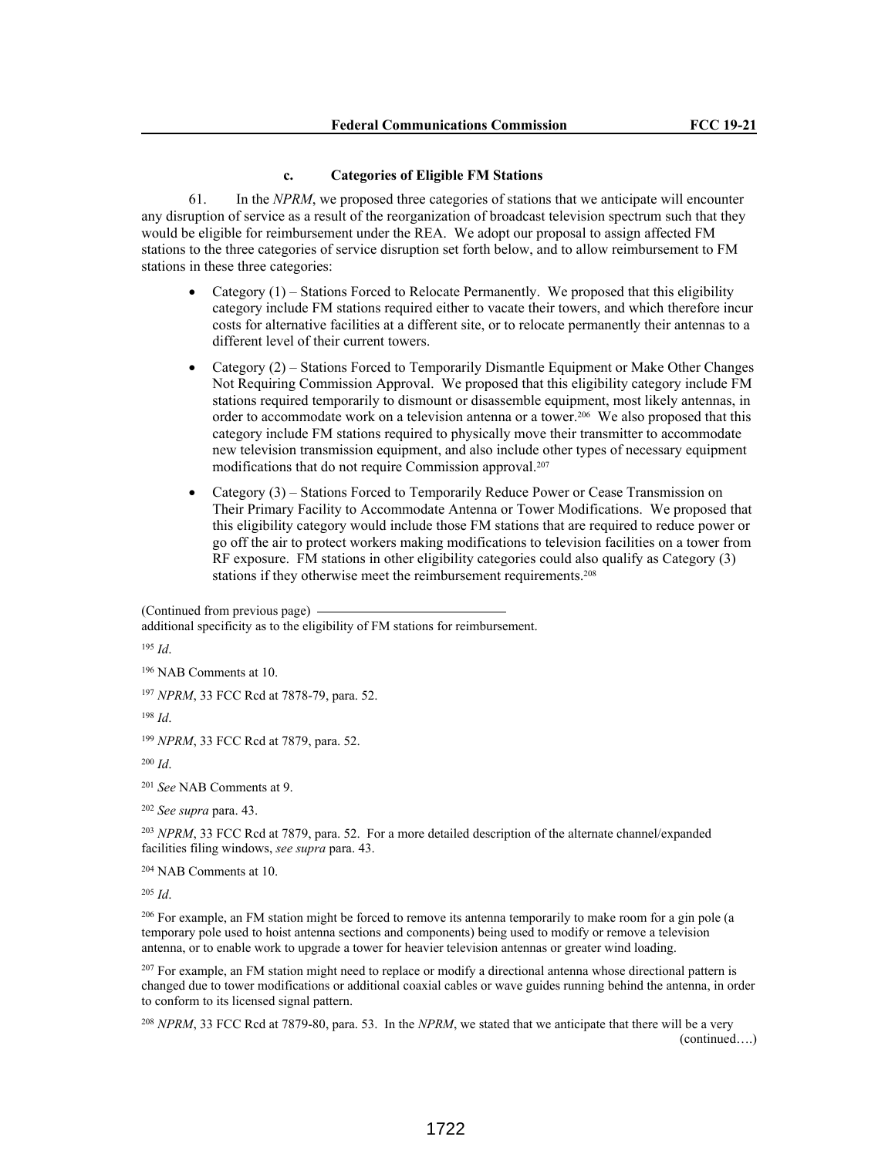#### **c. Categories of Eligible FM Stations**

61. In the *NPRM*, we proposed three categories of stations that we anticipate will encounter any disruption of service as a result of the reorganization of broadcast television spectrum such that they would be eligible for reimbursement under the REA. We adopt our proposal to assign affected FM stations to the three categories of service disruption set forth below, and to allow reimbursement to FM stations in these three categories:

- Category (1) Stations Forced to Relocate Permanently. We proposed that this eligibility category include FM stations required either to vacate their towers, and which therefore incur costs for alternative facilities at a different site, or to relocate permanently their antennas to a different level of their current towers.
- Category (2) Stations Forced to Temporarily Dismantle Equipment or Make Other Changes Not Requiring Commission Approval. We proposed that this eligibility category include FM stations required temporarily to dismount or disassemble equipment, most likely antennas, in order to accommodate work on a television antenna or a tower.<sup>206</sup> We also proposed that this category include FM stations required to physically move their transmitter to accommodate new television transmission equipment, and also include other types of necessary equipment modifications that do not require Commission approval.<sup>207</sup>
- Category (3) Stations Forced to Temporarily Reduce Power or Cease Transmission on Their Primary Facility to Accommodate Antenna or Tower Modifications. We proposed that this eligibility category would include those FM stations that are required to reduce power or go off the air to protect workers making modifications to television facilities on a tower from RF exposure. FM stations in other eligibility categories could also qualify as Category (3) stations if they otherwise meet the reimbursement requirements.<sup>208</sup>

(Continued from previous page)

additional specificity as to the eligibility of FM stations for reimbursement.

<sup>195</sup> *Id*.

<sup>196</sup> NAB Comments at 10.

<sup>197</sup> *NPRM*, 33 FCC Rcd at 7878-79, para. 52.

<sup>198</sup> *Id*.

<sup>199</sup> *NPRM*, 33 FCC Rcd at 7879, para. 52.

<sup>200</sup> *Id*.

<sup>201</sup> *See* NAB Comments at 9.

<sup>202</sup> *See supra* para. 43.

<sup>203</sup> *NPRM*, 33 FCC Rcd at 7879, para. 52. For a more detailed description of the alternate channel/expanded facilities filing windows, *see supra* para. 43.

<sup>204</sup> NAB Comments at 10.

<sup>205</sup> *Id*.

<sup>206</sup> For example, an FM station might be forced to remove its antenna temporarily to make room for a gin pole (a temporary pole used to hoist antenna sections and components) being used to modify or remove a television antenna, or to enable work to upgrade a tower for heavier television antennas or greater wind loading.

<sup>207</sup> For example, an FM station might need to replace or modify a directional antenna whose directional pattern is changed due to tower modifications or additional coaxial cables or wave guides running behind the antenna, in order to conform to its licensed signal pattern.

<sup>208</sup> *NPRM*, 33 FCC Rcd at 7879-80, para. 53. In the *NPRM*, we stated that we anticipate that there will be a very (continued….)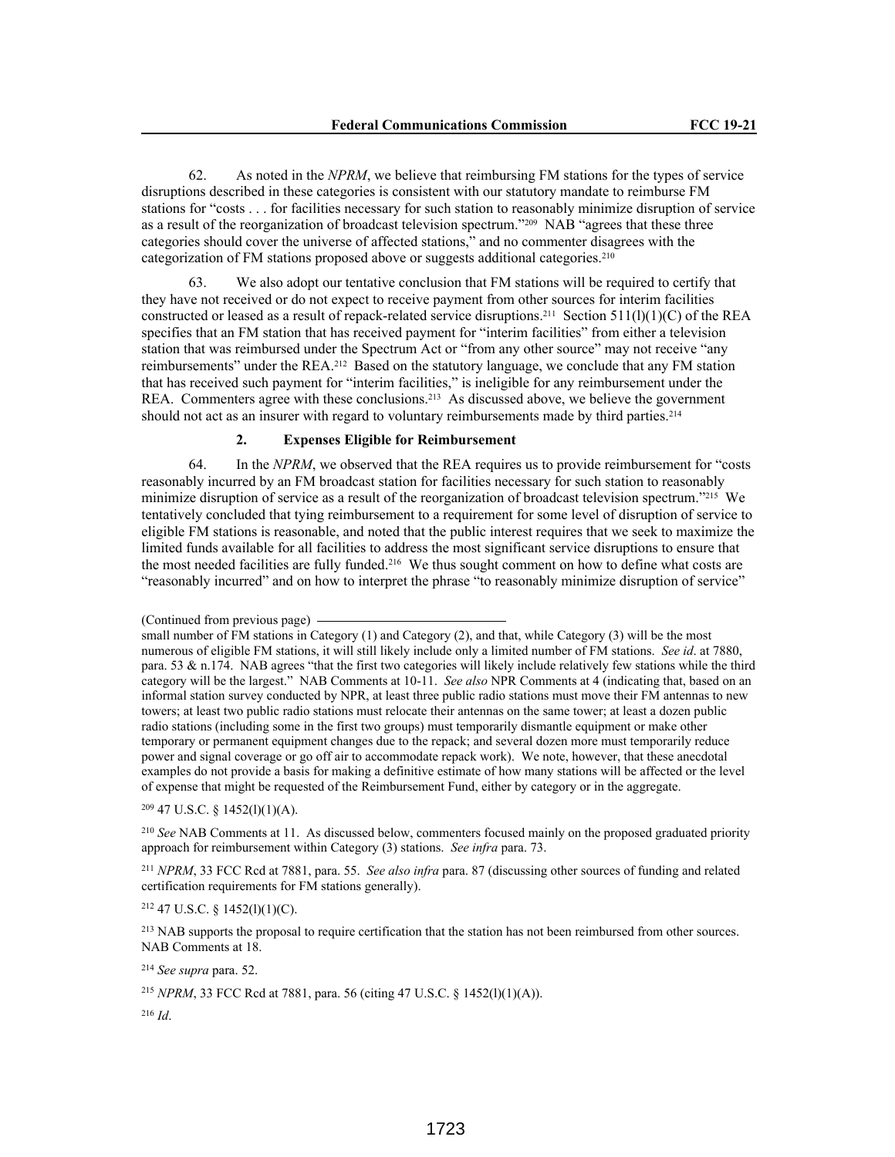62. As noted in the *NPRM*, we believe that reimbursing FM stations for the types of service disruptions described in these categories is consistent with our statutory mandate to reimburse FM stations for "costs . . . for facilities necessary for such station to reasonably minimize disruption of service as a result of the reorganization of broadcast television spectrum."209 NAB "agrees that these three categories should cover the universe of affected stations," and no commenter disagrees with the categorization of FM stations proposed above or suggests additional categories.<sup>210</sup>

63. We also adopt our tentative conclusion that FM stations will be required to certify that they have not received or do not expect to receive payment from other sources for interim facilities constructed or leased as a result of repack-related service disruptions.<sup>211</sup> Section 511(l)(1)(C) of the REA specifies that an FM station that has received payment for "interim facilities" from either a television station that was reimbursed under the Spectrum Act or "from any other source" may not receive "any reimbursements" under the REA.212 Based on the statutory language, we conclude that any FM station that has received such payment for "interim facilities," is ineligible for any reimbursement under the REA. Commenters agree with these conclusions.213 As discussed above, we believe the government should not act as an insurer with regard to voluntary reimbursements made by third parties.<sup>214</sup>

### **2. Expenses Eligible for Reimbursement**

64. In the *NPRM*, we observed that the REA requires us to provide reimbursement for "costs reasonably incurred by an FM broadcast station for facilities necessary for such station to reasonably minimize disruption of service as a result of the reorganization of broadcast television spectrum."215 We tentatively concluded that tying reimbursement to a requirement for some level of disruption of service to eligible FM stations is reasonable, and noted that the public interest requires that we seek to maximize the limited funds available for all facilities to address the most significant service disruptions to ensure that the most needed facilities are fully funded.216 We thus sought comment on how to define what costs are "reasonably incurred" and on how to interpret the phrase "to reasonably minimize disruption of service"

<sup>209</sup> 47 U.S.C. § 1452(l)(1)(A).

<sup>210</sup> *See* NAB Comments at 11. As discussed below, commenters focused mainly on the proposed graduated priority approach for reimbursement within Category (3) stations. *See infra* para. 73.

<sup>211</sup> *NPRM*, 33 FCC Rcd at 7881, para. 55. *See also infra* para. 87 (discussing other sources of funding and related certification requirements for FM stations generally).

# <sup>212</sup> 47 U.S.C. § 1452(l)(1)(C).

<sup>213</sup> NAB supports the proposal to require certification that the station has not been reimbursed from other sources. NAB Comments at 18.

<sup>214</sup> *See supra* para. 52.

<sup>215</sup> *NPRM*, 33 FCC Rcd at 7881, para. 56 (citing 47 U.S.C. § 1452(l)(1)(A)).

<sup>216</sup> *Id*.

<sup>(</sup>Continued from previous page)

small number of FM stations in Category (1) and Category (2), and that, while Category (3) will be the most numerous of eligible FM stations, it will still likely include only a limited number of FM stations. *See id*. at 7880, para. 53  $\&$  n.174. NAB agrees "that the first two categories will likely include relatively few stations while the third category will be the largest." NAB Comments at 10-11. *See also* NPR Comments at 4 (indicating that, based on an informal station survey conducted by NPR, at least three public radio stations must move their FM antennas to new towers; at least two public radio stations must relocate their antennas on the same tower; at least a dozen public radio stations (including some in the first two groups) must temporarily dismantle equipment or make other temporary or permanent equipment changes due to the repack; and several dozen more must temporarily reduce power and signal coverage or go off air to accommodate repack work). We note, however, that these anecdotal examples do not provide a basis for making a definitive estimate of how many stations will be affected or the level of expense that might be requested of the Reimbursement Fund, either by category or in the aggregate.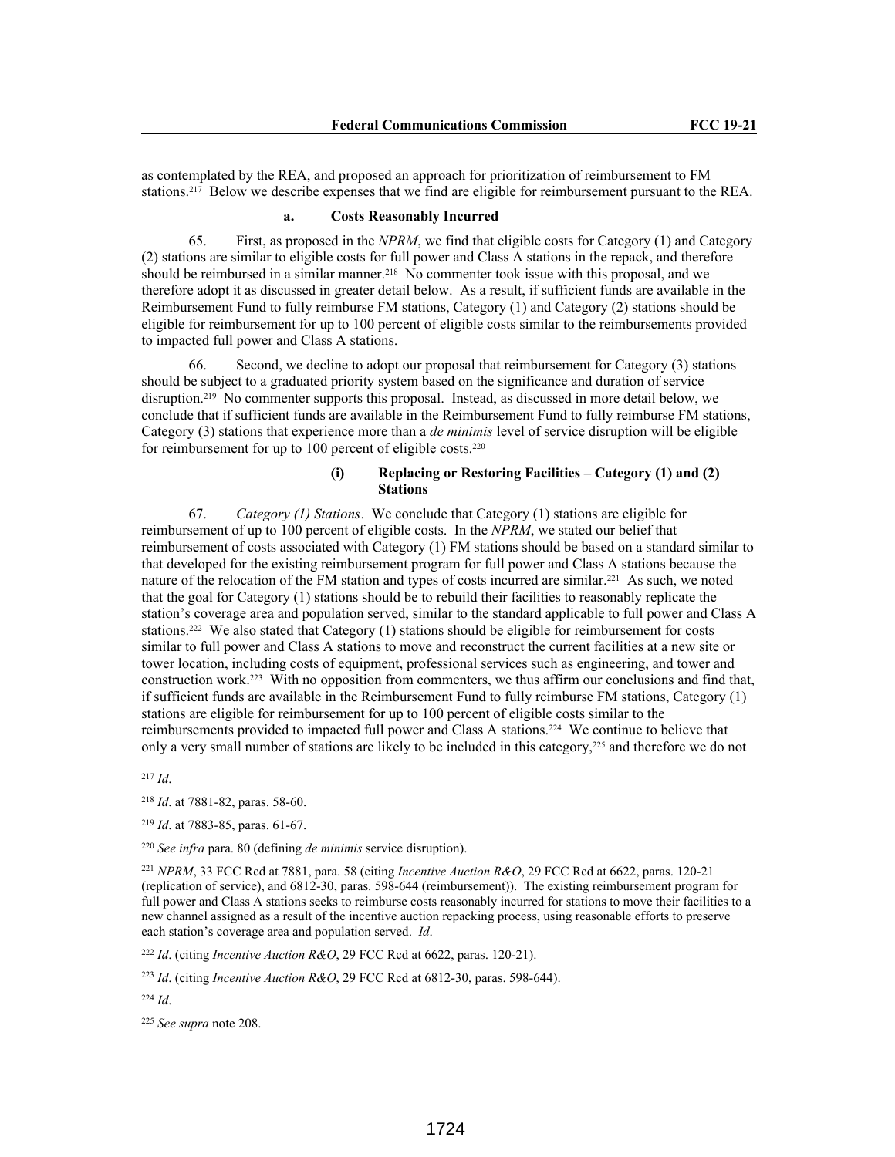as contemplated by the REA, and proposed an approach for prioritization of reimbursement to FM stations.<sup>217</sup> Below we describe expenses that we find are eligible for reimbursement pursuant to the REA.

# **a. Costs Reasonably Incurred**

65. First, as proposed in the *NPRM*, we find that eligible costs for Category (1) and Category (2) stations are similar to eligible costs for full power and Class A stations in the repack, and therefore should be reimbursed in a similar manner.<sup>218</sup> No commenter took issue with this proposal, and we therefore adopt it as discussed in greater detail below. As a result, if sufficient funds are available in the Reimbursement Fund to fully reimburse FM stations, Category (1) and Category (2) stations should be eligible for reimbursement for up to 100 percent of eligible costs similar to the reimbursements provided to impacted full power and Class A stations.

66. Second, we decline to adopt our proposal that reimbursement for Category (3) stations should be subject to a graduated priority system based on the significance and duration of service disruption.219 No commenter supports this proposal. Instead, as discussed in more detail below, we conclude that if sufficient funds are available in the Reimbursement Fund to fully reimburse FM stations, Category (3) stations that experience more than a *de minimis* level of service disruption will be eligible for reimbursement for up to 100 percent of eligible costs.<sup>220</sup>

# **(i) Replacing or Restoring Facilities – Category (1) and (2) Stations**

67. *Category (1) Stations*. We conclude that Category (1) stations are eligible for reimbursement of up to 100 percent of eligible costs. In the *NPRM*, we stated our belief that reimbursement of costs associated with Category (1) FM stations should be based on a standard similar to that developed for the existing reimbursement program for full power and Class A stations because the nature of the relocation of the FM station and types of costs incurred are similar.221 As such, we noted that the goal for Category (1) stations should be to rebuild their facilities to reasonably replicate the station's coverage area and population served, similar to the standard applicable to full power and Class A stations.222 We also stated that Category (1) stations should be eligible for reimbursement for costs similar to full power and Class A stations to move and reconstruct the current facilities at a new site or tower location, including costs of equipment, professional services such as engineering, and tower and construction work.223 With no opposition from commenters, we thus affirm our conclusions and find that, if sufficient funds are available in the Reimbursement Fund to fully reimburse FM stations, Category (1) stations are eligible for reimbursement for up to 100 percent of eligible costs similar to the reimbursements provided to impacted full power and Class A stations.224 We continue to believe that only a very small number of stations are likely to be included in this category,225 and therefore we do not

<sup>217</sup> *Id*.

<sup>219</sup> *Id*. at 7883-85, paras. 61-67.

<sup>220</sup> *See infra* para. 80 (defining *de minimis* service disruption).

<sup>221</sup> *NPRM*, 33 FCC Rcd at 7881, para. 58 (citing *Incentive Auction R&O*, 29 FCC Rcd at 6622, paras. 120-21 (replication of service), and 6812-30, paras. 598-644 (reimbursement)). The existing reimbursement program for full power and Class A stations seeks to reimburse costs reasonably incurred for stations to move their facilities to a new channel assigned as a result of the incentive auction repacking process, using reasonable efforts to preserve each station's coverage area and population served. *Id*.

<sup>222</sup> *Id*. (citing *Incentive Auction R&O*, 29 FCC Rcd at 6622, paras. 120-21).

<sup>223</sup> *Id*. (citing *Incentive Auction R&O*, 29 FCC Rcd at 6812-30, paras. 598-644).

<sup>224</sup> *Id*.

<sup>225</sup> *See supra* note 208.

<sup>218</sup> *Id*. at 7881-82, paras. 58-60.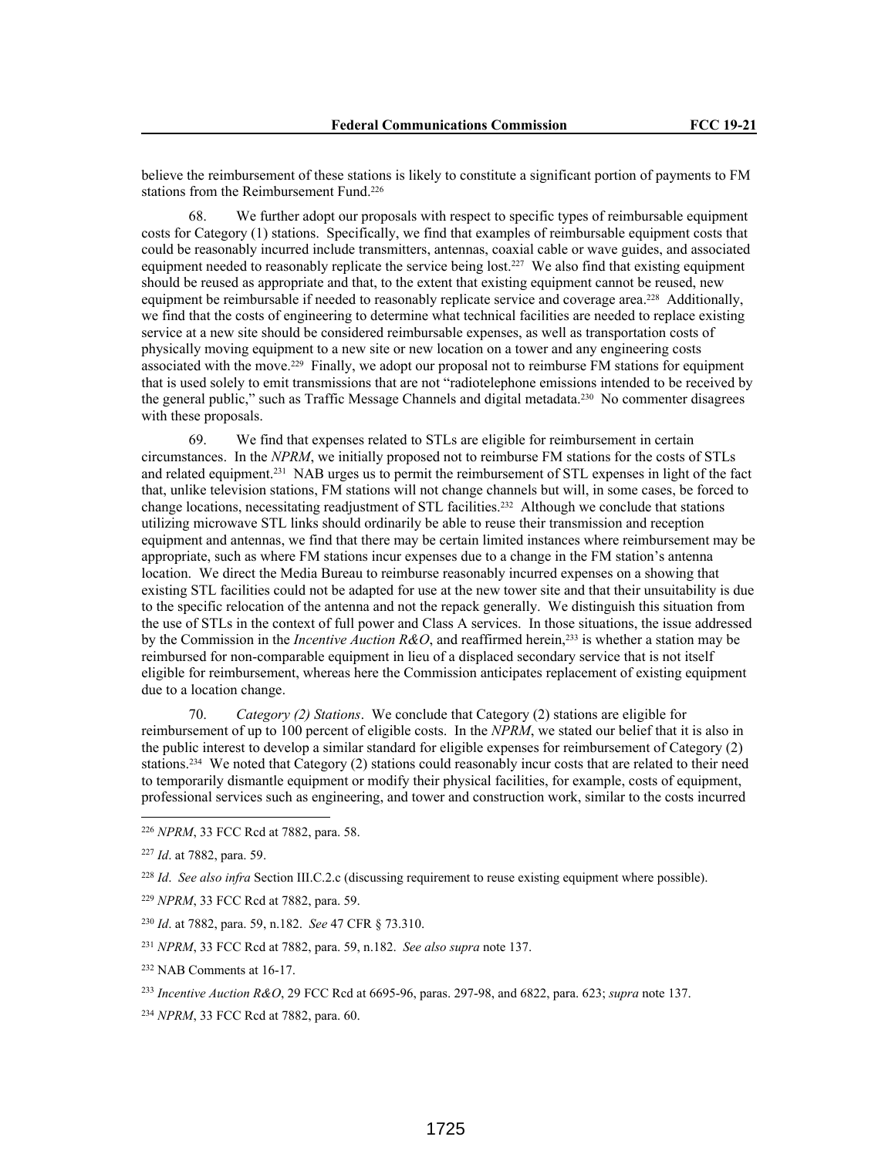believe the reimbursement of these stations is likely to constitute a significant portion of payments to FM stations from the Reimbursement Fund.<sup>226</sup>

68. We further adopt our proposals with respect to specific types of reimbursable equipment costs for Category (1) stations. Specifically, we find that examples of reimbursable equipment costs that could be reasonably incurred include transmitters, antennas, coaxial cable or wave guides, and associated equipment needed to reasonably replicate the service being lost.227 We also find that existing equipment should be reused as appropriate and that, to the extent that existing equipment cannot be reused, new equipment be reimbursable if needed to reasonably replicate service and coverage area.<sup>228</sup> Additionally, we find that the costs of engineering to determine what technical facilities are needed to replace existing service at a new site should be considered reimbursable expenses, as well as transportation costs of physically moving equipment to a new site or new location on a tower and any engineering costs associated with the move.229 Finally, we adopt our proposal not to reimburse FM stations for equipment that is used solely to emit transmissions that are not "radiotelephone emissions intended to be received by the general public," such as Traffic Message Channels and digital metadata.230 No commenter disagrees with these proposals.

69. We find that expenses related to STLs are eligible for reimbursement in certain circumstances. In the *NPRM*, we initially proposed not to reimburse FM stations for the costs of STLs and related equipment.231 NAB urges us to permit the reimbursement of STL expenses in light of the fact that, unlike television stations, FM stations will not change channels but will, in some cases, be forced to change locations, necessitating readjustment of STL facilities.232 Although we conclude that stations utilizing microwave STL links should ordinarily be able to reuse their transmission and reception equipment and antennas, we find that there may be certain limited instances where reimbursement may be appropriate, such as where FM stations incur expenses due to a change in the FM station's antenna location. We direct the Media Bureau to reimburse reasonably incurred expenses on a showing that existing STL facilities could not be adapted for use at the new tower site and that their unsuitability is due to the specific relocation of the antenna and not the repack generally. We distinguish this situation from the use of STLs in the context of full power and Class A services. In those situations, the issue addressed by the Commission in the *Incentive Auction R&O*, and reaffirmed herein,233 is whether a station may be reimbursed for non-comparable equipment in lieu of a displaced secondary service that is not itself eligible for reimbursement, whereas here the Commission anticipates replacement of existing equipment due to a location change.

70. *Category (2) Stations*. We conclude that Category (2) stations are eligible for reimbursement of up to 100 percent of eligible costs. In the *NPRM*, we stated our belief that it is also in the public interest to develop a similar standard for eligible expenses for reimbursement of Category (2) stations.234 We noted that Category (2) stations could reasonably incur costs that are related to their need to temporarily dismantle equipment or modify their physical facilities, for example, costs of equipment, professional services such as engineering, and tower and construction work, similar to the costs incurred

<sup>230</sup> *Id*. at 7882, para. 59, n.182. *See* 47 CFR § 73.310.

<sup>232</sup> NAB Comments at 16-17.

<sup>226</sup> *NPRM*, 33 FCC Rcd at 7882, para. 58.

<sup>227</sup> *Id*. at 7882, para. 59.

<sup>228</sup> *Id*. *See also infra* Section III.C.2.c (discussing requirement to reuse existing equipment where possible).

<sup>229</sup> *NPRM*, 33 FCC Rcd at 7882, para. 59.

<sup>231</sup> *NPRM*, 33 FCC Rcd at 7882, para. 59, n.182. *See also supra* note 137.

<sup>233</sup> *Incentive Auction R&O*, 29 FCC Rcd at 6695-96, paras. 297-98, and 6822, para. 623; *supra* note 137.

<sup>234</sup> *NPRM*, 33 FCC Rcd at 7882, para. 60.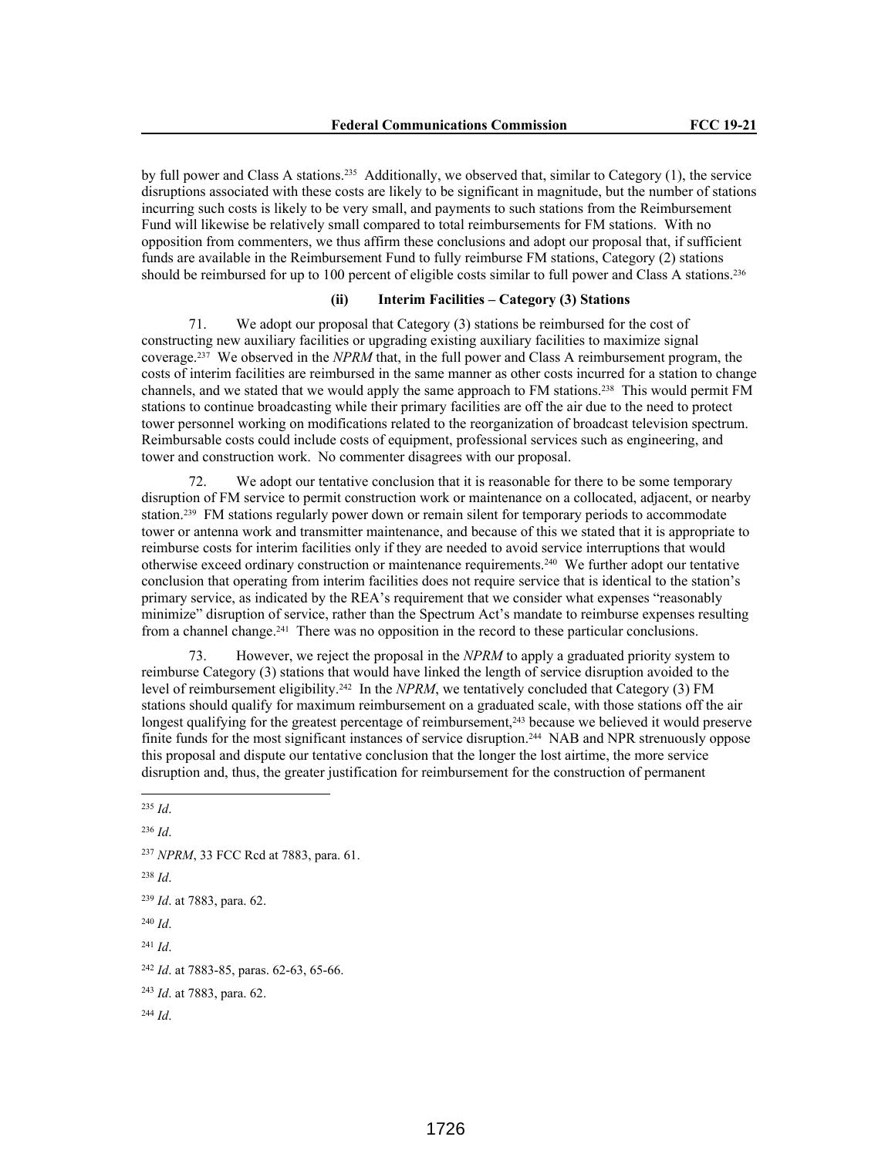by full power and Class A stations.<sup>235</sup> Additionally, we observed that, similar to Category (1), the service disruptions associated with these costs are likely to be significant in magnitude, but the number of stations incurring such costs is likely to be very small, and payments to such stations from the Reimbursement Fund will likewise be relatively small compared to total reimbursements for FM stations. With no opposition from commenters, we thus affirm these conclusions and adopt our proposal that, if sufficient funds are available in the Reimbursement Fund to fully reimburse FM stations, Category (2) stations should be reimbursed for up to 100 percent of eligible costs similar to full power and Class A stations.<sup>236</sup>

## **(ii) Interim Facilities – Category (3) Stations**

71. We adopt our proposal that Category (3) stations be reimbursed for the cost of constructing new auxiliary facilities or upgrading existing auxiliary facilities to maximize signal coverage.237 We observed in the *NPRM* that, in the full power and Class A reimbursement program, the costs of interim facilities are reimbursed in the same manner as other costs incurred for a station to change channels, and we stated that we would apply the same approach to FM stations.238 This would permit FM stations to continue broadcasting while their primary facilities are off the air due to the need to protect tower personnel working on modifications related to the reorganization of broadcast television spectrum. Reimbursable costs could include costs of equipment, professional services such as engineering, and tower and construction work. No commenter disagrees with our proposal.

72. We adopt our tentative conclusion that it is reasonable for there to be some temporary disruption of FM service to permit construction work or maintenance on a collocated, adjacent, or nearby station.<sup>239</sup> FM stations regularly power down or remain silent for temporary periods to accommodate tower or antenna work and transmitter maintenance, and because of this we stated that it is appropriate to reimburse costs for interim facilities only if they are needed to avoid service interruptions that would otherwise exceed ordinary construction or maintenance requirements.240 We further adopt our tentative conclusion that operating from interim facilities does not require service that is identical to the station's primary service, as indicated by the REA's requirement that we consider what expenses "reasonably minimize" disruption of service, rather than the Spectrum Act's mandate to reimburse expenses resulting from a channel change.241 There was no opposition in the record to these particular conclusions.

73. However, we reject the proposal in the *NPRM* to apply a graduated priority system to reimburse Category (3) stations that would have linked the length of service disruption avoided to the level of reimbursement eligibility.<sup>242</sup> In the *NPRM*, we tentatively concluded that Category (3) FM stations should qualify for maximum reimbursement on a graduated scale, with those stations off the air longest qualifying for the greatest percentage of reimbursement,<sup>243</sup> because we believed it would preserve finite funds for the most significant instances of service disruption.244 NAB and NPR strenuously oppose this proposal and dispute our tentative conclusion that the longer the lost airtime, the more service disruption and, thus, the greater justification for reimbursement for the construction of permanent

```
236 Id.
237 NPRM, 33 FCC Rcd at 7883, para. 61.
238 Id.
239 Id. at 7883, para. 62.
240 Id. 
241 Id.
242 Id. at 7883-85, paras. 62-63, 65-66.
243 Id. at 7883, para. 62.
244 Id.
```
<sup>235</sup> *Id*.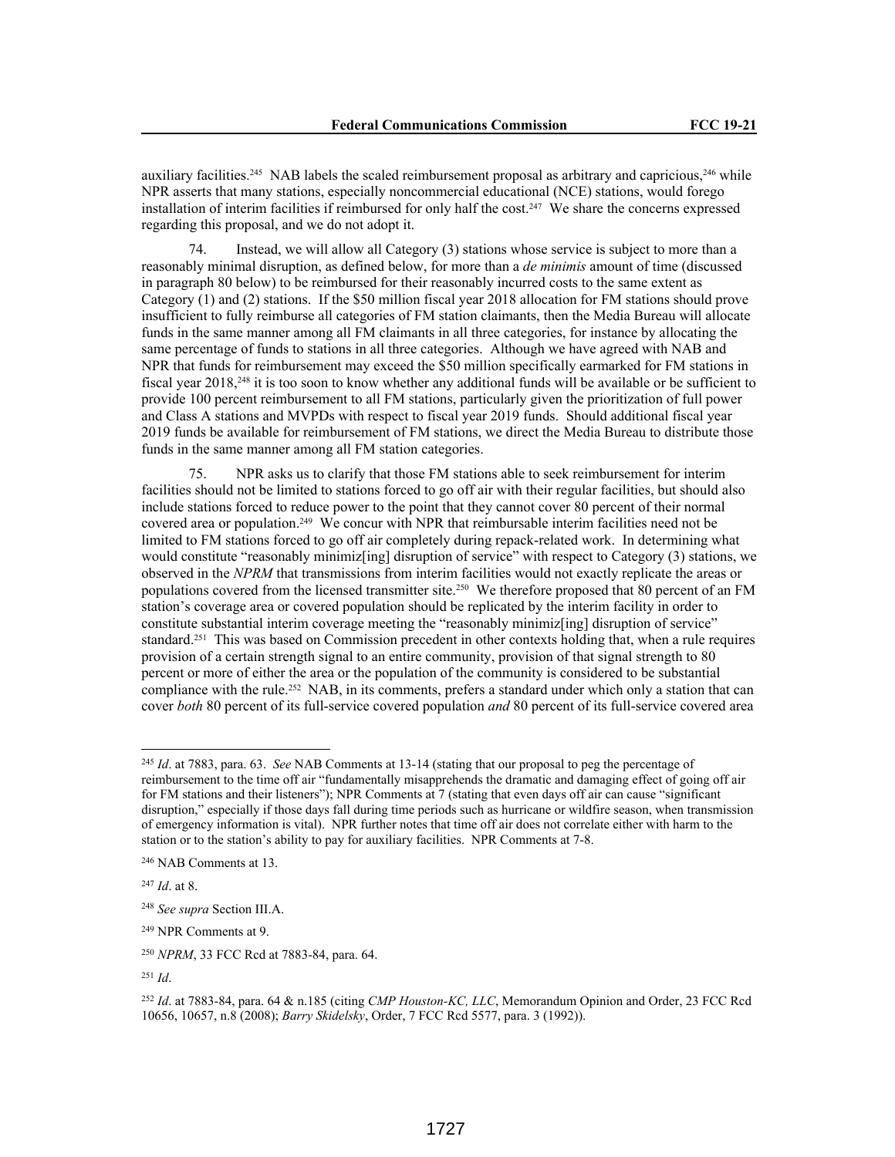auxiliary facilities.<sup>245</sup> NAB labels the scaled reimbursement proposal as arbitrary and capricious,<sup>246</sup> while NPR asserts that many stations, especially noncommercial educational (NCE) stations, would forego installation of interim facilities if reimbursed for only half the cost.247 We share the concerns expressed regarding this proposal, and we do not adopt it.

74. Instead, we will allow all Category (3) stations whose service is subject to more than a reasonably minimal disruption, as defined below, for more than a *de minimis* amount of time (discussed in paragraph 80 below) to be reimbursed for their reasonably incurred costs to the same extent as Category (1) and (2) stations. If the \$50 million fiscal year 2018 allocation for FM stations should prove insufficient to fully reimburse all categories of FM station claimants, then the Media Bureau will allocate funds in the same manner among all FM claimants in all three categories, for instance by allocating the same percentage of funds to stations in all three categories. Although we have agreed with NAB and NPR that funds for reimbursement may exceed the \$50 million specifically earmarked for FM stations in fiscal year 2018,248 it is too soon to know whether any additional funds will be available or be sufficient to provide 100 percent reimbursement to all FM stations, particularly given the prioritization of full power and Class A stations and MVPDs with respect to fiscal year 2019 funds. Should additional fiscal year 2019 funds be available for reimbursement of FM stations, we direct the Media Bureau to distribute those funds in the same manner among all FM station categories.

75. NPR asks us to clarify that those FM stations able to seek reimbursement for interim facilities should not be limited to stations forced to go off air with their regular facilities, but should also include stations forced to reduce power to the point that they cannot cover 80 percent of their normal covered area or population.<sup>249</sup> We concur with NPR that reimbursable interim facilities need not be limited to FM stations forced to go off air completely during repack-related work. In determining what would constitute "reasonably minimiz[ing] disruption of service" with respect to Category (3) stations, we observed in the *NPRM* that transmissions from interim facilities would not exactly replicate the areas or populations covered from the licensed transmitter site.250 We therefore proposed that 80 percent of an FM station's coverage area or covered population should be replicated by the interim facility in order to constitute substantial interim coverage meeting the "reasonably minimiz[ing] disruption of service" standard.251 This was based on Commission precedent in other contexts holding that, when a rule requires provision of a certain strength signal to an entire community, provision of that signal strength to 80 percent or more of either the area or the population of the community is considered to be substantial compliance with the rule.<sup>252</sup> NAB, in its comments, prefers a standard under which only a station that can cover *both* 80 percent of its full-service covered population *and* 80 percent of its full-service covered area

<sup>245</sup> *Id*. at 7883, para. 63. *See* NAB Comments at 13-14 (stating that our proposal to peg the percentage of reimbursement to the time off air "fundamentally misapprehends the dramatic and damaging effect of going off air for FM stations and their listeners"); NPR Comments at 7 (stating that even days off air can cause "significant disruption," especially if those days fall during time periods such as hurricane or wildfire season, when transmission of emergency information is vital). NPR further notes that time off air does not correlate either with harm to the station or to the station's ability to pay for auxiliary facilities. NPR Comments at 7-8.

<sup>246</sup> NAB Comments at 13.

<sup>247</sup> *Id*. at 8.

<sup>248</sup> *See supra* Section III.A.

<sup>249</sup> NPR Comments at 9.

<sup>250</sup> *NPRM*, 33 FCC Rcd at 7883-84, para. 64.

<sup>251</sup> *Id*.

<sup>252</sup> *Id*. at 7883-84, para. 64 & n.185 (citing *CMP Houston-KC, LLC*, Memorandum Opinion and Order, 23 FCC Rcd 10656, 10657, n.8 (2008); *Barry Skidelsky*, Order, 7 FCC Rcd 5577, para. 3 (1992)).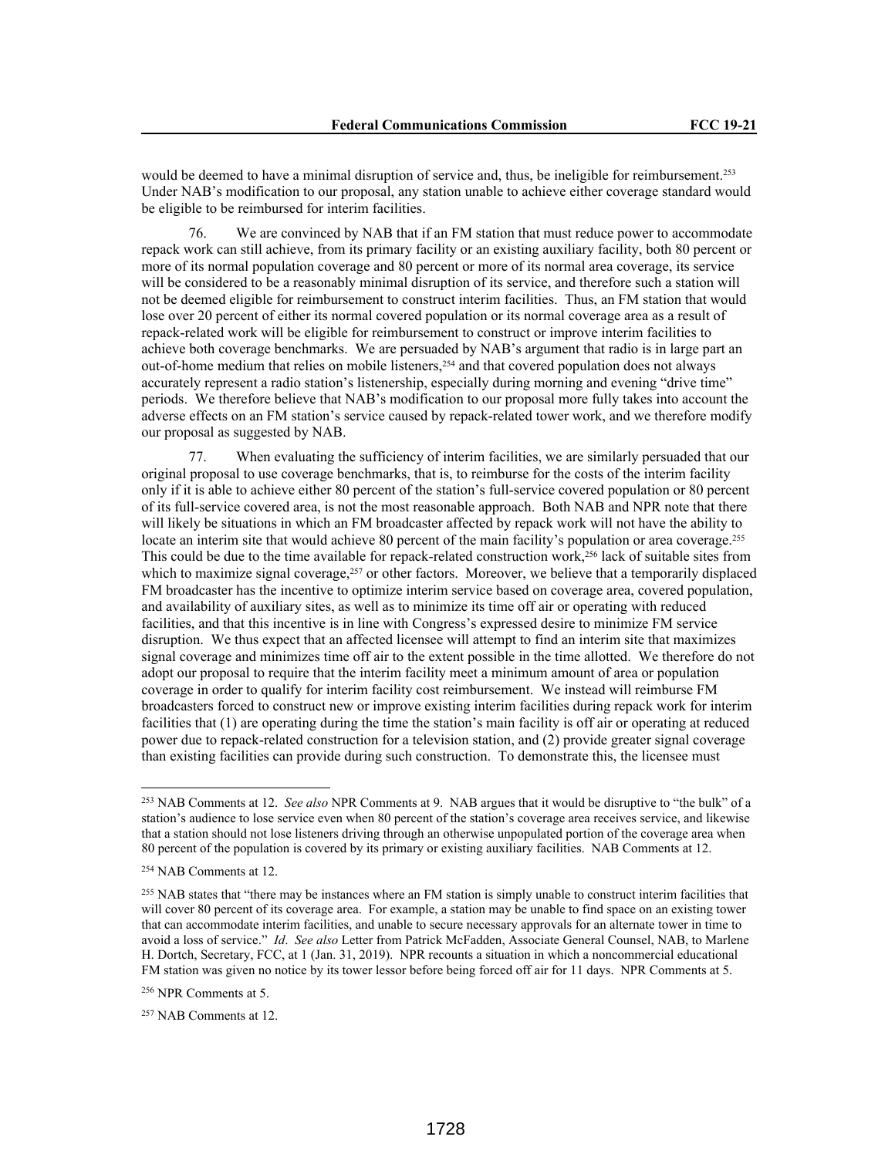would be deemed to have a minimal disruption of service and, thus, be ineligible for reimbursement.<sup>253</sup> Under NAB's modification to our proposal, any station unable to achieve either coverage standard would be eligible to be reimbursed for interim facilities.

76. We are convinced by NAB that if an FM station that must reduce power to accommodate repack work can still achieve, from its primary facility or an existing auxiliary facility, both 80 percent or more of its normal population coverage and 80 percent or more of its normal area coverage, its service will be considered to be a reasonably minimal disruption of its service, and therefore such a station will not be deemed eligible for reimbursement to construct interim facilities. Thus, an FM station that would lose over 20 percent of either its normal covered population or its normal coverage area as a result of repack-related work will be eligible for reimbursement to construct or improve interim facilities to achieve both coverage benchmarks. We are persuaded by NAB's argument that radio is in large part an out-of-home medium that relies on mobile listeners,254 and that covered population does not always accurately represent a radio station's listenership, especially during morning and evening "drive time" periods. We therefore believe that NAB's modification to our proposal more fully takes into account the adverse effects on an FM station's service caused by repack-related tower work, and we therefore modify our proposal as suggested by NAB.

77. When evaluating the sufficiency of interim facilities, we are similarly persuaded that our original proposal to use coverage benchmarks, that is, to reimburse for the costs of the interim facility only if it is able to achieve either 80 percent of the station's full-service covered population or 80 percent of its full-service covered area, is not the most reasonable approach. Both NAB and NPR note that there will likely be situations in which an FM broadcaster affected by repack work will not have the ability to locate an interim site that would achieve 80 percent of the main facility's population or area coverage.<sup>255</sup> This could be due to the time available for repack-related construction work,256 lack of suitable sites from which to maximize signal coverage,<sup>257</sup> or other factors. Moreover, we believe that a temporarily displaced FM broadcaster has the incentive to optimize interim service based on coverage area, covered population, and availability of auxiliary sites, as well as to minimize its time off air or operating with reduced facilities, and that this incentive is in line with Congress's expressed desire to minimize FM service disruption. We thus expect that an affected licensee will attempt to find an interim site that maximizes signal coverage and minimizes time off air to the extent possible in the time allotted. We therefore do not adopt our proposal to require that the interim facility meet a minimum amount of area or population coverage in order to qualify for interim facility cost reimbursement. We instead will reimburse FM broadcasters forced to construct new or improve existing interim facilities during repack work for interim facilities that (1) are operating during the time the station's main facility is off air or operating at reduced power due to repack-related construction for a television station, and (2) provide greater signal coverage than existing facilities can provide during such construction. To demonstrate this, the licensee must

<sup>253</sup> NAB Comments at 12. *See also* NPR Comments at 9. NAB argues that it would be disruptive to "the bulk" of a station's audience to lose service even when 80 percent of the station's coverage area receives service, and likewise that a station should not lose listeners driving through an otherwise unpopulated portion of the coverage area when 80 percent of the population is covered by its primary or existing auxiliary facilities. NAB Comments at 12.

<sup>254</sup> NAB Comments at 12.

<sup>&</sup>lt;sup>255</sup> NAB states that "there may be instances where an FM station is simply unable to construct interim facilities that will cover 80 percent of its coverage area. For example, a station may be unable to find space on an existing tower that can accommodate interim facilities, and unable to secure necessary approvals for an alternate tower in time to avoid a loss of service." *Id*. *See also* Letter from Patrick McFadden, Associate General Counsel, NAB, to Marlene H. Dortch, Secretary, FCC, at 1 (Jan. 31, 2019). NPR recounts a situation in which a noncommercial educational FM station was given no notice by its tower lessor before being forced off air for 11 days. NPR Comments at 5.

<sup>256</sup> NPR Comments at 5.

<sup>257</sup> NAB Comments at 12.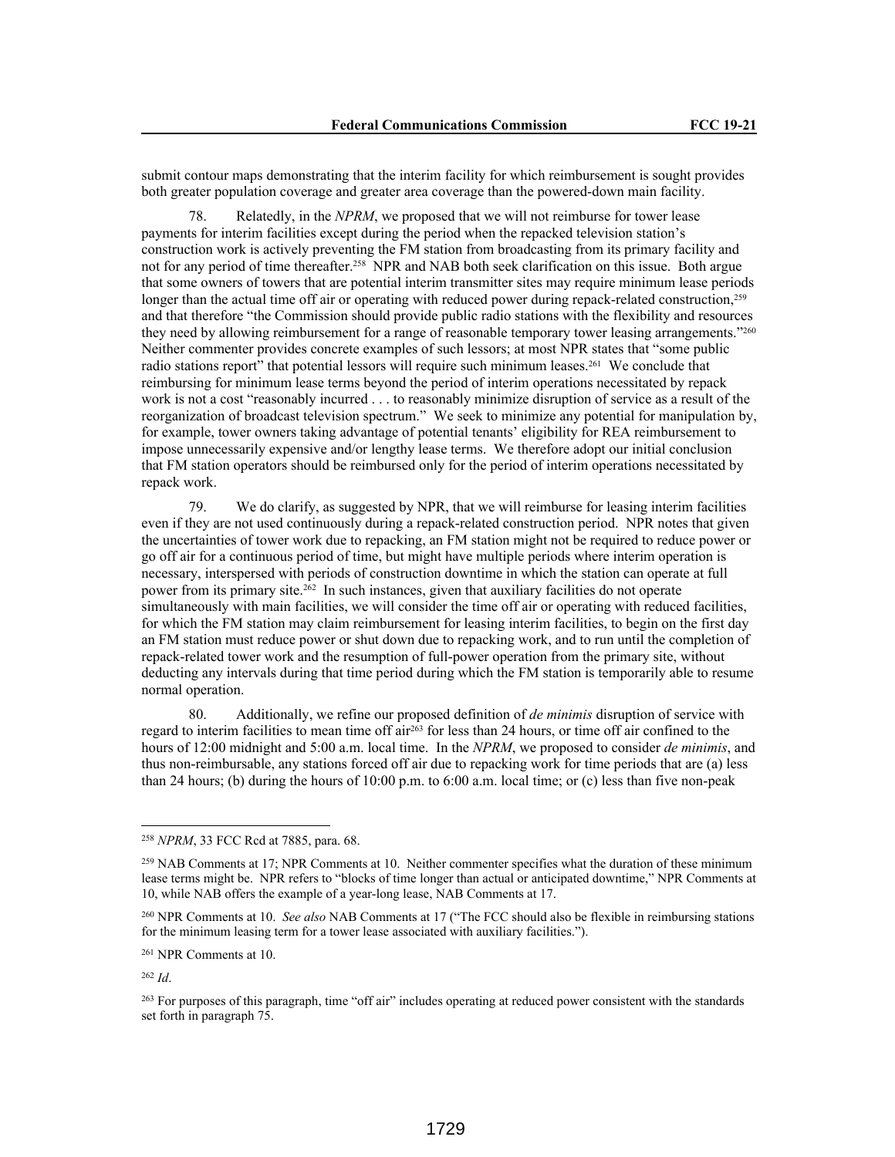submit contour maps demonstrating that the interim facility for which reimbursement is sought provides both greater population coverage and greater area coverage than the powered-down main facility.

78. Relatedly, in the *NPRM*, we proposed that we will not reimburse for tower lease payments for interim facilities except during the period when the repacked television station's construction work is actively preventing the FM station from broadcasting from its primary facility and not for any period of time thereafter.258 NPR and NAB both seek clarification on this issue. Both argue that some owners of towers that are potential interim transmitter sites may require minimum lease periods longer than the actual time off air or operating with reduced power during repack-related construction,<sup>259</sup> and that therefore "the Commission should provide public radio stations with the flexibility and resources they need by allowing reimbursement for a range of reasonable temporary tower leasing arrangements."260 Neither commenter provides concrete examples of such lessors; at most NPR states that "some public radio stations report" that potential lessors will require such minimum leases.<sup>261</sup> We conclude that reimbursing for minimum lease terms beyond the period of interim operations necessitated by repack work is not a cost "reasonably incurred . . . to reasonably minimize disruption of service as a result of the reorganization of broadcast television spectrum." We seek to minimize any potential for manipulation by, for example, tower owners taking advantage of potential tenants' eligibility for REA reimbursement to impose unnecessarily expensive and/or lengthy lease terms. We therefore adopt our initial conclusion that FM station operators should be reimbursed only for the period of interim operations necessitated by repack work.

79. We do clarify, as suggested by NPR, that we will reimburse for leasing interim facilities even if they are not used continuously during a repack-related construction period. NPR notes that given the uncertainties of tower work due to repacking, an FM station might not be required to reduce power or go off air for a continuous period of time, but might have multiple periods where interim operation is necessary, interspersed with periods of construction downtime in which the station can operate at full power from its primary site.262 In such instances, given that auxiliary facilities do not operate simultaneously with main facilities, we will consider the time off air or operating with reduced facilities, for which the FM station may claim reimbursement for leasing interim facilities, to begin on the first day an FM station must reduce power or shut down due to repacking work, and to run until the completion of repack-related tower work and the resumption of full-power operation from the primary site, without deducting any intervals during that time period during which the FM station is temporarily able to resume normal operation.

80. Additionally, we refine our proposed definition of *de minimis* disruption of service with regard to interim facilities to mean time off air263 for less than 24 hours, or time off air confined to the hours of 12:00 midnight and 5:00 a.m. local time. In the *NPRM*, we proposed to consider *de minimis*, and thus non-reimbursable, any stations forced off air due to repacking work for time periods that are (a) less than 24 hours; (b) during the hours of 10:00 p.m. to 6:00 a.m. local time; or (c) less than five non-peak

<sup>262</sup> *Id*.

<sup>258</sup> *NPRM*, 33 FCC Rcd at 7885, para. 68.

<sup>&</sup>lt;sup>259</sup> NAB Comments at 17; NPR Comments at 10. Neither commenter specifies what the duration of these minimum lease terms might be. NPR refers to "blocks of time longer than actual or anticipated downtime," NPR Comments at 10, while NAB offers the example of a year-long lease, NAB Comments at 17.

<sup>260</sup> NPR Comments at 10. *See also* NAB Comments at 17 ("The FCC should also be flexible in reimbursing stations for the minimum leasing term for a tower lease associated with auxiliary facilities.").

<sup>261</sup> NPR Comments at 10.

<sup>&</sup>lt;sup>263</sup> For purposes of this paragraph, time "off air" includes operating at reduced power consistent with the standards set forth in paragraph 75.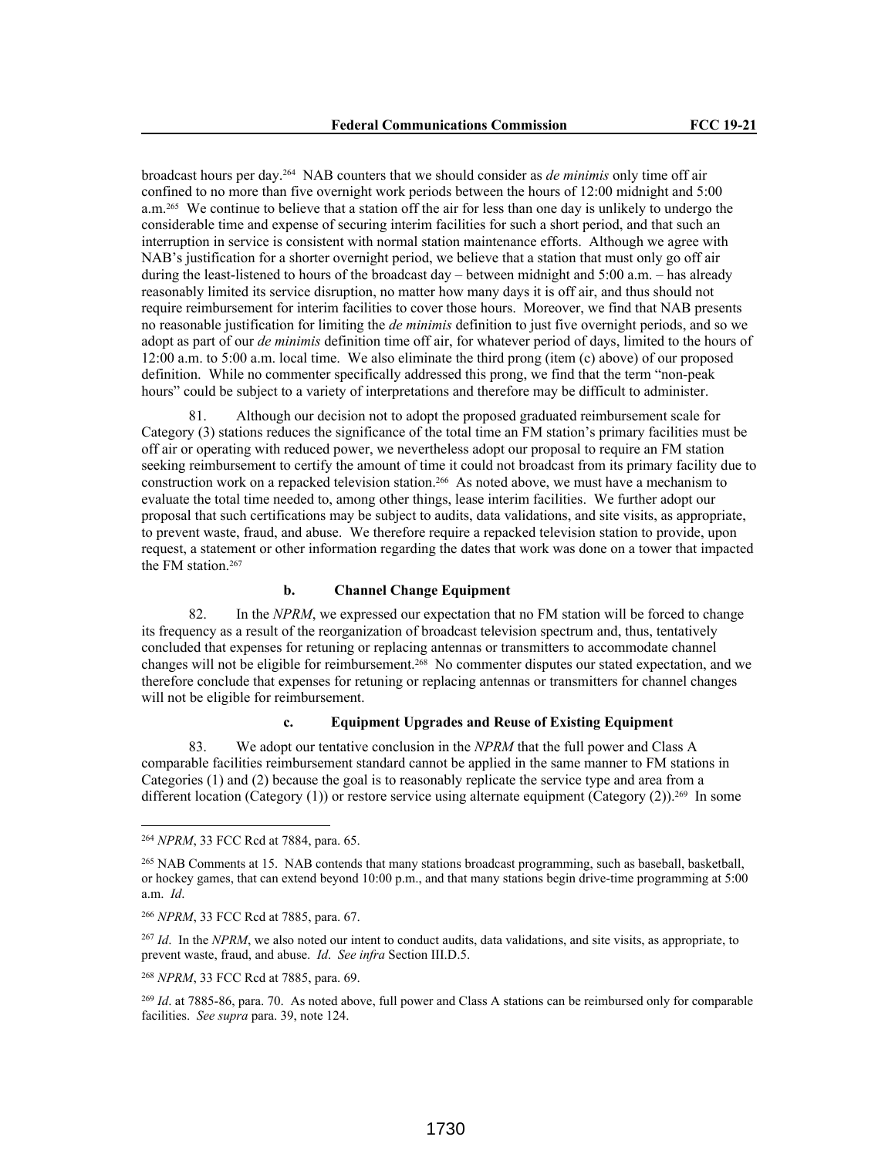broadcast hours per day.264 NAB counters that we should consider as *de minimis* only time off air confined to no more than five overnight work periods between the hours of 12:00 midnight and 5:00 a.m.265 We continue to believe that a station off the air for less than one day is unlikely to undergo the considerable time and expense of securing interim facilities for such a short period, and that such an interruption in service is consistent with normal station maintenance efforts. Although we agree with NAB's justification for a shorter overnight period, we believe that a station that must only go off air during the least-listened to hours of the broadcast day – between midnight and  $5:00$  a.m. – has already reasonably limited its service disruption, no matter how many days it is off air, and thus should not require reimbursement for interim facilities to cover those hours. Moreover, we find that NAB presents no reasonable justification for limiting the *de minimis* definition to just five overnight periods, and so we adopt as part of our *de minimis* definition time off air, for whatever period of days, limited to the hours of 12:00 a.m. to 5:00 a.m. local time. We also eliminate the third prong (item (c) above) of our proposed definition. While no commenter specifically addressed this prong, we find that the term "non-peak hours" could be subject to a variety of interpretations and therefore may be difficult to administer.

81. Although our decision not to adopt the proposed graduated reimbursement scale for Category (3) stations reduces the significance of the total time an FM station's primary facilities must be off air or operating with reduced power, we nevertheless adopt our proposal to require an FM station seeking reimbursement to certify the amount of time it could not broadcast from its primary facility due to construction work on a repacked television station.266 As noted above, we must have a mechanism to evaluate the total time needed to, among other things, lease interim facilities. We further adopt our proposal that such certifications may be subject to audits, data validations, and site visits, as appropriate, to prevent waste, fraud, and abuse. We therefore require a repacked television station to provide, upon request, a statement or other information regarding the dates that work was done on a tower that impacted the FM station.<sup>267</sup>

## **b. Channel Change Equipment**

82. In the *NPRM*, we expressed our expectation that no FM station will be forced to change its frequency as a result of the reorganization of broadcast television spectrum and, thus, tentatively concluded that expenses for retuning or replacing antennas or transmitters to accommodate channel changes will not be eligible for reimbursement.268 No commenter disputes our stated expectation, and we therefore conclude that expenses for retuning or replacing antennas or transmitters for channel changes will not be eligible for reimbursement.

# **c. Equipment Upgrades and Reuse of Existing Equipment**

83. We adopt our tentative conclusion in the *NPRM* that the full power and Class A comparable facilities reimbursement standard cannot be applied in the same manner to FM stations in Categories (1) and (2) because the goal is to reasonably replicate the service type and area from a different location (Category (1)) or restore service using alternate equipment (Category (2)).<sup>269</sup> In some

<sup>268</sup> *NPRM*, 33 FCC Rcd at 7885, para. 69.

<sup>269</sup> *Id*. at 7885-86, para. 70. As noted above, full power and Class A stations can be reimbursed only for comparable facilities. *See supra* para. 39, note 124.

<sup>264</sup> *NPRM*, 33 FCC Rcd at 7884, para. 65.

<sup>265</sup> NAB Comments at 15. NAB contends that many stations broadcast programming, such as baseball, basketball, or hockey games, that can extend beyond 10:00 p.m., and that many stations begin drive-time programming at 5:00 a.m. *Id*.

<sup>266</sup> *NPRM*, 33 FCC Rcd at 7885, para. 67.

<sup>267</sup> *Id*. In the *NPRM*, we also noted our intent to conduct audits, data validations, and site visits, as appropriate, to prevent waste, fraud, and abuse. *Id*. *See infra* Section III.D.5.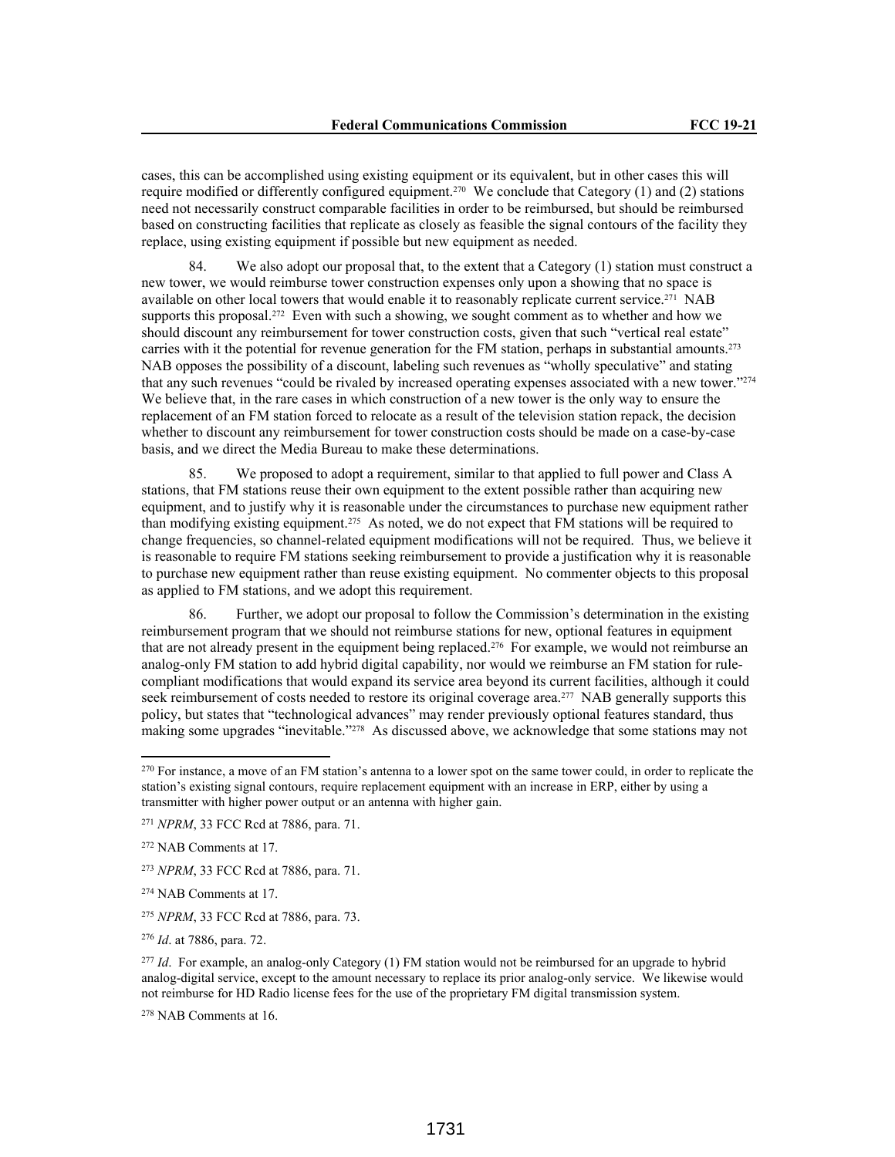cases, this can be accomplished using existing equipment or its equivalent, but in other cases this will require modified or differently configured equipment.270 We conclude that Category (1) and (2) stations need not necessarily construct comparable facilities in order to be reimbursed, but should be reimbursed based on constructing facilities that replicate as closely as feasible the signal contours of the facility they replace, using existing equipment if possible but new equipment as needed.

84. We also adopt our proposal that, to the extent that a Category (1) station must construct a new tower, we would reimburse tower construction expenses only upon a showing that no space is available on other local towers that would enable it to reasonably replicate current service.<sup>271</sup> NAB supports this proposal.<sup>272</sup> Even with such a showing, we sought comment as to whether and how we should discount any reimbursement for tower construction costs, given that such "vertical real estate" carries with it the potential for revenue generation for the FM station, perhaps in substantial amounts.<sup>273</sup> NAB opposes the possibility of a discount, labeling such revenues as "wholly speculative" and stating that any such revenues "could be rivaled by increased operating expenses associated with a new tower."<sup>274</sup> We believe that, in the rare cases in which construction of a new tower is the only way to ensure the replacement of an FM station forced to relocate as a result of the television station repack, the decision whether to discount any reimbursement for tower construction costs should be made on a case-by-case basis, and we direct the Media Bureau to make these determinations.

85. We proposed to adopt a requirement, similar to that applied to full power and Class A stations, that FM stations reuse their own equipment to the extent possible rather than acquiring new equipment, and to justify why it is reasonable under the circumstances to purchase new equipment rather than modifying existing equipment.275 As noted, we do not expect that FM stations will be required to change frequencies, so channel-related equipment modifications will not be required. Thus, we believe it is reasonable to require FM stations seeking reimbursement to provide a justification why it is reasonable to purchase new equipment rather than reuse existing equipment. No commenter objects to this proposal as applied to FM stations, and we adopt this requirement.

86. Further, we adopt our proposal to follow the Commission's determination in the existing reimbursement program that we should not reimburse stations for new, optional features in equipment that are not already present in the equipment being replaced.276 For example, we would not reimburse an analog-only FM station to add hybrid digital capability, nor would we reimburse an FM station for rulecompliant modifications that would expand its service area beyond its current facilities, although it could seek reimbursement of costs needed to restore its original coverage area.<sup>277</sup> NAB generally supports this policy, but states that "technological advances" may render previously optional features standard, thus making some upgrades "inevitable."278 As discussed above, we acknowledge that some stations may not

<sup>276</sup> *Id*. at 7886, para. 72.

<sup>277</sup> *Id*. For example, an analog-only Category (1) FM station would not be reimbursed for an upgrade to hybrid analog-digital service, except to the amount necessary to replace its prior analog-only service. We likewise would not reimburse for HD Radio license fees for the use of the proprietary FM digital transmission system.

<sup>278</sup> NAB Comments at 16.

<sup>&</sup>lt;sup>270</sup> For instance, a move of an FM station's antenna to a lower spot on the same tower could, in order to replicate the station's existing signal contours, require replacement equipment with an increase in ERP, either by using a transmitter with higher power output or an antenna with higher gain.

<sup>271</sup> *NPRM*, 33 FCC Rcd at 7886, para. 71.

<sup>272</sup> NAB Comments at 17.

<sup>273</sup> *NPRM*, 33 FCC Rcd at 7886, para. 71.

<sup>274</sup> NAB Comments at 17.

<sup>275</sup> *NPRM*, 33 FCC Rcd at 7886, para. 73.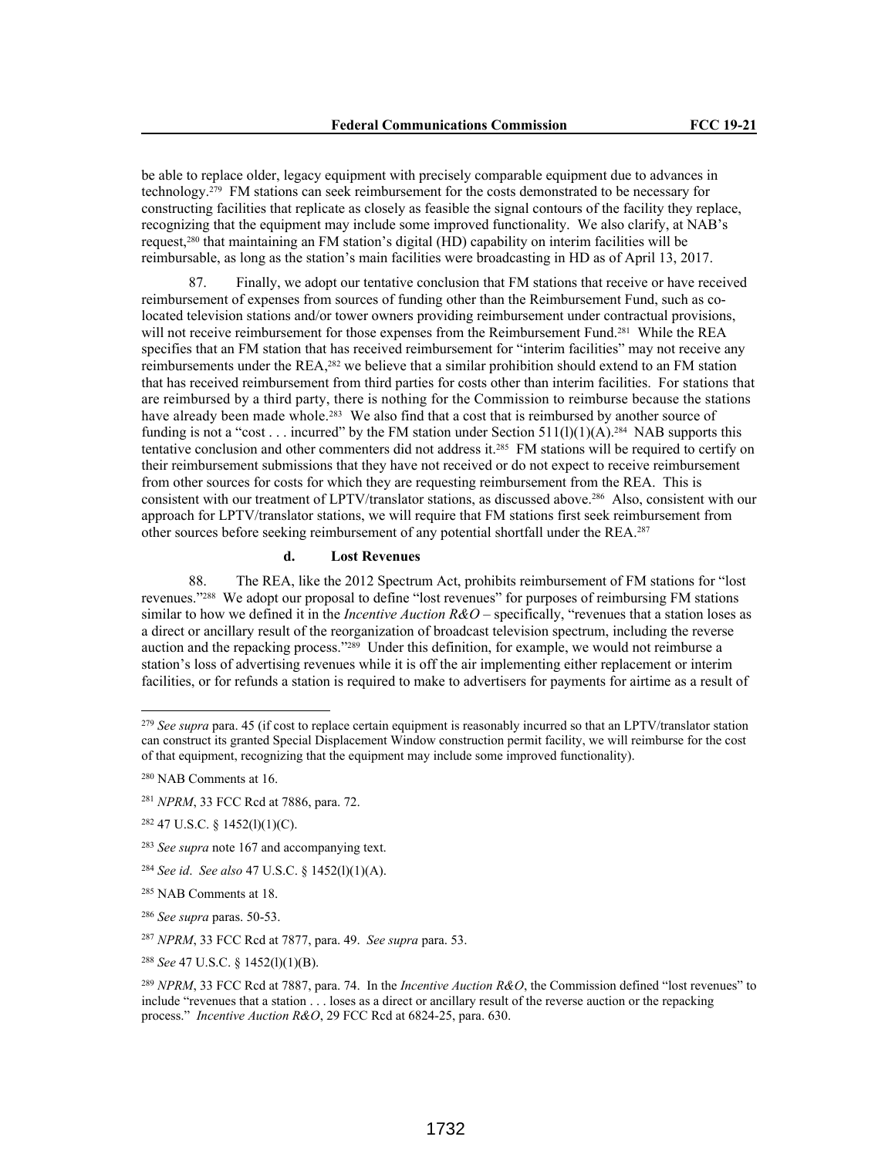be able to replace older, legacy equipment with precisely comparable equipment due to advances in technology.279 FM stations can seek reimbursement for the costs demonstrated to be necessary for constructing facilities that replicate as closely as feasible the signal contours of the facility they replace, recognizing that the equipment may include some improved functionality. We also clarify, at NAB's request,280 that maintaining an FM station's digital (HD) capability on interim facilities will be reimbursable, as long as the station's main facilities were broadcasting in HD as of April 13, 2017.

87. Finally, we adopt our tentative conclusion that FM stations that receive or have received reimbursement of expenses from sources of funding other than the Reimbursement Fund, such as colocated television stations and/or tower owners providing reimbursement under contractual provisions, will not receive reimbursement for those expenses from the Reimbursement Fund.<sup>281</sup> While the REA specifies that an FM station that has received reimbursement for "interim facilities" may not receive any reimbursements under the REA,282 we believe that a similar prohibition should extend to an FM station that has received reimbursement from third parties for costs other than interim facilities. For stations that are reimbursed by a third party, there is nothing for the Commission to reimburse because the stations have already been made whole.<sup>283</sup> We also find that a cost that is reimbursed by another source of funding is not a "cost . . . incurred" by the FM station under Section  $511(1)(1)(A)$ .<sup>284</sup> NAB supports this tentative conclusion and other commenters did not address it.285 FM stations will be required to certify on their reimbursement submissions that they have not received or do not expect to receive reimbursement from other sources for costs for which they are requesting reimbursement from the REA. This is consistent with our treatment of LPTV/translator stations, as discussed above.286 Also, consistent with our approach for LPTV/translator stations, we will require that FM stations first seek reimbursement from other sources before seeking reimbursement of any potential shortfall under the REA.<sup>287</sup>

# **d. Lost Revenues**

88. The REA, like the 2012 Spectrum Act, prohibits reimbursement of FM stations for "lost revenues."288 We adopt our proposal to define "lost revenues" for purposes of reimbursing FM stations similar to how we defined it in the *Incentive Auction R&O* – specifically, "revenues that a station loses as a direct or ancillary result of the reorganization of broadcast television spectrum, including the reverse auction and the repacking process."289 Under this definition, for example, we would not reimburse a station's loss of advertising revenues while it is off the air implementing either replacement or interim facilities, or for refunds a station is required to make to advertisers for payments for airtime as a result of

<sup>279</sup> *See supra* para. 45 (if cost to replace certain equipment is reasonably incurred so that an LPTV/translator station can construct its granted Special Displacement Window construction permit facility, we will reimburse for the cost of that equipment, recognizing that the equipment may include some improved functionality).

<sup>280</sup> NAB Comments at 16.

<sup>281</sup> *NPRM*, 33 FCC Rcd at 7886, para. 72.

<sup>282</sup> 47 U.S.C. § 1452(l)(1)(C).

<sup>283</sup> *See supra* note 167 and accompanying text.

<sup>284</sup> *See id*. *See also* 47 U.S.C. § 1452(l)(1)(A).

<sup>285</sup> NAB Comments at 18.

<sup>286</sup> *See supra* paras. 50-53.

<sup>287</sup> *NPRM*, 33 FCC Rcd at 7877, para. 49. *See supra* para. 53.

<sup>288</sup> *See* 47 U.S.C. § 1452(l)(1)(B).

<sup>289</sup> *NPRM*, 33 FCC Rcd at 7887, para. 74. In the *Incentive Auction R&O*, the Commission defined "lost revenues" to include "revenues that a station . . . loses as a direct or ancillary result of the reverse auction or the repacking process." *Incentive Auction R&O*, 29 FCC Rcd at 6824-25, para. 630.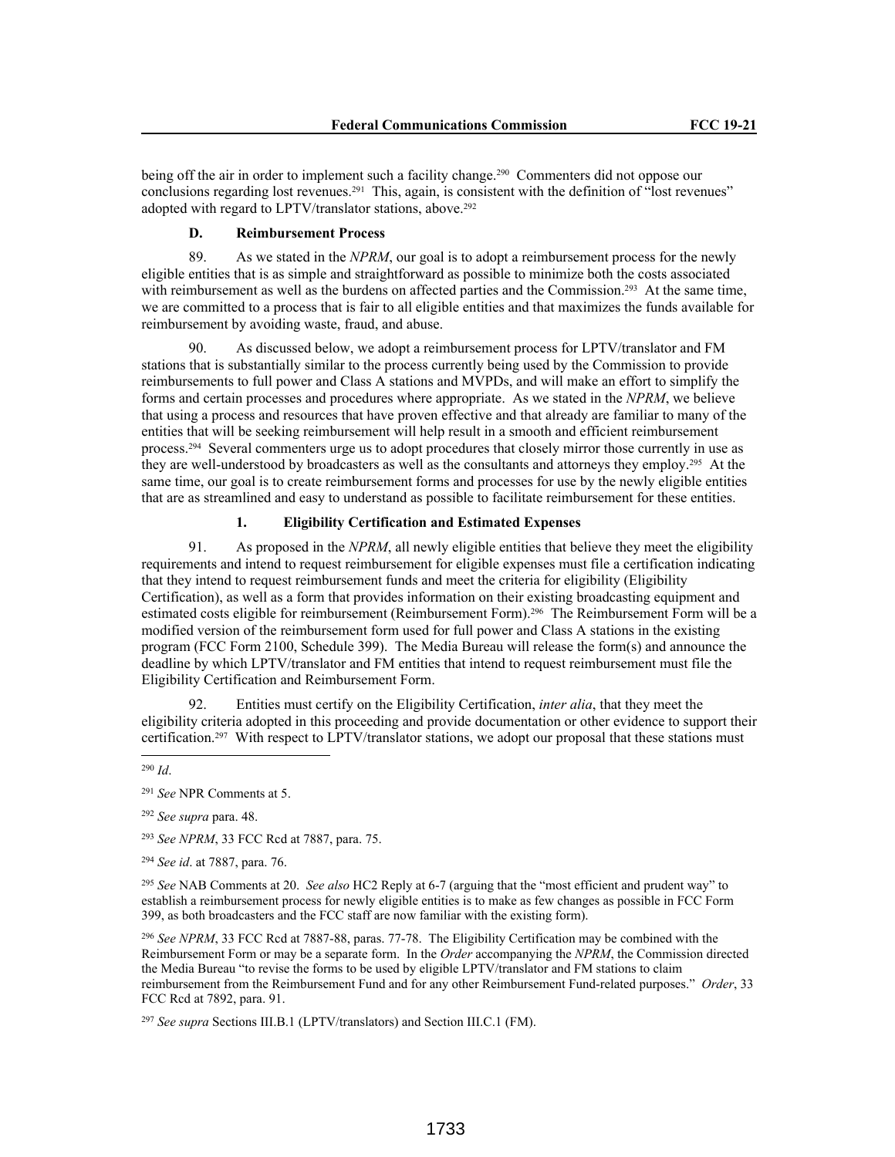being off the air in order to implement such a facility change.<sup>290</sup> Commenters did not oppose our conclusions regarding lost revenues.<sup>291</sup> This, again, is consistent with the definition of "lost revenues" adopted with regard to LPTV/translator stations, above.<sup>292</sup>

## **D. Reimbursement Process**

89. As we stated in the *NPRM*, our goal is to adopt a reimbursement process for the newly eligible entities that is as simple and straightforward as possible to minimize both the costs associated with reimbursement as well as the burdens on affected parties and the Commission.<sup>293</sup> At the same time, we are committed to a process that is fair to all eligible entities and that maximizes the funds available for reimbursement by avoiding waste, fraud, and abuse.

90. As discussed below, we adopt a reimbursement process for LPTV/translator and FM stations that is substantially similar to the process currently being used by the Commission to provide reimbursements to full power and Class A stations and MVPDs, and will make an effort to simplify the forms and certain processes and procedures where appropriate. As we stated in the *NPRM*, we believe that using a process and resources that have proven effective and that already are familiar to many of the entities that will be seeking reimbursement will help result in a smooth and efficient reimbursement process.294 Several commenters urge us to adopt procedures that closely mirror those currently in use as they are well-understood by broadcasters as well as the consultants and attorneys they employ.295 At the same time, our goal is to create reimbursement forms and processes for use by the newly eligible entities that are as streamlined and easy to understand as possible to facilitate reimbursement for these entities.

# **1. Eligibility Certification and Estimated Expenses**

91. As proposed in the *NPRM*, all newly eligible entities that believe they meet the eligibility requirements and intend to request reimbursement for eligible expenses must file a certification indicating that they intend to request reimbursement funds and meet the criteria for eligibility (Eligibility Certification), as well as a form that provides information on their existing broadcasting equipment and estimated costs eligible for reimbursement (Reimbursement Form).296 The Reimbursement Form will be a modified version of the reimbursement form used for full power and Class A stations in the existing program (FCC Form 2100, Schedule 399). The Media Bureau will release the form(s) and announce the deadline by which LPTV/translator and FM entities that intend to request reimbursement must file the Eligibility Certification and Reimbursement Form.

92. Entities must certify on the Eligibility Certification, *inter alia*, that they meet the eligibility criteria adopted in this proceeding and provide documentation or other evidence to support their certification.<sup>297</sup> With respect to LPTV/translator stations, we adopt our proposal that these stations must

<sup>292</sup> *See supra* para. 48.

<sup>293</sup> *See NPRM*, 33 FCC Rcd at 7887, para. 75.

<sup>294</sup> *See id*. at 7887, para. 76.

<sup>295</sup> *See* NAB Comments at 20. *See also* HC2 Reply at 6-7 (arguing that the "most efficient and prudent way" to establish a reimbursement process for newly eligible entities is to make as few changes as possible in FCC Form 399, as both broadcasters and the FCC staff are now familiar with the existing form).

<sup>296</sup> *See NPRM*, 33 FCC Rcd at 7887-88, paras. 77-78. The Eligibility Certification may be combined with the Reimbursement Form or may be a separate form. In the *Order* accompanying the *NPRM*, the Commission directed the Media Bureau "to revise the forms to be used by eligible LPTV/translator and FM stations to claim reimbursement from the Reimbursement Fund and for any other Reimbursement Fund-related purposes." *Order*, 33 FCC Rcd at 7892, para. 91.

<sup>297</sup> *See supra* Sections III.B.1 (LPTV/translators) and Section III.C.1 (FM).

<sup>290</sup> *Id*.

<sup>291</sup> *See* NPR Comments at 5.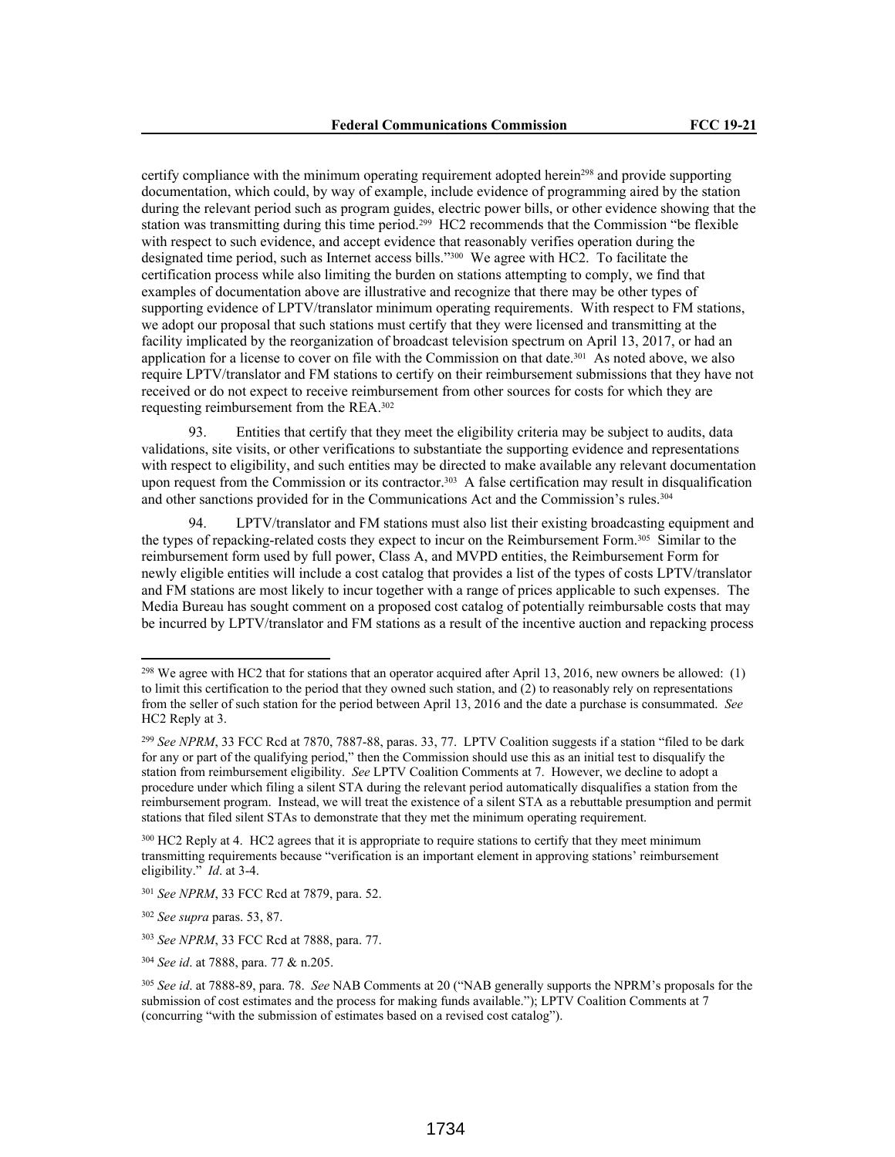certify compliance with the minimum operating requirement adopted herein<sup>298</sup> and provide supporting documentation, which could, by way of example, include evidence of programming aired by the station during the relevant period such as program guides, electric power bills, or other evidence showing that the station was transmitting during this time period.299 HC2 recommends that the Commission "be flexible with respect to such evidence, and accept evidence that reasonably verifies operation during the designated time period, such as Internet access bills."300 We agree with HC2. To facilitate the certification process while also limiting the burden on stations attempting to comply, we find that examples of documentation above are illustrative and recognize that there may be other types of supporting evidence of LPTV/translator minimum operating requirements. With respect to FM stations, we adopt our proposal that such stations must certify that they were licensed and transmitting at the facility implicated by the reorganization of broadcast television spectrum on April 13, 2017, or had an application for a license to cover on file with the Commission on that date.<sup>301</sup> As noted above, we also require LPTV/translator and FM stations to certify on their reimbursement submissions that they have not received or do not expect to receive reimbursement from other sources for costs for which they are requesting reimbursement from the REA.<sup>302</sup>

93. Entities that certify that they meet the eligibility criteria may be subject to audits, data validations, site visits, or other verifications to substantiate the supporting evidence and representations with respect to eligibility, and such entities may be directed to make available any relevant documentation upon request from the Commission or its contractor.<sup>303</sup> A false certification may result in disqualification and other sanctions provided for in the Communications Act and the Commission's rules.<sup>304</sup>

94. LPTV/translator and FM stations must also list their existing broadcasting equipment and the types of repacking-related costs they expect to incur on the Reimbursement Form.305 Similar to the reimbursement form used by full power, Class A, and MVPD entities, the Reimbursement Form for newly eligible entities will include a cost catalog that provides a list of the types of costs LPTV/translator and FM stations are most likely to incur together with a range of prices applicable to such expenses. The Media Bureau has sought comment on a proposed cost catalog of potentially reimbursable costs that may be incurred by LPTV/translator and FM stations as a result of the incentive auction and repacking process

<sup>&</sup>lt;sup>298</sup> We agree with HC2 that for stations that an operator acquired after April 13, 2016, new owners be allowed: (1) to limit this certification to the period that they owned such station, and (2) to reasonably rely on representations from the seller of such station for the period between April 13, 2016 and the date a purchase is consummated. *See*  HC2 Reply at 3.

<sup>299</sup> *See NPRM*, 33 FCC Rcd at 7870, 7887-88, paras. 33, 77.LPTV Coalition suggests if a station "filed to be dark for any or part of the qualifying period," then the Commission should use this as an initial test to disqualify the station from reimbursement eligibility. *See* LPTV Coalition Comments at 7. However, we decline to adopt a procedure under which filing a silent STA during the relevant period automatically disqualifies a station from the reimbursement program. Instead, we will treat the existence of a silent STA as a rebuttable presumption and permit stations that filed silent STAs to demonstrate that they met the minimum operating requirement.

<sup>&</sup>lt;sup>300</sup> HC2 Reply at 4. HC2 agrees that it is appropriate to require stations to certify that they meet minimum transmitting requirements because "verification is an important element in approving stations' reimbursement eligibility." *Id*. at 3-4.

<sup>301</sup> *See NPRM*, 33 FCC Rcd at 7879, para. 52.

<sup>302</sup> *See supra* paras. 53, 87.

<sup>303</sup> *See NPRM*, 33 FCC Rcd at 7888, para. 77.

<sup>304</sup> *See id*. at 7888, para. 77 & n.205.

<sup>305</sup> *See id*. at 7888-89, para. 78. *See* NAB Comments at 20 ("NAB generally supports the NPRM's proposals for the submission of cost estimates and the process for making funds available."); LPTV Coalition Comments at 7 (concurring "with the submission of estimates based on a revised cost catalog").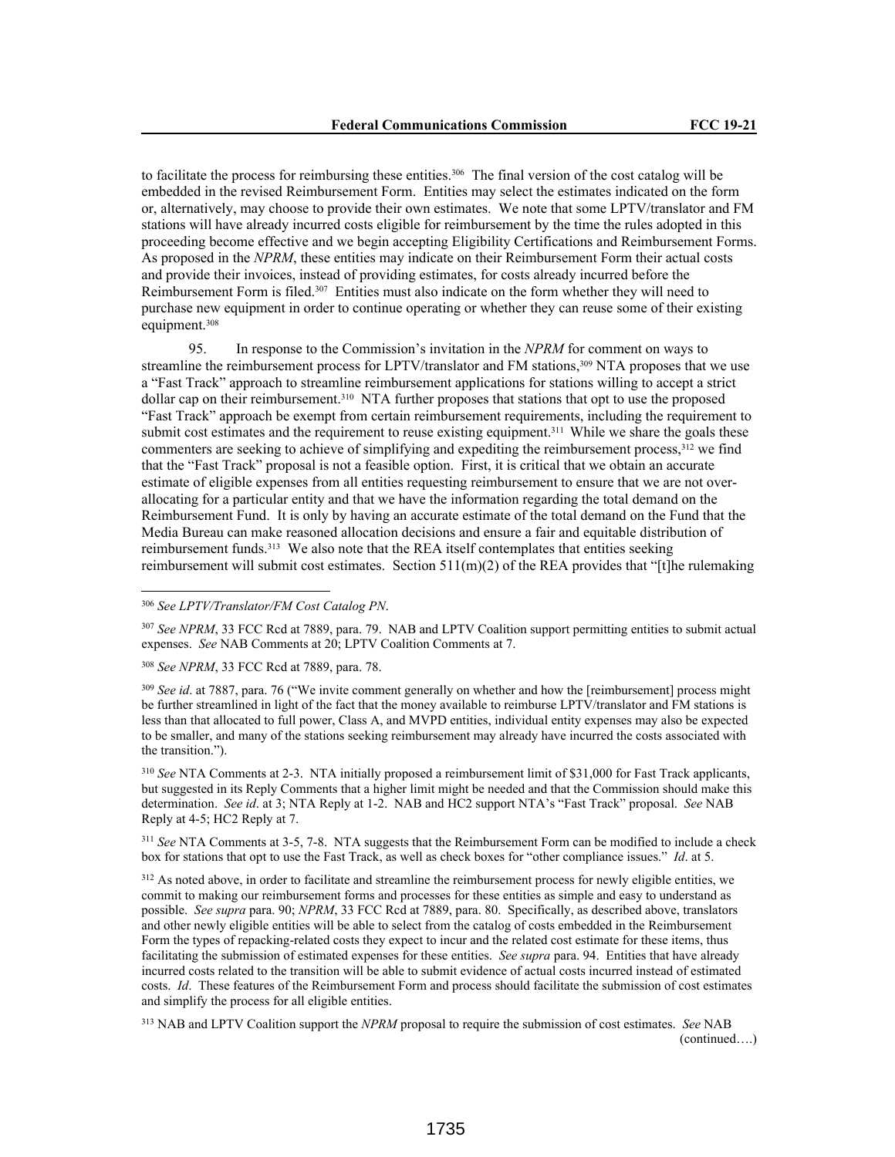to facilitate the process for reimbursing these entities.<sup>306</sup> The final version of the cost catalog will be embedded in the revised Reimbursement Form. Entities may select the estimates indicated on the form or, alternatively, may choose to provide their own estimates. We note that some LPTV/translator and FM stations will have already incurred costs eligible for reimbursement by the time the rules adopted in this proceeding become effective and we begin accepting Eligibility Certifications and Reimbursement Forms. As proposed in the *NPRM*, these entities may indicate on their Reimbursement Form their actual costs and provide their invoices, instead of providing estimates, for costs already incurred before the Reimbursement Form is filed.<sup>307</sup> Entities must also indicate on the form whether they will need to purchase new equipment in order to continue operating or whether they can reuse some of their existing equipment.<sup>308</sup>

95. In response to the Commission's invitation in the *NPRM* for comment on ways to streamline the reimbursement process for LPTV/translator and FM stations,<sup>309</sup> NTA proposes that we use a "Fast Track" approach to streamline reimbursement applications for stations willing to accept a strict dollar cap on their reimbursement.310 NTA further proposes that stations that opt to use the proposed "Fast Track" approach be exempt from certain reimbursement requirements, including the requirement to submit cost estimates and the requirement to reuse existing equipment.<sup>311</sup> While we share the goals these commenters are seeking to achieve of simplifying and expediting the reimbursement process, 312 we find that the "Fast Track" proposal is not a feasible option. First, it is critical that we obtain an accurate estimate of eligible expenses from all entities requesting reimbursement to ensure that we are not overallocating for a particular entity and that we have the information regarding the total demand on the Reimbursement Fund. It is only by having an accurate estimate of the total demand on the Fund that the Media Bureau can make reasoned allocation decisions and ensure a fair and equitable distribution of reimbursement funds.313 We also note that the REA itself contemplates that entities seeking reimbursement will submit cost estimates. Section 511(m)(2) of the REA provides that "[t]he rulemaking

<sup>307</sup> *See NPRM*, 33 FCC Rcd at 7889, para. 79. NAB and LPTV Coalition support permitting entities to submit actual expenses. *See* NAB Comments at 20; LPTV Coalition Comments at 7.

<sup>308</sup> *See NPRM*, 33 FCC Rcd at 7889, para. 78.

<sup>309</sup> *See id.* at 7887, para. 76 ("We invite comment generally on whether and how the [reimbursement] process might be further streamlined in light of the fact that the money available to reimburse LPTV/translator and FM stations is less than that allocated to full power, Class A, and MVPD entities, individual entity expenses may also be expected to be smaller, and many of the stations seeking reimbursement may already have incurred the costs associated with the transition.").

<sup>310</sup> *See* NTA Comments at 2-3. NTA initially proposed a reimbursement limit of \$31,000 for Fast Track applicants, but suggested in its Reply Comments that a higher limit might be needed and that the Commission should make this determination. *See id*. at 3; NTA Reply at 1-2. NAB and HC2 support NTA's "Fast Track" proposal. *See* NAB Reply at 4-5; HC2 Reply at 7.

<sup>311</sup> *See* NTA Comments at 3-5, 7-8. NTA suggests that the Reimbursement Form can be modified to include a check box for stations that opt to use the Fast Track, as well as check boxes for "other compliance issues." *Id*. at 5.

<sup>312</sup> As noted above, in order to facilitate and streamline the reimbursement process for newly eligible entities, we commit to making our reimbursement forms and processes for these entities as simple and easy to understand as possible. *See supra* para. 90; *NPRM*, 33 FCC Rcd at 7889, para. 80. Specifically, as described above, translators and other newly eligible entities will be able to select from the catalog of costs embedded in the Reimbursement Form the types of repacking-related costs they expect to incur and the related cost estimate for these items, thus facilitating the submission of estimated expenses for these entities. *See supra* para. 94. Entities that have already incurred costs related to the transition will be able to submit evidence of actual costs incurred instead of estimated costs. *Id*. These features of the Reimbursement Form and process should facilitate the submission of cost estimates and simplify the process for all eligible entities.

<sup>313</sup> NAB and LPTV Coalition support the *NPRM* proposal to require the submission of cost estimates. *See* NAB (continued….)

<sup>306</sup> *See LPTV/Translator/FM Cost Catalog PN*.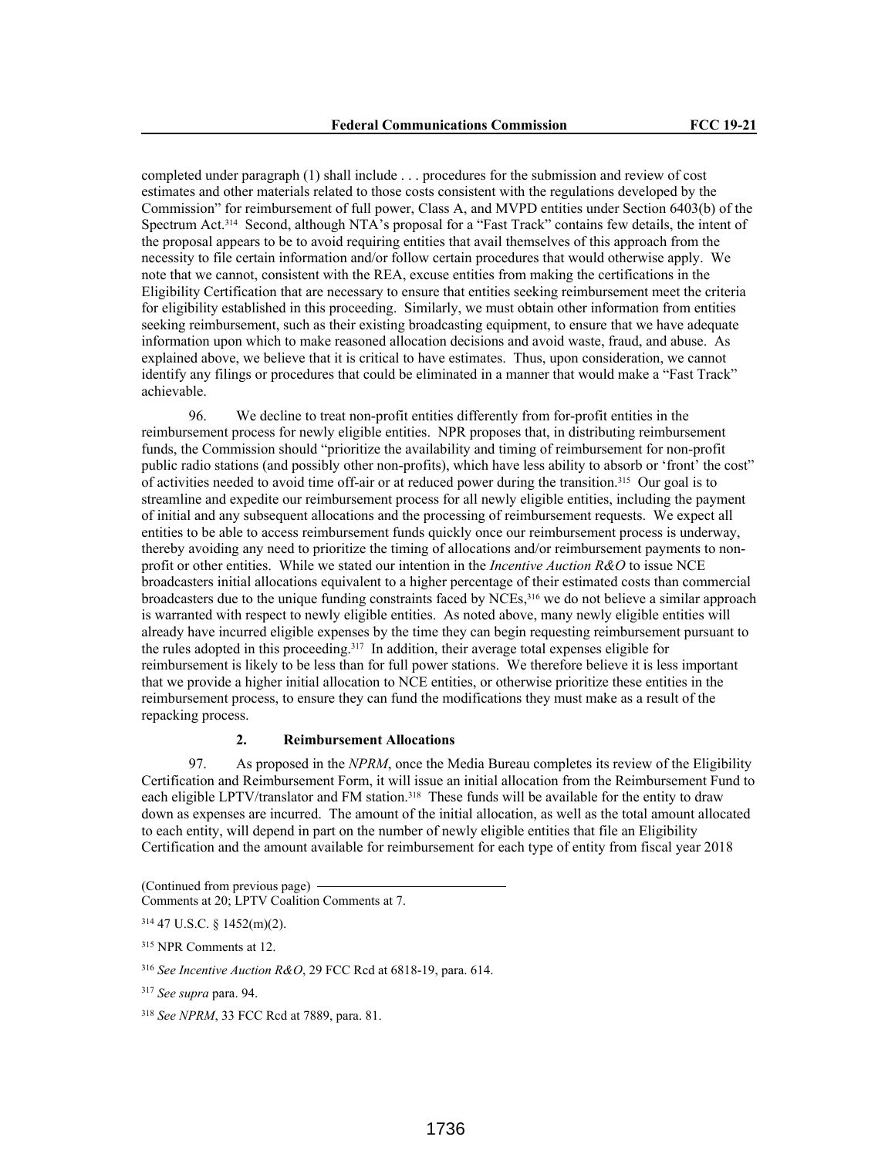completed under paragraph (1) shall include . . . procedures for the submission and review of cost estimates and other materials related to those costs consistent with the regulations developed by the Commission" for reimbursement of full power, Class A, and MVPD entities under Section 6403(b) of the Spectrum Act.314 Second, although NTA's proposal for a "Fast Track" contains few details, the intent of the proposal appears to be to avoid requiring entities that avail themselves of this approach from the necessity to file certain information and/or follow certain procedures that would otherwise apply. We note that we cannot, consistent with the REA, excuse entities from making the certifications in the Eligibility Certification that are necessary to ensure that entities seeking reimbursement meet the criteria for eligibility established in this proceeding. Similarly, we must obtain other information from entities seeking reimbursement, such as their existing broadcasting equipment, to ensure that we have adequate information upon which to make reasoned allocation decisions and avoid waste, fraud, and abuse. As explained above, we believe that it is critical to have estimates. Thus, upon consideration, we cannot identify any filings or procedures that could be eliminated in a manner that would make a "Fast Track" achievable.

96. We decline to treat non-profit entities differently from for-profit entities in the reimbursement process for newly eligible entities. NPR proposes that, in distributing reimbursement funds, the Commission should "prioritize the availability and timing of reimbursement for non-profit public radio stations (and possibly other non-profits), which have less ability to absorb or 'front' the cost" of activities needed to avoid time off-air or at reduced power during the transition.315 Our goal is to streamline and expedite our reimbursement process for all newly eligible entities, including the payment of initial and any subsequent allocations and the processing of reimbursement requests. We expect all entities to be able to access reimbursement funds quickly once our reimbursement process is underway, thereby avoiding any need to prioritize the timing of allocations and/or reimbursement payments to nonprofit or other entities. While we stated our intention in the *Incentive Auction R&O* to issue NCE broadcasters initial allocations equivalent to a higher percentage of their estimated costs than commercial broadcasters due to the unique funding constraints faced by NCEs,316 we do not believe a similar approach is warranted with respect to newly eligible entities. As noted above, many newly eligible entities will already have incurred eligible expenses by the time they can begin requesting reimbursement pursuant to the rules adopted in this proceeding.<sup>317</sup> In addition, their average total expenses eligible for reimbursement is likely to be less than for full power stations. We therefore believe it is less important that we provide a higher initial allocation to NCE entities, or otherwise prioritize these entities in the reimbursement process, to ensure they can fund the modifications they must make as a result of the repacking process.

## **2. Reimbursement Allocations**

97. As proposed in the *NPRM*, once the Media Bureau completes its review of the Eligibility Certification and Reimbursement Form, it will issue an initial allocation from the Reimbursement Fund to each eligible LPTV/translator and FM station.<sup>318</sup> These funds will be available for the entity to draw down as expenses are incurred. The amount of the initial allocation, as well as the total amount allocated to each entity, will depend in part on the number of newly eligible entities that file an Eligibility Certification and the amount available for reimbursement for each type of entity from fiscal year 2018

<sup>(</sup>Continued from previous page)

Comments at 20; LPTV Coalition Comments at 7.

<sup>314</sup> 47 U.S.C. § 1452(m)(2).

<sup>315</sup> NPR Comments at 12.

<sup>316</sup> *See Incentive Auction R&O*, 29 FCC Rcd at 6818-19, para. 614.

<sup>317</sup> *See supra* para. 94.

<sup>318</sup> *See NPRM*, 33 FCC Rcd at 7889, para. 81.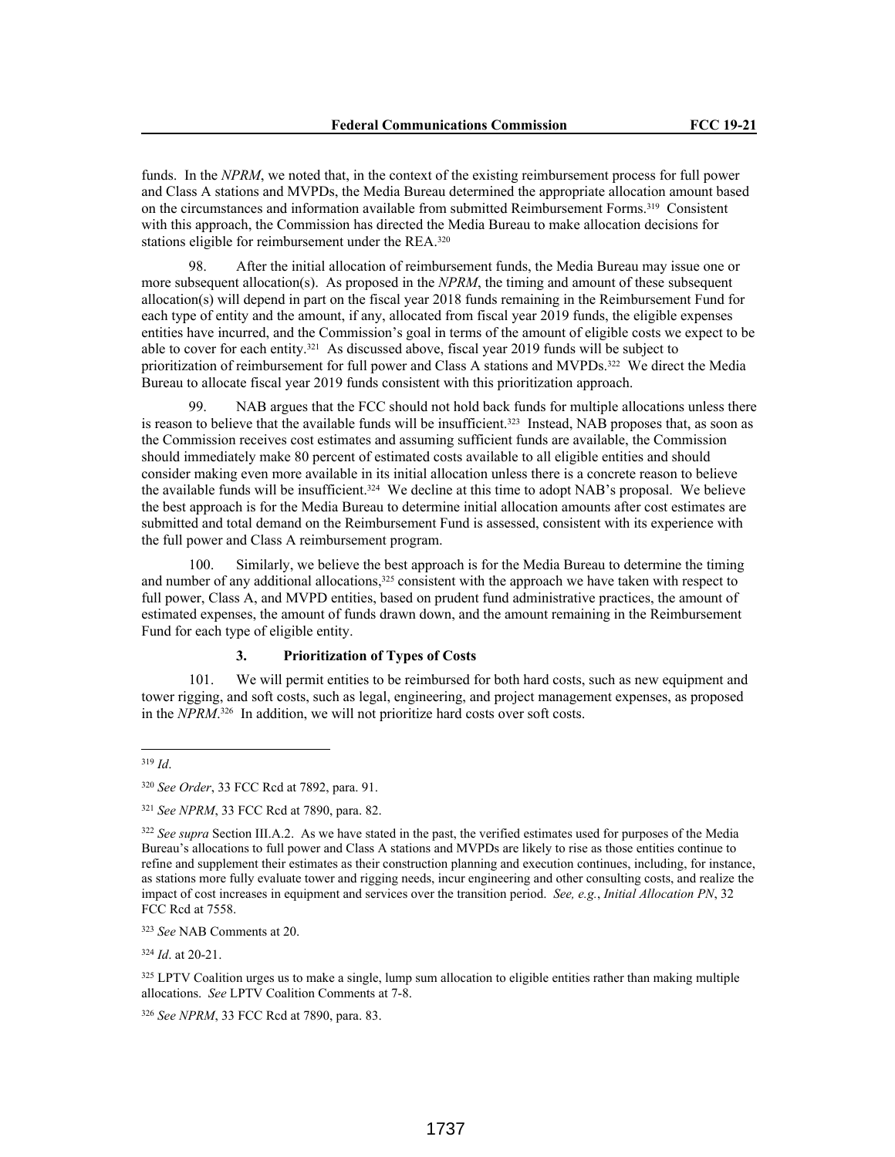funds. In the *NPRM*, we noted that, in the context of the existing reimbursement process for full power and Class A stations and MVPDs, the Media Bureau determined the appropriate allocation amount based on the circumstances and information available from submitted Reimbursement Forms.319 Consistent with this approach, the Commission has directed the Media Bureau to make allocation decisions for stations eligible for reimbursement under the REA.<sup>320</sup>

98. After the initial allocation of reimbursement funds, the Media Bureau may issue one or more subsequent allocation(s). As proposed in the *NPRM*, the timing and amount of these subsequent allocation(s) will depend in part on the fiscal year 2018 funds remaining in the Reimbursement Fund for each type of entity and the amount, if any, allocated from fiscal year 2019 funds, the eligible expenses entities have incurred, and the Commission's goal in terms of the amount of eligible costs we expect to be able to cover for each entity.321 As discussed above, fiscal year 2019 funds will be subject to prioritization of reimbursement for full power and Class A stations and MVPDs.322 We direct the Media Bureau to allocate fiscal year 2019 funds consistent with this prioritization approach.

99. NAB argues that the FCC should not hold back funds for multiple allocations unless there is reason to believe that the available funds will be insufficient.<sup>323</sup> Instead, NAB proposes that, as soon as the Commission receives cost estimates and assuming sufficient funds are available, the Commission should immediately make 80 percent of estimated costs available to all eligible entities and should consider making even more available in its initial allocation unless there is a concrete reason to believe the available funds will be insufficient.324 We decline at this time to adopt NAB's proposal. We believe the best approach is for the Media Bureau to determine initial allocation amounts after cost estimates are submitted and total demand on the Reimbursement Fund is assessed, consistent with its experience with the full power and Class A reimbursement program.

100. Similarly, we believe the best approach is for the Media Bureau to determine the timing and number of any additional allocations,<sup>325</sup> consistent with the approach we have taken with respect to full power, Class A, and MVPD entities, based on prudent fund administrative practices, the amount of estimated expenses, the amount of funds drawn down, and the amount remaining in the Reimbursement Fund for each type of eligible entity.

## **3. Prioritization of Types of Costs**

101. We will permit entities to be reimbursed for both hard costs, such as new equipment and tower rigging, and soft costs, such as legal, engineering, and project management expenses, as proposed in the *NPRM*. <sup>326</sup> In addition, we will not prioritize hard costs over soft costs.

<sup>324</sup> *Id*. at 20-21.

325 LPTV Coalition urges us to make a single, lump sum allocation to eligible entities rather than making multiple allocations. *See* LPTV Coalition Comments at 7-8.

<sup>326</sup> *See NPRM*, 33 FCC Rcd at 7890, para. 83.

<sup>319</sup> *Id*.

<sup>320</sup> *See Order*, 33 FCC Rcd at 7892, para. 91.

<sup>321</sup> *See NPRM*, 33 FCC Rcd at 7890, para. 82.

<sup>322</sup> *See supra* Section III.A.2. As we have stated in the past, the verified estimates used for purposes of the Media Bureau's allocations to full power and Class A stations and MVPDs are likely to rise as those entities continue to refine and supplement their estimates as their construction planning and execution continues, including, for instance, as stations more fully evaluate tower and rigging needs, incur engineering and other consulting costs, and realize the impact of cost increases in equipment and services over the transition period. *See, e.g.*, *Initial Allocation PN*, 32 FCC Rcd at 7558.

<sup>323</sup> *See* NAB Comments at 20.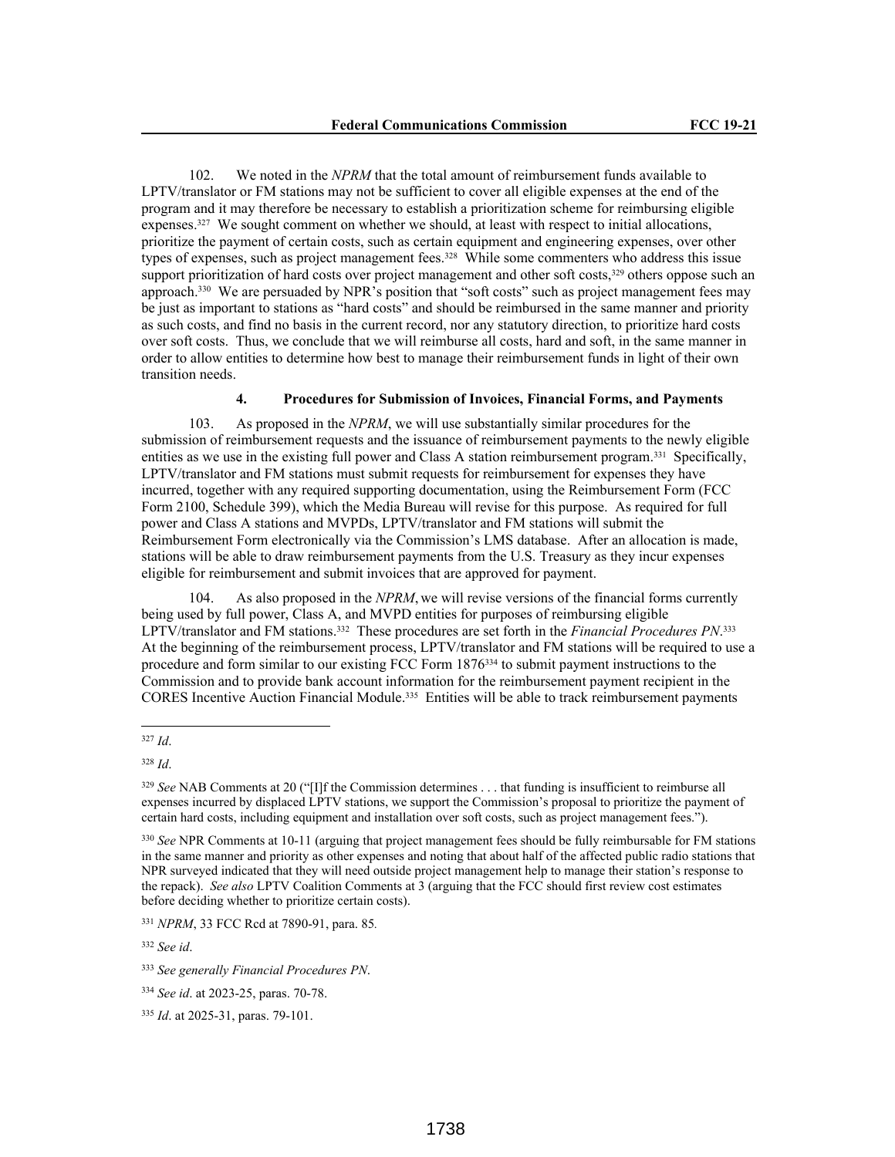102. We noted in the *NPRM* that the total amount of reimbursement funds available to LPTV/translator or FM stations may not be sufficient to cover all eligible expenses at the end of the program and it may therefore be necessary to establish a prioritization scheme for reimbursing eligible expenses.327 We sought comment on whether we should, at least with respect to initial allocations, prioritize the payment of certain costs, such as certain equipment and engineering expenses, over other types of expenses, such as project management fees.<sup>328</sup> While some commenters who address this issue support prioritization of hard costs over project management and other soft costs,<sup>329</sup> others oppose such an approach.330 We are persuaded by NPR's position that "soft costs" such as project management fees may be just as important to stations as "hard costs" and should be reimbursed in the same manner and priority as such costs, and find no basis in the current record, nor any statutory direction, to prioritize hard costs over soft costs. Thus, we conclude that we will reimburse all costs, hard and soft, in the same manner in order to allow entities to determine how best to manage their reimbursement funds in light of their own transition needs.

### **4. Procedures for Submission of Invoices, Financial Forms, and Payments**

103. As proposed in the *NPRM*, we will use substantially similar procedures for the submission of reimbursement requests and the issuance of reimbursement payments to the newly eligible entities as we use in the existing full power and Class A station reimbursement program.331 Specifically, LPTV/translator and FM stations must submit requests for reimbursement for expenses they have incurred, together with any required supporting documentation, using the Reimbursement Form (FCC Form 2100, Schedule 399), which the Media Bureau will revise for this purpose. As required for full power and Class A stations and MVPDs, LPTV/translator and FM stations will submit the Reimbursement Form electronically via the Commission's LMS database. After an allocation is made, stations will be able to draw reimbursement payments from the U.S. Treasury as they incur expenses eligible for reimbursement and submit invoices that are approved for payment.

104. As also proposed in the *NPRM*, we will revise versions of the financial forms currently being used by full power, Class A, and MVPD entities for purposes of reimbursing eligible LPTV/translator and FM stations.332 These procedures are set forth in the *Financial Procedures PN*. 333 At the beginning of the reimbursement process, LPTV/translator and FM stations will be required to use a procedure and form similar to our existing FCC Form 1876334 to submit payment instructions to the Commission and to provide bank account information for the reimbursement payment recipient in the CORES Incentive Auction Financial Module.335 Entities will be able to track reimbursement payments

<sup>332</sup> *See id*.

<sup>327</sup> *Id*.

<sup>328</sup> *Id*.

<sup>329</sup> *See* NAB Comments at 20 ("[I]f the Commission determines . . . that funding is insufficient to reimburse all expenses incurred by displaced LPTV stations, we support the Commission's proposal to prioritize the payment of certain hard costs, including equipment and installation over soft costs, such as project management fees.").

<sup>330</sup> *See* NPR Comments at 10-11 (arguing that project management fees should be fully reimbursable for FM stations in the same manner and priority as other expenses and noting that about half of the affected public radio stations that NPR surveyed indicated that they will need outside project management help to manage their station's response to the repack). *See also* LPTV Coalition Comments at 3 (arguing that the FCC should first review cost estimates before deciding whether to prioritize certain costs).

<sup>331</sup> *NPRM*, 33 FCC Rcd at 7890-91, para. 85*.*

<sup>333</sup> *See generally Financial Procedures PN*.

<sup>334</sup> *See id*. at 2023-25, paras. 70-78.

<sup>335</sup> *Id*. at 2025-31, paras. 79-101.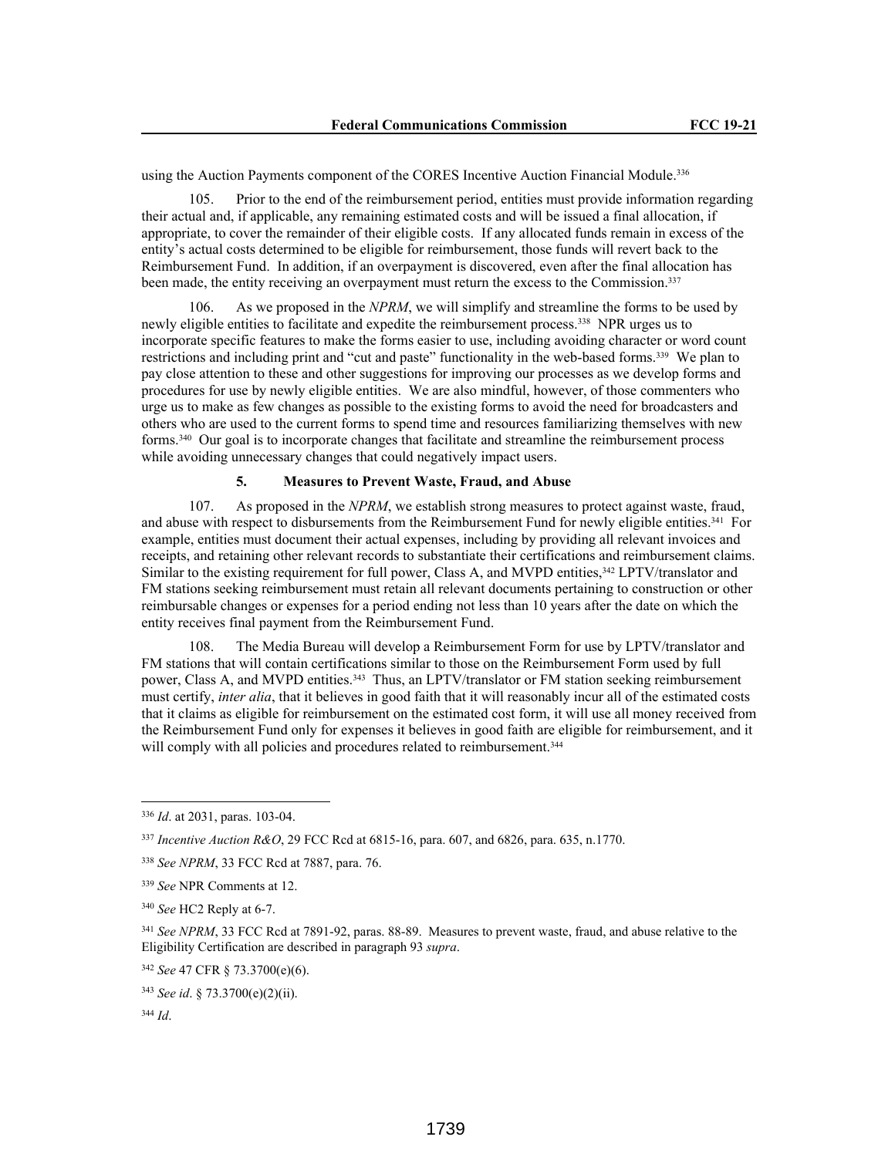using the Auction Payments component of the CORES Incentive Auction Financial Module.<sup>336</sup>

105. Prior to the end of the reimbursement period, entities must provide information regarding their actual and, if applicable, any remaining estimated costs and will be issued a final allocation, if appropriate, to cover the remainder of their eligible costs. If any allocated funds remain in excess of the entity's actual costs determined to be eligible for reimbursement, those funds will revert back to the Reimbursement Fund. In addition, if an overpayment is discovered, even after the final allocation has been made, the entity receiving an overpayment must return the excess to the Commission.<sup>337</sup>

106. As we proposed in the *NPRM*, we will simplify and streamline the forms to be used by newly eligible entities to facilitate and expedite the reimbursement process.338 NPR urges us to incorporate specific features to make the forms easier to use, including avoiding character or word count restrictions and including print and "cut and paste" functionality in the web-based forms.339 We plan to pay close attention to these and other suggestions for improving our processes as we develop forms and procedures for use by newly eligible entities. We are also mindful, however, of those commenters who urge us to make as few changes as possible to the existing forms to avoid the need for broadcasters and others who are used to the current forms to spend time and resources familiarizing themselves with new forms.340 Our goal is to incorporate changes that facilitate and streamline the reimbursement process while avoiding unnecessary changes that could negatively impact users.

# **5. Measures to Prevent Waste, Fraud, and Abuse**

107. As proposed in the *NPRM*, we establish strong measures to protect against waste, fraud, and abuse with respect to disbursements from the Reimbursement Fund for newly eligible entities.341 For example, entities must document their actual expenses, including by providing all relevant invoices and receipts, and retaining other relevant records to substantiate their certifications and reimbursement claims. Similar to the existing requirement for full power, Class A, and MVPD entities,<sup>342</sup> LPTV/translator and FM stations seeking reimbursement must retain all relevant documents pertaining to construction or other reimbursable changes or expenses for a period ending not less than 10 years after the date on which the entity receives final payment from the Reimbursement Fund.

108. The Media Bureau will develop a Reimbursement Form for use by LPTV/translator and FM stations that will contain certifications similar to those on the Reimbursement Form used by full power, Class A, and MVPD entities.<sup>343</sup> Thus, an LPTV/translator or FM station seeking reimbursement must certify, *inter alia*, that it believes in good faith that it will reasonably incur all of the estimated costs that it claims as eligible for reimbursement on the estimated cost form, it will use all money received from the Reimbursement Fund only for expenses it believes in good faith are eligible for reimbursement, and it will comply with all policies and procedures related to reimbursement.<sup>344</sup>

<sup>336</sup> *Id*. at 2031, paras. 103-04.

<sup>337</sup> *Incentive Auction R&O*, 29 FCC Rcd at 6815-16, para. 607, and 6826, para. 635, n.1770.

<sup>338</sup> *See NPRM*, 33 FCC Rcd at 7887, para. 76.

<sup>339</sup> *See* NPR Comments at 12.

<sup>340</sup> *See* HC2 Reply at 6-7.

<sup>341</sup> *See NPRM*, 33 FCC Rcd at 7891-92, paras. 88-89. Measures to prevent waste, fraud, and abuse relative to the Eligibility Certification are described in paragraph 93 *supra*.

<sup>342</sup> *See* 47 CFR § 73.3700(e)(6).

<sup>343</sup> *See id*. § 73.3700(e)(2)(ii).

<sup>344</sup> *Id*.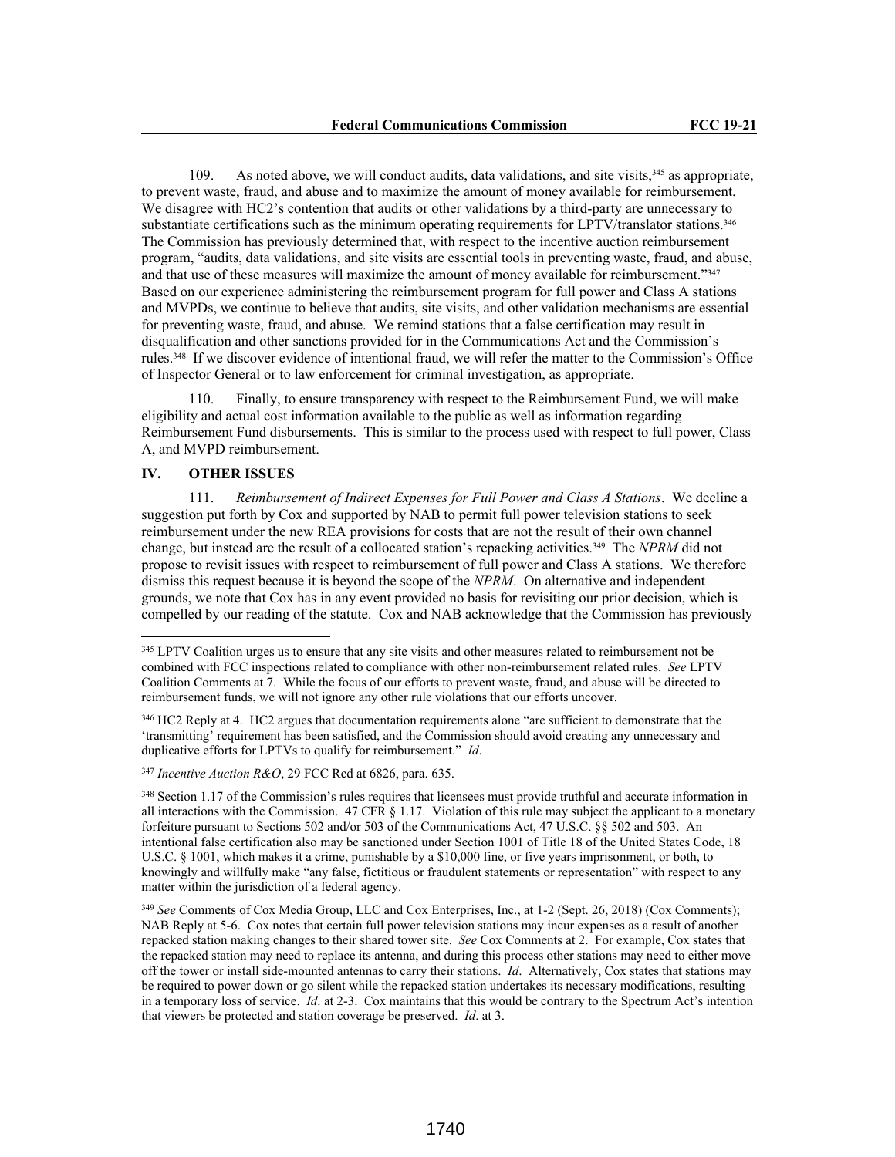109. As noted above, we will conduct audits, data validations, and site visits,<sup>345</sup> as appropriate, to prevent waste, fraud, and abuse and to maximize the amount of money available for reimbursement. We disagree with HC2's contention that audits or other validations by a third-party are unnecessary to substantiate certifications such as the minimum operating requirements for LPTV/translator stations.<sup>346</sup> The Commission has previously determined that, with respect to the incentive auction reimbursement program, "audits, data validations, and site visits are essential tools in preventing waste, fraud, and abuse, and that use of these measures will maximize the amount of money available for reimbursement."<sup>347</sup> Based on our experience administering the reimbursement program for full power and Class A stations and MVPDs, we continue to believe that audits, site visits, and other validation mechanisms are essential for preventing waste, fraud, and abuse. We remind stations that a false certification may result in disqualification and other sanctions provided for in the Communications Act and the Commission's rules.348 If we discover evidence of intentional fraud, we will refer the matter to the Commission's Office of Inspector General or to law enforcement for criminal investigation, as appropriate.

Finally, to ensure transparency with respect to the Reimbursement Fund, we will make eligibility and actual cost information available to the public as well as information regarding Reimbursement Fund disbursements. This is similar to the process used with respect to full power, Class A, and MVPD reimbursement.

## **IV. OTHER ISSUES**

111. *Reimbursement of Indirect Expenses for Full Power and Class A Stations*. We decline a suggestion put forth by Cox and supported by NAB to permit full power television stations to seek reimbursement under the new REA provisions for costs that are not the result of their own channel change, but instead are the result of a collocated station's repacking activities.349 The *NPRM* did not propose to revisit issues with respect to reimbursement of full power and Class A stations. We therefore dismiss this request because it is beyond the scope of the *NPRM*. On alternative and independent grounds, we note that Cox has in any event provided no basis for revisiting our prior decision, which is compelled by our reading of the statute. Cox and NAB acknowledge that the Commission has previously

<sup>&</sup>lt;sup>345</sup> LPTV Coalition urges us to ensure that any site visits and other measures related to reimbursement not be combined with FCC inspections related to compliance with other non-reimbursement related rules. *See* LPTV Coalition Comments at 7. While the focus of our efforts to prevent waste, fraud, and abuse will be directed to reimbursement funds, we will not ignore any other rule violations that our efforts uncover.

<sup>346</sup> HC2 Reply at 4. HC2 argues that documentation requirements alone "are sufficient to demonstrate that the 'transmitting' requirement has been satisfied, and the Commission should avoid creating any unnecessary and duplicative efforts for LPTVs to qualify for reimbursement." *Id*.

<sup>347</sup> *Incentive Auction R&O*, 29 FCC Rcd at 6826, para. 635.

<sup>&</sup>lt;sup>348</sup> Section 1.17 of the Commission's rules requires that licensees must provide truthful and accurate information in all interactions with the Commission. 47 CFR  $\S$  1.17. Violation of this rule may subject the applicant to a monetary forfeiture pursuant to Sections 502 and/or 503 of the Communications Act, 47 U.S.C. §§ 502 and 503. An intentional false certification also may be sanctioned under Section 1001 of Title 18 of the United States Code, 18 U.S.C. § 1001, which makes it a crime, punishable by a \$10,000 fine, or five years imprisonment, or both, to knowingly and willfully make "any false, fictitious or fraudulent statements or representation" with respect to any matter within the jurisdiction of a federal agency.

<sup>349</sup> *See* Comments of Cox Media Group, LLC and Cox Enterprises, Inc., at 1-2 (Sept. 26, 2018) (Cox Comments); NAB Reply at 5-6. Cox notes that certain full power television stations may incur expenses as a result of another repacked station making changes to their shared tower site. *See* Cox Comments at 2. For example, Cox states that the repacked station may need to replace its antenna, and during this process other stations may need to either move off the tower or install side-mounted antennas to carry their stations. *Id*. Alternatively, Cox states that stations may be required to power down or go silent while the repacked station undertakes its necessary modifications, resulting in a temporary loss of service. *Id*. at 2-3. Cox maintains that this would be contrary to the Spectrum Act's intention that viewers be protected and station coverage be preserved. *Id*. at 3.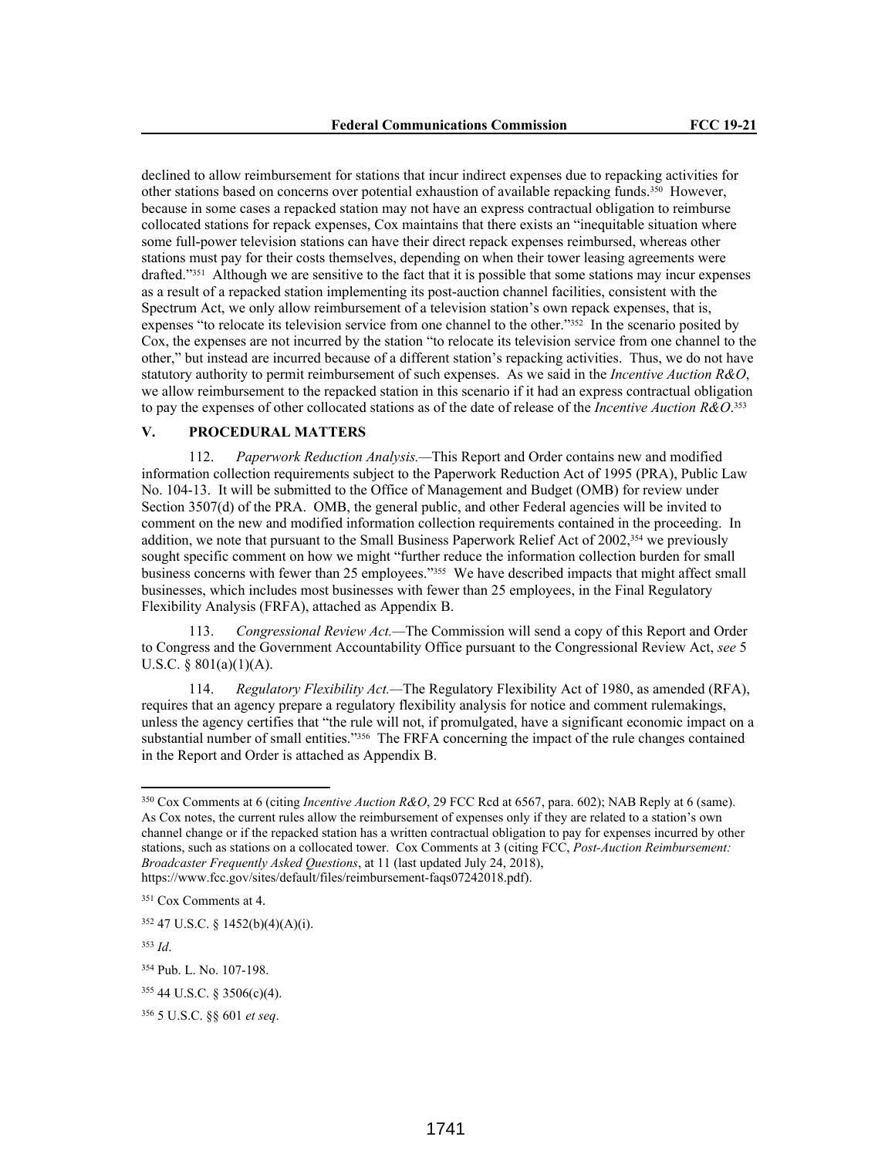declined to allow reimbursement for stations that incur indirect expenses due to repacking activities for other stations based on concerns over potential exhaustion of available repacking funds.350 However, because in some cases a repacked station may not have an express contractual obligation to reimburse collocated stations for repack expenses, Cox maintains that there exists an "inequitable situation where some full-power television stations can have their direct repack expenses reimbursed, whereas other stations must pay for their costs themselves, depending on when their tower leasing agreements were drafted."351 Although we are sensitive to the fact that it is possible that some stations may incur expenses as a result of a repacked station implementing its post-auction channel facilities, consistent with the Spectrum Act, we only allow reimbursement of a television station's own repack expenses, that is, expenses "to relocate its television service from one channel to the other."<sup>352</sup> In the scenario posited by Cox, the expenses are not incurred by the station "to relocate its television service from one channel to the other," but instead are incurred because of a different station's repacking activities. Thus, we do not have statutory authority to permit reimbursement of such expenses. As we said in the *Incentive Auction R&O*, we allow reimbursement to the repacked station in this scenario if it had an express contractual obligation to pay the expenses of other collocated stations as of the date of release of the *Incentive Auction R&O*. 353

# **V. PROCEDURAL MATTERS**

112. *Paperwork Reduction Analysis.—*This Report and Order contains new and modified information collection requirements subject to the Paperwork Reduction Act of 1995 (PRA), Public Law No. 104-13. It will be submitted to the Office of Management and Budget (OMB) for review under Section 3507(d) of the PRA. OMB, the general public, and other Federal agencies will be invited to comment on the new and modified information collection requirements contained in the proceeding. In addition, we note that pursuant to the Small Business Paperwork Relief Act of 2002,<sup>354</sup> we previously sought specific comment on how we might "further reduce the information collection burden for small business concerns with fewer than 25 employees."355 We have described impacts that might affect small businesses, which includes most businesses with fewer than 25 employees, in the Final Regulatory Flexibility Analysis (FRFA), attached as Appendix B.

113. *Congressional Review Act.—*The Commission will send a copy of this Report and Order to Congress and the Government Accountability Office pursuant to the Congressional Review Act, *see* 5 U.S.C. §  $801(a)(1)(A)$ .

114. *Regulatory Flexibility Act.—*The Regulatory Flexibility Act of 1980, as amended (RFA), requires that an agency prepare a regulatory flexibility analysis for notice and comment rulemakings, unless the agency certifies that "the rule will not, if promulgated, have a significant economic impact on a substantial number of small entities."356 The FRFA concerning the impact of the rule changes contained in the Report and Order is attached as Appendix B.

<sup>350</sup> Cox Comments at 6 (citing *Incentive Auction R&O*, 29 FCC Rcd at 6567, para. 602); NAB Reply at 6 (same). As Cox notes, the current rules allow the reimbursement of expenses only if they are related to a station's own channel change or if the repacked station has a written contractual obligation to pay for expenses incurred by other stations, such as stations on a collocated tower. Cox Comments at 3 (citing FCC, *Post-Auction Reimbursement: Broadcaster Frequently Asked Questions*, at 11 (last updated July 24, 2018), https://www.fcc.gov/sites/default/files/reimbursement-faqs07242018.pdf).

<sup>351</sup> Cox Comments at 4.

<sup>352</sup> 47 U.S.C. § 1452(b)(4)(A)(i).

<sup>353</sup> *Id*.

<sup>354</sup> Pub. L. No. 107-198.

<sup>355</sup> 44 U.S.C. § 3506(c)(4).

<sup>356</sup> 5 U.S.C. §§ 601 *et seq*.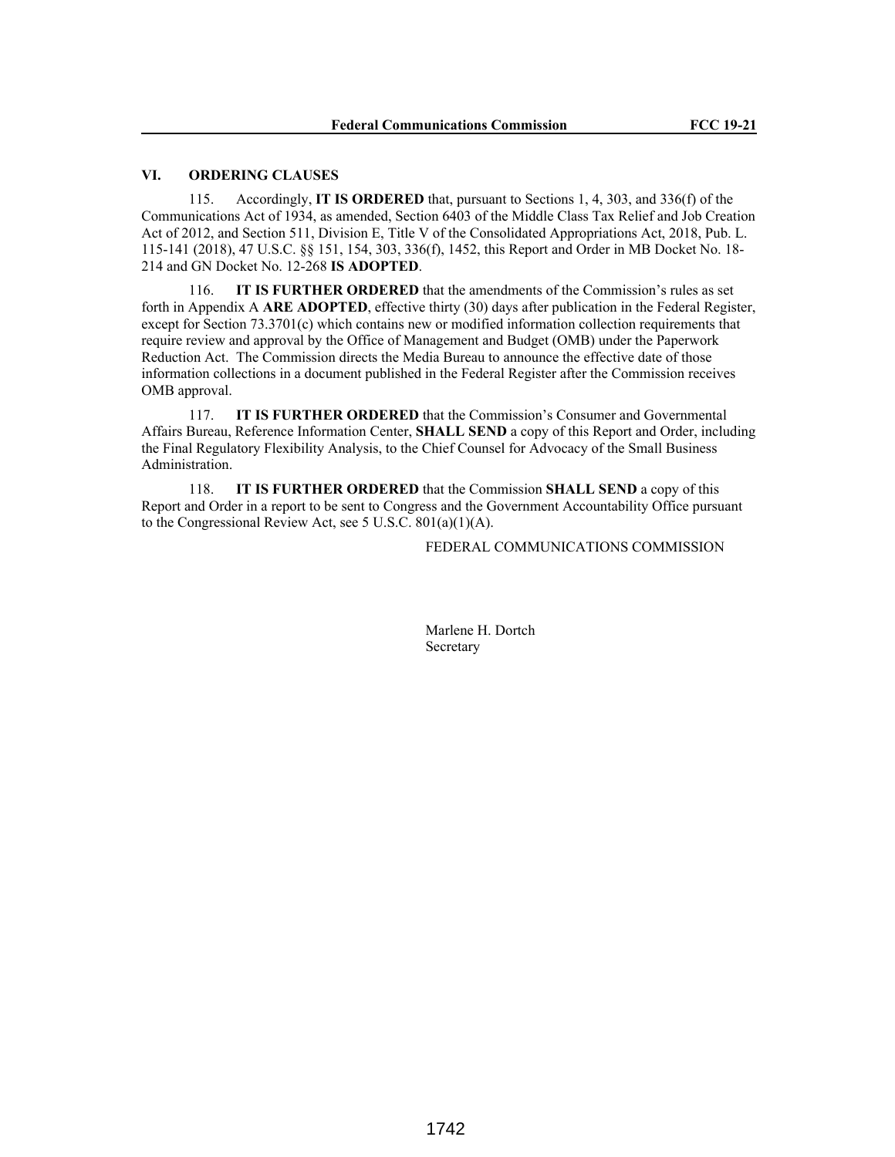## **VI. ORDERING CLAUSES**

115. Accordingly, **IT IS ORDERED** that, pursuant to Sections 1, 4, 303, and 336(f) of the Communications Act of 1934, as amended, Section 6403 of the Middle Class Tax Relief and Job Creation Act of 2012, and Section 511, Division E, Title V of the Consolidated Appropriations Act, 2018, Pub. L. 115-141 (2018), 47 U.S.C. §§ 151, 154, 303, 336(f), 1452, this Report and Order in MB Docket No. 18- 214 and GN Docket No. 12-268 **IS ADOPTED**.

116. **IT IS FURTHER ORDERED** that the amendments of the Commission's rules as set forth in Appendix A **ARE ADOPTED**, effective thirty (30) days after publication in the Federal Register, except for Section 73.3701(c) which contains new or modified information collection requirements that require review and approval by the Office of Management and Budget (OMB) under the Paperwork Reduction Act. The Commission directs the Media Bureau to announce the effective date of those information collections in a document published in the Federal Register after the Commission receives OMB approval.

117. **IT IS FURTHER ORDERED** that the Commission's Consumer and Governmental Affairs Bureau, Reference Information Center, **SHALL SEND** a copy of this Report and Order, including the Final Regulatory Flexibility Analysis, to the Chief Counsel for Advocacy of the Small Business Administration.

118. **IT IS FURTHER ORDERED** that the Commission **SHALL SEND** a copy of this Report and Order in a report to be sent to Congress and the Government Accountability Office pursuant to the Congressional Review Act, see 5 U.S.C. 801(a)(1)(A).

## FEDERAL COMMUNICATIONS COMMISSION

Marlene H. Dortch **Secretary**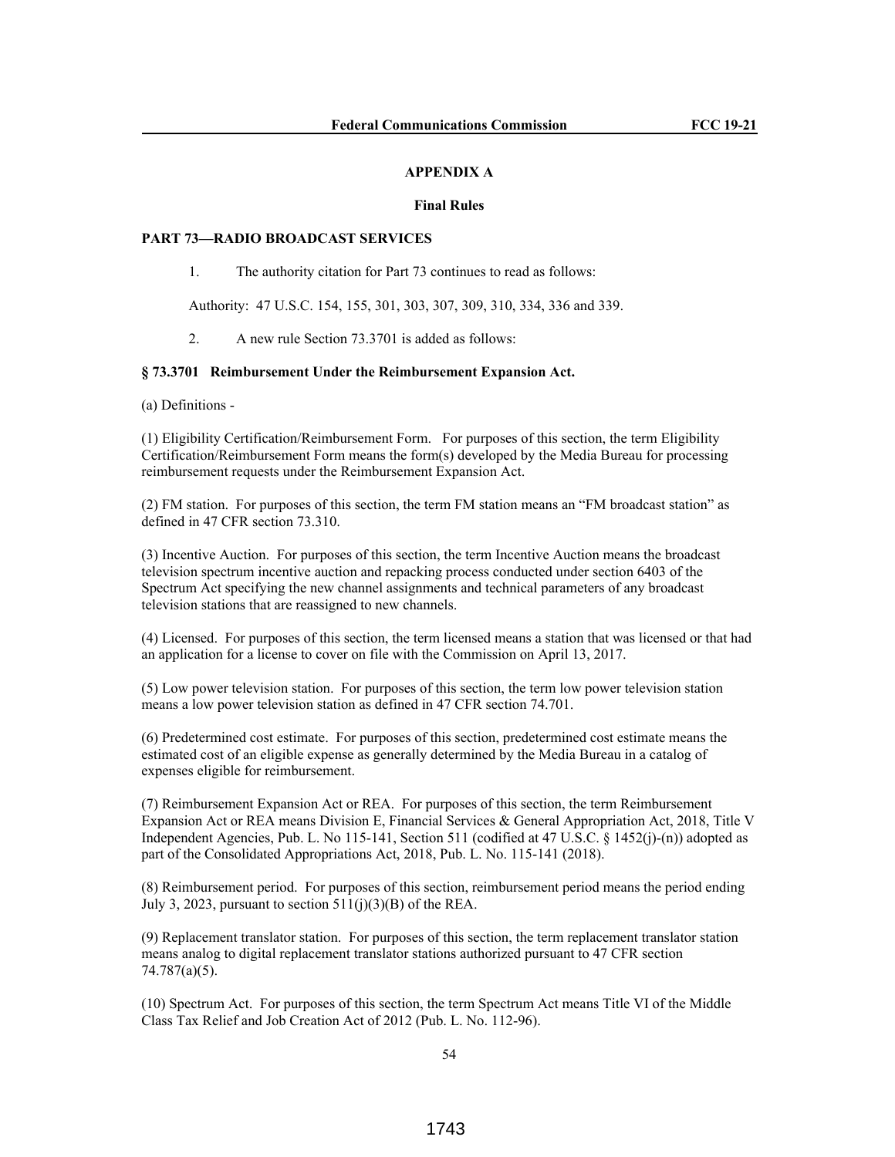#### **APPENDIX A**

#### **Final Rules**

### **PART 73—RADIO BROADCAST SERVICES**

1. The authority citation for Part 73 continues to read as follows:

Authority: 47 U.S.C. 154, 155, 301, 303, 307, 309, 310, 334, 336 and 339.

2. A new rule Section 73.3701 is added as follows:

### **§ 73.3701 Reimbursement Under the Reimbursement Expansion Act.**

(a) Definitions -

(1) Eligibility Certification/Reimbursement Form. For purposes of this section, the term Eligibility Certification/Reimbursement Form means the form(s) developed by the Media Bureau for processing reimbursement requests under the Reimbursement Expansion Act.

(2) FM station. For purposes of this section, the term FM station means an "FM broadcast station" as defined in 47 CFR section 73.310.

(3) Incentive Auction. For purposes of this section, the term Incentive Auction means the broadcast television spectrum incentive auction and repacking process conducted under section 6403 of the Spectrum Act specifying the new channel assignments and technical parameters of any broadcast television stations that are reassigned to new channels.

(4) Licensed. For purposes of this section, the term licensed means a station that was licensed or that had an application for a license to cover on file with the Commission on April 13, 2017.

(5) Low power television station. For purposes of this section, the term low power television station means a low power television station as defined in 47 CFR section 74.701.

(6) Predetermined cost estimate. For purposes of this section, predetermined cost estimate means the estimated cost of an eligible expense as generally determined by the Media Bureau in a catalog of expenses eligible for reimbursement.

(7) Reimbursement Expansion Act or REA. For purposes of this section, the term Reimbursement Expansion Act or REA means Division E, Financial Services & General Appropriation Act, 2018, Title V Independent Agencies, Pub. L. No 115-141, Section 511 (codified at 47 U.S.C. § 1452(j)-(n)) adopted as part of the Consolidated Appropriations Act, 2018, Pub. L. No. 115-141 (2018).

(8) Reimbursement period. For purposes of this section, reimbursement period means the period ending July 3, 2023, pursuant to section  $511(i)(3)(B)$  of the REA.

(9) Replacement translator station. For purposes of this section, the term replacement translator station means analog to digital replacement translator stations authorized pursuant to 47 CFR section 74.787(a)(5).

(10) Spectrum Act. For purposes of this section, the term Spectrum Act means Title VI of the Middle Class Tax Relief and Job Creation Act of 2012 (Pub. L. No. 112-96).

54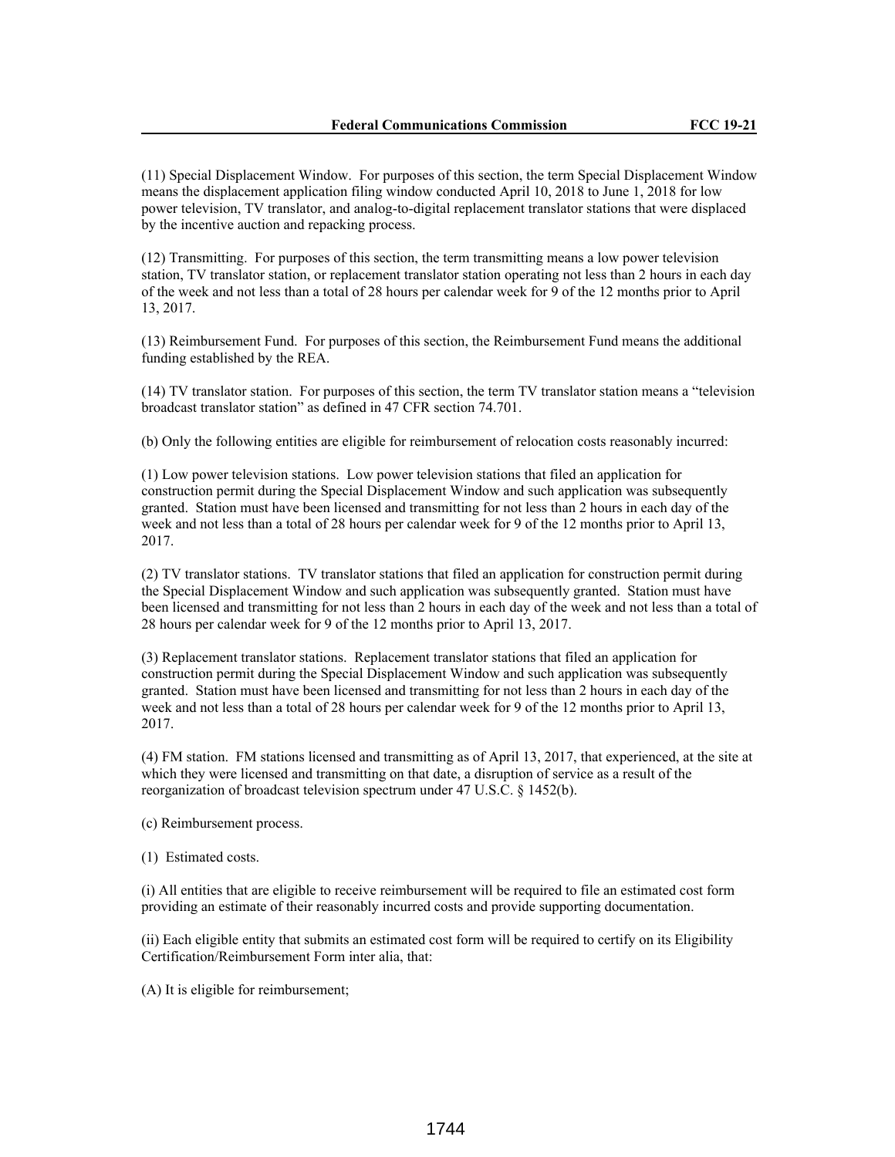(11) Special Displacement Window. For purposes of this section, the term Special Displacement Window means the displacement application filing window conducted April 10, 2018 to June 1, 2018 for low power television, TV translator, and analog-to-digital replacement translator stations that were displaced by the incentive auction and repacking process.

(12) Transmitting. For purposes of this section, the term transmitting means a low power television station, TV translator station, or replacement translator station operating not less than 2 hours in each day of the week and not less than a total of 28 hours per calendar week for 9 of the 12 months prior to April 13, 2017.

(13) Reimbursement Fund. For purposes of this section, the Reimbursement Fund means the additional funding established by the REA.

(14) TV translator station. For purposes of this section, the term TV translator station means a "television broadcast translator station" as defined in 47 CFR section 74.701.

(b) Only the following entities are eligible for reimbursement of relocation costs reasonably incurred:

(1) Low power television stations. Low power television stations that filed an application for construction permit during the Special Displacement Window and such application was subsequently granted. Station must have been licensed and transmitting for not less than 2 hours in each day of the week and not less than a total of 28 hours per calendar week for 9 of the 12 months prior to April 13, 2017.

(2) TV translator stations. TV translator stations that filed an application for construction permit during the Special Displacement Window and such application was subsequently granted. Station must have been licensed and transmitting for not less than 2 hours in each day of the week and not less than a total of 28 hours per calendar week for 9 of the 12 months prior to April 13, 2017.

(3) Replacement translator stations. Replacement translator stations that filed an application for construction permit during the Special Displacement Window and such application was subsequently granted. Station must have been licensed and transmitting for not less than 2 hours in each day of the week and not less than a total of 28 hours per calendar week for 9 of the 12 months prior to April 13, 2017.

(4) FM station. FM stations licensed and transmitting as of April 13, 2017, that experienced, at the site at which they were licensed and transmitting on that date, a disruption of service as a result of the reorganization of broadcast television spectrum under 47 U.S.C. § 1452(b).

(c) Reimbursement process.

(1) Estimated costs.

(i) All entities that are eligible to receive reimbursement will be required to file an estimated cost form providing an estimate of their reasonably incurred costs and provide supporting documentation.

(ii) Each eligible entity that submits an estimated cost form will be required to certify on its Eligibility Certification/Reimbursement Form inter alia, that:

(A) It is eligible for reimbursement;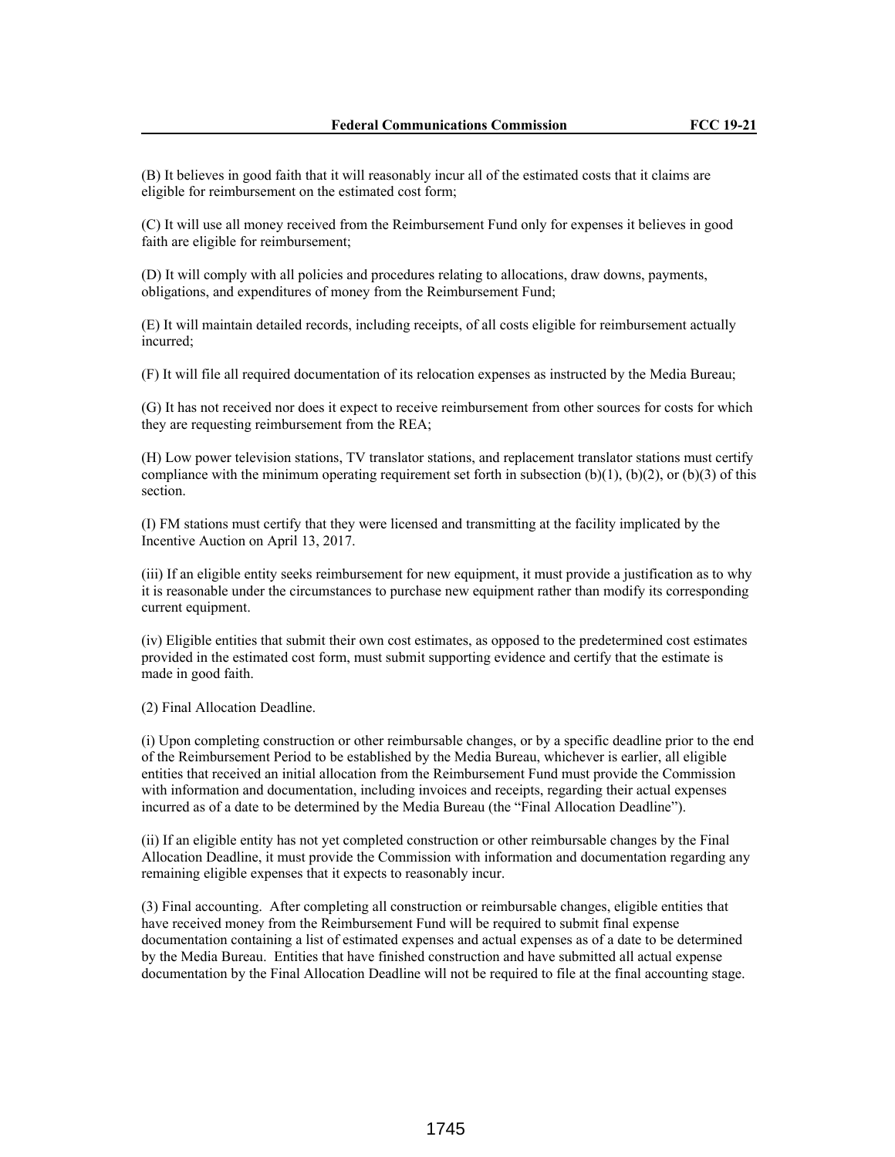(B) It believes in good faith that it will reasonably incur all of the estimated costs that it claims are eligible for reimbursement on the estimated cost form;

(C) It will use all money received from the Reimbursement Fund only for expenses it believes in good faith are eligible for reimbursement;

(D) It will comply with all policies and procedures relating to allocations, draw downs, payments, obligations, and expenditures of money from the Reimbursement Fund;

(E) It will maintain detailed records, including receipts, of all costs eligible for reimbursement actually incurred;

(F) It will file all required documentation of its relocation expenses as instructed by the Media Bureau;

(G) It has not received nor does it expect to receive reimbursement from other sources for costs for which they are requesting reimbursement from the REA;

(H) Low power television stations, TV translator stations, and replacement translator stations must certify compliance with the minimum operating requirement set forth in subsection  $(b)(1)$ ,  $(b)(2)$ , or  $(b)(3)$  of this section.

(I) FM stations must certify that they were licensed and transmitting at the facility implicated by the Incentive Auction on April 13, 2017.

(iii) If an eligible entity seeks reimbursement for new equipment, it must provide a justification as to why it is reasonable under the circumstances to purchase new equipment rather than modify its corresponding current equipment.

(iv) Eligible entities that submit their own cost estimates, as opposed to the predetermined cost estimates provided in the estimated cost form, must submit supporting evidence and certify that the estimate is made in good faith.

(2) Final Allocation Deadline.

(i) Upon completing construction or other reimbursable changes, or by a specific deadline prior to the end of the Reimbursement Period to be established by the Media Bureau, whichever is earlier, all eligible entities that received an initial allocation from the Reimbursement Fund must provide the Commission with information and documentation, including invoices and receipts, regarding their actual expenses incurred as of a date to be determined by the Media Bureau (the "Final Allocation Deadline").

(ii) If an eligible entity has not yet completed construction or other reimbursable changes by the Final Allocation Deadline, it must provide the Commission with information and documentation regarding any remaining eligible expenses that it expects to reasonably incur.

(3) Final accounting. After completing all construction or reimbursable changes, eligible entities that have received money from the Reimbursement Fund will be required to submit final expense documentation containing a list of estimated expenses and actual expenses as of a date to be determined by the Media Bureau. Entities that have finished construction and have submitted all actual expense documentation by the Final Allocation Deadline will not be required to file at the final accounting stage.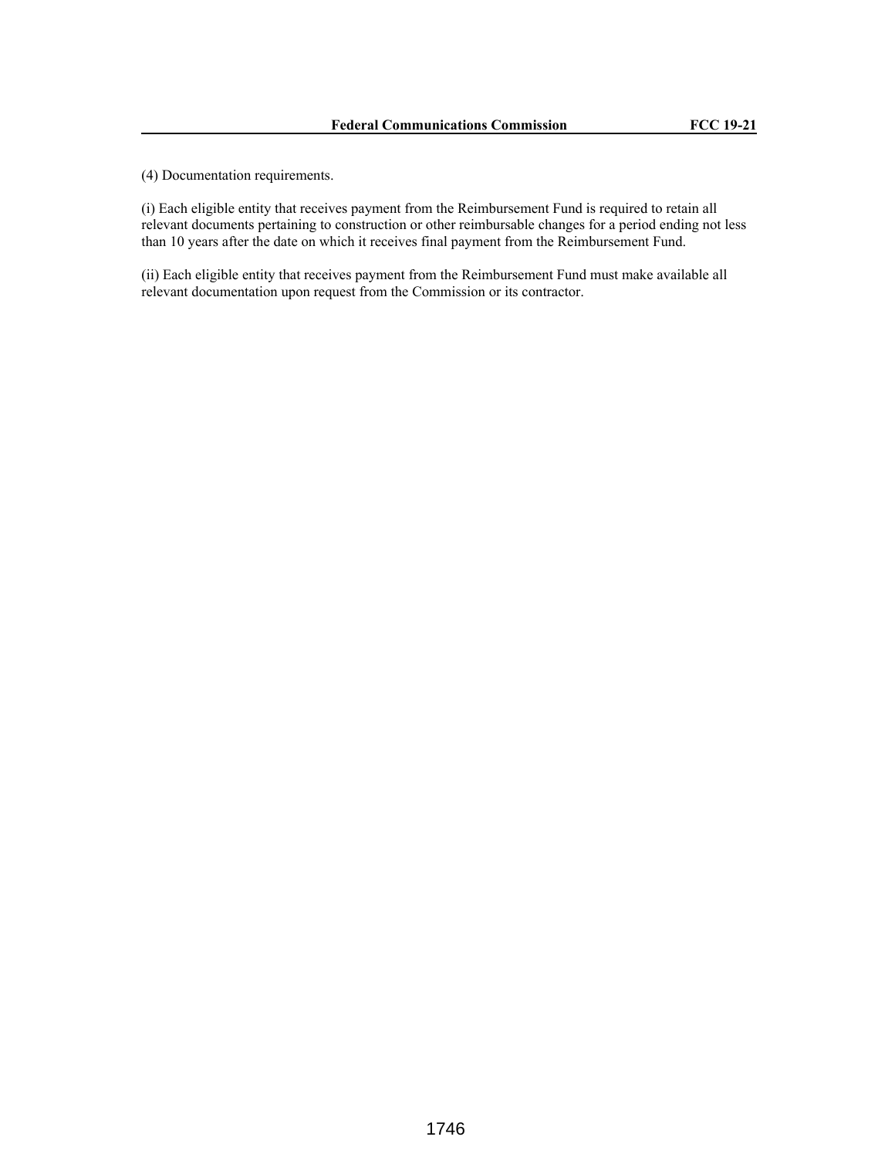(4) Documentation requirements.

(i) Each eligible entity that receives payment from the Reimbursement Fund is required to retain all relevant documents pertaining to construction or other reimbursable changes for a period ending not less than 10 years after the date on which it receives final payment from the Reimbursement Fund.

(ii) Each eligible entity that receives payment from the Reimbursement Fund must make available all relevant documentation upon request from the Commission or its contractor.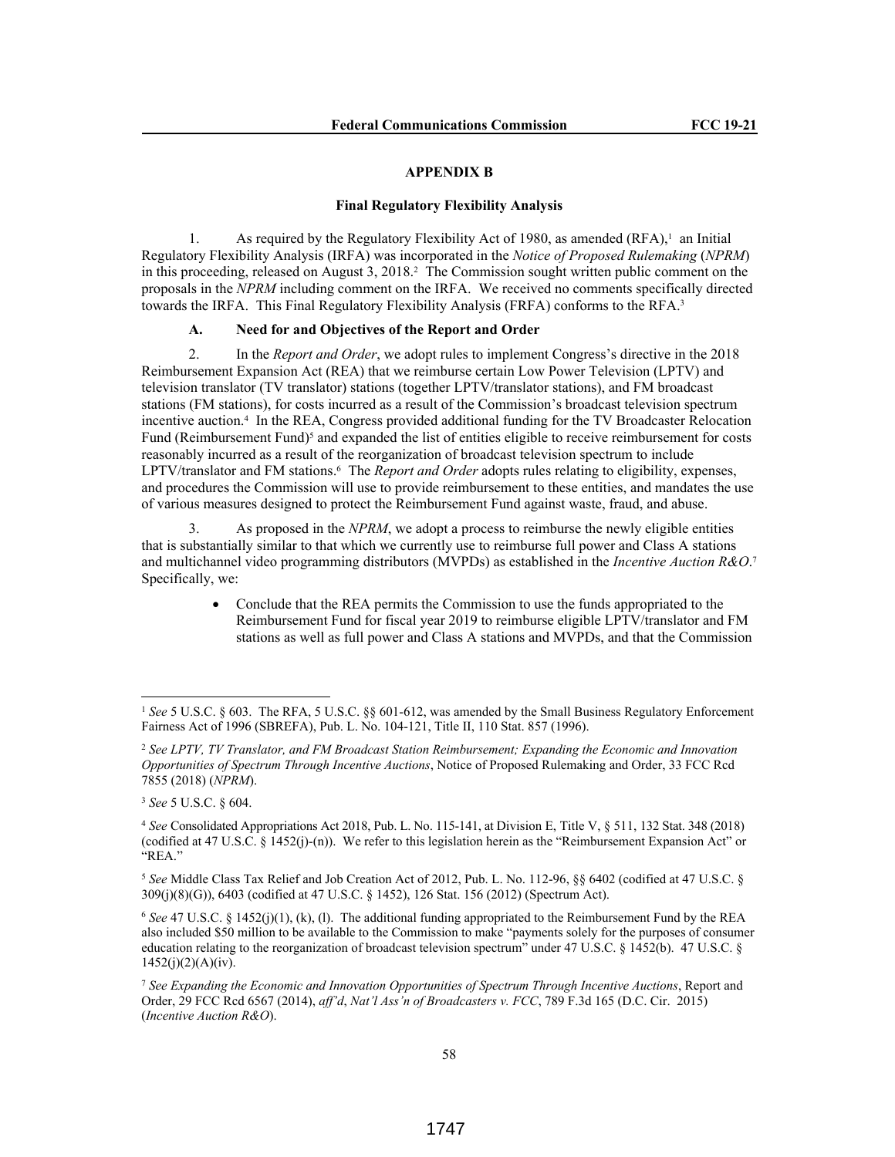#### **APPENDIX B**

#### **Final Regulatory Flexibility Analysis**

1. As required by the Regulatory Flexibility Act of 1980, as amended (RFA),<sup>1</sup> an Initial Regulatory Flexibility Analysis (IRFA) was incorporated in the *Notice of Proposed Rulemaking* (*NPRM*) in this proceeding, released on August 3, 2018.<sup>2</sup> The Commission sought written public comment on the proposals in the *NPRM* including comment on the IRFA. We received no comments specifically directed towards the IRFA. This Final Regulatory Flexibility Analysis (FRFA) conforms to the RFA.<sup>3</sup>

# **A. Need for and Objectives of the Report and Order**

2. In the *Report and Order*, we adopt rules to implement Congress's directive in the 2018 Reimbursement Expansion Act (REA) that we reimburse certain Low Power Television (LPTV) and television translator (TV translator) stations (together LPTV/translator stations), and FM broadcast stations (FM stations), for costs incurred as a result of the Commission's broadcast television spectrum incentive auction.<sup>4</sup> In the REA, Congress provided additional funding for the TV Broadcaster Relocation Fund (Reimbursement Fund)<sup>5</sup> and expanded the list of entities eligible to receive reimbursement for costs reasonably incurred as a result of the reorganization of broadcast television spectrum to include LPTV/translator and FM stations.<sup>6</sup> The *Report and Order* adopts rules relating to eligibility, expenses, and procedures the Commission will use to provide reimbursement to these entities, and mandates the use of various measures designed to protect the Reimbursement Fund against waste, fraud, and abuse.

3. As proposed in the *NPRM*, we adopt a process to reimburse the newly eligible entities that is substantially similar to that which we currently use to reimburse full power and Class A stations and multichannel video programming distributors (MVPDs) as established in the *Incentive Auction R&O*. 7 Specifically, we:

> Conclude that the REA permits the Commission to use the funds appropriated to the Reimbursement Fund for fiscal year 2019 to reimburse eligible LPTV/translator and FM stations as well as full power and Class A stations and MVPDs, and that the Commission

<sup>&</sup>lt;sup>1</sup> See 5 U.S.C. § 603. The RFA, 5 U.S.C. §§ 601-612, was amended by the Small Business Regulatory Enforcement Fairness Act of 1996 (SBREFA), Pub. L. No. 104-121, Title II, 110 Stat. 857 (1996).

<sup>2</sup> *See LPTV, TV Translator, and FM Broadcast Station Reimbursement; Expanding the Economic and Innovation Opportunities of Spectrum Through Incentive Auctions*, Notice of Proposed Rulemaking and Order, 33 FCC Rcd 7855 (2018) (*NPRM*).

<sup>3</sup> *See* 5 U.S.C. § 604.

<sup>4</sup> *See* Consolidated Appropriations Act 2018, Pub. L. No. 115-141, at Division E, Title V, § 511, 132 Stat. 348 (2018) (codified at 47 U.S.C. § 1452(j)-(n)). We refer to this legislation herein as the "Reimbursement Expansion Act" or "REA."

<sup>5</sup> *See* Middle Class Tax Relief and Job Creation Act of 2012, Pub. L. No. 112-96, §§ 6402 (codified at 47 U.S.C. § 309(j)(8)(G)), 6403 (codified at 47 U.S.C. § 1452), 126 Stat. 156 (2012) (Spectrum Act).

<sup>6</sup> *See* 47 U.S.C. § 1452(j)(1), (k), (l). The additional funding appropriated to the Reimbursement Fund by the REA also included \$50 million to be available to the Commission to make "payments solely for the purposes of consumer education relating to the reorganization of broadcast television spectrum" under 47 U.S.C. § 1452(b). 47 U.S.C. §  $1452(j)(2)(A)(iv)$ .

<sup>7</sup> *See Expanding the Economic and Innovation Opportunities of Spectrum Through Incentive Auctions*, Report and Order, 29 FCC Rcd 6567 (2014), *aff'd*, *Nat'l Ass'n of Broadcasters v. FCC*, 789 F.3d 165 (D.C. Cir. 2015) (*Incentive Auction R&O*).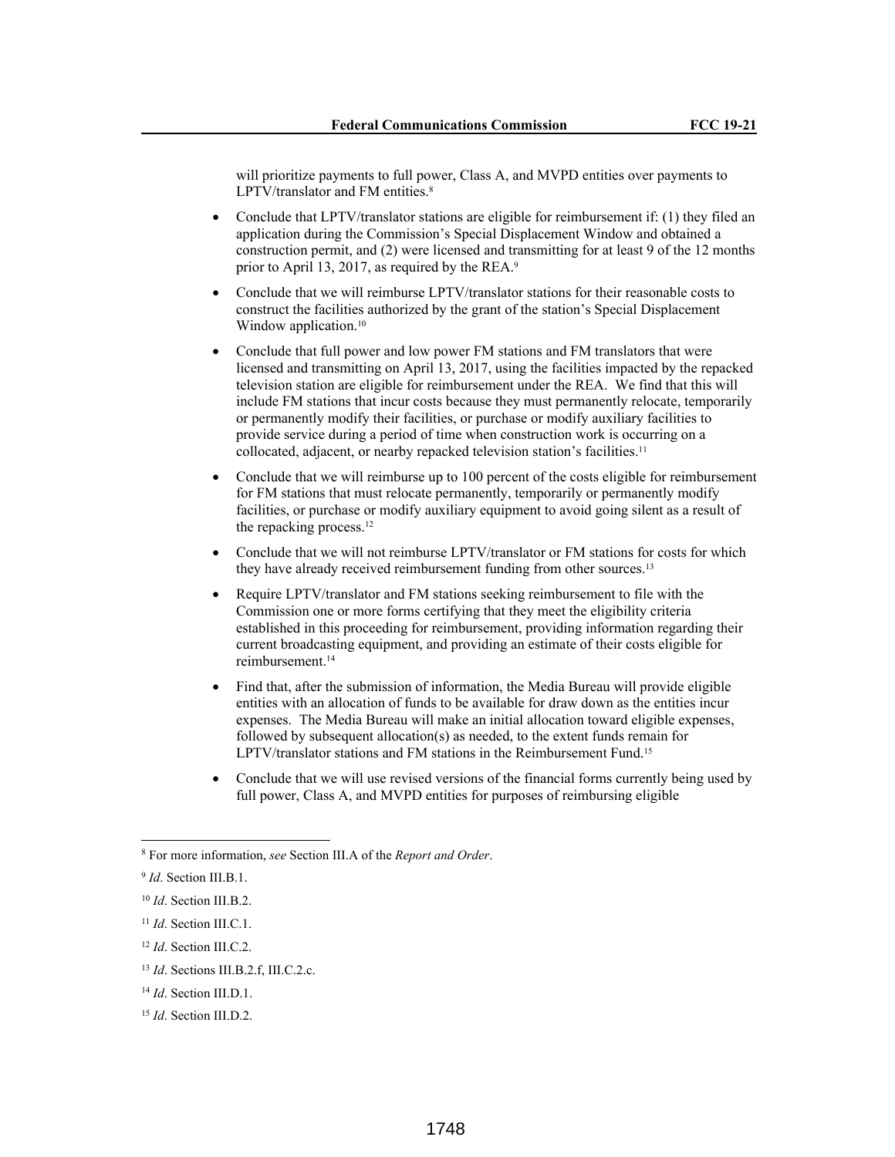will prioritize payments to full power, Class A, and MVPD entities over payments to LPTV/translator and FM entities.<sup>8</sup>

- Conclude that LPTV/translator stations are eligible for reimbursement if: (1) they filed an application during the Commission's Special Displacement Window and obtained a construction permit, and (2) were licensed and transmitting for at least 9 of the 12 months prior to April 13, 2017, as required by the REA.<sup>9</sup>
- Conclude that we will reimburse LPTV/translator stations for their reasonable costs to construct the facilities authorized by the grant of the station's Special Displacement Window application.<sup>10</sup>
- Conclude that full power and low power FM stations and FM translators that were licensed and transmitting on April 13, 2017, using the facilities impacted by the repacked television station are eligible for reimbursement under the REA. We find that this will include FM stations that incur costs because they must permanently relocate, temporarily or permanently modify their facilities, or purchase or modify auxiliary facilities to provide service during a period of time when construction work is occurring on a collocated, adjacent, or nearby repacked television station's facilities.<sup>11</sup>
- Conclude that we will reimburse up to 100 percent of the costs eligible for reimbursement for FM stations that must relocate permanently, temporarily or permanently modify facilities, or purchase or modify auxiliary equipment to avoid going silent as a result of the repacking process.<sup>12</sup>
- Conclude that we will not reimburse LPTV/translator or FM stations for costs for which they have already received reimbursement funding from other sources.<sup>13</sup>
- Require LPTV/translator and FM stations seeking reimbursement to file with the Commission one or more forms certifying that they meet the eligibility criteria established in this proceeding for reimbursement, providing information regarding their current broadcasting equipment, and providing an estimate of their costs eligible for reimbursement.<sup>14</sup>
- Find that, after the submission of information, the Media Bureau will provide eligible entities with an allocation of funds to be available for draw down as the entities incur expenses. The Media Bureau will make an initial allocation toward eligible expenses, followed by subsequent allocation(s) as needed, to the extent funds remain for LPTV/translator stations and FM stations in the Reimbursement Fund.<sup>15</sup>
- Conclude that we will use revised versions of the financial forms currently being used by full power, Class A, and MVPD entities for purposes of reimbursing eligible

<sup>8</sup> For more information, *see* Section III.A of the *Report and Order*.

<sup>9</sup> *Id*. Section III.B.1.

<sup>10</sup> *Id*. Section III.B.2.

<sup>11</sup> *Id*. Section III.C.1.

<sup>12</sup> *Id*. Section III.C.2.

<sup>13</sup> *Id*. Sections III.B.2.f, III.C.2.c.

<sup>14</sup> *Id*. Section III.D.1.

<sup>15</sup> *Id*. Section III.D.2.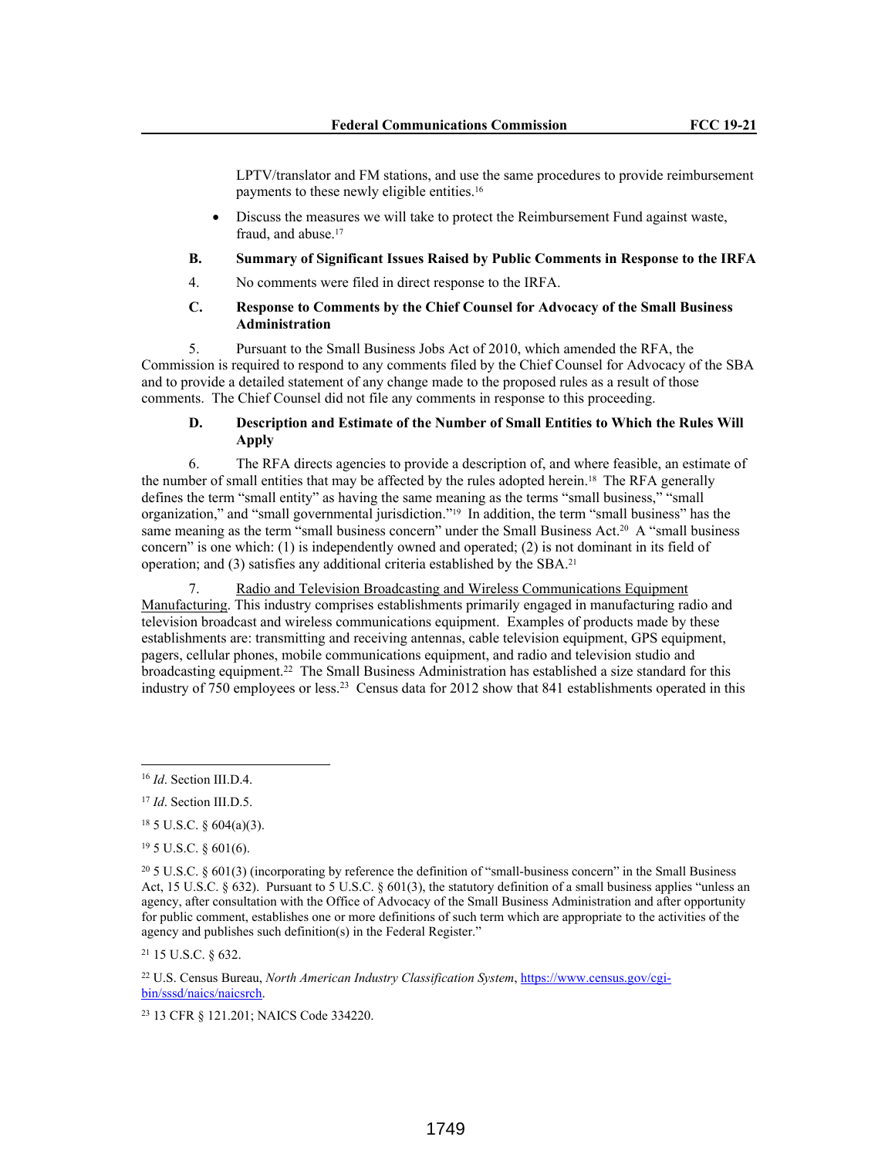LPTV/translator and FM stations, and use the same procedures to provide reimbursement payments to these newly eligible entities.<sup>16</sup>

 Discuss the measures we will take to protect the Reimbursement Fund against waste, fraud, and abuse.<sup>17</sup>

## **B. Summary of Significant Issues Raised by Public Comments in Response to the IRFA**

4. No comments were filed in direct response to the IRFA.

# **C. Response to Comments by the Chief Counsel for Advocacy of the Small Business Administration**

5. Pursuant to the Small Business Jobs Act of 2010, which amended the RFA, the Commission is required to respond to any comments filed by the Chief Counsel for Advocacy of the SBA and to provide a detailed statement of any change made to the proposed rules as a result of those comments. The Chief Counsel did not file any comments in response to this proceeding.

# **D. Description and Estimate of the Number of Small Entities to Which the Rules Will Apply**

6. The RFA directs agencies to provide a description of, and where feasible, an estimate of the number of small entities that may be affected by the rules adopted herein.<sup>18</sup> The RFA generally defines the term "small entity" as having the same meaning as the terms "small business," "small organization," and "small governmental jurisdiction."19 In addition, the term "small business" has the same meaning as the term "small business concern" under the Small Business Act.<sup>20</sup> A "small business concern" is one which: (1) is independently owned and operated; (2) is not dominant in its field of operation; and (3) satisfies any additional criteria established by the SBA.<sup>21</sup>

7. Radio and Television Broadcasting and Wireless Communications Equipment Manufacturing. This industry comprises establishments primarily engaged in manufacturing radio and television broadcast and wireless communications equipment. Examples of products made by these establishments are: transmitting and receiving antennas, cable television equipment, GPS equipment, pagers, cellular phones, mobile communications equipment, and radio and television studio and broadcasting equipment.<sup>22</sup> The Small Business Administration has established a size standard for this industry of 750 employees or less.<sup>23</sup> Census data for 2012 show that 841 establishments operated in this

<sup>21</sup> 15 U.S.C. § 632.

<sup>16</sup> *Id*. Section III.D.4.

<sup>17</sup> *Id*. Section III.D.5.

 $18$  5 U.S.C. § 604(a)(3).

<sup>19</sup> 5 U.S.C. § 601(6).

 $20\,5$  U.S.C. § 601(3) (incorporating by reference the definition of "small-business concern" in the Small Business Act, 15 U.S.C. § 632). Pursuant to 5 U.S.C. § 601(3), the statutory definition of a small business applies "unless an agency, after consultation with the Office of Advocacy of the Small Business Administration and after opportunity for public comment, establishes one or more definitions of such term which are appropriate to the activities of the agency and publishes such definition(s) in the Federal Register."

<sup>22</sup> U.S. Census Bureau, *North American Industry Classification System*, https://www.census.gov/cgibin/sssd/naics/naicsrch.

<sup>23</sup> 13 CFR § 121.201; NAICS Code 334220.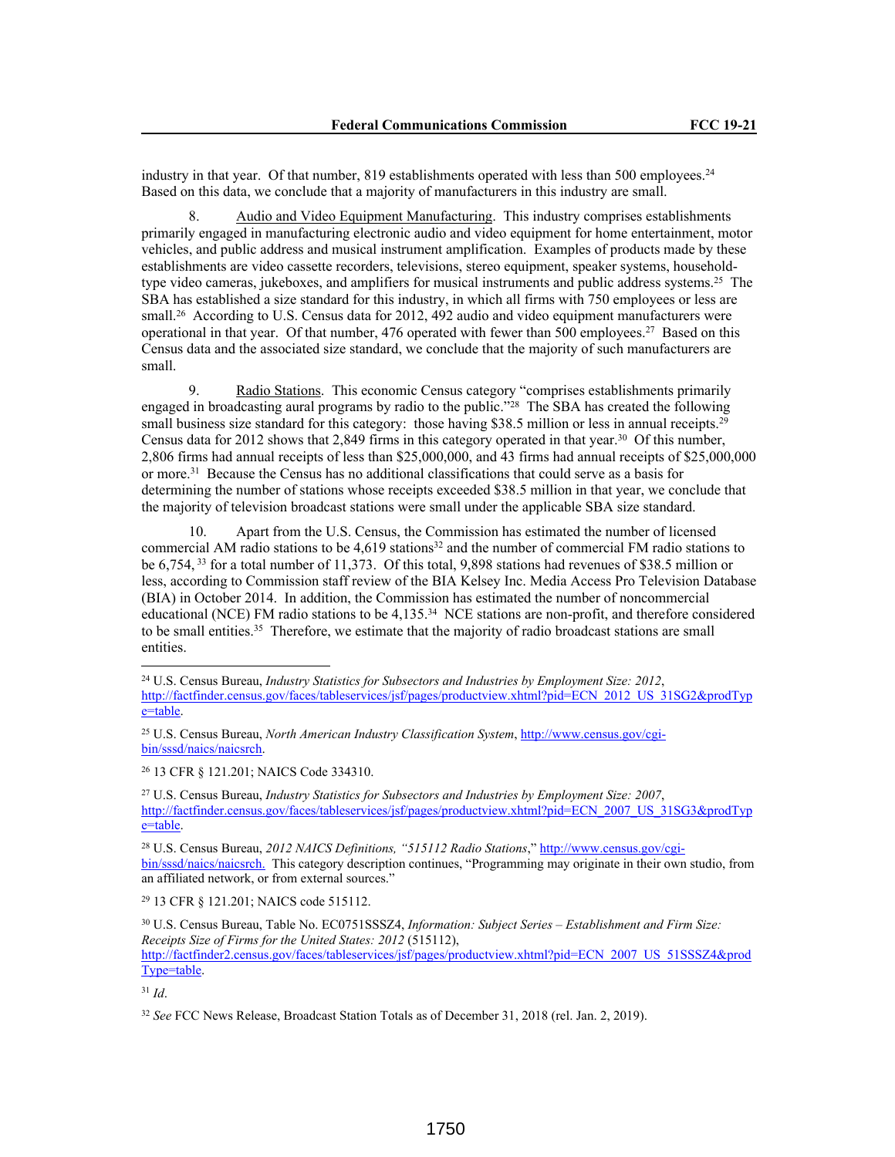industry in that year. Of that number, 819 establishments operated with less than 500 employees.<sup>24</sup> Based on this data, we conclude that a majority of manufacturers in this industry are small.

8. Audio and Video Equipment Manufacturing. This industry comprises establishments primarily engaged in manufacturing electronic audio and video equipment for home entertainment, motor vehicles, and public address and musical instrument amplification. Examples of products made by these establishments are video cassette recorders, televisions, stereo equipment, speaker systems, householdtype video cameras, jukeboxes, and amplifiers for musical instruments and public address systems.<sup>25</sup> The SBA has established a size standard for this industry, in which all firms with 750 employees or less are small.<sup>26</sup> According to U.S. Census data for 2012, 492 audio and video equipment manufacturers were operational in that year. Of that number, 476 operated with fewer than 500 employees.<sup>27</sup> Based on this Census data and the associated size standard, we conclude that the majority of such manufacturers are small.

9. Radio Stations. This economic Census category "comprises establishments primarily engaged in broadcasting aural programs by radio to the public."<sup>28</sup> The SBA has created the following small business size standard for this category: those having \$38.5 million or less in annual receipts.<sup>29</sup> Census data for 2012 shows that 2,849 firms in this category operated in that year.<sup>30</sup> Of this number, 2,806 firms had annual receipts of less than \$25,000,000, and 43 firms had annual receipts of \$25,000,000 or more.<sup>31</sup> Because the Census has no additional classifications that could serve as a basis for determining the number of stations whose receipts exceeded \$38.5 million in that year, we conclude that the majority of television broadcast stations were small under the applicable SBA size standard.

10. Apart from the U.S. Census, the Commission has estimated the number of licensed commercial AM radio stations to be 4,619 stations<sup>32</sup> and the number of commercial FM radio stations to be 6,754,<sup>33</sup> for a total number of 11,373. Of this total, 9,898 stations had revenues of \$38.5 million or less, according to Commission staff review of the BIA Kelsey Inc. Media Access Pro Television Database (BIA) in October 2014. In addition, the Commission has estimated the number of noncommercial educational (NCE) FM radio stations to be 4,135.<sup>34</sup> NCE stations are non-profit, and therefore considered to be small entities.<sup>35</sup> Therefore, we estimate that the majority of radio broadcast stations are small entities.

<sup>26</sup> 13 CFR § 121.201; NAICS Code 334310.

<sup>27</sup> U.S. Census Bureau, *Industry Statistics for Subsectors and Industries by Employment Size: 2007*, http://factfinder.census.gov/faces/tableservices/jsf/pages/productview.xhtml?pid=ECN\_2007\_US\_31SG3&prodTyp e=table.

28 U.S. Census Bureau, *2012 NAICS Definitions, "515112 Radio Stations*," http://www.census.gov/cgibin/sssd/naics/naicsrch. This category description continues, "Programming may originate in their own studio, from an affiliated network, or from external sources."

<sup>29</sup> 13 CFR § 121.201; NAICS code 515112.

<sup>30</sup> U.S. Census Bureau, Table No. EC0751SSSZ4, *Information: Subject Series – Establishment and Firm Size: Receipts Size of Firms for the United States: 2012* (515112), http://factfinder2.census.gov/faces/tableservices/jsf/pages/productview.xhtml?pid=ECN\_2007\_US\_51SSSZ4&prod Type=table.

<sup>31</sup> *Id*.

<sup>24</sup> U.S. Census Bureau, *Industry Statistics for Subsectors and Industries by Employment Size: 2012*, http://factfinder.census.gov/faces/tableservices/jsf/pages/productview.xhtml?pid=ECN\_2012\_US\_31SG2&prodTyp e=table.

<sup>25</sup> U.S. Census Bureau, *North American Industry Classification System*, http://www.census.gov/cgibin/sssd/naics/naicsrch.

<sup>32</sup> *See* FCC News Release, Broadcast Station Totals as of December 31, 2018 (rel. Jan. 2, 2019).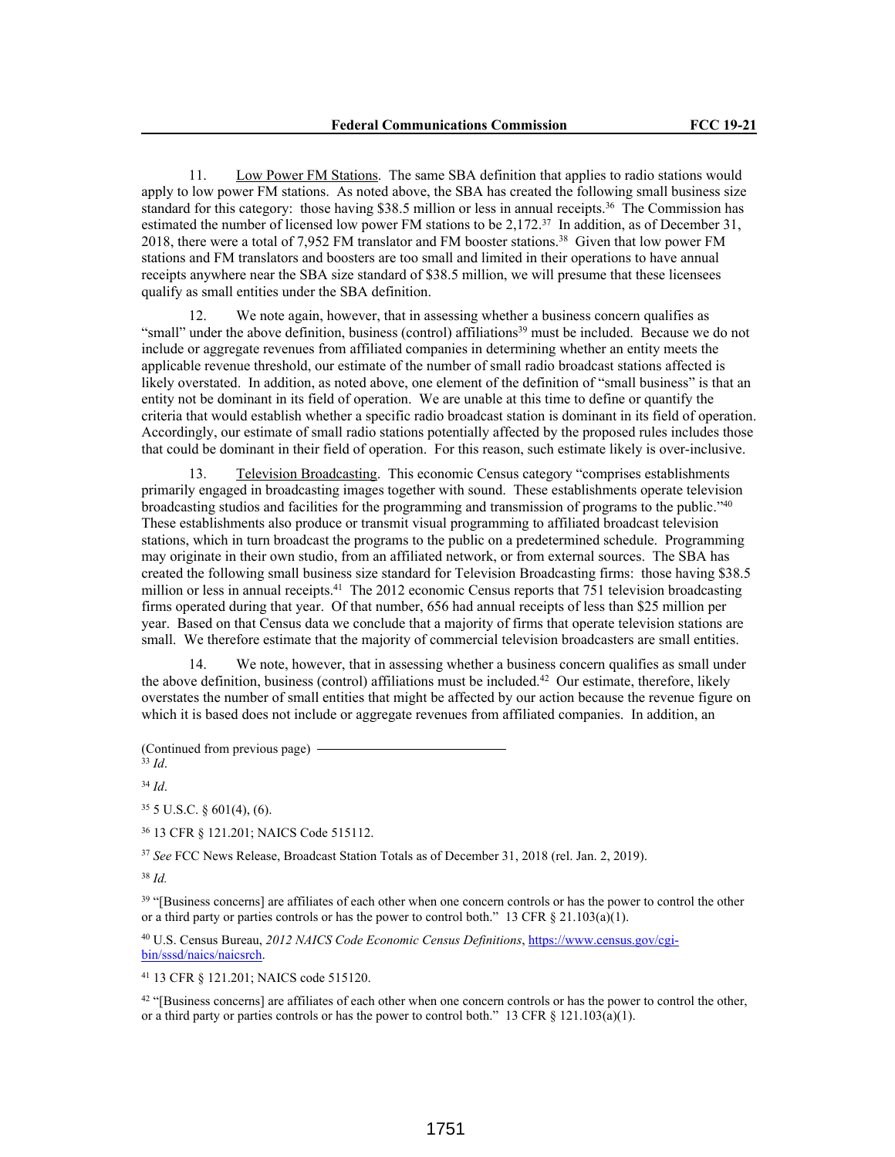11. Low Power FM Stations. The same SBA definition that applies to radio stations would apply to low power FM stations. As noted above, the SBA has created the following small business size standard for this category: those having \$38.5 million or less in annual receipts.<sup>36</sup> The Commission has estimated the number of licensed low power FM stations to be 2,172.<sup>37</sup> In addition, as of December 31, 2018, there were a total of 7,952 FM translator and FM booster stations.<sup>38</sup> Given that low power FM stations and FM translators and boosters are too small and limited in their operations to have annual receipts anywhere near the SBA size standard of \$38.5 million, we will presume that these licensees qualify as small entities under the SBA definition.

12. We note again, however, that in assessing whether a business concern qualifies as "small" under the above definition, business (control) affiliations<sup>39</sup> must be included. Because we do not include or aggregate revenues from affiliated companies in determining whether an entity meets the applicable revenue threshold, our estimate of the number of small radio broadcast stations affected is likely overstated. In addition, as noted above, one element of the definition of "small business" is that an entity not be dominant in its field of operation. We are unable at this time to define or quantify the criteria that would establish whether a specific radio broadcast station is dominant in its field of operation. Accordingly, our estimate of small radio stations potentially affected by the proposed rules includes those that could be dominant in their field of operation. For this reason, such estimate likely is over-inclusive.

13. Television Broadcasting. This economic Census category "comprises establishments primarily engaged in broadcasting images together with sound. These establishments operate television broadcasting studios and facilities for the programming and transmission of programs to the public."<sup>40</sup> These establishments also produce or transmit visual programming to affiliated broadcast television stations, which in turn broadcast the programs to the public on a predetermined schedule. Programming may originate in their own studio, from an affiliated network, or from external sources. The SBA has created the following small business size standard for Television Broadcasting firms: those having \$38.5 million or less in annual receipts.<sup>41</sup> The 2012 economic Census reports that 751 television broadcasting firms operated during that year. Of that number, 656 had annual receipts of less than \$25 million per year. Based on that Census data we conclude that a majority of firms that operate television stations are small. We therefore estimate that the majority of commercial television broadcasters are small entities.

14. We note, however, that in assessing whether a business concern qualifies as small under the above definition, business (control) affiliations must be included.<sup>42</sup> Our estimate, therefore, likely overstates the number of small entities that might be affected by our action because the revenue figure on which it is based does not include or aggregate revenues from affiliated companies. In addition, an

(Continued from previous page)

<sup>33</sup> *Id*.

<sup>34</sup> *Id*.

 $35$  5 U.S.C. § 601(4), (6).

<sup>36</sup> 13 CFR § 121.201; NAICS Code 515112.

<sup>37</sup> *See* FCC News Release, Broadcast Station Totals as of December 31, 2018 (rel. Jan. 2, 2019).

<sup>38</sup> *Id.*

<sup>39</sup> "[Business concerns] are affiliates of each other when one concern controls or has the power to control the other or a third party or parties controls or has the power to control both." 13 CFR § 21.103(a)(1).

40 U.S. Census Bureau, *2012 NAICS Code Economic Census Definitions*, https://www.census.gov/cgibin/sssd/naics/naicsrch.

<sup>41</sup> 13 CFR § 121.201; NAICS code 515120.

<sup>42</sup> "[Business concerns] are affiliates of each other when one concern controls or has the power to control the other, or a third party or parties controls or has the power to control both." 13 CFR  $\S$  121.103(a)(1).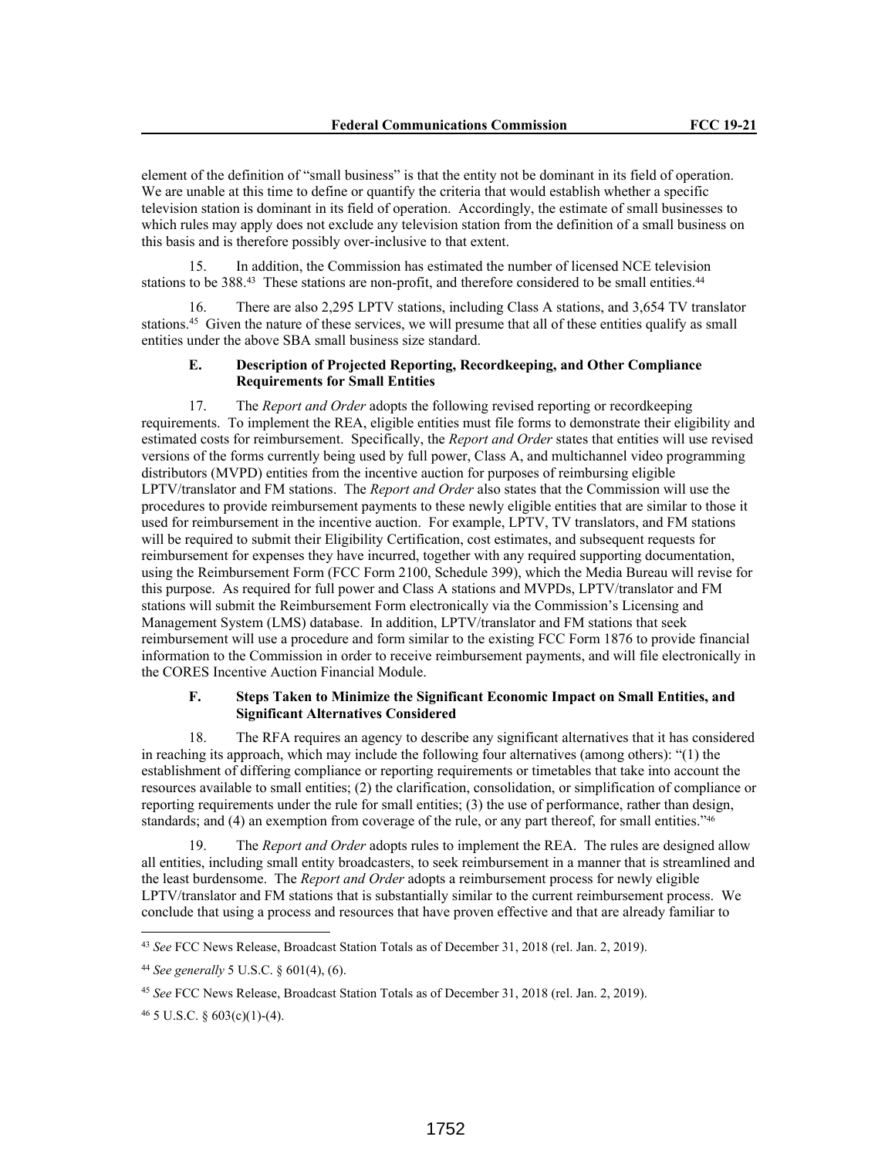element of the definition of "small business" is that the entity not be dominant in its field of operation. We are unable at this time to define or quantify the criteria that would establish whether a specific television station is dominant in its field of operation. Accordingly, the estimate of small businesses to which rules may apply does not exclude any television station from the definition of a small business on this basis and is therefore possibly over-inclusive to that extent.

15. In addition, the Commission has estimated the number of licensed NCE television stations to be 388.<sup>43</sup> These stations are non-profit, and therefore considered to be small entities.<sup>44</sup>

16. There are also 2,295 LPTV stations, including Class A stations, and 3,654 TV translator stations.<sup>45</sup> Given the nature of these services, we will presume that all of these entities qualify as small entities under the above SBA small business size standard.

## **E. Description of Projected Reporting, Recordkeeping, and Other Compliance Requirements for Small Entities**

17. The *Report and Order* adopts the following revised reporting or recordkeeping requirements. To implement the REA, eligible entities must file forms to demonstrate their eligibility and estimated costs for reimbursement. Specifically, the *Report and Order* states that entities will use revised versions of the forms currently being used by full power, Class A, and multichannel video programming distributors (MVPD) entities from the incentive auction for purposes of reimbursing eligible LPTV/translator and FM stations. The *Report and Order* also states that the Commission will use the procedures to provide reimbursement payments to these newly eligible entities that are similar to those it used for reimbursement in the incentive auction. For example, LPTV, TV translators, and FM stations will be required to submit their Eligibility Certification, cost estimates, and subsequent requests for reimbursement for expenses they have incurred, together with any required supporting documentation, using the Reimbursement Form (FCC Form 2100, Schedule 399), which the Media Bureau will revise for this purpose. As required for full power and Class A stations and MVPDs, LPTV/translator and FM stations will submit the Reimbursement Form electronically via the Commission's Licensing and Management System (LMS) database. In addition, LPTV/translator and FM stations that seek reimbursement will use a procedure and form similar to the existing FCC Form 1876 to provide financial information to the Commission in order to receive reimbursement payments, and will file electronically in the CORES Incentive Auction Financial Module.

## **F. Steps Taken to Minimize the Significant Economic Impact on Small Entities, and Significant Alternatives Considered**

18. The RFA requires an agency to describe any significant alternatives that it has considered in reaching its approach, which may include the following four alternatives (among others): "(1) the establishment of differing compliance or reporting requirements or timetables that take into account the resources available to small entities; (2) the clarification, consolidation, or simplification of compliance or reporting requirements under the rule for small entities; (3) the use of performance, rather than design, standards; and (4) an exemption from coverage of the rule, or any part thereof, for small entities."<sup>46</sup>

19. The *Report and Order* adopts rules to implement the REA. The rules are designed allow all entities, including small entity broadcasters, to seek reimbursement in a manner that is streamlined and the least burdensome. The *Report and Order* adopts a reimbursement process for newly eligible LPTV/translator and FM stations that is substantially similar to the current reimbursement process. We conclude that using a process and resources that have proven effective and that are already familiar to

<sup>43</sup> *See* FCC News Release, Broadcast Station Totals as of December 31, 2018 (rel. Jan. 2, 2019).

<sup>44</sup> *See generally* 5 U.S.C. § 601(4), (6).

<sup>45</sup> *See* FCC News Release, Broadcast Station Totals as of December 31, 2018 (rel. Jan. 2, 2019).

 $46$  5 U.S.C. § 603(c)(1)-(4).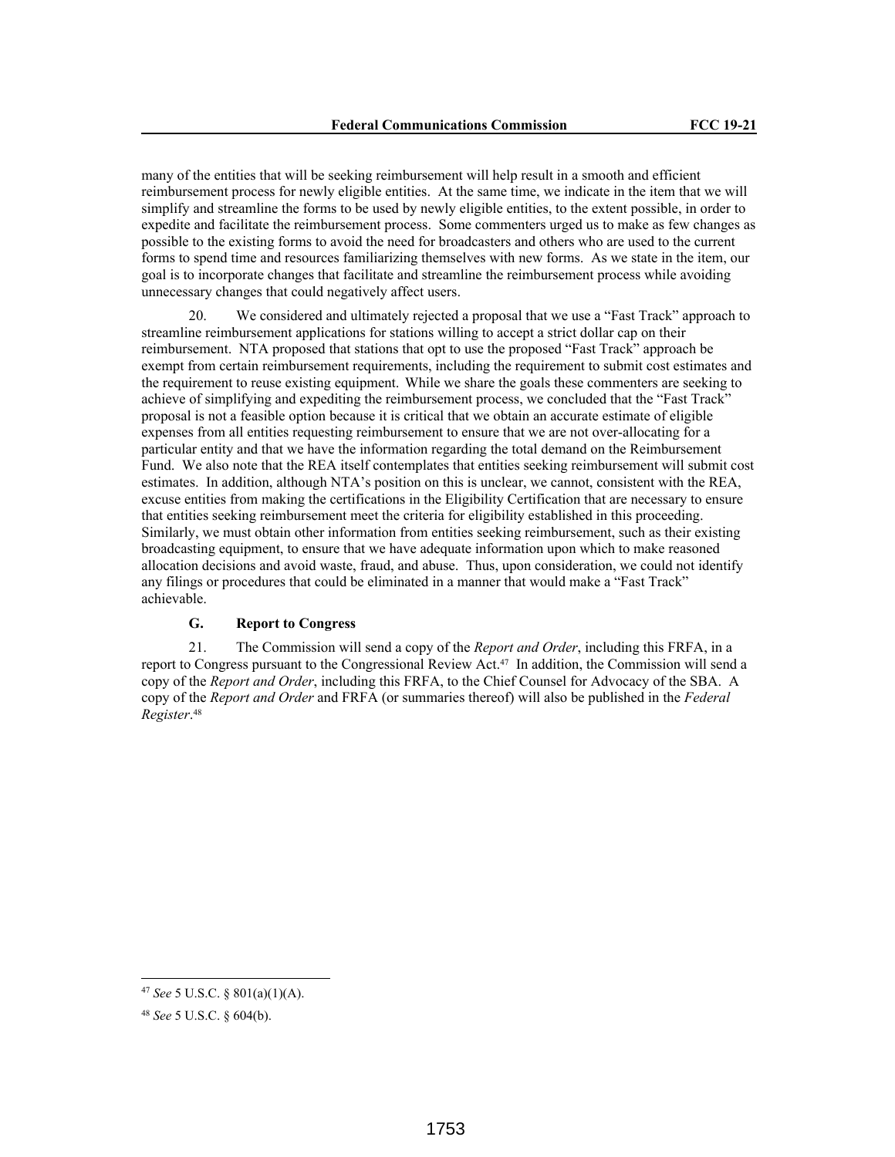many of the entities that will be seeking reimbursement will help result in a smooth and efficient reimbursement process for newly eligible entities. At the same time, we indicate in the item that we will simplify and streamline the forms to be used by newly eligible entities, to the extent possible, in order to expedite and facilitate the reimbursement process. Some commenters urged us to make as few changes as possible to the existing forms to avoid the need for broadcasters and others who are used to the current forms to spend time and resources familiarizing themselves with new forms. As we state in the item, our goal is to incorporate changes that facilitate and streamline the reimbursement process while avoiding unnecessary changes that could negatively affect users.

20. We considered and ultimately rejected a proposal that we use a "Fast Track" approach to streamline reimbursement applications for stations willing to accept a strict dollar cap on their reimbursement. NTA proposed that stations that opt to use the proposed "Fast Track" approach be exempt from certain reimbursement requirements, including the requirement to submit cost estimates and the requirement to reuse existing equipment. While we share the goals these commenters are seeking to achieve of simplifying and expediting the reimbursement process, we concluded that the "Fast Track" proposal is not a feasible option because it is critical that we obtain an accurate estimate of eligible expenses from all entities requesting reimbursement to ensure that we are not over-allocating for a particular entity and that we have the information regarding the total demand on the Reimbursement Fund. We also note that the REA itself contemplates that entities seeking reimbursement will submit cost estimates. In addition, although NTA's position on this is unclear, we cannot, consistent with the REA, excuse entities from making the certifications in the Eligibility Certification that are necessary to ensure that entities seeking reimbursement meet the criteria for eligibility established in this proceeding. Similarly, we must obtain other information from entities seeking reimbursement, such as their existing broadcasting equipment, to ensure that we have adequate information upon which to make reasoned allocation decisions and avoid waste, fraud, and abuse. Thus, upon consideration, we could not identify any filings or procedures that could be eliminated in a manner that would make a "Fast Track" achievable.

# **G. Report to Congress**

21. The Commission will send a copy of the *Report and Order*, including this FRFA, in a report to Congress pursuant to the Congressional Review Act.47 In addition, the Commission will send a copy of the *Report and Order*, including this FRFA, to the Chief Counsel for Advocacy of the SBA. A copy of the *Report and Order* and FRFA (or summaries thereof) will also be published in the *Federal Register*. 48

<sup>47</sup> *See* 5 U.S.C. § 801(a)(1)(A).

<sup>48</sup> *See* 5 U.S.C. § 604(b).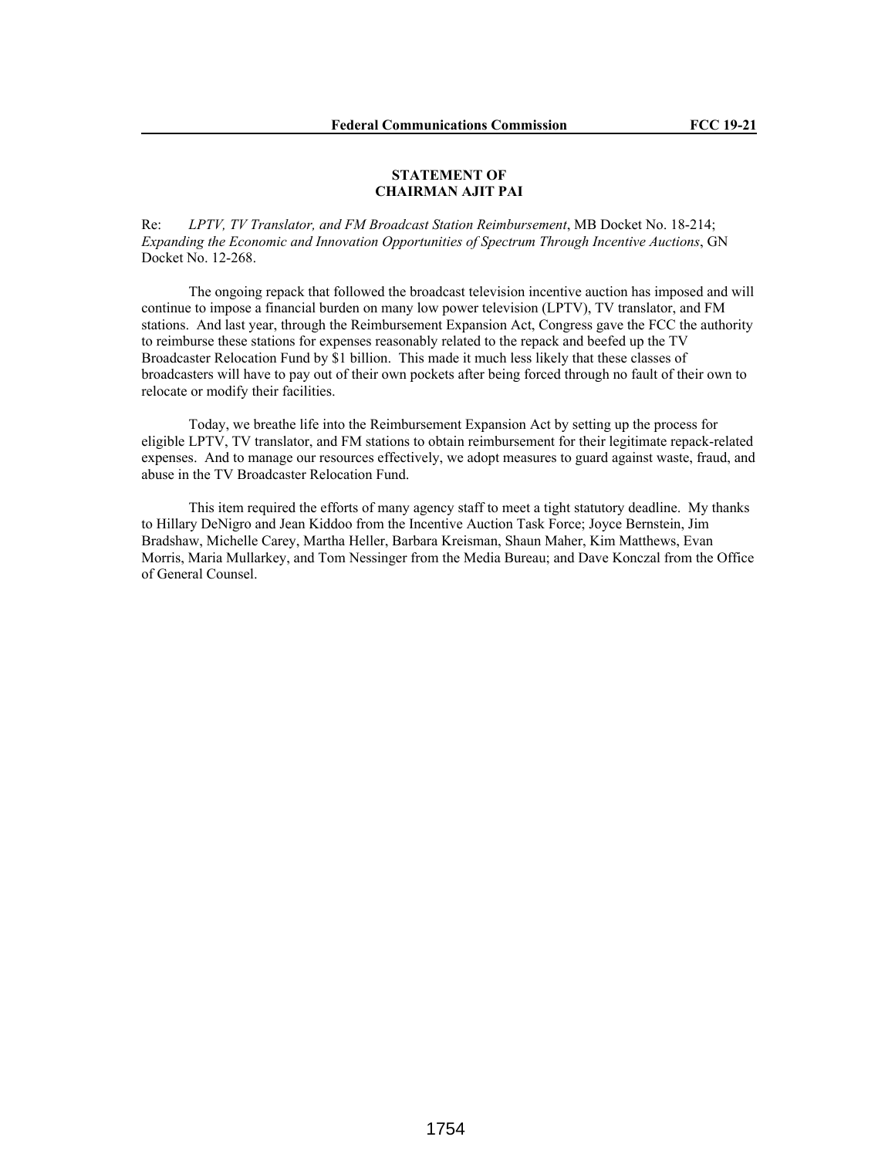## **STATEMENT OF CHAIRMAN AJIT PAI**

Re: *LPTV, TV Translator, and FM Broadcast Station Reimbursement*, MB Docket No. 18-214; *Expanding the Economic and Innovation Opportunities of Spectrum Through Incentive Auctions*, GN Docket No. 12-268.

The ongoing repack that followed the broadcast television incentive auction has imposed and will continue to impose a financial burden on many low power television (LPTV), TV translator, and FM stations. And last year, through the Reimbursement Expansion Act, Congress gave the FCC the authority to reimburse these stations for expenses reasonably related to the repack and beefed up the TV Broadcaster Relocation Fund by \$1 billion. This made it much less likely that these classes of broadcasters will have to pay out of their own pockets after being forced through no fault of their own to relocate or modify their facilities.

Today, we breathe life into the Reimbursement Expansion Act by setting up the process for eligible LPTV, TV translator, and FM stations to obtain reimbursement for their legitimate repack-related expenses. And to manage our resources effectively, we adopt measures to guard against waste, fraud, and abuse in the TV Broadcaster Relocation Fund.

This item required the efforts of many agency staff to meet a tight statutory deadline. My thanks to Hillary DeNigro and Jean Kiddoo from the Incentive Auction Task Force; Joyce Bernstein, Jim Bradshaw, Michelle Carey, Martha Heller, Barbara Kreisman, Shaun Maher, Kim Matthews, Evan Morris, Maria Mullarkey, and Tom Nessinger from the Media Bureau; and Dave Konczal from the Office of General Counsel.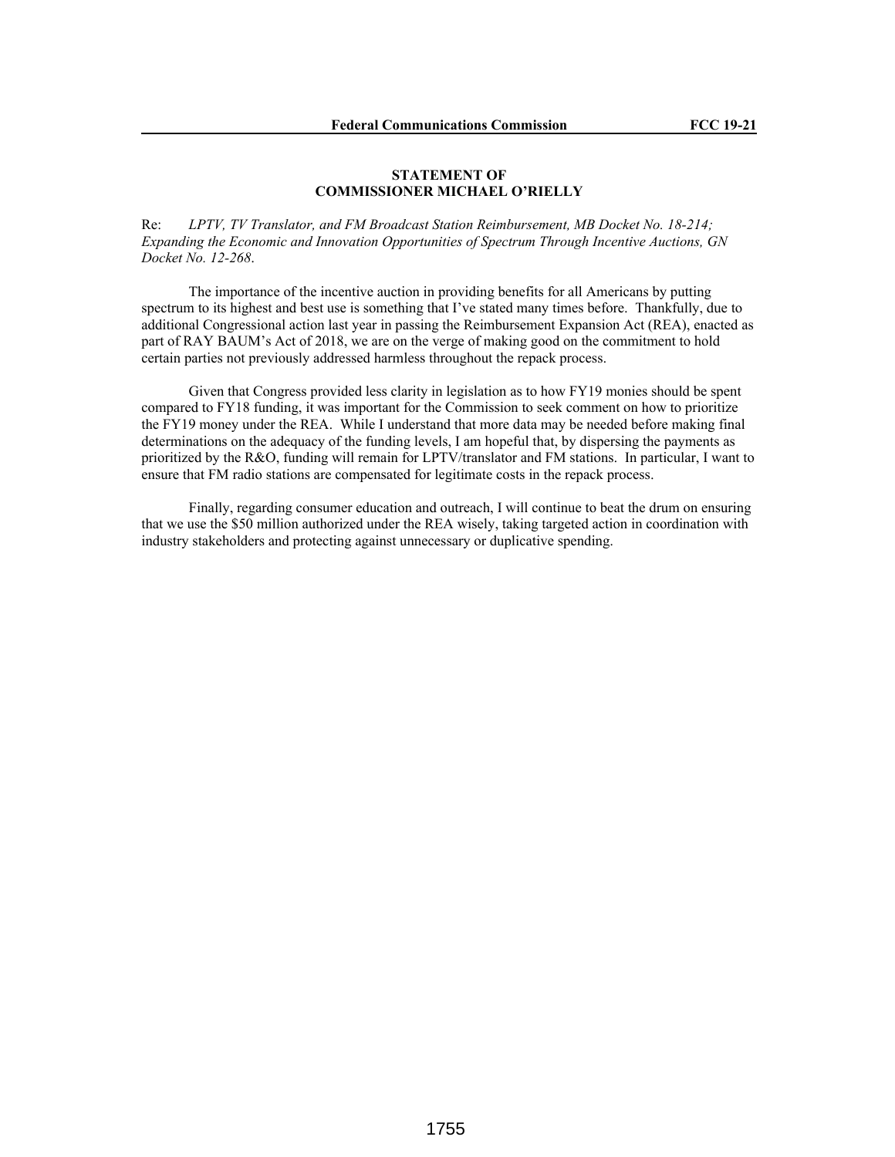# **STATEMENT OF COMMISSIONER MICHAEL O'RIELLY**

Re: *LPTV, TV Translator, and FM Broadcast Station Reimbursement, MB Docket No. 18-214; Expanding the Economic and Innovation Opportunities of Spectrum Through Incentive Auctions, GN Docket No. 12-268*.

The importance of the incentive auction in providing benefits for all Americans by putting spectrum to its highest and best use is something that I've stated many times before. Thankfully, due to additional Congressional action last year in passing the Reimbursement Expansion Act (REA), enacted as part of RAY BAUM's Act of 2018, we are on the verge of making good on the commitment to hold certain parties not previously addressed harmless throughout the repack process.

Given that Congress provided less clarity in legislation as to how FY19 monies should be spent compared to FY18 funding, it was important for the Commission to seek comment on how to prioritize the FY19 money under the REA. While I understand that more data may be needed before making final determinations on the adequacy of the funding levels, I am hopeful that, by dispersing the payments as prioritized by the R&O, funding will remain for LPTV/translator and FM stations. In particular, I want to ensure that FM radio stations are compensated for legitimate costs in the repack process.

Finally, regarding consumer education and outreach, I will continue to beat the drum on ensuring that we use the \$50 million authorized under the REA wisely, taking targeted action in coordination with industry stakeholders and protecting against unnecessary or duplicative spending.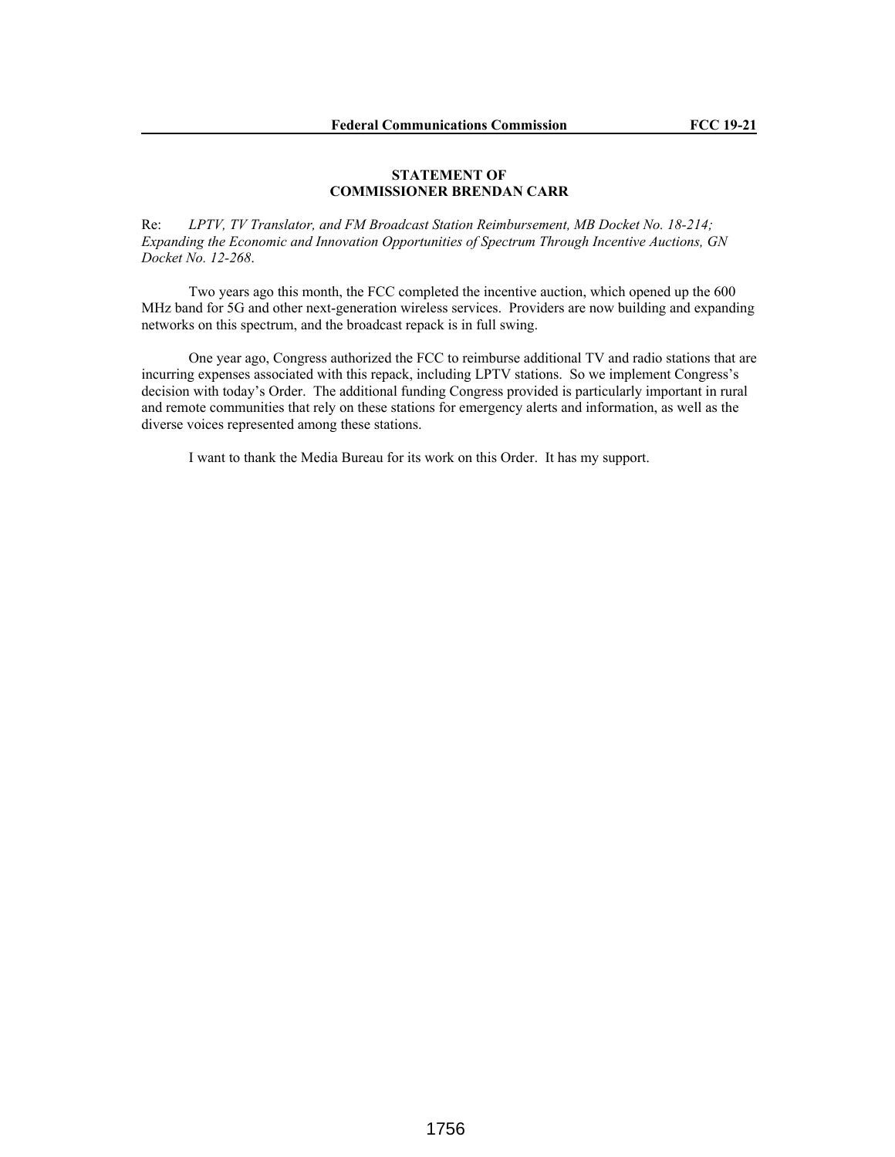# **STATEMENT OF COMMISSIONER BRENDAN CARR**

Re: *LPTV, TV Translator, and FM Broadcast Station Reimbursement, MB Docket No. 18-214; Expanding the Economic and Innovation Opportunities of Spectrum Through Incentive Auctions, GN Docket No. 12-268*.

Two years ago this month, the FCC completed the incentive auction, which opened up the 600 MHz band for 5G and other next-generation wireless services. Providers are now building and expanding networks on this spectrum, and the broadcast repack is in full swing.

One year ago, Congress authorized the FCC to reimburse additional TV and radio stations that are incurring expenses associated with this repack, including LPTV stations. So we implement Congress's decision with today's Order. The additional funding Congress provided is particularly important in rural and remote communities that rely on these stations for emergency alerts and information, as well as the diverse voices represented among these stations.

I want to thank the Media Bureau for its work on this Order. It has my support.